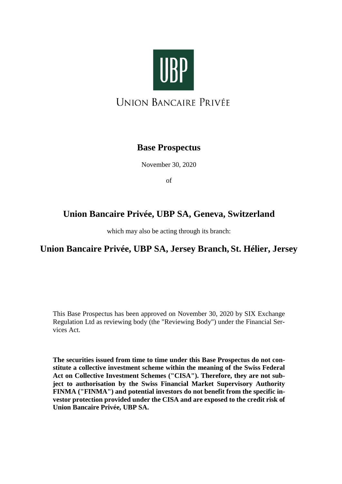

**UNION BANCAIRE PRIVÉE** 

# **Base Prospectus**

November 30, 2020

of

# **Union Bancaire Privée, UBP SA, Geneva, Switzerland**

which may also be acting through its branch:

# **Union Bancaire Privée, UBP SA, Jersey Branch, St. Hélier, Jersey**

This Base Prospectus has been approved on November 30, 2020 by SIX Exchange Regulation Ltd as reviewing body (the "Reviewing Body") under the Financial Services Act.

**The securities issued from time to time under this Base Prospectus do not constitute a collective investment scheme within the meaning of the Swiss Federal Act on Collective Investment Schemes ("CISA"). Therefore, they are not subject to authorisation by the Swiss Financial Market Supervisory Authority FINMA ("FINMA") and potential investors do not benefit from the specific investor protection provided under the CISA and are exposed to the credit risk of Union Bancaire Privée, UBP SA.**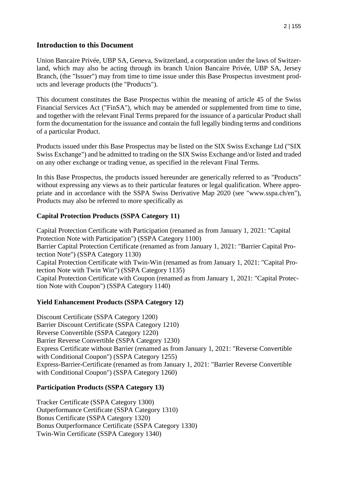#### **Introduction to this Document**

Union Bancaire Privée, UBP SA, Geneva, Switzerland, a corporation under the laws of Switzerland, which may also be acting through its branch Union Bancaire Privée, UBP SA, Jersey Branch, (the "Issuer") may from time to time issue under this Base Prospectus investment products and leverage products (the "Products").

This document constitutes the Base Prospectus within the meaning of article 45 of the Swiss Financial Services Act ("FinSA"), which may be amended or supplemented from time to time, and together with the relevant Final Terms prepared for the issuance of a particular Product shall form the documentation for the issuance and contain the full legally binding terms and conditions of a particular Product.

Products issued under this Base Prospectus may be listed on the SIX Swiss Exchange Ltd ("SIX Swiss Exchange") and be admitted to trading on the SIX Swiss Exchange and/or listed and traded on any other exchange or trading venue, as specified in the relevant Final Terms.

In this Base Prospectus, the products issued hereunder are generically referred to as "Products" without expressing any views as to their particular features or legal qualification. Where appropriate and in accordance with the SSPA Swiss Derivative Map 2020 (see "www.sspa.ch/en"), Products may also be referred to more specifically as

#### **Capital Protection Products (SSPA Category 11)**

Capital Protection Certificate with Participation (renamed as from January 1, 2021: "Capital Protection Note with Participation") (SSPA Category 1100) Barrier Capital Protection Certificate (renamed as from January 1, 2021: "Barrier Capital Protection Note") (SSPA Category 1130) Capital Protection Certificate with Twin-Win (renamed as from January 1, 2021: "Capital Protection Note with Twin Win") (SSPA Category 1135) Capital Protection Certificate with Coupon (renamed as from January 1, 2021: "Capital Protection Note with Coupon") (SSPA Category 1140)

#### **Yield Enhancement Products (SSPA Category 12)**

Discount Certificate (SSPA Category 1200) Barrier Discount Certificate (SSPA Category 1210) Reverse Convertible (SSPA Category 1220) Barrier Reverse Convertible (SSPA Category 1230) Express Certificate without Barrier (renamed as from January 1, 2021: "Reverse Convertible with Conditional Coupon") (SSPA Category 1255) Express-Barrier-Certificate (renamed as from January 1, 2021: "Barrier Reverse Convertible with Conditional Coupon") (SSPA Category 1260)

#### **Participation Products (SSPA Category 13)**

Tracker Certificate (SSPA Category 1300) Outperformance Certificate (SSPA Category 1310) Bonus Certificate (SSPA Category 1320) Bonus Outperformance Certificate (SSPA Category 1330) Twin-Win Certificate (SSPA Category 1340)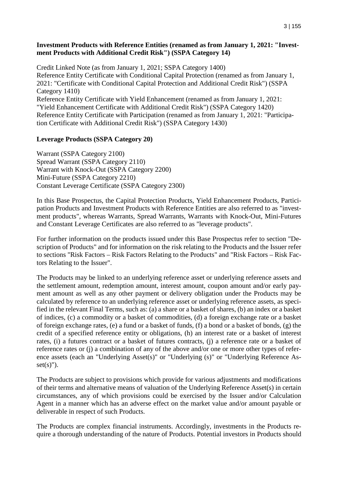#### **Investment Products with Reference Entities (renamed as from January 1, 2021: "Investment Products with Additional Credit Risk") (SSPA Category 14)**

Credit Linked Note (as from January 1, 2021; SSPA Category 1400) Reference Entity Certificate with Conditional Capital Protection (renamed as from January 1, 2021: "Certificate with Conditional Capital Protection and Additional Credit Risk") (SSPA Category 1410) Reference Entity Certificate with Yield Enhancement (renamed as from January 1, 2021: "Yield Enhancement Certificate with Additional Credit Risk") (SSPA Category 1420) Reference Entity Certificate with Participation (renamed as from January 1, 2021: "Participation Certificate with Additional Credit Risk") (SSPA Category 1430)

## **Leverage Products (SSPA Category 20)**

Warrant (SSPA Category 2100) Spread Warrant (SSPA Category 2110) Warrant with Knock-Out (SSPA Category 2200) Mini-Future (SSPA Category 2210) Constant Leverage Certificate (SSPA Category 2300)

In this Base Prospectus, the Capital Protection Products, Yield Enhancement Products, Participation Products and Investment Products with Reference Entities are also referred to as "investment products", whereas Warrants, Spread Warrants, Warrants with Knock-Out, Mini-Futures and Constant Leverage Certificates are also referred to as "leverage products".

For further information on the products issued under this Base Prospectus refer to section "Description of Products" and for information on the risk relating to the Products and the Issuer refer to sections "Risk Factors – Risk Factors Relating to the Products" and "Risk Factors – Risk Factors Relating to the Issuer".

The Products may be linked to an underlying reference asset or underlying reference assets and the settlement amount, redemption amount, interest amount, coupon amount and/or early payment amount as well as any other payment or delivery obligation under the Products may be calculated by reference to an underlying reference asset or underlying reference assets, as specified in the relevant Final Terms, such as: (a) a share or a basket of shares, (b) an index or a basket of indices, (c) a commodity or a basket of commodities, (d) a foreign exchange rate or a basket of foreign exchange rates, (e) a fund or a basket of funds, (f) a bond or a basket of bonds, (g) the credit of a specified reference entity or obligations, (h) an interest rate or a basket of interest rates, (i) a futures contract or a basket of futures contracts, (j) a reference rate or a basket of reference rates or (j) a combination of any of the above and/or one or more other types of reference assets (each an "Underlying Asset(s)" or "Underlying (s)" or "Underlying Reference As $set(s)$ ").

The Products are subject to provisions which provide for various adjustments and modifications of their terms and alternative means of valuation of the Underlying Reference Asset(s) in certain circumstances, any of which provisions could be exercised by the Issuer and/or Calculation Agent in a manner which has an adverse effect on the market value and/or amount payable or deliverable in respect of such Products.

The Products are complex financial instruments. Accordingly, investments in the Products require a thorough understanding of the nature of Products. Potential investors in Products should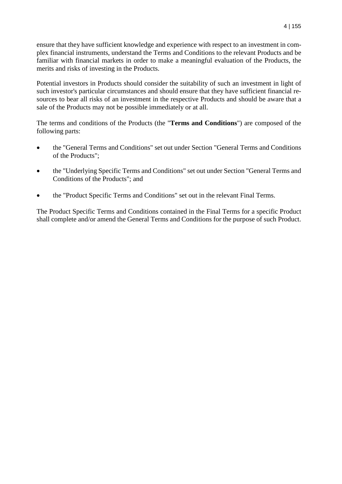ensure that they have sufficient knowledge and experience with respect to an investment in complex financial instruments, understand the Terms and Conditions to the relevant Products and be familiar with financial markets in order to make a meaningful evaluation of the Products, the merits and risks of investing in the Products.

Potential investors in Products should consider the suitability of such an investment in light of such investor's particular circumstances and should ensure that they have sufficient financial resources to bear all risks of an investment in the respective Products and should be aware that a sale of the Products may not be possible immediately or at all.

The terms and conditions of the Products (the "**Terms and Conditions**") are composed of the following parts:

- the "General Terms and Conditions" set out under Section "General Terms and Conditions of the Products";
- the "Underlying Specific Terms and Conditions" set out under Section "General Terms and Conditions of the Products"; and
- the "Product Specific Terms and Conditions" set out in the relevant Final Terms.

The Product Specific Terms and Conditions contained in the Final Terms for a specific Product shall complete and/or amend the General Terms and Conditions for the purpose of such Product.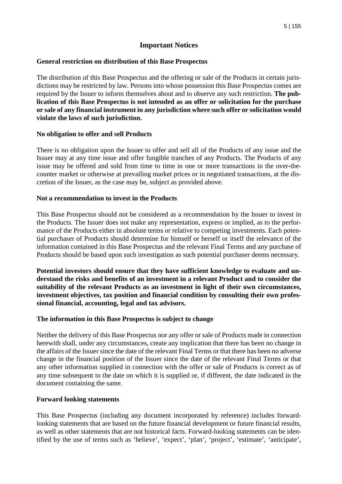## **Important Notices**

#### **General restriction on distribution of this Base Prospectus**

The distribution of this Base Prospectus and the offering or sale of the Products in certain jurisdictions may be restricted by law. Persons into whose possession this Base Prospectus comes are required by the Issuer to inform themselves about and to observe any such restriction. **The publication of this Base Prospectus is not intended as an offer or solicitation for the purchase or sale of any financial instrument in any jurisdiction where such offer or solicitation would violate the laws of such jurisdiction.** 

#### **No obligation to offer and sell Products**

There is no obligation upon the Issuer to offer and sell all of the Products of any issue and the Issuer may at any time issue and offer fungible tranches of any Products. The Products of any issue may be offered and sold from time to time in one or more transactions in the over-thecounter market or otherwise at prevailing market prices or in negotiated transactions, at the discretion of the Issuer, as the case may be, subject as provided above.

#### **Not a recommendation to invest in the Products**

This Base Prospectus should not be considered as a recommendation by the Issuer to invest in the Products. The Issuer does not make any representation, express or implied, as to the performance of the Products either in absolute terms or relative to competing investments. Each potential purchaser of Products should determine for himself or herself or itself the relevance of the information contained in this Base Prospectus and the relevant Final Terms and any purchase of Products should be based upon such investigation as such potential purchaser deems necessary.

**Potential investors should ensure that they have sufficient knowledge to evaluate and understand the risks and benefits of an investment in a relevant Product and to consider the suitability of the relevant Products as an investment in light of their own circumstances, investment objectives, tax position and financial condition by consulting their own professional financial, accounting, legal and tax advisors.** 

#### **The information in this Base Prospectus is subject to change**

Neither the delivery of this Base Prospectus nor any offer or sale of Products made in connection herewith shall, under any circumstances, create any implication that there has been no change in the affairs of the Issuer since the date of the relevant Final Terms or that there has been no adverse change in the financial position of the Issuer since the date of the relevant Final Terms or that any other information supplied in connection with the offer or sale of Products is correct as of any time subsequent to the date on which it is supplied or, if different, the date indicated in the document containing the same.

#### **Forward looking statements**

This Base Prospectus (including any document incorporated by reference) includes forwardlooking statements that are based on the future financial development or future financial results, as well as other statements that are not historical facts. Forward-looking statements can be identified by the use of terms such as 'believe', 'expect', 'plan', 'project', 'estimate', 'anticipate',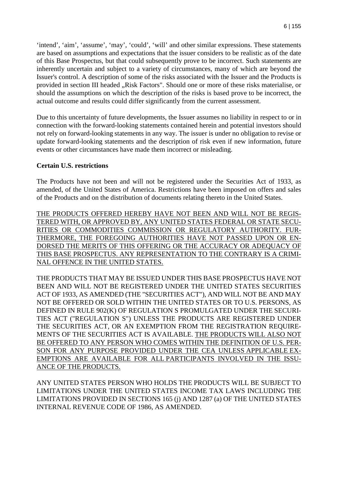'intend', 'aim', 'assume', 'may', 'could', 'will' and other similar expressions. These statements are based on assumptions and expectations that the issuer considers to be realistic as of the date of this Base Prospectus, but that could subsequently prove to be incorrect. Such statements are inherently uncertain and subject to a variety of circumstances, many of which are beyond the Issuer's control. A description of some of the risks associated with the Issuer and the Products is provided in section III headed "Risk Factors". Should one or more of these risks materialise, or should the assumptions on which the description of the risks is based prove to be incorrect, the actual outcome and results could differ significantly from the current assessment.

Due to this uncertainty of future developments, the Issuer assumes no liability in respect to or in connection with the forward-looking statements contained herein and potential investors should not rely on forward-looking statements in any way. The issuer is under no obligation to revise or update forward-looking statements and the description of risk even if new information, future events or other circumstances have made them incorrect or misleading.

#### **Certain U.S. restrictions**

The Products have not been and will not be registered under the Securities Act of 1933, as amended, of the United States of America. Restrictions have been imposed on offers and sales of the Products and on the distribution of documents relating thereto in the United States.

THE PRODUCTS OFFERED HEREBY HAVE NOT BEEN AND WILL NOT BE REGIS-TERED WITH, OR APPROVED BY, ANY UNITED STATES FEDERAL OR STATE SECU-RITIES OR COMMODITIES COMMISSION OR REGULATORY AUTHORITY. FUR-THERMORE, THE FOREGOING AUTHORITIES HAVE NOT PASSED UPON OR EN-DORSED THE MERITS OF THIS OFFERING OR THE ACCURACY OR ADEQUACY OF THIS BASE PROSPECTUS. ANY REPRESENTATION TO THE CONTRARY IS A CRIMI-NAL OFFENCE IN THE UNITED STATES.

THE PRODUCTS THAT MAY BE ISSUED UNDER THIS BASE PROSPECTUS HAVE NOT BEEN AND WILL NOT BE REGISTERED UNDER THE UNITED STATES SECURITIES ACT OF 1933, AS AMENDED (THE "SECURITIES ACT"), AND WILL NOT BE AND MAY NOT BE OFFERED OR SOLD WITHIN THE UNITED STATES OR TO U.S. PERSONS, AS DEFINED IN RULE 902(K) OF REGULATION S PROMULGATED UNDER THE SECURI-TIES ACT ("REGULATION S") UNLESS THE PRODUCTS ARE REGISTERED UNDER THE SECURITIES ACT, OR AN EXEMPTION FROM THE REGISTRATION REQUIRE-MENTS OF THE SECURITIES ACT IS AVAILABLE. THE PRODUCTS WILL ALSO NOT BE OFFERED TO ANY PERSON WHO COMES WITHIN THE DEFINITION OF U.S. PER-SON FOR ANY PURPOSE PROVIDED UNDER THE CEA UNLESS APPLICABLE EX-EMPTIONS ARE AVAILABLE FOR ALL PARTICIPANTS INVOLVED IN THE ISSU-ANCE OF THE PRODUCTS.

ANY UNITED STATES PERSON WHO HOLDS THE PRODUCTS WILL BE SUBJECT TO LIMITATIONS UNDER THE UNITED STATES INCOME TAX LAWS INCLUDING THE LIMITATIONS PROVIDED IN SECTIONS 165 (j) AND 1287 (a) OF THE UNITED STATES INTERNAL REVENUE CODE OF 1986, AS AMENDED.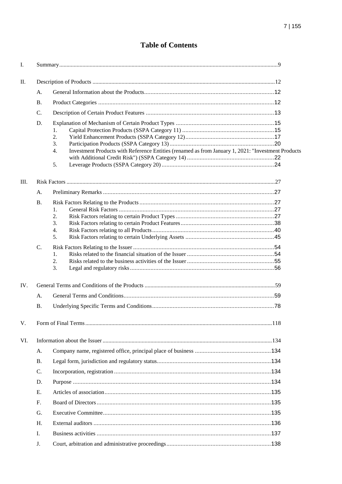# **Table of Contents**

| Ι.  |           |                                                                                                                                  |  |
|-----|-----------|----------------------------------------------------------------------------------------------------------------------------------|--|
| II. |           |                                                                                                                                  |  |
|     | A.        |                                                                                                                                  |  |
|     | <b>B.</b> |                                                                                                                                  |  |
|     | C.        |                                                                                                                                  |  |
|     | D.        | 1.<br>2.<br>3.<br>Investment Products with Reference Entities (renamed as from January 1, 2021: "Investment Products<br>4.<br>5. |  |
| Ш.  |           |                                                                                                                                  |  |
|     | A.        |                                                                                                                                  |  |
|     | <b>B.</b> |                                                                                                                                  |  |
|     |           | 1.                                                                                                                               |  |
|     |           | 2.<br>3.                                                                                                                         |  |
|     |           | 4.                                                                                                                               |  |
|     |           | 5.                                                                                                                               |  |
|     | C.        |                                                                                                                                  |  |
|     |           | 1.                                                                                                                               |  |
|     |           | 2.<br>3.                                                                                                                         |  |
| IV. |           |                                                                                                                                  |  |
|     | A.        |                                                                                                                                  |  |
|     | <b>B.</b> |                                                                                                                                  |  |
| V.  |           |                                                                                                                                  |  |
| VI. |           |                                                                                                                                  |  |
|     | A.        |                                                                                                                                  |  |
|     | <b>B.</b> |                                                                                                                                  |  |
|     | C.        |                                                                                                                                  |  |
|     | D.        |                                                                                                                                  |  |
|     | Ε.        |                                                                                                                                  |  |
|     | F.        |                                                                                                                                  |  |
|     | G.        |                                                                                                                                  |  |
|     | H.        |                                                                                                                                  |  |
|     | Ι.        |                                                                                                                                  |  |
|     | J.        |                                                                                                                                  |  |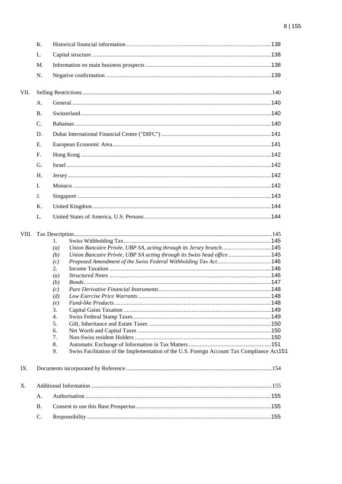|       | Κ.             |                                                                                                                                                        |  |  |
|-------|----------------|--------------------------------------------------------------------------------------------------------------------------------------------------------|--|--|
|       | L.             |                                                                                                                                                        |  |  |
|       | M.             |                                                                                                                                                        |  |  |
|       | N.             |                                                                                                                                                        |  |  |
| VII.  |                |                                                                                                                                                        |  |  |
|       | A.             |                                                                                                                                                        |  |  |
|       | B <sub>1</sub> |                                                                                                                                                        |  |  |
|       | $C_{\cdot}$    |                                                                                                                                                        |  |  |
|       | D.             |                                                                                                                                                        |  |  |
|       | Ε.             |                                                                                                                                                        |  |  |
|       | $F_{\cdot}$    |                                                                                                                                                        |  |  |
|       |                |                                                                                                                                                        |  |  |
|       | G.             |                                                                                                                                                        |  |  |
|       | H.             |                                                                                                                                                        |  |  |
|       | L.             |                                                                                                                                                        |  |  |
|       | J.             |                                                                                                                                                        |  |  |
|       | K.             |                                                                                                                                                        |  |  |
|       | L.             |                                                                                                                                                        |  |  |
|       |                |                                                                                                                                                        |  |  |
| VIII. |                |                                                                                                                                                        |  |  |
|       |                | 1.                                                                                                                                                     |  |  |
|       |                | Union Bancaire Privée, UBP SA, acting through its Jersey branch145<br>$\left(a\right)$                                                                 |  |  |
|       |                | Union Bancaire Privée, UBP SA acting through its Swiss head office 145<br>(b)<br>Proposed Amendment of the Swiss Federal Withholding Tax Act146<br>(c) |  |  |
|       |                | 2.                                                                                                                                                     |  |  |
|       |                | $\left(a\right)$                                                                                                                                       |  |  |
|       |                | (b)                                                                                                                                                    |  |  |
|       |                | (c)                                                                                                                                                    |  |  |
|       |                | (d)                                                                                                                                                    |  |  |
|       |                | (e)                                                                                                                                                    |  |  |
|       |                | 3.                                                                                                                                                     |  |  |
|       |                | 4.                                                                                                                                                     |  |  |
|       |                | 5.                                                                                                                                                     |  |  |
|       |                | 6.                                                                                                                                                     |  |  |
|       |                | 7.                                                                                                                                                     |  |  |
|       |                | 8.<br>Swiss Facilitation of the Implementation of the U.S. Foreign Account Tax Compliance Act151<br>9.                                                 |  |  |
|       |                |                                                                                                                                                        |  |  |
| IX.   |                |                                                                                                                                                        |  |  |
| X.    |                |                                                                                                                                                        |  |  |
|       | A.             |                                                                                                                                                        |  |  |
|       | <b>B.</b>      |                                                                                                                                                        |  |  |
|       | C.             |                                                                                                                                                        |  |  |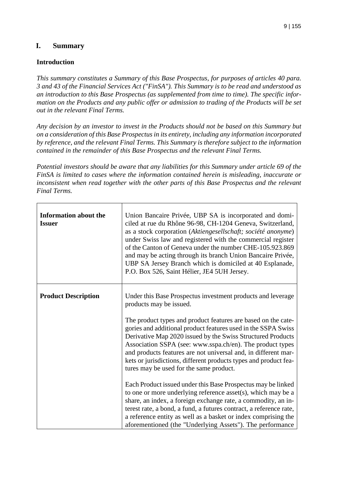# **I. Summary**

## **Introduction**

*This summary constitutes a Summary of this Base Prospectus, for purposes of articles 40 para. 3 and 43 of the Financial Services Act ("FinSA"). This Summary is to be read and understood as an introduction to this Base Prospectus (as supplemented from time to time). The specific information on the Products and any public offer or admission to trading of the Products will be set out in the relevant Final Terms.* 

*Any decision by an investor to invest in the Products should not be based on this Summary but on a consideration of this Base Prospectus in its entirety, including any information incorporated by reference, and the relevant Final Terms. This Summary is therefore subject to the information contained in the remainder of this Base Prospectus and the relevant Final Terms.* 

*Potential investors should be aware that any liabilities for this Summary under article 69 of the FinSA is limited to cases where the information contained herein is misleading, inaccurate or*  inconsistent when read together with the other parts of this Base Prospectus and the relevant *Final Terms.* 

| <b>Information about the</b><br><b>Issuer</b> | Union Bancaire Privée, UBP SA is incorporated and domi-<br>ciled at rue du Rhône 96-98, CH-1204 Geneva, Switzerland,<br>as a stock corporation (Aktiengesellschaft; société anonyme)<br>under Swiss law and registered with the commercial register<br>of the Canton of Geneva under the number CHE-105.923.869<br>and may be acting through its branch Union Bancaire Privée,<br>UBP SA Jersey Branch which is domiciled at 40 Esplanade,<br>P.O. Box 526, Saint Hélier, JE4 5UH Jersey.                                             |
|-----------------------------------------------|---------------------------------------------------------------------------------------------------------------------------------------------------------------------------------------------------------------------------------------------------------------------------------------------------------------------------------------------------------------------------------------------------------------------------------------------------------------------------------------------------------------------------------------|
| <b>Product Description</b>                    | Under this Base Prospectus investment products and leverage<br>products may be issued.<br>The product types and product features are based on the cate-<br>gories and additional product features used in the SSPA Swiss<br>Derivative Map 2020 issued by the Swiss Structured Products<br>Association SSPA (see: www.sspa.ch/en). The product types<br>and products features are not universal and, in different mar-<br>kets or jurisdictions, different products types and product fea-<br>tures may be used for the same product. |
|                                               | Each Product issued under this Base Prospectus may be linked<br>to one or more underlying reference asset(s), which may be a<br>share, an index, a foreign exchange rate, a commodity, an in-<br>terest rate, a bond, a fund, a futures contract, a reference rate,<br>a reference entity as well as a basket or index comprising the<br>aforementioned (the "Underlying Assets"). The performance                                                                                                                                    |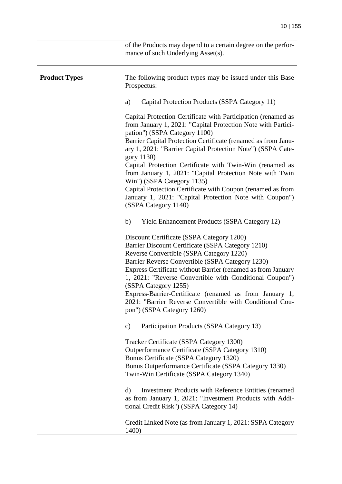|                      | of the Products may depend to a certain degree on the perfor-<br>mance of such Underlying Asset(s).                                                                                                                                                                                                                                                                                                                                                                                                    |
|----------------------|--------------------------------------------------------------------------------------------------------------------------------------------------------------------------------------------------------------------------------------------------------------------------------------------------------------------------------------------------------------------------------------------------------------------------------------------------------------------------------------------------------|
| <b>Product Types</b> | The following product types may be issued under this Base<br>Prospectus:                                                                                                                                                                                                                                                                                                                                                                                                                               |
|                      | Capital Protection Products (SSPA Category 11)<br>a)                                                                                                                                                                                                                                                                                                                                                                                                                                                   |
|                      | Capital Protection Certificate with Participation (renamed as<br>from January 1, 2021: "Capital Protection Note with Partici-<br>pation") (SSPA Category 1100)<br>Barrier Capital Protection Certificate (renamed as from Janu-                                                                                                                                                                                                                                                                        |
|                      | ary 1, 2021: "Barrier Capital Protection Note") (SSPA Cate-<br>gory 1130)<br>Capital Protection Certificate with Twin-Win (renamed as<br>from January 1, 2021: "Capital Protection Note with Twin<br>Win") (SSPA Category 1135)<br>Capital Protection Certificate with Coupon (renamed as from                                                                                                                                                                                                         |
|                      | January 1, 2021: "Capital Protection Note with Coupon")<br>(SSPA Category 1140)                                                                                                                                                                                                                                                                                                                                                                                                                        |
|                      | b)<br><b>Yield Enhancement Products (SSPA Category 12)</b>                                                                                                                                                                                                                                                                                                                                                                                                                                             |
|                      | Discount Certificate (SSPA Category 1200)<br>Barrier Discount Certificate (SSPA Category 1210)<br>Reverse Convertible (SSPA Category 1220)<br>Barrier Reverse Convertible (SSPA Category 1230)<br>Express Certificate without Barrier (renamed as from January<br>1, 2021: "Reverse Convertible with Conditional Coupon")<br>(SSPA Category 1255)<br>Express-Barrier-Certificate (renamed as from January 1,<br>2021: "Barrier Reverse Convertible with Conditional Cou-<br>pon") (SSPA Category 1260) |
|                      | Participation Products (SSPA Category 13)<br>$\mathbf{c})$                                                                                                                                                                                                                                                                                                                                                                                                                                             |
|                      | Tracker Certificate (SSPA Category 1300)<br>Outperformance Certificate (SSPA Category 1310)<br>Bonus Certificate (SSPA Category 1320)<br>Bonus Outperformance Certificate (SSPA Category 1330)<br>Twin-Win Certificate (SSPA Category 1340)                                                                                                                                                                                                                                                            |
|                      | Investment Products with Reference Entities (renamed<br>d)<br>as from January 1, 2021: "Investment Products with Addi-<br>tional Credit Risk") (SSPA Category 14)                                                                                                                                                                                                                                                                                                                                      |
|                      | Credit Linked Note (as from January 1, 2021: SSPA Category<br>1400)                                                                                                                                                                                                                                                                                                                                                                                                                                    |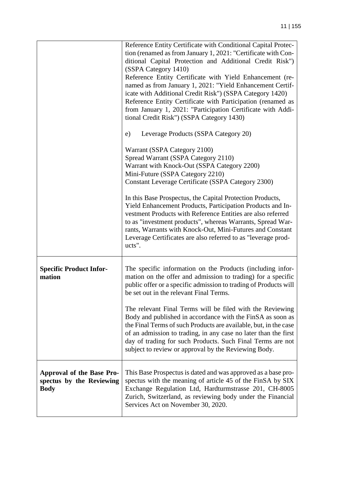|                                                                             | Reference Entity Certificate with Conditional Capital Protec-<br>tion (renamed as from January 1, 2021: "Certificate with Con-                                                                                                                                                                                                                                                               |
|-----------------------------------------------------------------------------|----------------------------------------------------------------------------------------------------------------------------------------------------------------------------------------------------------------------------------------------------------------------------------------------------------------------------------------------------------------------------------------------|
|                                                                             | ditional Capital Protection and Additional Credit Risk")                                                                                                                                                                                                                                                                                                                                     |
|                                                                             | (SSPA Category 1410)                                                                                                                                                                                                                                                                                                                                                                         |
|                                                                             | Reference Entity Certificate with Yield Enhancement (re-                                                                                                                                                                                                                                                                                                                                     |
|                                                                             | named as from January 1, 2021: "Yield Enhancement Certif-                                                                                                                                                                                                                                                                                                                                    |
|                                                                             | icate with Additional Credit Risk") (SSPA Category 1420)                                                                                                                                                                                                                                                                                                                                     |
|                                                                             | Reference Entity Certificate with Participation (renamed as                                                                                                                                                                                                                                                                                                                                  |
|                                                                             | from January 1, 2021: "Participation Certificate with Addi-                                                                                                                                                                                                                                                                                                                                  |
|                                                                             | tional Credit Risk") (SSPA Category 1430)                                                                                                                                                                                                                                                                                                                                                    |
|                                                                             | e)<br>Leverage Products (SSPA Category 20)                                                                                                                                                                                                                                                                                                                                                   |
|                                                                             | Warrant (SSPA Category 2100)                                                                                                                                                                                                                                                                                                                                                                 |
|                                                                             | Spread Warrant (SSPA Category 2110)                                                                                                                                                                                                                                                                                                                                                          |
|                                                                             | Warrant with Knock-Out (SSPA Category 2200)                                                                                                                                                                                                                                                                                                                                                  |
|                                                                             | Mini-Future (SSPA Category 2210)                                                                                                                                                                                                                                                                                                                                                             |
|                                                                             | Constant Leverage Certificate (SSPA Category 2300)                                                                                                                                                                                                                                                                                                                                           |
|                                                                             | In this Base Prospectus, the Capital Protection Products,<br>Yield Enhancement Products, Participation Products and In-<br>vestment Products with Reference Entities are also referred<br>to as "investment products", whereas Warrants, Spread War-<br>rants, Warrants with Knock-Out, Mini-Futures and Constant<br>Leverage Certificates are also referred to as "leverage prod-<br>ucts". |
| <b>Specific Product Infor-</b><br>mation                                    | The specific information on the Products (including infor-<br>mation on the offer and admission to trading) for a specific<br>public offer or a specific admission to trading of Products will<br>be set out in the relevant Final Terms.                                                                                                                                                    |
|                                                                             | The relevant Final Terms will be filed with the Reviewing<br>Body and published in accordance with the FinSA as soon as<br>the Final Terms of such Products are available, but, in the case<br>of an admission to trading, in any case no later than the first<br>day of trading for such Products. Such Final Terms are not<br>subject to review or approval by the Reviewing Body.         |
| <b>Approval of the Base Pro-</b><br>spectus by the Reviewing<br><b>Body</b> | This Base Prospectus is dated and was approved as a base pro-<br>spectus with the meaning of article 45 of the FinSA by SIX<br>Exchange Regulation Ltd, Hardturmstrasse 201, CH-8005<br>Zurich, Switzerland, as reviewing body under the Financial<br>Services Act on November 30, 2020.                                                                                                     |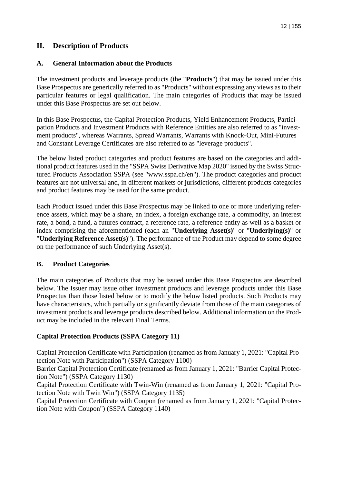# **II. Description of Products**

#### **A. General Information about the Products**

The investment products and leverage products (the "**Products**") that may be issued under this Base Prospectus are generically referred to as "Products" without expressing any views as to their particular features or legal qualification. The main categories of Products that may be issued under this Base Prospectus are set out below.

In this Base Prospectus, the Capital Protection Products, Yield Enhancement Products, Participation Products and Investment Products with Reference Entities are also referred to as "investment products", whereas Warrants, Spread Warrants, Warrants with Knock-Out, Mini-Futures and Constant Leverage Certificates are also referred to as "leverage products".

The below listed product categories and product features are based on the categories and additional product features used in the "SSPA Swiss Derivative Map 2020" issued by the Swiss Structured Products Association SSPA (see "www.sspa.ch/en"). The product categories and product features are not universal and, in different markets or jurisdictions, different products categories and product features may be used for the same product.

Each Product issued under this Base Prospectus may be linked to one or more underlying reference assets, which may be a share, an index, a foreign exchange rate, a commodity, an interest rate, a bond, a fund, a futures contract, a reference rate, a reference entity as well as a basket or index comprising the aforementioned (each an "**Underlying Asset(s)**" or "**Underlying(s)**" or "**Underlying Reference Asset(s)**"). The performance of the Product may depend to some degree on the performance of such Underlying Asset(s).

## **B. Product Categories**

The main categories of Products that may be issued under this Base Prospectus are described below. The Issuer may issue other investment products and leverage products under this Base Prospectus than those listed below or to modify the below listed products. Such Products may have characteristics, which partially or significantly deviate from those of the main categories of investment products and leverage products described below. Additional information on the Product may be included in the relevant Final Terms.

## **Capital Protection Products (SSPA Category 11)**

Capital Protection Certificate with Participation (renamed as from January 1, 2021: "Capital Protection Note with Participation") (SSPA Category 1100)

Barrier Capital Protection Certificate (renamed as from January 1, 2021: "Barrier Capital Protection Note") (SSPA Category 1130)

Capital Protection Certificate with Twin-Win (renamed as from January 1, 2021: "Capital Protection Note with Twin Win") (SSPA Category 1135)

Capital Protection Certificate with Coupon (renamed as from January 1, 2021: "Capital Protection Note with Coupon") (SSPA Category 1140)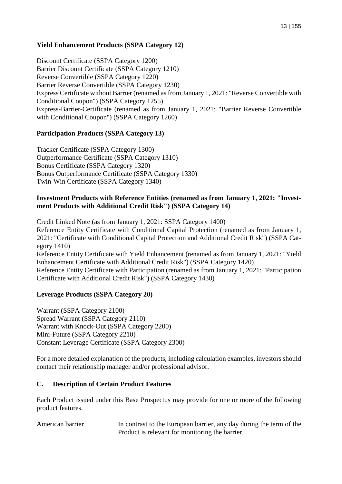## **Yield Enhancement Products (SSPA Category 12)**

Discount Certificate (SSPA Category 1200) Barrier Discount Certificate (SSPA Category 1210) Reverse Convertible (SSPA Category 1220) Barrier Reverse Convertible (SSPA Category 1230) Express Certificate without Barrier (renamed as from January 1, 2021: "Reverse Convertible with Conditional Coupon") (SSPA Category 1255) Express-Barrier-Certificate (renamed as from January 1, 2021: "Barrier Reverse Convertible with Conditional Coupon") (SSPA Category 1260)

#### **Participation Products (SSPA Category 13)**

Tracker Certificate (SSPA Category 1300) Outperformance Certificate (SSPA Category 1310) Bonus Certificate (SSPA Category 1320) Bonus Outperformance Certificate (SSPA Category 1330) Twin-Win Certificate (SSPA Category 1340)

#### **Investment Products with Reference Entities (renamed as from January 1, 2021: "Investment Products with Additional Credit Risk") (SSPA Category 14)**

Credit Linked Note (as from January 1, 2021: SSPA Category 1400) Reference Entity Certificate with Conditional Capital Protection (renamed as from January 1, 2021: "Certificate with Conditional Capital Protection and Additional Credit Risk") (SSPA Category 1410) Reference Entity Certificate with Yield Enhancement (renamed as from January 1, 2021: "Yield Enhancement Certificate with Additional Credit Risk") (SSPA Category 1420) Reference Entity Certificate with Participation (renamed as from January 1, 2021: "Participation Certificate with Additional Credit Risk") (SSPA Category 1430)

#### **Leverage Products (SSPA Category 20)**

Warrant (SSPA Category 2100) Spread Warrant (SSPA Category 2110) Warrant with Knock-Out (SSPA Category 2200) Mini-Future (SSPA Category 2210) Constant Leverage Certificate (SSPA Category 2300)

For a more detailed explanation of the products, including calculation examples, investors should contact their relationship manager and/or professional advisor.

#### **C. Description of Certain Product Features**

Each Product issued under this Base Prospectus may provide for one or more of the following product features.

American barrier In contrast to the European barrier, any day during the term of the Product is relevant for monitoring the barrier.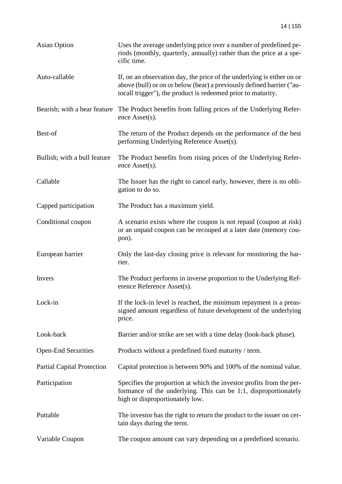| <b>Asian Option</b>               | Uses the average underlying price over a number of predefined pe-<br>riods (monthly, quarterly, annually) rather than the price at a spe-<br>cific time.                                                        |
|-----------------------------------|-----------------------------------------------------------------------------------------------------------------------------------------------------------------------------------------------------------------|
| Auto-callable                     | If, on an observation day, the price of the underlying is either on or<br>above (bull) or on or below (bear) a previously defined barrier ("au-<br>tocall trigger"), the product is redeemed prior to maturity. |
| Bearish; with a bear feature      | The Product benefits from falling prices of the Underlying Refer-<br>ence Asset(s).                                                                                                                             |
| Best-of                           | The return of the Product depends on the performance of the best<br>performing Underlying Reference Asset(s).                                                                                                   |
| Bullish; with a bull feature      | The Product benefits from rising prices of the Underlying Refer-<br>ence Asset(s).                                                                                                                              |
| Callable                          | The Issuer has the right to cancel early, however, there is no obli-<br>gation to do so.                                                                                                                        |
| Capped participation              | The Product has a maximum yield.                                                                                                                                                                                |
| Conditional coupon                | A scenario exists where the coupon is not repaid (coupon at risk)<br>or an unpaid coupon can be recouped at a later date (memory cou-<br>pon).                                                                  |
| European barrier                  | Only the last-day closing price is relevant for monitoring the bar-<br>rier.                                                                                                                                    |
| Invers                            | The Product performs in inverse proportion to the Underlying Ref-<br>erence Reference Asset(s).                                                                                                                 |
| Lock-in                           | If the lock-in level is reached, the minimum repayment is a preas-<br>signed amount regardless of future development of the underlying<br>price.                                                                |
| Look-back                         | Barrier and/or strike are set with a time delay (look-back phase).                                                                                                                                              |
| <b>Open-End Securities</b>        | Products without a predefined fixed maturity / term.                                                                                                                                                            |
| <b>Partial Capital Protection</b> | Capital protection is between 90% and 100% of the nominal value.                                                                                                                                                |
| Participation                     | Specifies the proportion at which the investor profits from the per-<br>formance of the underlying. This can be 1:1, disproportionately<br>high or disproportionately low.                                      |
| Puttable                          | The investor has the right to return the product to the issuer on cer-<br>tain days during the term.                                                                                                            |
| Variable Coupon                   | The coupon amount can vary depending on a predefined scenario.                                                                                                                                                  |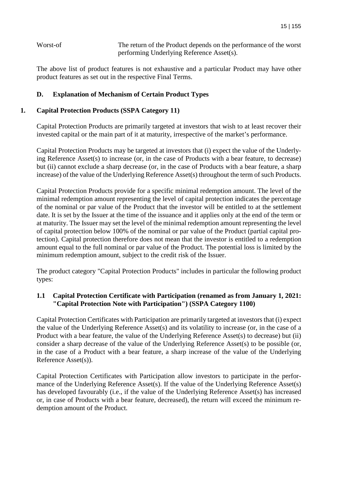Worst-of The return of the Product depends on the performance of the worst performing Underlying Reference Asset(s).

The above list of product features is not exhaustive and a particular Product may have other product features as set out in the respective Final Terms.

## **D. Explanation of Mechanism of Certain Product Types**

#### **1. Capital Protection Products (SSPA Category 11)**

Capital Protection Products are primarily targeted at investors that wish to at least recover their invested capital or the main part of it at maturity, irrespective of the market's performance.

Capital Protection Products may be targeted at investors that (i) expect the value of the Underlying Reference Asset(s) to increase (or, in the case of Products with a bear feature, to decrease) but (ii) cannot exclude a sharp decrease (or, in the case of Products with a bear feature, a sharp increase) of the value of the Underlying Reference Asset(s) throughout the term of such Products.

Capital Protection Products provide for a specific minimal redemption amount. The level of the minimal redemption amount representing the level of capital protection indicates the percentage of the nominal or par value of the Product that the investor will be entitled to at the settlement date. It is set by the Issuer at the time of the issuance and it applies only at the end of the term or at maturity. The Issuer may set the level of the minimal redemption amount representing the level of capital protection below 100% of the nominal or par value of the Product (partial capital protection). Capital protection therefore does not mean that the investor is entitled to a redemption amount equal to the full nominal or par value of the Product. The potential loss is limited by the minimum redemption amount, subject to the credit risk of the Issuer.

The product category "Capital Protection Products" includes in particular the following product types:

## **1.1 Capital Protection Certificate with Participation (renamed as from January 1, 2021: "Capital Protection Note with Participation") (SSPA Category 1100)**

Capital Protection Certificates with Participation are primarily targeted at investors that (i) expect the value of the Underlying Reference Asset(s) and its volatility to increase (or, in the case of a Product with a bear feature, the value of the Underlying Reference Asset(s) to decrease) but (ii) consider a sharp decrease of the value of the Underlying Reference Asset(s) to be possible (or, in the case of a Product with a bear feature, a sharp increase of the value of the Underlying Reference Asset(s)).

Capital Protection Certificates with Participation allow investors to participate in the performance of the Underlying Reference Asset(s). If the value of the Underlying Reference Asset(s) has developed favourably (i.e., if the value of the Underlying Reference Asset(s) has increased or, in case of Products with a bear feature, decreased), the return will exceed the minimum redemption amount of the Product.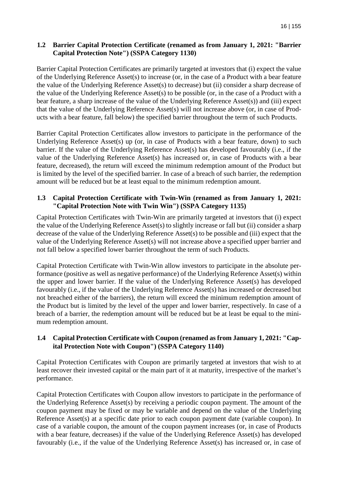## **1.2 Barrier Capital Protection Certificate (renamed as from January 1, 2021: "Barrier Capital Protection Note") (SSPA Category 1130)**

Barrier Capital Protection Certificates are primarily targeted at investors that (i) expect the value of the Underlying Reference Asset(s) to increase (or, in the case of a Product with a bear feature the value of the Underlying Reference Asset(s) to decrease) but (ii) consider a sharp decrease of the value of the Underlying Reference Asset(s) to be possible (or, in the case of a Product with a bear feature, a sharp increase of the value of the Underlying Reference Asset(s)) and (iii) expect that the value of the Underlying Reference Asset(s) will not increase above (or, in case of Products with a bear feature, fall below) the specified barrier throughout the term of such Products.

Barrier Capital Protection Certificates allow investors to participate in the performance of the Underlying Reference Asset(s) up (or, in case of Products with a bear feature, down) to such barrier. If the value of the Underlying Reference Asset(s) has developed favourably (i.e., if the value of the Underlying Reference Asset(s) has increased or, in case of Products with a bear feature, decreased), the return will exceed the minimum redemption amount of the Product but is limited by the level of the specified barrier. In case of a breach of such barrier, the redemption amount will be reduced but be at least equal to the minimum redemption amount.

## **1.3 Capital Protection Certificate with Twin-Win (renamed as from January 1, 2021: "Capital Protection Note with Twin Win") (SSPA Category 1135)**

Capital Protection Certificates with Twin-Win are primarily targeted at investors that (i) expect the value of the Underlying Reference Asset(s) to slightly increase or fall but (ii) consider a sharp decrease of the value of the Underlying Reference Asset(s) to be possible and (iii) expect that the value of the Underlying Reference Asset(s) will not increase above a specified upper barrier and not fall below a specified lower barrier throughout the term of such Products.

Capital Protection Certificate with Twin-Win allow investors to participate in the absolute performance (positive as well as negative performance) of the Underlying Reference Asset(s) within the upper and lower barrier. If the value of the Underlying Reference Asset(s) has developed favourably (i.e., if the value of the Underlying Reference Asset(s) has increased or decreased but not breached either of the barriers), the return will exceed the minimum redemption amount of the Product but is limited by the level of the upper and lower barrier, respectively. In case of a breach of a barrier, the redemption amount will be reduced but be at least be equal to the minimum redemption amount.

## **1.4 Capital Protection Certificate with Coupon (renamed as from January 1, 2021: "Capital Protection Note with Coupon") (SSPA Category 1140)**

Capital Protection Certificates with Coupon are primarily targeted at investors that wish to at least recover their invested capital or the main part of it at maturity, irrespective of the market's performance.

Capital Protection Certificates with Coupon allow investors to participate in the performance of the Underlying Reference Asset(s) by receiving a periodic coupon payment. The amount of the coupon payment may be fixed or may be variable and depend on the value of the Underlying Reference Asset(s) at a specific date prior to each coupon payment date (variable coupon). In case of a variable coupon, the amount of the coupon payment increases (or, in case of Products with a bear feature, decreases) if the value of the Underlying Reference Asset(s) has developed favourably (i.e., if the value of the Underlying Reference Asset(s) has increased or, in case of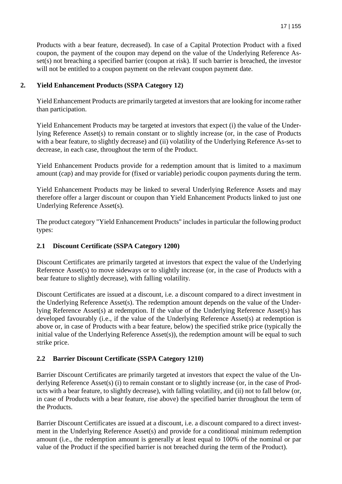Products with a bear feature, decreased). In case of a Capital Protection Product with a fixed coupon, the payment of the coupon may depend on the value of the Underlying Reference Asset(s) not breaching a specified barrier (coupon at risk). If such barrier is breached, the investor will not be entitled to a coupon payment on the relevant coupon payment date.

## **2. Yield Enhancement Products (SSPA Category 12)**

Yield Enhancement Products are primarily targeted at investors that are looking for income rather than participation.

Yield Enhancement Products may be targeted at investors that expect (i) the value of the Underlying Reference Asset(s) to remain constant or to slightly increase (or, in the case of Products with a bear feature, to slightly decrease) and (ii) volatility of the Underlying Reference As-set to decrease, in each case, throughout the term of the Product.

Yield Enhancement Products provide for a redemption amount that is limited to a maximum amount (cap) and may provide for (fixed or variable) periodic coupon payments during the term.

Yield Enhancement Products may be linked to several Underlying Reference Assets and may therefore offer a larger discount or coupon than Yield Enhancement Products linked to just one Underlying Reference Asset(s).

The product category "Yield Enhancement Products" includes in particular the following product types:

## **2.1 Discount Certificate (SSPA Category 1200)**

Discount Certificates are primarily targeted at investors that expect the value of the Underlying Reference Asset(s) to move sideways or to slightly increase (or, in the case of Products with a bear feature to slightly decrease), with falling volatility.

Discount Certificates are issued at a discount, i.e. a discount compared to a direct investment in the Underlying Reference Asset(s). The redemption amount depends on the value of the Underlying Reference Asset(s) at redemption. If the value of the Underlying Reference Asset(s) has developed favourably (i.e., if the value of the Underlying Reference Asset(s) at redemption is above or, in case of Products with a bear feature, below) the specified strike price (typically the initial value of the Underlying Reference Asset(s)), the redemption amount will be equal to such strike price.

# **2.2 Barrier Discount Certificate (SSPA Category 1210)**

Barrier Discount Certificates are primarily targeted at investors that expect the value of the Underlying Reference Asset(s) (i) to remain constant or to slightly increase (or, in the case of Products with a bear feature, to slightly decrease), with falling volatility, and (ii) not to fall below (or, in case of Products with a bear feature, rise above) the specified barrier throughout the term of the Products.

Barrier Discount Certificates are issued at a discount, i.e. a discount compared to a direct investment in the Underlying Reference Asset(s) and provide for a conditional minimum redemption amount (i.e., the redemption amount is generally at least equal to 100% of the nominal or par value of the Product if the specified barrier is not breached during the term of the Product).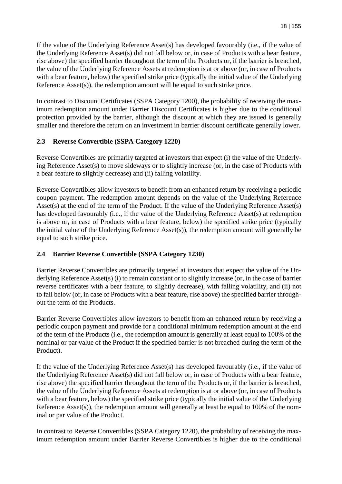If the value of the Underlying Reference Asset(s) has developed favourably (i.e., if the value of the Underlying Reference Asset(s) did not fall below or, in case of Products with a bear feature, rise above) the specified barrier throughout the term of the Products or, if the barrier is breached, the value of the Underlying Reference Assets at redemption is at or above (or, in case of Products with a bear feature, below) the specified strike price (typically the initial value of the Underlying Reference Asset(s)), the redemption amount will be equal to such strike price.

In contrast to Discount Certificates (SSPA Category 1200), the probability of receiving the maximum redemption amount under Barrier Discount Certificates is higher due to the conditional protection provided by the barrier, although the discount at which they are issued is generally smaller and therefore the return on an investment in barrier discount certificate generally lower.

## **2.3 Reverse Convertible (SSPA Category 1220)**

Reverse Convertibles are primarily targeted at investors that expect (i) the value of the Underlying Reference Asset(s) to move sideways or to slightly increase (or, in the case of Products with a bear feature to slightly decrease) and (ii) falling volatility.

Reverse Convertibles allow investors to benefit from an enhanced return by receiving a periodic coupon payment. The redemption amount depends on the value of the Underlying Reference Asset(s) at the end of the term of the Product. If the value of the Underlying Reference Asset(s) has developed favourably (i.e., if the value of the Underlying Reference Asset(s) at redemption is above or, in case of Products with a bear feature, below) the specified strike price (typically the initial value of the Underlying Reference Asset(s)), the redemption amount will generally be equal to such strike price.

# **2.4 Barrier Reverse Convertible (SSPA Category 1230)**

Barrier Reverse Convertibles are primarily targeted at investors that expect the value of the Underlying Reference Asset(s) (i) to remain constant or to slightly increase (or, in the case of barrier reverse certificates with a bear feature, to slightly decrease), with falling volatility, and (ii) not to fall below (or, in case of Products with a bear feature, rise above) the specified barrier throughout the term of the Products.

Barrier Reverse Convertibles allow investors to benefit from an enhanced return by receiving a periodic coupon payment and provide for a conditional minimum redemption amount at the end of the term of the Products (i.e., the redemption amount is generally at least equal to 100% of the nominal or par value of the Product if the specified barrier is not breached during the term of the Product).

If the value of the Underlying Reference Asset(s) has developed favourably (i.e., if the value of the Underlying Reference Asset(s) did not fall below or, in case of Products with a bear feature, rise above) the specified barrier throughout the term of the Products or, if the barrier is breached, the value of the Underlying Reference Assets at redemption is at or above (or, in case of Products with a bear feature, below) the specified strike price (typically the initial value of the Underlying Reference Asset(s)), the redemption amount will generally at least be equal to 100% of the nominal or par value of the Product.

In contrast to Reverse Convertibles (SSPA Category 1220), the probability of receiving the maximum redemption amount under Barrier Reverse Convertibles is higher due to the conditional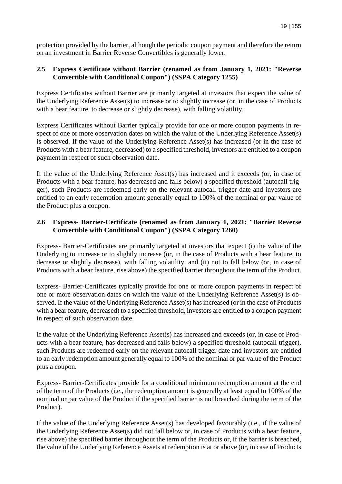protection provided by the barrier, although the periodic coupon payment and therefore the return on an investment in Barrier Reverse Convertibles is generally lower.

## **2.5 Express Certificate without Barrier (renamed as from January 1, 2021: "Reverse Convertible with Conditional Coupon") (SSPA Category 1255)**

Express Certificates without Barrier are primarily targeted at investors that expect the value of the Underlying Reference Asset(s) to increase or to slightly increase (or, in the case of Products with a bear feature, to decrease or slightly decrease), with falling volatility.

Express Certificates without Barrier typically provide for one or more coupon payments in respect of one or more observation dates on which the value of the Underlying Reference Asset(s) is observed. If the value of the Underlying Reference Asset(s) has increased (or in the case of Products with a bear feature, decreased) to a specified threshold, investors are entitled to a coupon payment in respect of such observation date.

If the value of the Underlying Reference Asset(s) has increased and it exceeds (or, in case of Products with a bear feature, has decreased and falls below) a specified threshold (autocall trigger), such Products are redeemed early on the relevant autocall trigger date and investors are entitled to an early redemption amount generally equal to 100% of the nominal or par value of the Product plus a coupon.

## **2.6 Express- Barrier-Certificate (renamed as from January 1, 2021: "Barrier Reverse Convertible with Conditional Coupon") (SSPA Category 1260)**

Express- Barrier-Certificates are primarily targeted at investors that expect (i) the value of the Underlying to increase or to slightly increase (or, in the case of Products with a bear feature, to decrease or slightly decrease), with falling volatility, and (ii) not to fall below (or, in case of Products with a bear feature, rise above) the specified barrier throughout the term of the Product.

Express- Barrier-Certificates typically provide for one or more coupon payments in respect of one or more observation dates on which the value of the Underlying Reference Asset(s) is observed. If the value of the Underlying Reference Asset(s) has increased (or in the case of Products with a bear feature, decreased) to a specified threshold, investors are entitled to a coupon payment in respect of such observation date.

If the value of the Underlying Reference Asset(s) has increased and exceeds (or, in case of Products with a bear feature, has decreased and falls below) a specified threshold (autocall trigger), such Products are redeemed early on the relevant autocall trigger date and investors are entitled to an early redemption amount generally equal to 100% of the nominal or par value of the Product plus a coupon.

Express- Barrier-Certificates provide for a conditional minimum redemption amount at the end of the term of the Products (i.e., the redemption amount is generally at least equal to 100% of the nominal or par value of the Product if the specified barrier is not breached during the term of the Product).

If the value of the Underlying Reference Asset(s) has developed favourably (i.e., if the value of the Underlying Reference Asset(s) did not fall below or, in case of Products with a bear feature, rise above) the specified barrier throughout the term of the Products or, if the barrier is breached, the value of the Underlying Reference Assets at redemption is at or above (or, in case of Products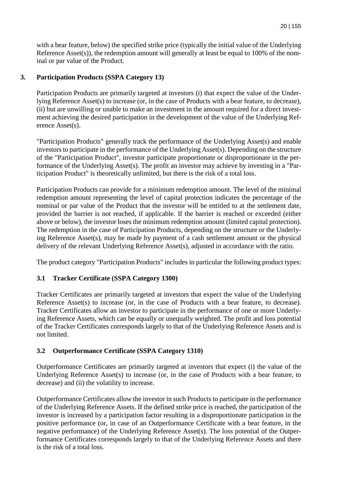with a bear feature, below) the specified strike price (typically the initial value of the Underlying Reference Asset(s)), the redemption amount will generally at least be equal to 100% of the nominal or par value of the Product.

## **3. Participation Products (SSPA Category 13)**

Participation Products are primarily targeted at investors (i) that expect the value of the Underlying Reference Asset(s) to increase (or, in the case of Products with a bear feature, to decrease), (ii) but are unwilling or unable to make an investment in the amount required for a direct investment achieving the desired participation in the development of the value of the Underlying Reference Asset(s).

"Participation Products" generally track the performance of the Underlying Asset(s) and enable investors to participate in the performance of the Underlying Asset(s). Depending on the structure of the "Participation Product", investor participate proportionate or disproportionate in the performance of the Underlying Asset(s). The profit an investor may achieve by investing in a "Participation Product" is theoretically unlimited, but there is the risk of a total loss.

Participation Products can provide for a minimum redemption amount. The level of the minimal redemption amount representing the level of capital protection indicates the percentage of the nominal or par value of the Product that the investor will be entitled to at the settlement date, provided the barrier is not reached, if applicable. If the barrier is reached or exceeded (either above or below), the investor loses the minimum redemption amount (limited capital protection). The redemption in the case of Participation Products, depending on the structure or the Underlying Reference Asset(s), may be made by payment of a cash settlement amount or the physical delivery of the relevant Underlying Reference Asset(s), adjusted in accordance with the ratio.

The product category "Participation Products" includes in particular the following product types:

## **3.1 Tracker Certificate (SSPA Category 1300)**

Tracker Certificates are primarily targeted at investors that expect the value of the Underlying Reference Asset(s) to increase (or, in the case of Products with a bear feature, to decrease). Tracker Certificates allow an investor to participate in the performance of one or more Underlying Reference Assets, which can be equally or unequally weighted. The profit and loss potential of the Tracker Certificates corresponds largely to that of the Underlying Reference Assets and is not limited.

## **3.2 Outperformance Certificate (SSPA Category 1310)**

Outperformance Certificates are primarily targeted at investors that expect (i) the value of the Underlying Reference Asset(s) to increase (or, in the case of Products with a bear feature, to decrease) and (ii) the volatility to increase.

Outperformance Certificates allow the investor in such Products to participate in the performance of the Underlying Reference Assets. If the defined strike price is reached, the participation of the investor is increased by a participation factor resulting in a disproportionate participation in the positive performance (or, in case of an Outperformance Certificate with a bear feature, in the negative performance) of the Underlying Reference Asset(s). The loss potential of the Outperformance Certificates corresponds largely to that of the Underlying Reference Assets and there is the risk of a total loss.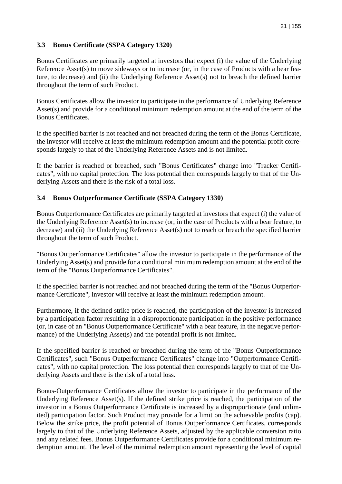## **3.3 Bonus Certificate (SSPA Category 1320)**

Bonus Certificates are primarily targeted at investors that expect (i) the value of the Underlying Reference Asset(s) to move sideways or to increase (or, in the case of Products with a bear feature, to decrease) and (ii) the Underlying Reference Asset(s) not to breach the defined barrier throughout the term of such Product.

Bonus Certificates allow the investor to participate in the performance of Underlying Reference Asset(s) and provide for a conditional minimum redemption amount at the end of the term of the Bonus Certificates.

If the specified barrier is not reached and not breached during the term of the Bonus Certificate, the investor will receive at least the minimum redemption amount and the potential profit corresponds largely to that of the Underlying Reference Assets and is not limited.

If the barrier is reached or breached, such "Bonus Certificates" change into "Tracker Certificates", with no capital protection. The loss potential then corresponds largely to that of the Underlying Assets and there is the risk of a total loss.

## **3.4 Bonus Outperformance Certificate (SSPA Category 1330)**

Bonus Outperformance Certificates are primarily targeted at investors that expect (i) the value of the Underlying Reference Asset(s) to increase (or, in the case of Products with a bear feature, to decrease) and (ii) the Underlying Reference Asset(s) not to reach or breach the specified barrier throughout the term of such Product.

"Bonus Outperformance Certificates" allow the investor to participate in the performance of the Underlying Asset(s) and provide for a conditional minimum redemption amount at the end of the term of the "Bonus Outperformance Certificates".

If the specified barrier is not reached and not breached during the term of the "Bonus Outperformance Certificate", investor will receive at least the minimum redemption amount.

Furthermore, if the defined strike price is reached, the participation of the investor is increased by a participation factor resulting in a disproportionate participation in the positive performance (or, in case of an "Bonus Outperformance Certificate" with a bear feature, in the negative performance) of the Underlying Asset(s) and the potential profit is not limited.

If the specified barrier is reached or breached during the term of the "Bonus Outperformance Certificates", such "Bonus Outperformance Certificates" change into "Outperformance Certificates", with no capital protection. The loss potential then corresponds largely to that of the Underlying Assets and there is the risk of a total loss.

Bonus-Outperformance Certificates allow the investor to participate in the performance of the Underlying Reference Asset(s). If the defined strike price is reached, the participation of the investor in a Bonus Outperformance Certificate is increased by a disproportionate (and unlimited) participation factor. Such Product may provide for a limit on the achievable profits (cap). Below the strike price, the profit potential of Bonus Outperformance Certificates, corresponds largely to that of the Underlying Reference Assets, adjusted by the applicable conversion ratio and any related fees. Bonus Outperformance Certificates provide for a conditional minimum redemption amount. The level of the minimal redemption amount representing the level of capital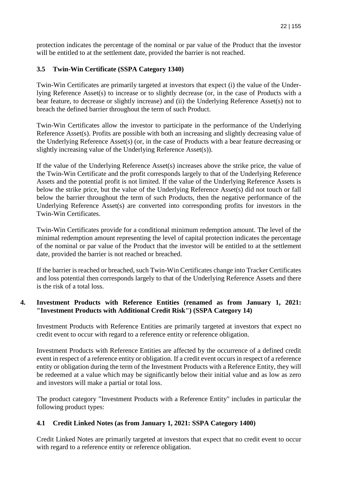protection indicates the percentage of the nominal or par value of the Product that the investor will be entitled to at the settlement date, provided the barrier is not reached.

# **3.5 Twin-Win Certificate (SSPA Category 1340)**

Twin-Win Certificates are primarily targeted at investors that expect (i) the value of the Underlying Reference Asset(s) to increase or to slightly decrease (or, in the case of Products with a bear feature, to decrease or slightly increase) and (ii) the Underlying Reference Asset(s) not to breach the defined barrier throughout the term of such Product.

Twin-Win Certificates allow the investor to participate in the performance of the Underlying Reference Asset(s). Profits are possible with both an increasing and slightly decreasing value of the Underlying Reference Asset(s) (or, in the case of Products with a bear feature decreasing or slightly increasing value of the Underlying Reference Asset(s)).

If the value of the Underlying Reference Asset(s) increases above the strike price, the value of the Twin-Win Certificate and the profit corresponds largely to that of the Underlying Reference Assets and the potential profit is not limited. If the value of the Underlying Reference Assets is below the strike price, but the value of the Underlying Reference Asset(s) did not touch or fall below the barrier throughout the term of such Products, then the negative performance of the Underlying Reference Asset(s) are converted into corresponding profits for investors in the Twin-Win Certificates.

Twin-Win Certificates provide for a conditional minimum redemption amount. The level of the minimal redemption amount representing the level of capital protection indicates the percentage of the nominal or par value of the Product that the investor will be entitled to at the settlement date, provided the barrier is not reached or breached.

If the barrier is reached or breached, such Twin-Win Certificates change into Tracker Certificates and loss potential then corresponds largely to that of the Underlying Reference Assets and there is the risk of a total loss.

## **4. Investment Products with Reference Entities (renamed as from January 1, 2021: "Investment Products with Additional Credit Risk") (SSPA Category 14)**

Investment Products with Reference Entities are primarily targeted at investors that expect no credit event to occur with regard to a reference entity or reference obligation.

Investment Products with Reference Entities are affected by the occurrence of a defined credit event in respect of a reference entity or obligation. If a credit event occurs in respect of a reference entity or obligation during the term of the Investment Products with a Reference Entity, they will be redeemed at a value which may be significantly below their initial value and as low as zero and investors will make a partial or total loss.

The product category "Investment Products with a Reference Entity" includes in particular the following product types:

# **4.1 Credit Linked Notes (as from January 1, 2021: SSPA Category 1400)**

Credit Linked Notes are primarily targeted at investors that expect that no credit event to occur with regard to a reference entity or reference obligation.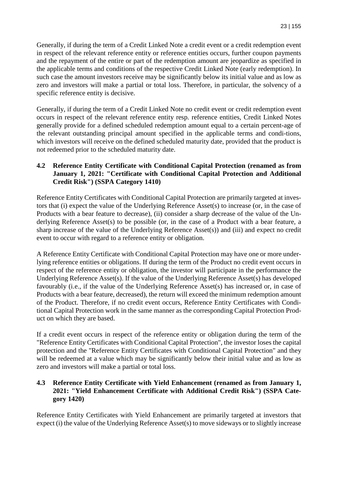Generally, if during the term of a Credit Linked Note a credit event or a credit redemption event in respect of the relevant reference entity or reference entities occurs, further coupon payments and the repayment of the entire or part of the redemption amount are jeopardize as specified in the applicable terms and conditions of the respective Credit Linked Note (early redemption). In such case the amount investors receive may be significantly below its initial value and as low as zero and investors will make a partial or total loss. Therefore, in particular, the solvency of a specific reference entity is decisive.

Generally, if during the term of a Credit Linked Note no credit event or credit redemption event occurs in respect of the relevant reference entity resp. reference entities, Credit Linked Notes generally provide for a defined scheduled redemption amount equal to a certain percent-age of the relevant outstanding principal amount specified in the applicable terms and condi-tions, which investors will receive on the defined scheduled maturity date, provided that the product is not redeemed prior to the scheduled maturity date.

## **4.2 Reference Entity Certificate with Conditional Capital Protection (renamed as from January 1, 2021: "Certificate with Conditional Capital Protection and Additional Credit Risk") (SSPA Category 1410)**

Reference Entity Certificates with Conditional Capital Protection are primarily targeted at investors that (i) expect the value of the Underlying Reference Asset(s) to increase (or, in the case of Products with a bear feature to decrease), (ii) consider a sharp decrease of the value of the Underlying Reference Asset(s) to be possible (or, in the case of a Product with a bear feature, a sharp increase of the value of the Underlying Reference Asset(s)) and (iii) and expect no credit event to occur with regard to a reference entity or obligation.

A Reference Entity Certificate with Conditional Capital Protection may have one or more underlying reference entities or obligations. If during the term of the Product no credit event occurs in respect of the reference entity or obligation, the investor will participate in the performance the Underlying Reference Asset(s). If the value of the Underlying Reference Asset(s) has developed favourably (i.e., if the value of the Underlying Reference Asset(s) has increased or, in case of Products with a bear feature, decreased), the return will exceed the minimum redemption amount of the Product. Therefore, if no credit event occurs, Reference Entity Certificates with Conditional Capital Protection work in the same manner as the corresponding Capital Protection Product on which they are based.

If a credit event occurs in respect of the reference entity or obligation during the term of the "Reference Entity Certificates with Conditional Capital Protection", the investor loses the capital protection and the "Reference Entity Certificates with Conditional Capital Protection" and they will be redeemed at a value which may be significantly below their initial value and as low as zero and investors will make a partial or total loss.

## **4.3 Reference Entity Certificate with Yield Enhancement (renamed as from January 1, 2021: "Yield Enhancement Certificate with Additional Credit Risk") (SSPA Category 1420)**

Reference Entity Certificates with Yield Enhancement are primarily targeted at investors that expect (i) the value of the Underlying Reference Asset(s) to move sideways or to slightly increase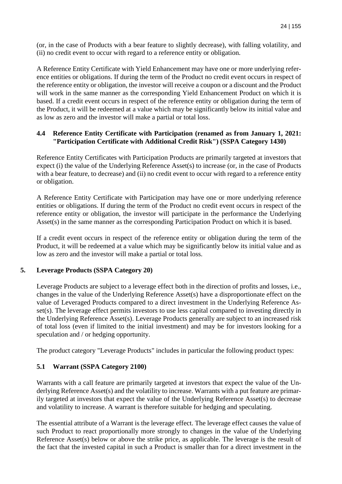(or, in the case of Products with a bear feature to slightly decrease), with falling volatility, and (ii) no credit event to occur with regard to a reference entity or obligation.

A Reference Entity Certificate with Yield Enhancement may have one or more underlying reference entities or obligations. If during the term of the Product no credit event occurs in respect of the reference entity or obligation, the investor will receive a coupon or a discount and the Product will work in the same manner as the corresponding Yield Enhancement Product on which it is based. If a credit event occurs in respect of the reference entity or obligation during the term of the Product, it will be redeemed at a value which may be significantly below its initial value and as low as zero and the investor will make a partial or total loss.

## **4.4 Reference Entity Certificate with Participation (renamed as from January 1, 2021: "Participation Certificate with Additional Credit Risk") (SSPA Category 1430)**

Reference Entity Certificates with Participation Products are primarily targeted at investors that expect (i) the value of the Underlying Reference Asset(s) to increase (or, in the case of Products with a bear feature, to decrease) and (ii) no credit event to occur with regard to a reference entity or obligation.

A Reference Entity Certificate with Participation may have one or more underlying reference entities or obligations. If during the term of the Product no credit event occurs in respect of the reference entity or obligation, the investor will participate in the performance the Underlying Asset(s) in the same manner as the corresponding Participation Product on which it is based.

If a credit event occurs in respect of the reference entity or obligation during the term of the Product, it will be redeemed at a value which may be significantly below its initial value and as low as zero and the investor will make a partial or total loss.

## **5. Leverage Products (SSPA Category 20)**

Leverage Products are subject to a leverage effect both in the direction of profits and losses, i.e., changes in the value of the Underlying Reference Asset(s) have a disproportionate effect on the value of Leveraged Products compared to a direct investment in the Underlying Reference Asset(s). The leverage effect permits investors to use less capital compared to investing directly in the Underlying Reference Asset(s). Leverage Products generally are subject to an increased risk of total loss (even if limited to the initial investment) and may be for investors looking for a speculation and / or hedging opportunity.

The product category "Leverage Products" includes in particular the following product types:

# **5.1 Warrant (SSPA Category 2100)**

Warrants with a call feature are primarily targeted at investors that expect the value of the Underlying Reference Asset(s) and the volatility to increase. Warrants with a put feature are primarily targeted at investors that expect the value of the Underlying Reference Asset(s) to decrease and volatility to increase. A warrant is therefore suitable for hedging and speculating.

The essential attribute of a Warrant is the leverage effect. The leverage effect causes the value of such Product to react proportionally more strongly to changes in the value of the Underlying Reference Asset(s) below or above the strike price, as applicable. The leverage is the result of the fact that the invested capital in such a Product is smaller than for a direct investment in the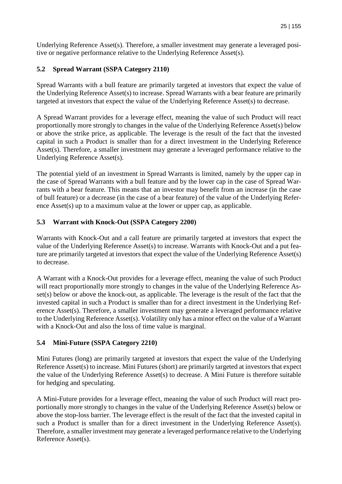Underlying Reference Asset(s). Therefore, a smaller investment may generate a leveraged positive or negative performance relative to the Underlying Reference Asset(s).

# **5.2 Spread Warrant (SSPA Category 2110)**

Spread Warrants with a bull feature are primarily targeted at investors that expect the value of the Underlying Reference Asset(s) to increase. Spread Warrants with a bear feature are primarily targeted at investors that expect the value of the Underlying Reference Asset(s) to decrease.

A Spread Warrant provides for a leverage effect, meaning the value of such Product will react proportionally more strongly to changes in the value of the Underlying Reference Asset(s) below or above the strike price, as applicable. The leverage is the result of the fact that the invested capital in such a Product is smaller than for a direct investment in the Underlying Reference Asset(s). Therefore, a smaller investment may generate a leveraged performance relative to the Underlying Reference Asset(s).

The potential yield of an investment in Spread Warrants is limited, namely by the upper cap in the case of Spread Warrants with a bull feature and by the lower cap in the case of Spread Warrants with a bear feature. This means that an investor may benefit from an increase (in the case of bull feature) or a decrease (in the case of a bear feature) of the value of the Underlying Reference Asset(s) up to a maximum value at the lower or upper cap, as applicable.

## **5.3 Warrant with Knock-Out (SSPA Category 2200)**

Warrants with Knock-Out and a call feature are primarily targeted at investors that expect the value of the Underlying Reference Asset(s) to increase. Warrants with Knock-Out and a put feature are primarily targeted at investors that expect the value of the Underlying Reference Asset(s) to decrease.

A Warrant with a Knock-Out provides for a leverage effect, meaning the value of such Product will react proportionally more strongly to changes in the value of the Underlying Reference Asset(s) below or above the knock-out, as applicable. The leverage is the result of the fact that the invested capital in such a Product is smaller than for a direct investment in the Underlying Reference Asset(s). Therefore, a smaller investment may generate a leveraged performance relative to the Underlying Reference Asset(s). Volatility only has a minor effect on the value of a Warrant with a Knock-Out and also the loss of time value is marginal.

## **5.4 Mini-Future (SSPA Category 2210)**

Mini Futures (long) are primarily targeted at investors that expect the value of the Underlying Reference Asset(s) to increase. Mini Futures (short) are primarily targeted at investors that expect the value of the Underlying Reference Asset(s) to decrease. A Mini Future is therefore suitable for hedging and speculating.

A Mini-Future provides for a leverage effect, meaning the value of such Product will react proportionally more strongly to changes in the value of the Underlying Reference Asset(s) below or above the stop-loss barrier. The leverage effect is the result of the fact that the invested capital in such a Product is smaller than for a direct investment in the Underlying Reference Asset(s). Therefore, a smaller investment may generate a leveraged performance relative to the Underlying Reference Asset(s).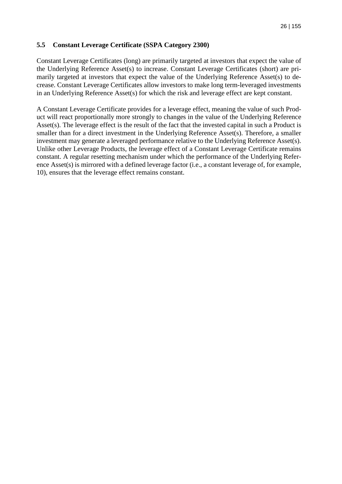## **5.5 Constant Leverage Certificate (SSPA Category 2300)**

Constant Leverage Certificates (long) are primarily targeted at investors that expect the value of the Underlying Reference Asset(s) to increase. Constant Leverage Certificates (short) are primarily targeted at investors that expect the value of the Underlying Reference Asset(s) to decrease. Constant Leverage Certificates allow investors to make long term-leveraged investments in an Underlying Reference Asset(s) for which the risk and leverage effect are kept constant.

A Constant Leverage Certificate provides for a leverage effect, meaning the value of such Product will react proportionally more strongly to changes in the value of the Underlying Reference Asset(s). The leverage effect is the result of the fact that the invested capital in such a Product is smaller than for a direct investment in the Underlying Reference Asset(s). Therefore, a smaller investment may generate a leveraged performance relative to the Underlying Reference Asset(s). Unlike other Leverage Products, the leverage effect of a Constant Leverage Certificate remains constant. A regular resetting mechanism under which the performance of the Underlying Reference Asset(s) is mirrored with a defined leverage factor (i.e., a constant leverage of, for example, 10), ensures that the leverage effect remains constant.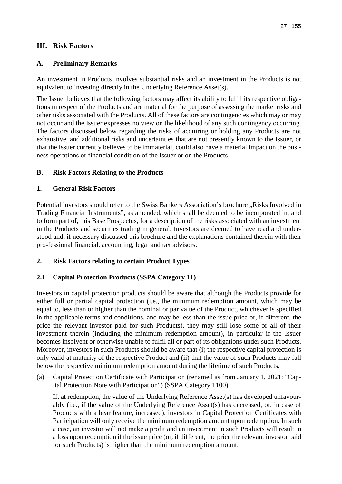# **III. Risk Factors**

## **A. Preliminary Remarks**

An investment in Products involves substantial risks and an investment in the Products is not equivalent to investing directly in the Underlying Reference Asset(s).

The Issuer believes that the following factors may affect its ability to fulfil its respective obligations in respect of the Products and are material for the purpose of assessing the market risks and other risks associated with the Products. All of these factors are contingencies which may or may not occur and the Issuer expresses no view on the likelihood of any such contingency occurring. The factors discussed below regarding the risks of acquiring or holding any Products are not exhaustive, and additional risks and uncertainties that are not presently known to the Issuer, or that the Issuer currently believes to be immaterial, could also have a material impact on the business operations or financial condition of the Issuer or on the Products.

## **B. Risk Factors Relating to the Products**

## **1. General Risk Factors**

Potential investors should refer to the Swiss Bankers Association's brochure "Risks Involved in Trading Financial Instruments", as amended, which shall be deemed to be incorporated in, and to form part of, this Base Prospectus, for a description of the risks associated with an investment in the Products and securities trading in general. Investors are deemed to have read and understood and, if necessary discussed this brochure and the explanations contained therein with their pro-fessional financial, accounting, legal and tax advisors.

## **2. Risk Factors relating to certain Product Types**

## **2.1 Capital Protection Products (SSPA Category 11)**

Investors in capital protection products should be aware that although the Products provide for either full or partial capital protection (i.e., the minimum redemption amount, which may be equal to, less than or higher than the nominal or par value of the Product, whichever is specified in the applicable terms and conditions, and may be less than the issue price or, if different, the price the relevant investor paid for such Products), they may still lose some or all of their investment therein (including the minimum redemption amount), in particular if the Issuer becomes insolvent or otherwise unable to fulfil all or part of its obligations under such Products. Moreover, investors in such Products should be aware that (i) the respective capital protection is only valid at maturity of the respective Product and (ii) that the value of such Products may fall below the respective minimum redemption amount during the lifetime of such Products.

(a) Capital Protection Certificate with Participation (renamed as from January 1, 2021: "Capital Protection Note with Participation") (SSPA Category 1100)

If, at redemption, the value of the Underlying Reference Asset(s) has developed unfavourably (i.e., if the value of the Underlying Reference Asset(s) has decreased, or, in case of Products with a bear feature, increased), investors in Capital Protection Certificates with Participation will only receive the minimum redemption amount upon redemption. In such a case, an investor will not make a profit and an investment in such Products will result in a loss upon redemption if the issue price (or, if different, the price the relevant investor paid for such Products) is higher than the minimum redemption amount.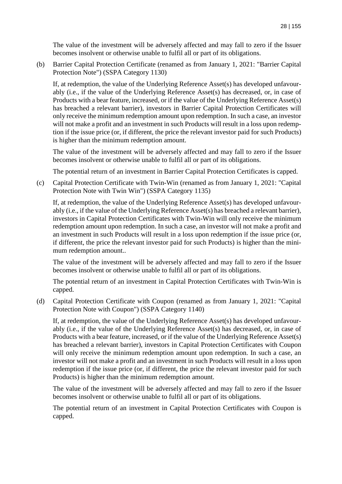The value of the investment will be adversely affected and may fall to zero if the Issuer becomes insolvent or otherwise unable to fulfil all or part of its obligations.

(b) Barrier Capital Protection Certificate (renamed as from January 1, 2021: "Barrier Capital Protection Note") (SSPA Category 1130)

If, at redemption, the value of the Underlying Reference Asset(s) has developed unfavourably (i.e., if the value of the Underlying Reference Asset(s) has decreased, or, in case of Products with a bear feature, increased, or if the value of the Underlying Reference Asset(s) has breached a relevant barrier), investors in Barrier Capital Protection Certificates will only receive the minimum redemption amount upon redemption. In such a case, an investor will not make a profit and an investment in such Products will result in a loss upon redemption if the issue price (or, if different, the price the relevant investor paid for such Products) is higher than the minimum redemption amount.

The value of the investment will be adversely affected and may fall to zero if the Issuer becomes insolvent or otherwise unable to fulfil all or part of its obligations.

The potential return of an investment in Barrier Capital Protection Certificates is capped.

(c) Capital Protection Certificate with Twin-Win (renamed as from January 1, 2021: "Capital Protection Note with Twin Win") (SSPA Category 1135)

If, at redemption, the value of the Underlying Reference Asset(s) has developed unfavourably (i.e., if the value of the Underlying Reference Asset(s) has breached a relevant barrier), investors in Capital Protection Certificates with Twin-Win will only receive the minimum redemption amount upon redemption. In such a case, an investor will not make a profit and an investment in such Products will result in a loss upon redemption if the issue price (or, if different, the price the relevant investor paid for such Products) is higher than the minimum redemption amount..

The value of the investment will be adversely affected and may fall to zero if the Issuer becomes insolvent or otherwise unable to fulfil all or part of its obligations.

The potential return of an investment in Capital Protection Certificates with Twin-Win is capped.

(d) Capital Protection Certificate with Coupon (renamed as from January 1, 2021: "Capital Protection Note with Coupon") (SSPA Category 1140)

If, at redemption, the value of the Underlying Reference Asset(s) has developed unfavourably (i.e., if the value of the Underlying Reference Asset(s) has decreased, or, in case of Products with a bear feature, increased, or if the value of the Underlying Reference Asset(s) has breached a relevant barrier), investors in Capital Protection Certificates with Coupon will only receive the minimum redemption amount upon redemption. In such a case, an investor will not make a profit and an investment in such Products will result in a loss upon redemption if the issue price (or, if different, the price the relevant investor paid for such Products) is higher than the minimum redemption amount.

The value of the investment will be adversely affected and may fall to zero if the Issuer becomes insolvent or otherwise unable to fulfil all or part of its obligations.

The potential return of an investment in Capital Protection Certificates with Coupon is capped.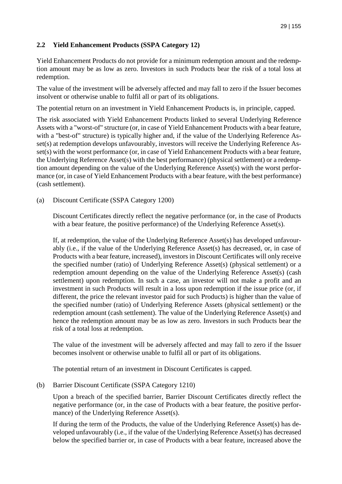## **2.2 Yield Enhancement Products (SSPA Category 12)**

Yield Enhancement Products do not provide for a minimum redemption amount and the redemption amount may be as low as zero. Investors in such Products bear the risk of a total loss at redemption.

The value of the investment will be adversely affected and may fall to zero if the Issuer becomes insolvent or otherwise unable to fulfil all or part of its obligations.

The potential return on an investment in Yield Enhancement Products is, in principle, capped.

The risk associated with Yield Enhancement Products linked to several Underlying Reference Assets with a "worst-of" structure (or, in case of Yield Enhancement Products with a bear feature, with a "best-of" structure) is typically higher and, if the value of the Underlying Reference Asset(s) at redemption develops unfavourably, investors will receive the Underlying Reference Asset(s) with the worst performance (or, in case of Yield Enhancement Products with a bear feature, the Underlying Reference Asset(s) with the best performance) (physical settlement) or a redemption amount depending on the value of the Underlying Reference Asset(s) with the worst performance (or, in case of Yield Enhancement Products with a bear feature, with the best performance) (cash settlement).

(a) Discount Certificate (SSPA Category 1200)

Discount Certificates directly reflect the negative performance (or, in the case of Products with a bear feature, the positive performance) of the Underlying Reference Asset(s).

If, at redemption, the value of the Underlying Reference Asset(s) has developed unfavourably (i.e., if the value of the Underlying Reference Asset(s) has decreased, or, in case of Products with a bear feature, increased), investors in Discount Certificates will only receive the specified number (ratio) of Underlying Reference Asset(s) (physical settlement) or a redemption amount depending on the value of the Underlying Reference Asset(s) (cash settlement) upon redemption. In such a case, an investor will not make a profit and an investment in such Products will result in a loss upon redemption if the issue price (or, if different, the price the relevant investor paid for such Products) is higher than the value of the specified number (ratio) of Underlying Reference Assets (physical settlement) or the redemption amount (cash settlement). The value of the Underlying Reference Asset(s) and hence the redemption amount may be as low as zero. Investors in such Products bear the risk of a total loss at redemption.

The value of the investment will be adversely affected and may fall to zero if the Issuer becomes insolvent or otherwise unable to fulfil all or part of its obligations.

The potential return of an investment in Discount Certificates is capped.

#### (b) Barrier Discount Certificate (SSPA Category 1210)

Upon a breach of the specified barrier, Barrier Discount Certificates directly reflect the negative performance (or, in the case of Products with a bear feature, the positive performance) of the Underlying Reference Asset(s).

If during the term of the Products, the value of the Underlying Reference Asset(s) has developed unfavourably (i.e., if the value of the Underlying Reference Asset(s) has decreased below the specified barrier or, in case of Products with a bear feature, increased above the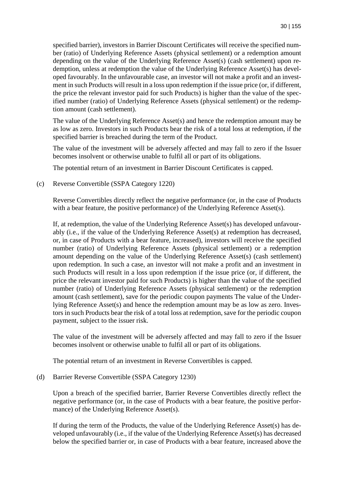specified barrier), investors in Barrier Discount Certificates will receive the specified number (ratio) of Underlying Reference Assets (physical settlement) or a redemption amount depending on the value of the Underlying Reference Asset(s) (cash settlement) upon redemption, unless at redemption the value of the Underlying Reference Asset(s) has developed favourably. In the unfavourable case, an investor will not make a profit and an investment in such Products will result in a loss upon redemption if the issue price (or, if different, the price the relevant investor paid for such Products) is higher than the value of the specified number (ratio) of Underlying Reference Assets (physical settlement) or the redemption amount (cash settlement).

The value of the Underlying Reference Asset(s) and hence the redemption amount may be as low as zero. Investors in such Products bear the risk of a total loss at redemption, if the specified barrier is breached during the term of the Product.

The value of the investment will be adversely affected and may fall to zero if the Issuer becomes insolvent or otherwise unable to fulfil all or part of its obligations.

The potential return of an investment in Barrier Discount Certificates is capped.

(c) Reverse Convertible (SSPA Category 1220)

Reverse Convertibles directly reflect the negative performance (or, in the case of Products with a bear feature, the positive performance) of the Underlying Reference Asset(s).

If, at redemption, the value of the Underlying Reference Asset(s) has developed unfavourably (i.e., if the value of the Underlying Reference Asset(s) at redemption has decreased, or, in case of Products with a bear feature, increased), investors will receive the specified number (ratio) of Underlying Reference Assets (physical settlement) or a redemption amount depending on the value of the Underlying Reference Asset(s) (cash settlement) upon redemption. In such a case, an investor will not make a profit and an investment in such Products will result in a loss upon redemption if the issue price (or, if different, the price the relevant investor paid for such Products) is higher than the value of the specified number (ratio) of Underlying Reference Assets (physical settlement) or the redemption amount (cash settlement), save for the periodic coupon payments The value of the Underlying Reference Asset(s) and hence the redemption amount may be as low as zero. Investors in such Products bear the risk of a total loss at redemption, save for the periodic coupon payment, subject to the issuer risk.

The value of the investment will be adversely affected and may fall to zero if the Issuer becomes insolvent or otherwise unable to fulfil all or part of its obligations.

The potential return of an investment in Reverse Convertibles is capped.

(d) Barrier Reverse Convertible (SSPA Category 1230)

Upon a breach of the specified barrier, Barrier Reverse Convertibles directly reflect the negative performance (or, in the case of Products with a bear feature, the positive performance) of the Underlying Reference Asset(s).

If during the term of the Products, the value of the Underlying Reference Asset(s) has developed unfavourably (i.e., if the value of the Underlying Reference Asset(s) has decreased below the specified barrier or, in case of Products with a bear feature, increased above the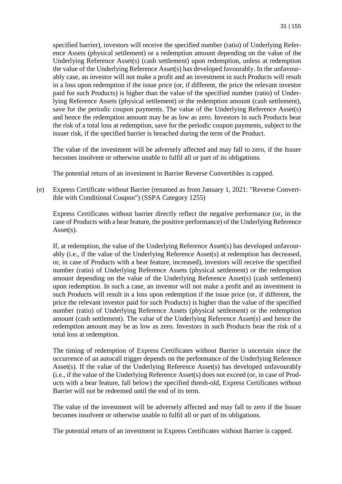specified barrier), investors will receive the specified number (ratio) of Underlying Reference Assets (physical settlement) or a redemption amount depending on the value of the Underlying Reference Asset(s) (cash settlement) upon redemption, unless at redemption the value of the Underlying Reference Asset(s) has developed favourably. In the unfavourably case, an investor will not make a profit and an investment in such Products will result in a loss upon redemption if the issue price (or, if different, the price the relevant investor paid for such Products) is higher than the value of the specified number (ratio) of Underlying Reference Assets (physical settlement) or the redemption amount (cash settlement), save for the periodic coupon payments. The value of the Underlying Reference Asset(s) and hence the redemption amount may be as low as zero. Investors in such Products bear the risk of a total loss at redemption, save for the periodic coupon payments, subject to the issuer risk, if the specified barrier is breached during the term of the Product.

The value of the investment will be adversely affected and may fall to zero, if the Issuer becomes insolvent or otherwise unable to fulfil all or part of its obligations.

The potential return of an investment in Barrier Reverse Convertibles is capped.

(e) Express Certificate without Barrier (renamed as from January 1, 2021: "Reverse Convertible with Conditional Coupon") (SSPA Category 1255)

Express Certificates without barrier directly reflect the negative performance (or, in the case of Products with a bear feature, the positive performance) of the Underlying Reference Asset(s).

If, at redemption, the value of the Underlying Reference Asset(s) has developed unfavourably (i.e., if the value of the Underlying Reference Asset(s) at redemption has decreased, or, in case of Products with a bear feature, increased), investors will receive the specified number (ratio) of Underlying Reference Assets (physical settlement) or the redemption amount depending on the value of the Underlying Reference Asset(s) (cash settlement) upon redemption. In such a case, an investor will not make a profit and an investment in such Products will result in a loss upon redemption if the issue price (or, if different, the price the relevant investor paid for such Products) is higher than the value of the specified number (ratio) of Underlying Reference Assets (physical settlement) or the redemption amount (cash settlement). The value of the Underlying Reference Asset(s) and hence the redemption amount may be as low as zero. Investors in such Products bear the risk of a total loss at redemption.

The timing of redemption of Express Certificates without Barrier is uncertain since the occurrence of an autocall trigger depends on the performance of the Underlying Reference Asset(s). If the value of the Underlying Reference Asset(s) has developed unfavourably (i.e., if the value of the Underlying Reference Asset(s) does not exceed (or, in case of Products with a bear feature, fall below) the specified thresh-old, Express Certificates without Barrier will not be redeemed until the end of its term.

The value of the investment will be adversely affected and may fall to zero if the Issuer becomes insolvent or otherwise unable to fulfil all or part of its obligations.

The potential return of an investment in Express Certificates without Barrier is capped.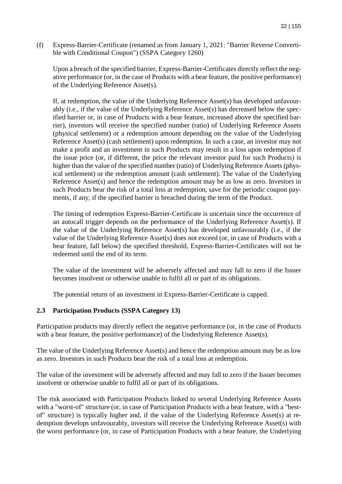(f) Express-Barrier-Certificate (renamed as from January 1, 2021: "Barrier Reverse Convertible with Conditional Coupon") (SSPA Category 1260)

Upon a breach of the specified barrier, Express-Barrier-Certificates directly reflect the negative performance (or, in the case of Products with a bear feature, the positive performance) of the Underlying Reference Asset(s).

If, at redemption, the value of the Underlying Reference Asset(s) has developed unfavourably (i.e., if the value of the Underlying Reference Asset(s) has decreased below the specified barrier or, in case of Products with a bear feature, increased above the specified barrier), investors will receive the specified number (ratio) of Underlying Reference Assets (physical settlement) or a redemption amount depending on the value of the Underlying Reference Asset(s) (cash settlement) upon redemption. In such a case, an investor may not make a profit and an investment in such Products may result in a loss upon redemption if the issue price (or, if different, the price the relevant investor paid for such Products) is higher than the value of the specified number (ratio) of Underlying Reference Assets (physical settlement) or the redemption amount (cash settlement). The value of the Underlying Reference Asset(s) and hence the redemption amount may be as low as zero. Investors in such Products bear the risk of a total loss at redemption, save for the periodic coupon payments, if any, if the specified barrier is breached during the term of the Product.

The timing of redemption Express-Barrier-Certificate is uncertain since the occurrence of an autocall trigger depends on the performance of the Underlying Reference Asset(s). If the value of the Underlying Reference Asset(s) has developed unfavourably (i.e., if the value of the Underlying Reference Asset(s) does not exceed (or, in case of Products with a bear feature, fall below) the specified threshold, Express-Barrier-Certificates will not be redeemed until the end of its term.

The value of the investment will be adversely affected and may fall to zero if the Issuer becomes insolvent or otherwise unable to fulfil all or part of its obligations.

The potential return of an investment in Express-Barrier-Certificate is capped.

## **2.3 Participation Products (SSPA Category 13)**

Participation products may directly reflect the negative performance (or, in the case of Products with a bear feature, the positive performance) of the Underlying Reference Asset(s).

The value of the Underlying Reference Asset(s) and hence the redemption amount may be as low as zero. Investors in such Products bear the risk of a total loss at redemption.

The value of the investment will be adversely affected and may fall to zero if the Issuer becomes insolvent or otherwise unable to fulfil all or part of its obligations.

The risk associated with Participation Products linked to several Underlying Reference Assets with a "worst-of" structure (or, in case of Participation Products with a bear feature, with a "bestof" structure) is typically higher and, if the value of the Underlying Reference Asset(s) at redemption develops unfavourably, investors will receive the Underlying Reference Asset(s) with the worst performance (or, in case of Participation Products with a bear feature, the Underlying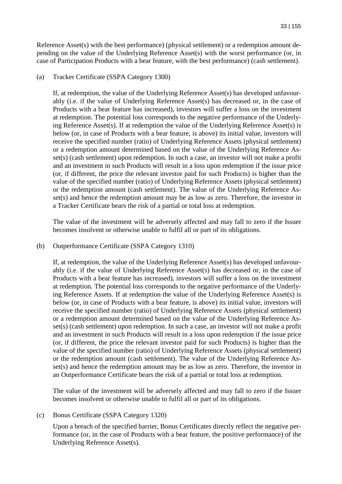Reference Asset(s) with the best performance) (physical settlement) or a redemption amount depending on the value of the Underlying Reference Asset(s) with the worst performance (or, in case of Participation Products with a bear feature, with the best performance) (cash settlement).

#### (a) Tracker Certificate (SSPA Category 1300)

If, at redemption, the value of the Underlying Reference Asset(s) has developed unfavourably (i.e. if the value of Underlying Reference Asset(s) has decreased or, in the case of Products with a bear feature has increased), investors will suffer a loss on the investment at redemption. The potential loss corresponds to the negative performance of the Underlying Reference Asset(s). If at redemption the value of the Underlying Reference Asset(s) is below (or, in case of Products with a bear feature, is above) its initial value, investors will receive the specified number (ratio) of Underlying Reference Assets (physical settlement) or a redemption amount determined based on the value of the Underlying Reference Asset(s) (cash settlement) upon redemption. In such a case, an investor will not make a profit and an investment in such Products will result in a loss upon redemption if the issue price (or, if different, the price the relevant investor paid for such Products) is higher than the value of the specified number (ratio) of Underlying Reference Assets (physical settlement) or the redemption amount (cash settlement). The value of the Underlying Reference Asset(s) and hence the redemption amount may be as low as zero. Therefore, the investor in a Tracker Certificate bears the risk of a partial or total loss at redemption.

The value of the investment will be adversely affected and may fall to zero if the Issuer becomes insolvent or otherwise unable to fulfil all or part of its obligations.

#### (b) Outperformance Certificate (SSPA Category 1310)

If, at redemption, the value of the Underlying Reference Asset(s) has developed unfavourably (i.e. if the value of Underlying Reference Asset(s) has decreased or, in the case of Products with a bear feature has increased), investors will suffer a loss on the investment at redemption. The potential loss corresponds to the negative performance of the Underlying Reference Assets. If at redemption the value of the Underlying Reference Asset(s) is below (or, in case of Products with a bear feature, is above) its initial value, investors will receive the specified number (ratio) of Underlying Reference Assets (physical settlement) or a redemption amount determined based on the value of the Underlying Reference Asset(s) (cash settlement) upon redemption. In such a case, an investor will not make a profit and an investment in such Products will result in a loss upon redemption if the issue price (or, if different, the price the relevant investor paid for such Products) is higher than the value of the specified number (ratio) of Underlying Reference Assets (physical settlement) or the redemption amount (cash settlement). The value of the Underlying Reference Asset(s) and hence the redemption amount may be as low as zero. Therefore, the investor in an Outperformance Certificate bears the risk of a partial or total loss at redemption.

The value of the investment will be adversely affected and may fall to zero if the Issuer becomes insolvent or otherwise unable to fulfil all or part of its obligations.

#### (c) Bonus Certificate (SSPA Category 1320)

Upon a breach of the specified barrier, Bonus Certificates directly reflect the negative performance (or, in the case of Products with a bear feature, the positive performance) of the Underlying Reference Asset(s).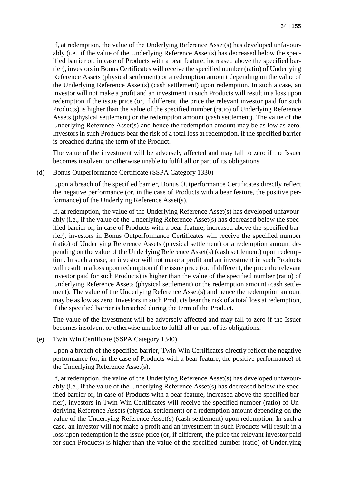If, at redemption, the value of the Underlying Reference Asset(s) has developed unfavourably (i.e., if the value of the Underlying Reference Asset(s) has decreased below the specified barrier or, in case of Products with a bear feature, increased above the specified barrier), investors in Bonus Certificates will receive the specified number (ratio) of Underlying Reference Assets (physical settlement) or a redemption amount depending on the value of the Underlying Reference Asset(s) (cash settlement) upon redemption. In such a case, an investor will not make a profit and an investment in such Products will result in a loss upon redemption if the issue price (or, if different, the price the relevant investor paid for such Products) is higher than the value of the specified number (ratio) of Underlying Reference Assets (physical settlement) or the redemption amount (cash settlement). The value of the Underlying Reference Asset(s) and hence the redemption amount may be as low as zero. Investors in such Products bear the risk of a total loss at redemption, if the specified barrier is breached during the term of the Product.

The value of the investment will be adversely affected and may fall to zero if the Issuer becomes insolvent or otherwise unable to fulfil all or part of its obligations.

(d) Bonus Outperformance Certificate (SSPA Category 1330)

Upon a breach of the specified barrier, Bonus Outperformance Certificates directly reflect the negative performance (or, in the case of Products with a bear feature, the positive performance) of the Underlying Reference Asset(s).

If, at redemption, the value of the Underlying Reference Asset(s) has developed unfavourably (i.e., if the value of the Underlying Reference Asset(s) has decreased below the specified barrier or, in case of Products with a bear feature, increased above the specified barrier), investors in Bonus Outperformance Certificates will receive the specified number (ratio) of Underlying Reference Assets (physical settlement) or a redemption amount depending on the value of the Underlying Reference Asset(s) (cash settlement) upon redemption. In such a case, an investor will not make a profit and an investment in such Products will result in a loss upon redemption if the issue price (or, if different, the price the relevant investor paid for such Products) is higher than the value of the specified number (ratio) of Underlying Reference Assets (physical settlement) or the redemption amount (cash settlement). The value of the Underlying Reference Asset(s) and hence the redemption amount may be as low as zero. Investors in such Products bear the risk of a total loss at redemption, if the specified barrier is breached during the term of the Product.

The value of the investment will be adversely affected and may fall to zero if the Issuer becomes insolvent or otherwise unable to fulfil all or part of its obligations.

(e) Twin Win Certificate (SSPA Category 1340)

Upon a breach of the specified barrier, Twin Win Certificates directly reflect the negative performance (or, in the case of Products with a bear feature, the positive performance) of the Underlying Reference Asset(s).

If, at redemption, the value of the Underlying Reference Asset(s) has developed unfavourably (i.e., if the value of the Underlying Reference Asset(s) has decreased below the specified barrier or, in case of Products with a bear feature, increased above the specified barrier), investors in Twin Win Certificates will receive the specified number (ratio) of Underlying Reference Assets (physical settlement) or a redemption amount depending on the value of the Underlying Reference Asset(s) (cash settlement) upon redemption. In such a case, an investor will not make a profit and an investment in such Products will result in a loss upon redemption if the issue price (or, if different, the price the relevant investor paid for such Products) is higher than the value of the specified number (ratio) of Underlying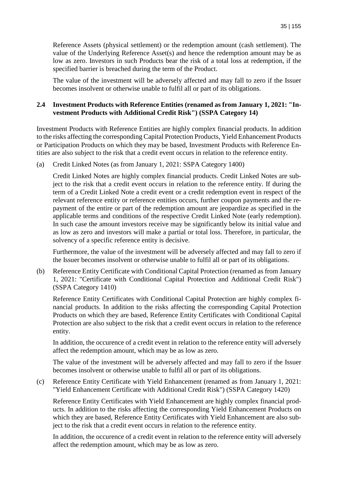Reference Assets (physical settlement) or the redemption amount (cash settlement). The value of the Underlying Reference Asset(s) and hence the redemption amount may be as low as zero. Investors in such Products bear the risk of a total loss at redemption, if the specified barrier is breached during the term of the Product.

The value of the investment will be adversely affected and may fall to zero if the Issuer becomes insolvent or otherwise unable to fulfil all or part of its obligations.

#### **2.4 Investment Products with Reference Entities (renamed as from January 1, 2021: "Investment Products with Additional Credit Risk") (SSPA Category 14)**

Investment Products with Reference Entities are highly complex financial products. In addition to the risks affecting the corresponding Capital Protection Products, Yield Enhancement Products or Participation Products on which they may be based, Investment Products with Reference Entities are also subject to the risk that a credit event occurs in relation to the reference entity.

(a) Credit Linked Notes (as from January 1, 2021: SSPA Category 1400)

Credit Linked Notes are highly complex financial products. Credit Linked Notes are subject to the risk that a credit event occurs in relation to the reference entity. If during the term of a Credit Linked Note a credit event or a credit redemption event in respect of the relevant reference entity or reference entities occurs, further coupon payments and the repayment of the entire or part of the redemption amount are jeopardize as specified in the applicable terms and conditions of the respective Credit Linked Note (early redemption). In such case the amount investors receive may be significantly below its initial value and as low as zero and investors will make a partial or total loss. Therefore, in particular, the solvency of a specific reference entity is decisive.

Furthermore, the value of the investment will be adversely affected and may fall to zero if the Issuer becomes insolvent or otherwise unable to fulfil all or part of its obligations.

(b) Reference Entity Certificate with Conditional Capital Protection (renamed as from January 1, 2021: "Certificate with Conditional Capital Protection and Additional Credit Risk") (SSPA Category 1410)

Reference Entity Certificates with Conditional Capital Protection are highly complex financial products. In addition to the risks affecting the corresponding Capital Protection Products on which they are based, Reference Entity Certificates with Conditional Capital Protection are also subject to the risk that a credit event occurs in relation to the reference entity.

In addition, the occurence of a credit event in relation to the reference entity will adversely affect the redemption amount, which may be as low as zero.

The value of the investment will be adversely affected and may fall to zero if the Issuer becomes insolvent or otherwise unable to fulfil all or part of its obligations.

(c) Reference Entity Certificate with Yield Enhancement (renamed as from January 1, 2021: "Yield Enhancement Certificate with Additional Credit Risk") (SSPA Category 1420)

Reference Entity Certificates with Yield Enhancement are highly complex financial products. In addition to the risks affecting the corresponding Yield Enhancement Products on which they are based, Reference Entity Certificates with Yield Enhancement are also subject to the risk that a credit event occurs in relation to the reference entity.

In addition, the occurence of a credit event in relation to the reference entity will adversely affect the redemption amount, which may be as low as zero.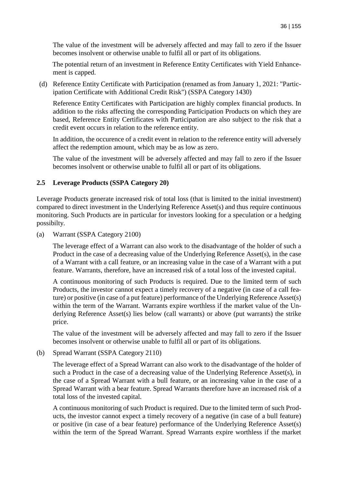The value of the investment will be adversely affected and may fall to zero if the Issuer becomes insolvent or otherwise unable to fulfil all or part of its obligations.

The potential return of an investment in Reference Entity Certificates with Yield Enhancement is capped.

(d) Reference Entity Certificate with Participation (renamed as from January 1, 2021: "Participation Certificate with Additional Credit Risk") (SSPA Category 1430)

Reference Entity Certificates with Participation are highly complex financial products. In addition to the risks affecting the corresponding Participation Products on which they are based, Reference Entity Certificates with Participation are also subject to the risk that a credit event occurs in relation to the reference entity.

In addition, the occurence of a credit event in relation to the reference entity will adversely affect the redemption amount, which may be as low as zero.

The value of the investment will be adversely affected and may fall to zero if the Issuer becomes insolvent or otherwise unable to fulfil all or part of its obligations.

## **2.5 Leverage Products (SSPA Category 20)**

Leverage Products generate increased risk of total loss (that is limited to the initial investment) compared to direct investment in the Underlying Reference Asset(s) and thus require continuous monitoring. Such Products are in particular for investors looking for a speculation or a hedging possibilty.

(a) Warrant (SSPA Category 2100)

The leverage effect of a Warrant can also work to the disadvantage of the holder of such a Product in the case of a decreasing value of the Underlying Reference Asset(s), in the case of a Warrant with a call feature, or an increasing value in the case of a Warrant with a put feature. Warrants, therefore, have an increased risk of a total loss of the invested capital.

A continuous monitoring of such Products is required. Due to the limited term of such Products, the investor cannot expect a timely recovery of a negative (in case of a call feature) or positive (in case of a put feature) performance of the Underlying Reference Asset(s) within the term of the Warrant. Warrants expire worthless if the market value of the Underlying Reference Asset(s) lies below (call warrants) or above (put warrants) the strike price.

The value of the investment will be adversely affected and may fall to zero if the Issuer becomes insolvent or otherwise unable to fulfil all or part of its obligations.

(b) Spread Warrant (SSPA Category 2110)

The leverage effect of a Spread Warrant can also work to the disadvantage of the holder of such a Product in the case of a decreasing value of the Underlying Reference Asset(s), in the case of a Spread Warrant with a bull feature, or an increasing value in the case of a Spread Warrant with a bear feature. Spread Warrants therefore have an increased risk of a total loss of the invested capital.

A continuous monitoring of such Product is required. Due to the limited term of such Products, the investor cannot expect a timely recovery of a negative (in case of a bull feature) or positive (in case of a bear feature) performance of the Underlying Reference Asset(s) within the term of the Spread Warrant. Spread Warrants expire worthless if the market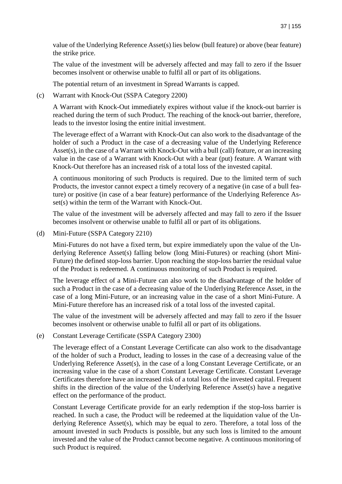value of the Underlying Reference Asset(s) lies below (bull feature) or above (bear feature) the strike price.

The value of the investment will be adversely affected and may fall to zero if the Issuer becomes insolvent or otherwise unable to fulfil all or part of its obligations.

The potential return of an investment in Spread Warrants is capped.

(c) Warrant with Knock-Out (SSPA Category 2200)

A Warrant with Knock-Out immediately expires without value if the knock-out barrier is reached during the term of such Product. The reaching of the knock-out barrier, therefore, leads to the investor losing the entire initial investment.

The leverage effect of a Warrant with Knock-Out can also work to the disadvantage of the holder of such a Product in the case of a decreasing value of the Underlying Reference Asset(s), in the case of a Warrant with Knock-Out with a bull (call) feature, or an increasing value in the case of a Warrant with Knock-Out with a bear (put) feature. A Warrant with Knock-Out therefore has an increased risk of a total loss of the invested capital.

A continuous monitoring of such Products is required. Due to the limited term of such Products, the investor cannot expect a timely recovery of a negative (in case of a bull feature) or positive (in case of a bear feature) performance of the Underlying Reference Asset(s) within the term of the Warrant with Knock-Out.

The value of the investment will be adversely affected and may fall to zero if the Issuer becomes insolvent or otherwise unable to fulfil all or part of its obligations.

(d) Mini-Future (SSPA Category 2210)

Mini-Futures do not have a fixed term, but expire immediately upon the value of the Underlying Reference Asset(s) falling below (long Mini-Futures) or reaching (short Mini-Future) the defined stop-loss barrier. Upon reaching the stop-loss barrier the residual value of the Product is redeemed. A continuous monitoring of such Product is required.

The leverage effect of a Mini-Future can also work to the disadvantage of the holder of such a Product in the case of a decreasing value of the Underlying Reference Asset, in the case of a long Mini-Future, or an increasing value in the case of a short Mini-Future. A Mini-Future therefore has an increased risk of a total loss of the invested capital.

The value of the investment will be adversely affected and may fall to zero if the Issuer becomes insolvent or otherwise unable to fulfil all or part of its obligations.

(e) Constant Leverage Certificate (SSPA Category 2300)

The leverage effect of a Constant Leverage Certificate can also work to the disadvantage of the holder of such a Product, leading to losses in the case of a decreasing value of the Underlying Reference Asset(s), in the case of a long Constant Leverage Certificate, or an increasing value in the case of a short Constant Leverage Certificate. Constant Leverage Certificates therefore have an increased risk of a total loss of the invested capital. Frequent shifts in the direction of the value of the Underlying Reference Asset(s) have a negative effect on the performance of the product.

Constant Leverage Certificate provide for an early redemption if the stop-loss barrier is reached. In such a case, the Product will be redeemed at the liquidation value of the Underlying Reference Asset(s), which may be equal to zero. Therefore, a total loss of the amount invested in such Products is possible, but any such loss is limited to the amount invested and the value of the Product cannot become negative. A continuous monitoring of such Product is required.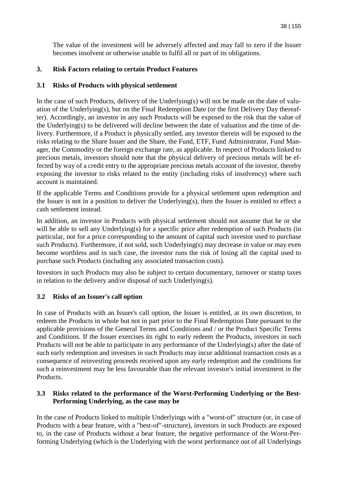The value of the investment will be adversely affected and may fall to zero if the Issuer becomes insolvent or otherwise unable to fulfil all or part of its obligations.

# **3. Risk Factors relating to certain Product Features**

# **3.1 Risks of Products with physical settlement**

In the case of such Products, delivery of the Underlying(s) will not be made on the date of valuation of the Underlying(s), but on the Final Redemption Date (or the first Delivery Day thereafter). Accordingly, an investor in any such Products will be exposed to the risk that the value of the Underlying(s) to be delivered will decline between the date of valuation and the time of delivery. Furthermore, if a Product is physically settled, any investor therein will be exposed to the risks relating to the Share Issuer and the Share, the Fund, ETF, Fund Administrator, Fund Manager, the Commodity or the foreign exchange rate, as applicable. In respect of Products linked to precious metals, investors should note that the physical delivery of precious metals will be effected by way of a credit entry to the appropriate precious metals account of the investor, thereby exposing the investor to risks related to the entity (including risks of insolvency) where such account is maintained.

If the applicable Terms and Conditions provide for a physical settlement upon redemption and the Issuer is not in a position to deliver the Underlying(s), then the Issuer is entitled to effect a cash settlement instead.

In addition, an investor in Products with physical settlement should not assume that he or she will be able to sell any Underlying(s) for a specific price after redemption of such Products (in particular, not for a price corresponding to the amount of capital such investor used to purchase such Products). Furthermore, if not sold, such Underlying(s) may decrease in value or may even become worthless and in such case, the investor runs the risk of losing all the capital used to purchase such Products (including any associated transaction costs).

Investors in such Products may also be subject to certain documentary, turnover or stamp taxes in relation to the delivery and/or disposal of such Underlying(s).

# **3.2 Risks of an Issuer's call option**

In case of Products with an Issuer's call option, the Issuer is entitled, at its own discretion, to redeem the Products in whole but not in part prior to the Final Redemption Date pursuant to the applicable provisions of the General Terms and Conditions and / or the Product Specific Terms and Conditions. If the Issuer exercises its right to early redeem the Products, investors in such Products will not be able to participate in any performance of the Underlying(s) after the date of such early redemption and investors in such Products may incur additional transaction costs as a consequence of reinvesting proceeds received upon any early redemption and the conditions for such a reinvestment may be less favourable than the relevant investor's initial investment in the Products.

### **3.3 Risks related to the performance of the Worst-Performing Underlying or the Best-Performing Underlying, as the case may be**

In the case of Products linked to multiple Underlyings with a "worst-of" structure (or, in case of Products with a bear feature, with a "best-of"-structure), investors in such Products are exposed to, in the case of Products without a bear feature, the negative performance of the Worst-Performing Underlying (which is the Underlying with the worst performance out of all Underlyings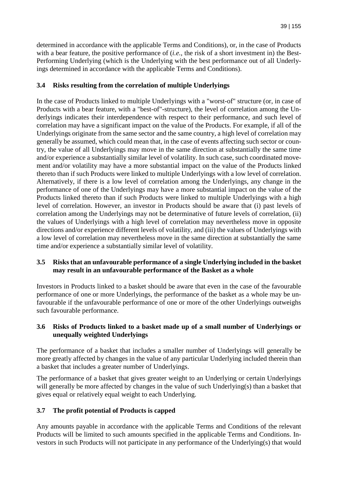determined in accordance with the applicable Terms and Conditions), or, in the case of Products with a bear feature, the positive performance of (*i.e.*, the risk of a short investment in) the Best-Performing Underlying (which is the Underlying with the best performance out of all Underlyings determined in accordance with the applicable Terms and Conditions).

# **3.4 Risks resulting from the correlation of multiple Underlyings**

In the case of Products linked to multiple Underlyings with a "worst-of" structure (or, in case of Products with a bear feature, with a "best-of"-structure), the level of correlation among the Underlyings indicates their interdependence with respect to their performance, and such level of correlation may have a significant impact on the value of the Products. For example, if all of the Underlyings originate from the same sector and the same country, a high level of correlation may generally be assumed, which could mean that, in the case of events affecting such sector or country, the value of all Underlyings may move in the same direction at substantially the same time and/or experience a substantially similar level of volatility. In such case, such coordinated movement and/or volatility may have a more substantial impact on the value of the Products linked thereto than if such Products were linked to multiple Underlyings with a low level of correlation. Alternatively, if there is a low level of correlation among the Underlyings, any change in the performance of one of the Underlyings may have a more substantial impact on the value of the Products linked thereto than if such Products were linked to multiple Underlyings with a high level of correlation. However, an investor in Products should be aware that (i) past levels of correlation among the Underlyings may not be determinative of future levels of correlation, (ii) the values of Underlyings with a high level of correlation may nevertheless move in opposite directions and/or experience different levels of volatility, and (iii) the values of Underlyings with a low level of correlation may nevertheless move in the same direction at substantially the same time and/or experience a substantially similar level of volatility.

### **3.5 Risks that an unfavourable performance of a single Underlying included in the basket may result in an unfavourable performance of the Basket as a whole**

Investors in Products linked to a basket should be aware that even in the case of the favourable performance of one or more Underlyings, the performance of the basket as a whole may be unfavourable if the unfavourable performance of one or more of the other Underlyings outweighs such favourable performance.

## **3.6 Risks of Products linked to a basket made up of a small number of Underlyings or unequally weighted Underlyings**

The performance of a basket that includes a smaller number of Underlyings will generally be more greatly affected by changes in the value of any particular Underlying included therein than a basket that includes a greater number of Underlyings.

The performance of a basket that gives greater weight to an Underlying or certain Underlyings will generally be more affected by changes in the value of such Underlying(s) than a basket that gives equal or relatively equal weight to each Underlying.

# **3.7 The profit potential of Products is capped**

Any amounts payable in accordance with the applicable Terms and Conditions of the relevant Products will be limited to such amounts specified in the applicable Terms and Conditions. Investors in such Products will not participate in any performance of the Underlying(s) that would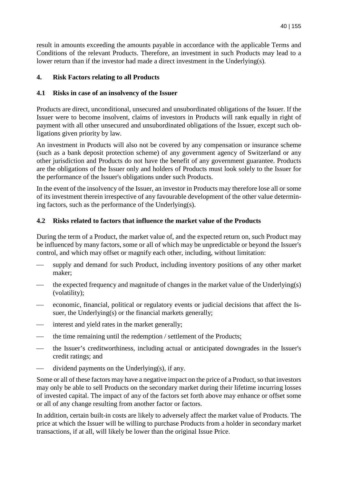result in amounts exceeding the amounts payable in accordance with the applicable Terms and Conditions of the relevant Products. Therefore, an investment in such Products may lead to a lower return than if the investor had made a direct investment in the Underlying(s).

# **4. Risk Factors relating to all Products**

## **4.1 Risks in case of an insolvency of the Issuer**

Products are direct, unconditional, unsecured and unsubordinated obligations of the Issuer. If the Issuer were to become insolvent, claims of investors in Products will rank equally in right of payment with all other unsecured and unsubordinated obligations of the Issuer, except such obligations given priority by law.

An investment in Products will also not be covered by any compensation or insurance scheme (such as a bank deposit protection scheme) of any government agency of Switzerland or any other jurisdiction and Products do not have the benefit of any government guarantee. Products are the obligations of the Issuer only and holders of Products must look solely to the Issuer for the performance of the Issuer's obligations under such Products.

In the event of the insolvency of the Issuer, an investor in Products may therefore lose all or some of its investment therein irrespective of any favourable development of the other value determining factors, such as the performance of the Underlying(s).

### **4.2 Risks related to factors that influence the market value of the Products**

During the term of a Product, the market value of, and the expected return on, such Product may be influenced by many factors, some or all of which may be unpredictable or beyond the Issuer's control, and which may offset or magnify each other, including, without limitation:

- supply and demand for such Product, including inventory positions of any other market maker;
- the expected frequency and magnitude of changes in the market value of the Underlying(s) (volatility);
- economic, financial, political or regulatory events or judicial decisions that affect the Issuer, the Underlying(s) or the financial markets generally;
- interest and yield rates in the market generally;
- the time remaining until the redemption / settlement of the Products;
- the Issuer's creditworthiness, including actual or anticipated downgrades in the Issuer's credit ratings; and
- dividend payments on the Underlying(s), if any.

Some or all of these factors may have a negative impact on the price of a Product, so that investors may only be able to sell Products on the secondary market during their lifetime incurring losses of invested capital. The impact of any of the factors set forth above may enhance or offset some or all of any change resulting from another factor or factors.

In addition, certain built-in costs are likely to adversely affect the market value of Products. The price at which the Issuer will be willing to purchase Products from a holder in secondary market transactions, if at all, will likely be lower than the original Issue Price.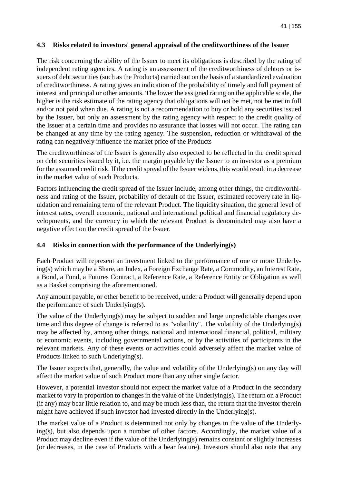#### **4.3 Risks related to investors' general appraisal of the creditworthiness of the Issuer**

The risk concerning the ability of the Issuer to meet its obligations is described by the rating of independent rating agencies. A rating is an assessment of the creditworthiness of debtors or issuers of debt securities (such as the Products) carried out on the basis of a standardized evaluation of creditworthiness. A rating gives an indication of the probability of timely and full payment of interest and principal or other amounts. The lower the assigned rating on the applicable scale, the higher is the risk estimate of the rating agency that obligations will not be met, not be met in full and/or not paid when due. A rating is not a recommendation to buy or hold any securities issued by the Issuer, but only an assessment by the rating agency with respect to the credit quality of the Issuer at a certain time and provides no assurance that losses will not occur. The rating can be changed at any time by the rating agency. The suspension, reduction or withdrawal of the rating can negatively influence the market price of the Products

The creditworthiness of the Issuer is generally also expected to be reflected in the credit spread on debt securities issued by it, i.e. the margin payable by the Issuer to an investor as a premium for the assumed credit risk. If the credit spread of the Issuer widens, this would result in a decrease in the market value of such Products.

Factors influencing the credit spread of the Issuer include, among other things, the creditworthiness and rating of the Issuer, probability of default of the Issuer, estimated recovery rate in liquidation and remaining term of the relevant Product. The liquidity situation, the general level of interest rates, overall economic, national and international political and financial regulatory developments, and the currency in which the relevant Product is denominated may also have a negative effect on the credit spread of the Issuer.

### **4.4 Risks in connection with the performance of the Underlying(s)**

Each Product will represent an investment linked to the performance of one or more Underlying(s) which may be a Share, an Index, a Foreign Exchange Rate, a Commodity, an Interest Rate, a Bond, a Fund, a Futures Contract, a Reference Rate, a Reference Entity or Obligation as well as a Basket comprising the aforementioned.

Any amount payable, or other benefit to be received, under a Product will generally depend upon the performance of such Underlying(s).

The value of the Underlying(s) may be subject to sudden and large unpredictable changes over time and this degree of change is referred to as "volatility". The volatility of the Underlying(s) may be affected by, among other things, national and international financial, political, military or economic events, including governmental actions, or by the activities of participants in the relevant markets. Any of these events or activities could adversely affect the market value of Products linked to such Underlying(s).

The Issuer expects that, generally, the value and volatility of the Underlying(s) on any day will affect the market value of such Product more than any other single factor.

However, a potential investor should not expect the market value of a Product in the secondary market to vary in proportion to changes in the value of the Underlying(s). The return on a Product (if any) may bear little relation to, and may be much less than, the return that the investor therein might have achieved if such investor had invested directly in the Underlying(s).

The market value of a Product is determined not only by changes in the value of the Underlying(s), but also depends upon a number of other factors. Accordingly, the market value of a Product may decline even if the value of the Underlying(s) remains constant or slightly increases (or decreases, in the case of Products with a bear feature). Investors should also note that any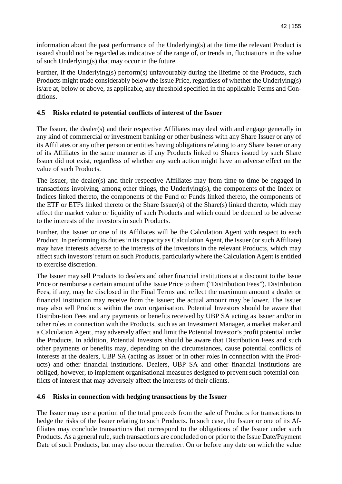information about the past performance of the Underlying(s) at the time the relevant Product is issued should not be regarded as indicative of the range of, or trends in, fluctuations in the value of such Underlying(s) that may occur in the future.

Further, if the Underlying(s) perform(s) unfavourably during the lifetime of the Products, such Products might trade considerably below the Issue Price, regardless of whether the Underlying(s) is/are at, below or above, as applicable, any threshold specified in the applicable Terms and Conditions.

# **4.5 Risks related to potential conflicts of interest of the Issuer**

The Issuer, the dealer(s) and their respective Affiliates may deal with and engage generally in any kind of commercial or investment banking or other business with any Share Issuer or any of its Affiliates or any other person or entities having obligations relating to any Share Issuer or any of its Affiliates in the same manner as if any Products linked to Shares issued by such Share Issuer did not exist, regardless of whether any such action might have an adverse effect on the value of such Products.

The Issuer, the dealer(s) and their respective Affiliates may from time to time be engaged in transactions involving, among other things, the Underlying(s), the components of the Index or Indices linked thereto, the components of the Fund or Funds linked thereto, the components of the ETF or ETFs linked thereto or the Share Issuer(s) of the Share(s) linked thereto, which may affect the market value or liquidity of such Products and which could be deemed to be adverse to the interests of the investors in such Products.

Further, the Issuer or one of its Affiliates will be the Calculation Agent with respect to each Product. In performing its duties in its capacity as Calculation Agent, the Issuer (or such Affiliate) may have interests adverse to the interests of the investors in the relevant Products, which may affect such investors' return on such Products, particularly where the Calculation Agent is entitled to exercise discretion.

The Issuer may sell Products to dealers and other financial institutions at a discount to the Issue Price or reimburse a certain amount of the Issue Price to them ("Distribution Fees"). Distribution Fees, if any, may be disclosed in the Final Terms and reflect the maximum amount a dealer or financial institution may receive from the Issuer; the actual amount may be lower. The Issuer may also sell Products within the own organisation. Potential Investors should be aware that Distribu-tion Fees and any payments or benefits received by UBP SA acting as Issuer and/or in other roles in connection with the Products, such as an Investment Manager, a market maker and a Calculation Agent, may adversely affect and limit the Potential Investor's profit potential under the Products. In addition, Potential Investors should be aware that Distribution Fees and such other payments or benefits may, depending on the circumstances, cause potential conflicts of interests at the dealers, UBP SA (acting as Issuer or in other roles in connection with the Products) and other financial institutions. Dealers, UBP SA and other financial institutions are obliged, however, to implement organisational measures designed to prevent such potential conflicts of interest that may adversely affect the interests of their clients.

### **4.6 Risks in connection with hedging transactions by the Issuer**

The Issuer may use a portion of the total proceeds from the sale of Products for transactions to hedge the risks of the Issuer relating to such Products. In such case, the Issuer or one of its Affiliates may conclude transactions that correspond to the obligations of the Issuer under such Products. As a general rule, such transactions are concluded on or prior to the Issue Date/Payment Date of such Products, but may also occur thereafter. On or before any date on which the value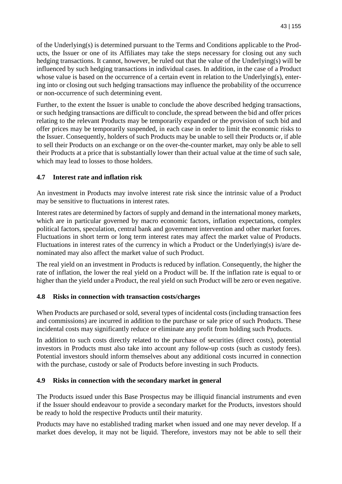of the Underlying(s) is determined pursuant to the Terms and Conditions applicable to the Products, the Issuer or one of its Affiliates may take the steps necessary for closing out any such hedging transactions. It cannot, however, be ruled out that the value of the Underlying(s) will be influenced by such hedging transactions in individual cases. In addition, in the case of a Product whose value is based on the occurrence of a certain event in relation to the Underlying(s), entering into or closing out such hedging transactions may influence the probability of the occurrence or non-occurrence of such determining event.

Further, to the extent the Issuer is unable to conclude the above described hedging transactions, or such hedging transactions are difficult to conclude, the spread between the bid and offer prices relating to the relevant Products may be temporarily expanded or the provision of such bid and offer prices may be temporarily suspended, in each case in order to limit the economic risks to the Issuer. Consequently, holders of such Products may be unable to sell their Products or, if able to sell their Products on an exchange or on the over-the-counter market, may only be able to sell their Products at a price that is substantially lower than their actual value at the time of such sale, which may lead to losses to those holders.

## **4.7 Interest rate and inflation risk**

An investment in Products may involve interest rate risk since the intrinsic value of a Product may be sensitive to fluctuations in interest rates.

Interest rates are determined by factors of supply and demand in the international money markets, which are in particular governed by macro economic factors, inflation expectations, complex political factors, speculation, central bank and government intervention and other market forces. Fluctuations in short term or long term interest rates may affect the market value of Products. Fluctuations in interest rates of the currency in which a Product or the Underlying(s) is/are denominated may also affect the market value of such Product.

The real yield on an investment in Products is reduced by inflation. Consequently, the higher the rate of inflation, the lower the real yield on a Product will be. If the inflation rate is equal to or higher than the yield under a Product, the real yield on such Product will be zero or even negative.

### **4.8 Risks in connection with transaction costs/charges**

When Products are purchased or sold, several types of incidental costs (including transaction fees and commissions) are incurred in addition to the purchase or sale price of such Products. These incidental costs may significantly reduce or eliminate any profit from holding such Products.

In addition to such costs directly related to the purchase of securities (direct costs), potential investors in Products must also take into account any follow-up costs (such as custody fees). Potential investors should inform themselves about any additional costs incurred in connection with the purchase, custody or sale of Products before investing in such Products.

### **4.9 Risks in connection with the secondary market in general**

The Products issued under this Base Prospectus may be illiquid financial instruments and even if the Issuer should endeavour to provide a secondary market for the Products, investors should be ready to hold the respective Products until their maturity.

Products may have no established trading market when issued and one may never develop. If a market does develop, it may not be liquid. Therefore, investors may not be able to sell their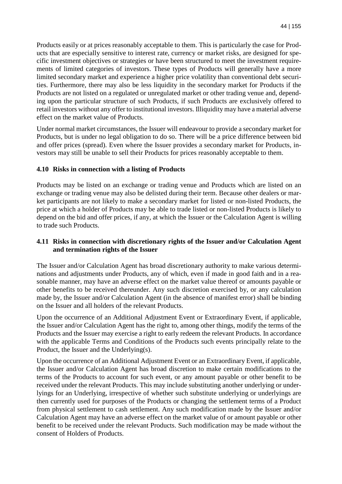Products easily or at prices reasonably acceptable to them. This is particularly the case for Products that are especially sensitive to interest rate, currency or market risks, are designed for specific investment objectives or strategies or have been structured to meet the investment requirements of limited categories of investors. These types of Products will generally have a more limited secondary market and experience a higher price volatility than conventional debt securities. Furthermore, there may also be less liquidity in the secondary market for Products if the Products are not listed on a regulated or unregulated market or other trading venue and, depending upon the particular structure of such Products, if such Products are exclusively offered to retail investors without any offer to institutional investors. Illiquidity may have a material adverse effect on the market value of Products.

Under normal market circumstances, the Issuer will endeavour to provide a secondary market for Products, but is under no legal obligation to do so. There will be a price difference between bid and offer prices (spread). Even where the Issuer provides a secondary market for Products, investors may still be unable to sell their Products for prices reasonably acceptable to them.

### **4.10 Risks in connection with a listing of Products**

Products may be listed on an exchange or trading venue and Products which are listed on an exchange or trading venue may also be delisted during their term. Because other dealers or market participants are not likely to make a secondary market for listed or non-listed Products, the price at which a holder of Products may be able to trade listed or non-listed Products is likely to depend on the bid and offer prices, if any, at which the Issuer or the Calculation Agent is willing to trade such Products.

### **4.11 Risks in connection with discretionary rights of the Issuer and/or Calculation Agent and termination rights of the Issuer**

The Issuer and/or Calculation Agent has broad discretionary authority to make various determinations and adjustments under Products, any of which, even if made in good faith and in a reasonable manner, may have an adverse effect on the market value thereof or amounts payable or other benefits to be received thereunder. Any such discretion exercised by, or any calculation made by, the Issuer and/or Calculation Agent (in the absence of manifest error) shall be binding on the Issuer and all holders of the relevant Products.

Upon the occurrence of an Additional Adjustment Event or Extraordinary Event, if applicable, the Issuer and/or Calculation Agent has the right to, among other things, modify the terms of the Products and the Issuer may exercise a right to early redeem the relevant Products. In accordance with the applicable Terms and Conditions of the Products such events principally relate to the Product, the Issuer and the Underlying(s).

Upon the occurrence of an Additional Adjustment Event or an Extraordinary Event, if applicable, the Issuer and/or Calculation Agent has broad discretion to make certain modifications to the terms of the Products to account for such event, or any amount payable or other benefit to be received under the relevant Products. This may include substituting another underlying or underlyings for an Underlying, irrespective of whether such substitute underlying or underlyings are then currently used for purposes of the Products or changing the settlement terms of a Product from physical settlement to cash settlement. Any such modification made by the Issuer and/or Calculation Agent may have an adverse effect on the market value of or amount payable or other benefit to be received under the relevant Products. Such modification may be made without the consent of Holders of Products.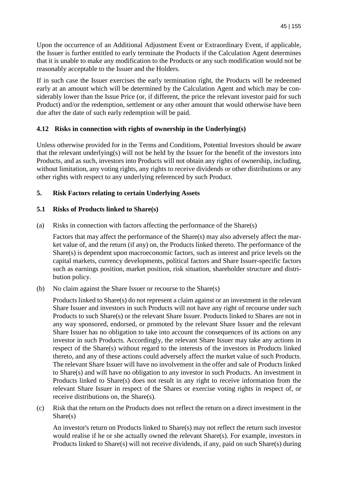Upon the occurrence of an Additional Adjustment Event or Extraordinary Event, if applicable, the Issuer is further entitled to early terminate the Products if the Calculation Agent determines that it is unable to make any modification to the Products or any such modification would not be reasonably acceptable to the Issuer and the Holders.

If in such case the Issuer exercises the early termination right, the Products will be redeemed early at an amount which will be determined by the Calculation Agent and which may be considerably lower than the Issue Price (or, if different, the price the relevant investor paid for such Product) and/or the redemption, settlement or any other amount that would otherwise have been due after the date of such early redemption will be paid.

## **4.12 Risks in connection with rights of ownership in the Underlying(s)**

Unless otherwise provided for in the Terms and Conditions, Potential Investors should be aware that the relevant underlying(s) will not be held by the Issuer for the benefit of the investors into Products, and as such, investors into Products will not obtain any rights of ownership, including, without limitation, any voting rights, any rights to receive dividends or other distributions or any other rights with respect to any underlying referenced by such Product.

## **5. Risk Factors relating to certain Underlying Assets**

## **5.1 Risks of Products linked to Share(s)**

(a) Risks in connection with factors affecting the performance of the Share(s)

Factors that may affect the performance of the Share(s) may also adversely affect the market value of, and the return (if any) on, the Products linked thereto. The performance of the Share(s) is dependent upon macroeconomic factors, such as interest and price levels on the capital markets, currency developments, political factors and Share Issuer-specific factors such as earnings position, market position, risk situation, shareholder structure and distribution policy.

(b) No claim against the Share Issuer or recourse to the Share(s)

Products linked to Share(s) do not represent a claim against or an investment in the relevant Share Issuer and investors in such Products will not have any right of recourse under such Products to such Share(s) or the relevant Share Issuer. Products linked to Shares are not in any way sponsored, endorsed, or promoted by the relevant Share Issuer and the relevant Share Issuer has no obligation to take into account the consequences of its actions on any investor in such Products. Accordingly, the relevant Share Issuer may take any actions in respect of the Share(s) without regard to the interests of the investors in Products linked thereto, and any of these actions could adversely affect the market value of such Products. The relevant Share Issuer will have no involvement in the offer and sale of Products linked to Share(s) and will have no obligation to any investor in such Products. An investment in Products linked to Share(s) does not result in any right to receive information from the relevant Share Issuer in respect of the Shares or exercise voting rights in respect of, or receive distributions on, the Share(s).

(c) Risk that the return on the Products does not reflect the return on a direct investment in the Share(s)

An investor's return on Products linked to Share(s) may not reflect the return such investor would realise if he or she actually owned the relevant Share(s). For example, investors in Products linked to Share(s) will not receive dividends, if any, paid on such Share(s) during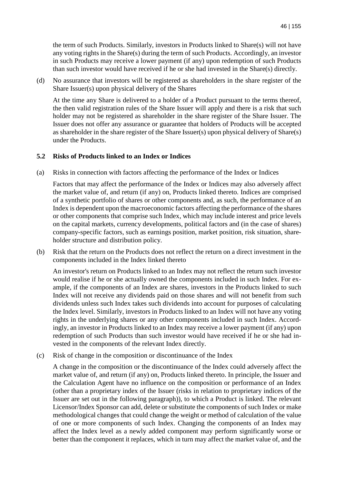the term of such Products. Similarly, investors in Products linked to Share(s) will not have any voting rights in the Share(s) during the term of such Products. Accordingly, an investor in such Products may receive a lower payment (if any) upon redemption of such Products than such investor would have received if he or she had invested in the Share(s) directly.

(d) No assurance that investors will be registered as shareholders in the share register of the Share Issuer(s) upon physical delivery of the Shares

At the time any Share is delivered to a holder of a Product pursuant to the terms thereof, the then valid registration rules of the Share Issuer will apply and there is a risk that such holder may not be registered as shareholder in the share register of the Share Issuer. The Issuer does not offer any assurance or guarantee that holders of Products will be accepted as shareholder in the share register of the Share Issuer(s) upon physical delivery of Share(s) under the Products.

#### **5.2 Risks of Products linked to an Index or Indices**

(a) Risks in connection with factors affecting the performance of the Index or Indices

Factors that may affect the performance of the Index or Indices may also adversely affect the market value of, and return (if any) on, Products linked thereto. Indices are comprised of a synthetic portfolio of shares or other components and, as such, the performance of an Index is dependent upon the macroeconomic factors affecting the performance of the shares or other components that comprise such Index, which may include interest and price levels on the capital markets, currency developments, political factors and (in the case of shares) company-specific factors, such as earnings position, market position, risk situation, shareholder structure and distribution policy.

(b) Risk that the return on the Products does not reflect the return on a direct investment in the components included in the Index linked thereto

An investor's return on Products linked to an Index may not reflect the return such investor would realise if he or she actually owned the components included in such Index. For example, if the components of an Index are shares, investors in the Products linked to such Index will not receive any dividends paid on those shares and will not benefit from such dividends unless such Index takes such dividends into account for purposes of calculating the Index level. Similarly, investors in Products linked to an Index will not have any voting rights in the underlying shares or any other components included in such Index. Accordingly, an investor in Products linked to an Index may receive a lower payment (if any) upon redemption of such Products than such investor would have received if he or she had invested in the components of the relevant Index directly.

(c) Risk of change in the composition or discontinuance of the Index

A change in the composition or the discontinuance of the Index could adversely affect the market value of, and return (if any) on, Products linked thereto. In principle, the Issuer and the Calculation Agent have no influence on the composition or performance of an Index (other than a proprietary index of the Issuer (risks in relation to proprietary indices of the Issuer are set out in the following paragraph)), to which a Product is linked. The relevant Licensor/Index Sponsor can add, delete or substitute the components of such Index or make methodological changes that could change the weight or method of calculation of the value of one or more components of such Index. Changing the components of an Index may affect the Index level as a newly added component may perform significantly worse or better than the component it replaces, which in turn may affect the market value of, and the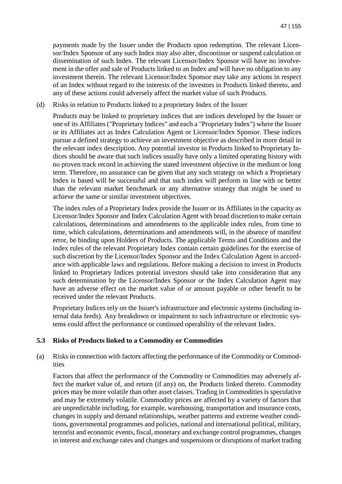payments made by the Issuer under the Products upon redemption. The relevant Licensor/Index Sponsor of any such Index may also alter, discontinue or suspend calculation or dissemination of such Index. The relevant Licensor/Index Sponsor will have no involvement in the offer and sale of Products linked to an Index and will have no obligation to any investment therein. The relevant Licensor/Index Sponsor may take any actions in respect of an Index without regard to the interests of the investors in Products linked thereto, and any of these actions could adversely affect the market value of such Products.

(d) Risks in relation to Products linked to a proprietary Index of the Issuer

Products may be linked to proprietary indices that are indices developed by the Issuer or one of its Affiliates ("Proprietary Indices" and each a "Proprietary Index") where the Issuer or its Affiliates act as Index Calculation Agent or Licensor/Index Sponsor. These indices pursue a defined strategy to achieve an investment objective as described in more detail in the relevant index description. Any potential investor in Products linked to Proprietary Indices should be aware that such indices usually have only a limited operating history with no proven track record in achieving the stated investment objective in the medium or long term. Therefore, no assurance can be given that any such strategy on which a Proprietary Index is based will be successful and that such index will perform in line with or better than the relevant market benchmark or any alternative strategy that might be used to achieve the same or similar investment objectives.

The index rules of a Proprietary Index provide the Issuer or its Affiliates in the capacity as Licensor/Index Sponsor and Index Calculation Agent with broad discretion to make certain calculations, determinations and amendments to the applicable index rules, from time to time, which calculations, determinations and amendments will, in the absence of manifest error, be binding upon Holders of Products. The applicable Terms and Conditions and the index rules of the relevant Proprietary Index contain certain guidelines for the exercise of such discretion by the Licensor/Index Sponsor and the Index Calculation Agent in accordance with applicable laws and regulations. Before making a decision to invest in Products linked to Proprietary Indices potential investors should take into consideration that any such determination by the Licensor/Index Sponsor or the Index Calculation Agent may have an adverse effect on the market value of or amount payable or other benefit to be received under the relevant Products.

Proprietary Indices rely on the Issuer's infrastructure and electronic systems (including internal data feeds). Any breakdown or impairment to such infrastructure or electronic systems could affect the performance or continued operability of the relevant Index.

### **5.3 Risks of Products linked to a Commodity or Commodities**

(a) Risks in connection with factors affecting the performance of the Commodity or Commodities

Factors that affect the performance of the Commodity or Commodities may adversely affect the market value of, and return (if any) on, the Products linked thereto. Commodity prices may be more volatile than other asset classes. Trading in Commodities is speculative and may be extremely volatile. Commodity prices are affected by a variety of factors that are unpredictable including, for example, warehousing, transportation and insurance costs, changes in supply and demand relationships, weather patterns and extreme weather conditions, governmental programmes and policies, national and international political, military, terrorist and economic events, fiscal, monetary and exchange control programmes, changes in interest and exchange rates and changes and suspensions or disruptions of market trading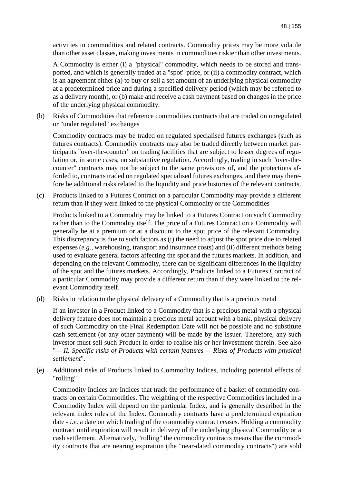activities in commodities and related contracts. Commodity prices may be more volatile than other asset classes, making investments in commodities riskier than other investments.

A Commodity is either (i) a "physical" commodity, which needs to be stored and transported, and which is generally traded at a "spot" price, or (ii) a commodity contract, which is an agreement either (a) to buy or sell a set amount of an underlying physical commodity at a predetermined price and during a specified delivery period (which may be referred to as a delivery month), or (b) make and receive a cash payment based on changes in the price of the underlying physical commodity.

(b) Risks of Commodities that reference commodities contracts that are traded on unregulated or "under regulated" exchanges

Commodity contracts may be traded on regulated specialised futures exchanges (such as futures contracts). Commodity contracts may also be traded directly between market participants "over-the-counter" on trading facilities that are subject to lesser degrees of regulation or, in some cases, no substantive regulation. Accordingly, trading in such "over-thecounter" contracts may not be subject to the same provisions of, and the protections afforded to, contracts traded on regulated specialised futures exchanges, and there may therefore be additional risks related to the liquidity and price histories of the relevant contracts.

(c) Products linked to a Futures Contract on a particular Commodity may provide a different return than if they were linked to the physical Commodity or the Commodities

Products linked to a Commodity may be linked to a Futures Contract on such Commodity rather than to the Commodity itself. The price of a Futures Contract on a Commodity will generally be at a premium or at a discount to the spot price of the relevant Commodity. This discrepancy is due to such factors as (i) the need to adjust the spot price due to related expenses (*e.g.*, warehousing, transport and insurance costs) and (ii) different methods being used to evaluate general factors affecting the spot and the futures markets. In addition, and depending on the relevant Commodity, there can be significant differences in the liquidity of the spot and the futures markets. Accordingly, Products linked to a Futures Contract of a particular Commodity may provide a different return than if they were linked to the relevant Commodity itself.

(d) Risks in relation to the physical delivery of a Commodity that is a precious metal

If an investor in a Product linked to a Commodity that is a precious metal with a physical delivery feature does not maintain a precious metal account with a bank, physical delivery of such Commodity on the Final Redemption Date will not be possible and no substitute cash settlement (or any other payment) will be made by the Issuer. Therefore, any such investor must sell such Product in order to realise his or her investment therein. See also "*— II. Specific risks of Products with certain features — Risks of Products with physical settlement*".

(e) Additional risks of Products linked to Commodity Indices, including potential effects of "rolling"

Commodity Indices are Indices that track the performance of a basket of commodity contracts on certain Commodities. The weighting of the respective Commodities included in a Commodity Index will depend on the particular Index, and is generally described in the relevant index rules of the Index. Commodity contracts have a predetermined expiration date - *i.e.* a date on which trading of the commodity contract ceases. Holding a commodity contract until expiration will result in delivery of the underlying physical Commodity or a cash settlement. Alternatively, "rolling" the commodity contracts means that the commodity contracts that are nearing expiration (the "near-dated commodity contracts") are sold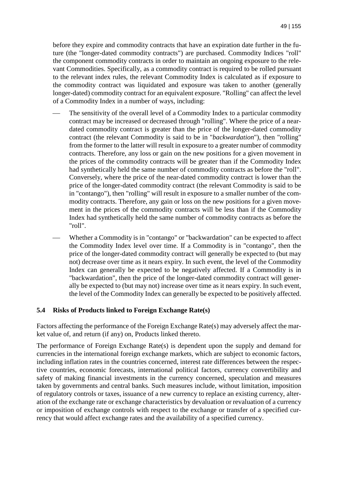before they expire and commodity contracts that have an expiration date further in the future (the "longer-dated commodity contracts") are purchased. Commodity Indices "roll" the component commodity contracts in order to maintain an ongoing exposure to the relevant Commodities. Specifically, as a commodity contract is required to be rolled pursuant to the relevant index rules, the relevant Commodity Index is calculated as if exposure to the commodity contract was liquidated and exposure was taken to another (generally longer-dated) commodity contract for an equivalent exposure. "Rolling" can affect the level of a Commodity Index in a number of ways, including:

- The sensitivity of the overall level of a Commodity Index to a particular commodity contract may be increased or decreased through "rolling". Where the price of a neardated commodity contract is greater than the price of the longer-dated commodity contract (the relevant Commodity is said to be in "*backwardation*"), then "rolling" from the former to the latter will result in exposure to a greater number of commodity contracts. Therefore, any loss or gain on the new positions for a given movement in the prices of the commodity contracts will be greater than if the Commodity Index had synthetically held the same number of commodity contracts as before the "roll". Conversely, where the price of the near-dated commodity contract is lower than the price of the longer-dated commodity contract (the relevant Commodity is said to be in "contango"), then "rolling" will result in exposure to a smaller number of the commodity contracts. Therefore, any gain or loss on the new positions for a given movement in the prices of the commodity contracts will be less than if the Commodity Index had synthetically held the same number of commodity contracts as before the "roll".
- Whether a Commodity is in "contango" or "backwardation" can be expected to affect the Commodity Index level over time. If a Commodity is in "contango", then the price of the longer-dated commodity contract will generally be expected to (but may not) decrease over time as it nears expiry. In such event, the level of the Commodity Index can generally be expected to be negatively affected. If a Commodity is in "backwardation", then the price of the longer-dated commodity contract will generally be expected to (but may not) increase over time as it nears expiry. In such event, the level of the Commodity Index can generally be expected to be positively affected.

#### **5.4 Risks of Products linked to Foreign Exchange Rate(s)**

Factors affecting the performance of the Foreign Exchange Rate(s) may adversely affect the market value of, and return (if any) on, Products linked thereto.

The performance of Foreign Exchange Rate(s) is dependent upon the supply and demand for currencies in the international foreign exchange markets, which are subject to economic factors, including inflation rates in the countries concerned, interest rate differences between the respective countries, economic forecasts, international political factors, currency convertibility and safety of making financial investments in the currency concerned, speculation and measures taken by governments and central banks. Such measures include, without limitation, imposition of regulatory controls or taxes, issuance of a new currency to replace an existing currency, alteration of the exchange rate or exchange characteristics by devaluation or revaluation of a currency or imposition of exchange controls with respect to the exchange or transfer of a specified currency that would affect exchange rates and the availability of a specified currency.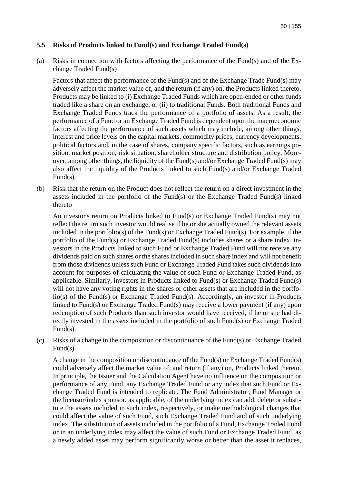#### **5.5 Risks of Products linked to Fund(s) and Exchange Traded Fund(s)**

(a) Risks in connection with factors affecting the performance of the Fund(s) and of the Exchange Traded Fund(s)

Factors that affect the performance of the Fund(s) and of the Exchange Trade Fund(s) may adversely affect the market value of, and the return (if any) on, the Products linked thereto. Products may be linked to (i) Exchange Traded Funds which are open-ended or other funds traded like a share on an exchange, or (ii) to traditional Funds. Both traditional Funds and Exchange Traded Funds track the performance of a portfolio of assets. As a result, the performance of a Fund or an Exchange Traded Fund is dependent upon the macroeconomic factors affecting the performance of such assets which may include, among other things, interest and price levels on the capital markets, commodity prices, currency developments, political factors and, in the case of shares, company specific factors, such as earnings position, market position, risk situation, shareholder structure and distribution policy. Moreover, among other things, the liquidity of the Fund(s) and/or Exchange Traded Fund(s) may also affect the liquidity of the Products linked to such Fund(s) and/or Exchange Traded Fund(s).

(b) Risk that the return on the Product does not reflect the return on a direct investment in the assets included in the portfolio of the Fund(s) or the Exchange Traded Fund(s) linked thereto

An investor's return on Products linked to Fund(s) or Exchange Traded Fund(s) may not reflect the return such investor would realise if he or she actually owned the relevant assets included in the portfolio(s) of the Fund(s) or Exchange Traded Fund(s). For example, if the portfolio of the Fund(s) or Exchange Traded Fund(s) includes shares or a share index, investors in the Products linked to such Fund or Exchange Traded Fund will not receive any dividends paid on such shares or the shares included in such share index and will not benefit from those dividends unless such Fund or Exchange Traded Fund takes such dividends into account for purposes of calculating the value of such Fund or Exchange Traded Fund, as applicable. Similarly, investors in Products linked to Fund(s) or Exchange Traded Fund(s) will not have any voting rights in the shares or other assets that are included in the portfolio(s) of the Fund(s) or Exchange Traded Fund(s). Accordingly, an investor in Products linked to Fund(s) or Exchange Traded Fund(s) may receive a lower payment (if any) upon redemption of such Products than such investor would have received, if he or she had directly invested in the assets included in the portfolio of such Fund(s) or Exchange Traded Fund(s).

(c) Risks of a change in the composition or discontinuance of the Fund(s) or Exchange Traded Fund(s)

A change in the composition or discontinuance of the Fund(s) or Exchange Traded Fund(s) could adversely affect the market value of, and return (if any) on, Products linked thereto. In principle, the Issuer and the Calculation Agent have no influence on the composition or performance of any Fund, any Exchange Traded Fund or any index that such Fund or Exchange Traded Fund is intended to replicate. The Fund Administrator, Fund Manager or the licensor/index sponsor, as applicable, of the underlying index can add, delete or substitute the assets included in such index, respectively, or make methodological changes that could affect the value of such Fund, such Exchange Traded Fund and of such underlying index. The substitution of assets included in the portfolio of a Fund, Exchange Traded Fund or in an underlying index may affect the value of such Fund or Exchange Traded Fund, as a newly added asset may perform significantly worse or better than the asset it replaces,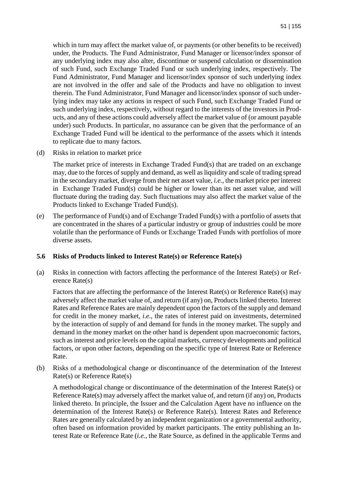which in turn may affect the market value of, or payments (or other benefits to be received) under, the Products. The Fund Administrator, Fund Manager or licensor/index sponsor of any underlying index may also alter, discontinue or suspend calculation or dissemination of such Fund, such Exchange Traded Fund or such underlying index, respectively. The Fund Administrator, Fund Manager and licensor/index sponsor of such underlying index are not involved in the offer and sale of the Products and have no obligation to invest therein. The Fund Administrator, Fund Manager and licensor/index sponsor of such underlying index may take any actions in respect of such Fund, such Exchange Traded Fund or such underlying index, respectively, without regard to the interests of the investors in Products, and any of these actions could adversely affect the market value of (or amount payable under) such Products. In particular, no assurance can be given that the performance of an Exchange Traded Fund will be identical to the performance of the assets which it intends to replicate due to many factors.

(d) Risks in relation to market price

The market price of interests in Exchange Traded Fund(s) that are traded on an exchange may, due to the forces of supply and demand, as well as liquidity and scale of trading spread in the secondary market, diverge from their net asset value, *i.e.*, the market price per interest in Exchange Traded Fund(s) could be higher or lower than its net asset value, and will fluctuate during the trading day. Such fluctuations may also affect the market value of the Products linked to Exchange Traded Fund(s).

(e) The performance of Fund(s) and of Exchange Traded Fund(s) with a portfolio of assets that are concentrated in the shares of a particular industry or group of industries could be more volatile than the performance of Funds or Exchange Traded Funds with portfolios of more diverse assets.

#### **5.6 Risks of Products linked to Interest Rate(s) or Reference Rate(s)**

(a) Risks in connection with factors affecting the performance of the Interest Rate(s) or Reference Rate(s)

Factors that are affecting the performance of the Interest Rate(s) or Reference Rate(s) may adversely affect the market value of, and return (if any) on, Products linked thereto. Interest Rates and Reference Rates are mainly dependent upon the factors of the supply and demand for credit in the money market, *i.e.*, the rates of interest paid on investments, determined by the interaction of supply of and demand for funds in the money market. The supply and demand in the money market on the other hand is dependent upon macroeconomic factors, such as interest and price levels on the capital markets, currency developments and political factors, or upon other factors, depending on the specific type of Interest Rate or Reference Rate.

(b) Risks of a methodological change or discontinuance of the determination of the Interest Rate(s) or Reference Rate(s)

A methodological change or discontinuance of the determination of the Interest Rate(s) or Reference Rate(s) may adversely affect the market value of, and return (if any) on, Products linked thereto. In principle, the Issuer and the Calculation Agent have no influence on the determination of the Interest Rate(s) or Reference Rate(s). Interest Rates and Reference Rates are generally calculated by an independent organization or a governmental authority, often based on information provided by market participants. The entity publishing an Interest Rate or Reference Rate (*i.e.*, the Rate Source, as defined in the applicable Terms and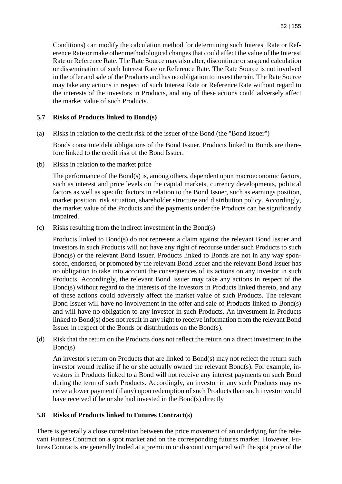Conditions) can modify the calculation method for determining such Interest Rate or Reference Rate or make other methodological changes that could affect the value of the Interest Rate or Reference Rate. The Rate Source may also alter, discontinue or suspend calculation or dissemination of such Interest Rate or Reference Rate. The Rate Source is not involved in the offer and sale of the Products and has no obligation to invest therein. The Rate Source may take any actions in respect of such Interest Rate or Reference Rate without regard to the interests of the investors in Products, and any of these actions could adversely affect the market value of such Products.

### **5.7 Risks of Products linked to Bond(s)**

(a) Risks in relation to the credit risk of the issuer of the Bond (the "Bond Issuer")

Bonds constitute debt obligations of the Bond Issuer. Products linked to Bonds are therefore linked to the credit risk of the Bond Issuer.

(b) Risks in relation to the market price

The performance of the Bond(s) is, among others, dependent upon macroeconomic factors, such as interest and price levels on the capital markets, currency developments, political factors as well as specific factors in relation to the Bond Issuer, such as earnings position, market position, risk situation, shareholder structure and distribution policy. Accordingly, the market value of the Products and the payments under the Products can be significantly impaired.

(c) Risks resulting from the indirect investment in the Bond(s)

Products linked to Bond(s) do not represent a claim against the relevant Bond Issuer and investors in such Products will not have any right of recourse under such Products to such Bond(s) or the relevant Bond Issuer. Products linked to Bonds are not in any way sponsored, endorsed, or promoted by the relevant Bond Issuer and the relevant Bond Issuer has no obligation to take into account the consequences of its actions on any investor in such Products. Accordingly, the relevant Bond Issuer may take any actions in respect of the Bond(s) without regard to the interests of the investors in Products linked thereto, and any of these actions could adversely affect the market value of such Products. The relevant Bond Issuer will have no involvement in the offer and sale of Products linked to Bond(s) and will have no obligation to any investor in such Products. An investment in Products linked to Bond(s) does not result in any right to receive information from the relevant Bond Issuer in respect of the Bonds or distributions on the Bond(s).

(d) Risk that the return on the Products does not reflect the return on a direct investment in the Bond(s)

An investor's return on Products that are linked to Bond(s) may not reflect the return such investor would realise if he or she actually owned the relevant Bond(s). For example, investors in Products linked to a Bond will not receive any interest payments on such Bond during the term of such Products. Accordingly, an investor in any such Products may receive a lower payment (if any) upon redemption of such Products than such investor would have received if he or she had invested in the Bond(s) directly

### **5.8 Risks of Products linked to Futures Contract(s)**

There is generally a close correlation between the price movement of an underlying for the relevant Futures Contract on a spot market and on the corresponding futures market. However, Futures Contracts are generally traded at a premium or discount compared with the spot price of the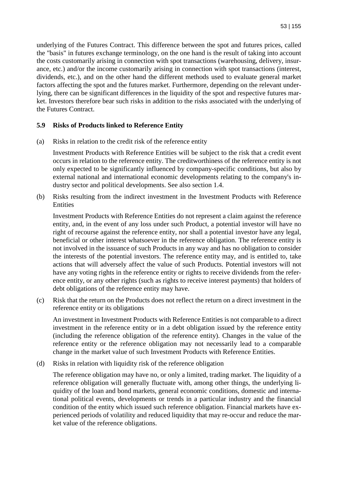underlying of the Futures Contract. This difference between the spot and futures prices, called the "basis" in futures exchange terminology, on the one hand is the result of taking into account the costs customarily arising in connection with spot transactions (warehousing, delivery, insurance, etc.) and/or the income customarily arising in connection with spot transactions (interest, dividends, etc.), and on the other hand the different methods used to evaluate general market factors affecting the spot and the futures market. Furthermore, depending on the relevant underlying, there can be significant differences in the liquidity of the spot and respective futures market. Investors therefore bear such risks in addition to the risks associated with the underlying of the Futures Contract.

#### **5.9 Risks of Products linked to Reference Entity**

(a) Risks in relation to the credit risk of the reference entity

Investment Products with Reference Entities will be subject to the risk that a credit event occurs in relation to the reference entity. The creditworthiness of the reference entity is not only expected to be significantly influenced by company-specific conditions, but also by external national and international economic developments relating to the company's industry sector and political developments. See also section 1.4.

(b) Risks resulting from the indirect investment in the Investment Products with Reference **Entities** 

Investment Products with Reference Entities do not represent a claim against the reference entity, and, in the event of any loss under such Product, a potential investor will have no right of recourse against the reference entity, nor shall a potential investor have any legal, beneficial or other interest whatsoever in the reference obligation. The reference entity is not involved in the issuance of such Products in any way and has no obligation to consider the interests of the potential investors. The reference entity may, and is entitled to, take actions that will adversely affect the value of such Products. Potential investors will not have any voting rights in the reference entity or rights to receive dividends from the reference entity, or any other rights (such as rights to receive interest payments) that holders of debt obligations of the reference entity may have.

(c) Risk that the return on the Products does not reflect the return on a direct investment in the reference entity or its obligations

An investment in Investment Products with Reference Entities is not comparable to a direct investment in the reference entity or in a debt obligation issued by the reference entity (including the reference obligation of the reference entity). Changes in the value of the reference entity or the reference obligation may not necessarily lead to a comparable change in the market value of such Investment Products with Reference Entities.

(d) Risks in relation with liquidity risk of the reference obligation

The reference obligation may have no, or only a limited, trading market. The liquidity of a reference obligation will generally fluctuate with, among other things, the underlying liquidity of the loan and bond markets, general economic conditions, domestic and international political events, developments or trends in a particular industry and the financial condition of the entity which issued such reference obligation. Financial markets have experienced periods of volatility and reduced liquidity that may re-occur and reduce the market value of the reference obligations.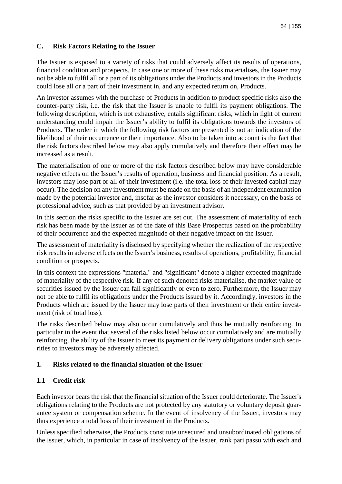## **C. Risk Factors Relating to the Issuer**

The Issuer is exposed to a variety of risks that could adversely affect its results of operations, financial condition and prospects. In case one or more of these risks materialises, the Issuer may not be able to fulfil all or a part of its obligations under the Products and investors in the Products could lose all or a part of their investment in, and any expected return on, Products.

An investor assumes with the purchase of Products in addition to product specific risks also the counter-party risk, i.e. the risk that the Issuer is unable to fulfil its payment obligations. The following description, which is not exhaustive, entails significant risks, which in light of current understanding could impair the Issuer's ability to fulfil its obligations towards the investors of Products. The order in which the following risk factors are presented is not an indication of the likelihood of their occurrence or their importance. Also to be taken into account is the fact that the risk factors described below may also apply cumulatively and therefore their effect may be increased as a result.

The materialisation of one or more of the risk factors described below may have considerable negative effects on the Issuer's results of operation, business and financial position. As a result, investors may lose part or all of their investment (i.e. the total loss of their invested capital may occur). The decision on any investment must be made on the basis of an independent examination made by the potential investor and, insofar as the investor considers it necessary, on the basis of professional advice, such as that provided by an investment advisor.

In this section the risks specific to the Issuer are set out. The assessment of materiality of each risk has been made by the Issuer as of the date of this Base Prospectus based on the probability of their occurrence and the expected magnitude of their negative impact on the Issuer.

The assessment of materiality is disclosed by specifying whether the realization of the respective risk results in adverse effects on the Issuer's business, results of operations, profitability, financial condition or prospects.

In this context the expressions "material" and "significant" denote a higher expected magnitude of materiality of the respective risk. If any of such denoted risks materialise, the market value of securities issued by the Issuer can fall significantly or even to zero. Furthermore, the Issuer may not be able to fulfil its obligations under the Products issued by it. Accordingly, investors in the Products which are issued by the Issuer may lose parts of their investment or their entire investment (risk of total loss).

The risks described below may also occur cumulatively and thus be mutually reinforcing. In particular in the event that several of the risks listed below occur cumulatively and are mutually reinforcing, the ability of the Issuer to meet its payment or delivery obligations under such securities to investors may be adversely affected.

### **1. Risks related to the financial situation of the Issuer**

### **1.1 Credit risk**

Each investor bears the risk that the financial situation of the Issuer could deteriorate. The Issuer's obligations relating to the Products are not protected by any statutory or voluntary deposit guarantee system or compensation scheme. In the event of insolvency of the Issuer, investors may thus experience a total loss of their investment in the Products.

Unless specified otherwise, the Products constitute unsecured and unsubordinated obligations of the Issuer, which, in particular in case of insolvency of the Issuer, rank pari passu with each and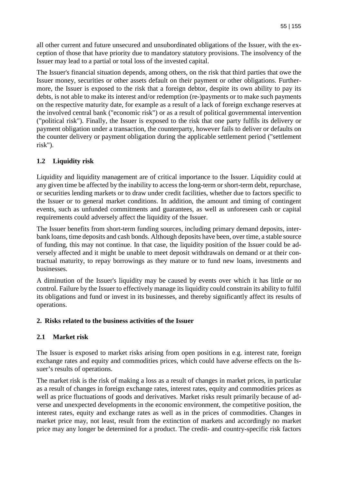all other current and future unsecured and unsubordinated obligations of the Issuer, with the exception of those that have priority due to mandatory statutory provisions. The insolvency of the Issuer may lead to a partial or total loss of the invested capital.

The Issuer's financial situation depends, among others, on the risk that third parties that owe the Issuer money, securities or other assets default on their payment or other obligations. Furthermore, the Issuer is exposed to the risk that a foreign debtor, despite its own ability to pay its debts, is not able to make its interest and/or redemption (re-)payments or to make such payments on the respective maturity date, for example as a result of a lack of foreign exchange reserves at the involved central bank ("economic risk") or as a result of political governmental intervention ("political risk"). Finally, the Issuer is exposed to the risk that one party fulfils its delivery or payment obligation under a transaction, the counterparty, however fails to deliver or defaults on the counter delivery or payment obligation during the applicable settlement period ("settlement risk").

# **1.2 Liquidity risk**

Liquidity and liquidity management are of critical importance to the Issuer. Liquidity could at any given time be affected by the inability to access the long-term or short-term debt, repurchase, or securities lending markets or to draw under credit facilities, whether due to factors specific to the Issuer or to general market conditions. In addition, the amount and timing of contingent events, such as unfunded commitments and guarantees, as well as unforeseen cash or capital requirements could adversely affect the liquidity of the Issuer.

The Issuer benefits from short-term funding sources, including primary demand deposits, interbank loans, time deposits and cash bonds. Although deposits have been, over time, a stable source of funding, this may not continue. In that case, the liquidity position of the Issuer could be adversely affected and it might be unable to meet deposit withdrawals on demand or at their contractual maturity, to repay borrowings as they mature or to fund new loans, investments and businesses.

A diminution of the Issuer's liquidity may be caused by events over which it has little or no control. Failure by the Issuer to effectively manage its liquidity could constrain its ability to fulfil its obligations and fund or invest in its businesses, and thereby significantly affect its results of operations.

### **2. Risks related to the business activities of the Issuer**

### **2.1 Market risk**

The Issuer is exposed to market risks arising from open positions in e.g. interest rate, foreign exchange rates and equity and commodities prices, which could have adverse effects on the Issuer's results of operations.

The market risk is the risk of making a loss as a result of changes in market prices, in particular as a result of changes in foreign exchange rates, interest rates, equity and commodities prices as well as price fluctuations of goods and derivatives. Market risks result primarily because of adverse and unexpected developments in the economic environment, the competitive position, the interest rates, equity and exchange rates as well as in the prices of commodities. Changes in market price may, not least, result from the extinction of markets and accordingly no market price may any longer be determined for a product. The credit- and country-specific risk factors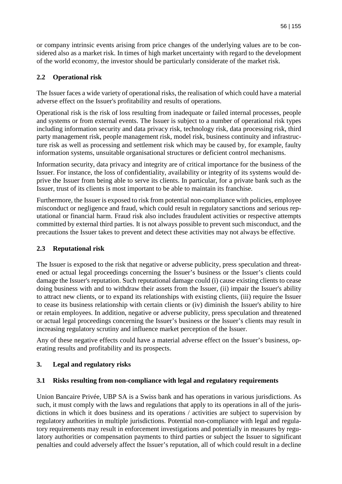or company intrinsic events arising from price changes of the underlying values are to be considered also as a market risk. In times of high market uncertainty with regard to the development of the world economy, the investor should be particularly considerate of the market risk.

# **2.2 Operational risk**

The Issuer faces a wide variety of operational risks, the realisation of which could have a material adverse effect on the Issuer's profitability and results of operations.

Operational risk is the risk of loss resulting from inadequate or failed internal processes, people and systems or from external events. The Issuer is subject to a number of operational risk types including information security and data privacy risk, technology risk, data processing risk, third party management risk, people management risk, model risk, business continuity and infrastructure risk as well as processing and settlement risk which may be caused by, for example, faulty information systems, unsuitable organisational structures or deficient control mechanisms.

Information security, data privacy and integrity are of critical importance for the business of the Issuer. For instance, the loss of confidentiality, availability or integrity of its systems would deprive the Issuer from being able to serve its clients. In particular, for a private bank such as the Issuer, trust of its clients is most important to be able to maintain its franchise.

Furthermore, the Issuer is exposed to risk from potential non-compliance with policies, employee misconduct or negligence and fraud, which could result in regulatory sanctions and serious reputational or financial harm. Fraud risk also includes fraudulent activities or respective attempts committed by external third parties. It is not always possible to prevent such misconduct, and the precautions the Issuer takes to prevent and detect these activities may not always be effective.

# **2.3 Reputational risk**

The Issuer is exposed to the risk that negative or adverse publicity, press speculation and threatened or actual legal proceedings concerning the Issuer's business or the Issuer's clients could damage the Issuer's reputation. Such reputational damage could (i) cause existing clients to cease doing business with and to withdraw their assets from the Issuer, (ii) impair the Issuer's ability to attract new clients, or to expand its relationships with existing clients, (iii) require the Issuer to cease its business relationship with certain clients or (iv) diminish the Issuer's ability to hire or retain employees. In addition, negative or adverse publicity, press speculation and threatened or actual legal proceedings concerning the Issuer's business or the Issuer's clients may result in increasing regulatory scrutiny and influence market perception of the Issuer.

Any of these negative effects could have a material adverse effect on the Issuer's business, operating results and profitability and its prospects.

# **3. Legal and regulatory risks**

# **3.1 Risks resulting from non-compliance with legal and regulatory requirements**

Union Bancaire Privée, UBP SA is a Swiss bank and has operations in various jurisdictions. As such, it must comply with the laws and regulations that apply to its operations in all of the jurisdictions in which it does business and its operations / activities are subject to supervision by regulatory authorities in multiple jurisdictions. Potential non-compliance with legal and regulatory requirements may result in enforcement investigations and potentially in measures by regulatory authorities or compensation payments to third parties or subject the Issuer to significant penalties and could adversely affect the Issuer's reputation, all of which could result in a decline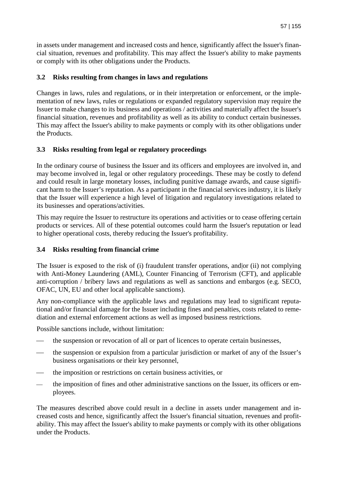in assets under management and increased costs and hence, significantly affect the Issuer's financial situation, revenues and profitability. This may affect the Issuer's ability to make payments or comply with its other obligations under the Products.

# **3.2 Risks resulting from changes in laws and regulations**

Changes in laws, rules and regulations, or in their interpretation or enforcement, or the implementation of new laws, rules or regulations or expanded regulatory supervision may require the Issuer to make changes to its business and operations / activities and materially affect the Issuer's financial situation, revenues and profitability as well as its ability to conduct certain businesses. This may affect the Issuer's ability to make payments or comply with its other obligations under the Products.

# **3.3 Risks resulting from legal or regulatory proceedings**

In the ordinary course of business the Issuer and its officers and employees are involved in, and may become involved in, legal or other regulatory proceedings. These may be costly to defend and could result in large monetary losses, including punitive damage awards, and cause significant harm to the Issuer's reputation. As a participant in the financial services industry, it is likely that the Issuer will experience a high level of litigation and regulatory investigations related to its businesses and operations/activities.

This may require the Issuer to restructure its operations and activities or to cease offering certain products or services. All of these potential outcomes could harm the Issuer's reputation or lead to higher operational costs, thereby reducing the Issuer's profitability.

# **3.4 Risks resulting from financial crime**

The Issuer is exposed to the risk of (i) fraudulent transfer operations, and|or (ii) not complying with Anti-Money Laundering (AML), Counter Financing of Terrorism (CFT), and applicable anti-corruption / bribery laws and regulations as well as sanctions and embargos (e.g. SECO, OFAC, UN, EU and other local applicable sanctions).

Any non-compliance with the applicable laws and regulations may lead to significant reputational and/or financial damage for the Issuer including fines and penalties, costs related to remediation and external enforcement actions as well as imposed business restrictions.

Possible sanctions include, without limitation:

- the suspension or revocation of all or part of licences to operate certain businesses,
- the suspension or expulsion from a particular jurisdiction or market of any of the Issuer's business organisations or their key personnel,
- the imposition or restrictions on certain business activities, or
- the imposition of fines and other administrative sanctions on the Issuer, its officers or employees.

The measures described above could result in a decline in assets under management and increased costs and hence, significantly affect the Issuer's financial situation, revenues and profitability. This may affect the Issuer's ability to make payments or comply with its other obligations under the Products.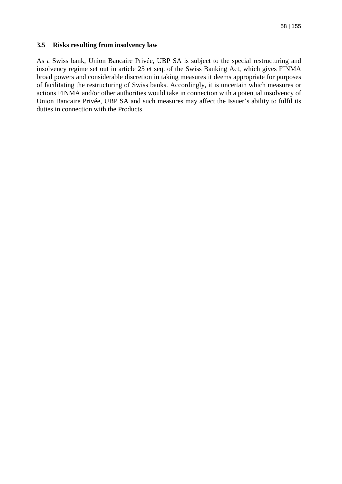#### **3.5 Risks resulting from insolvency law**

As a Swiss bank, Union Bancaire Privée, UBP SA is subject to the special restructuring and insolvency regime set out in article 25 et seq. of the Swiss Banking Act, which gives FINMA broad powers and considerable discretion in taking measures it deems appropriate for purposes of facilitating the restructuring of Swiss banks. Accordingly, it is uncertain which measures or actions FINMA and/or other authorities would take in connection with a potential insolvency of Union Bancaire Privée, UBP SA and such measures may affect the Issuer's ability to fulfil its duties in connection with the Products.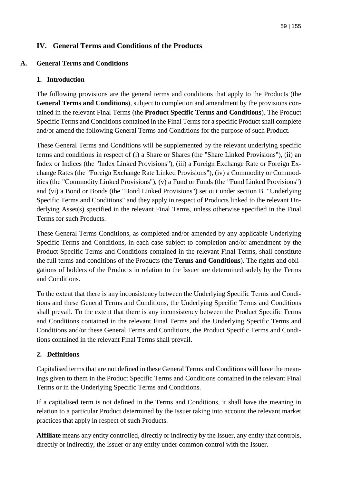# **IV. General Terms and Conditions of the Products**

## **A. General Terms and Conditions**

### **1. Introduction**

The following provisions are the general terms and conditions that apply to the Products (the **General Terms and Conditions**), subject to completion and amendment by the provisions contained in the relevant Final Terms (the **Product Specific Terms and Conditions**). The Product Specific Terms and Conditions contained in the Final Terms for a specific Product shall complete and/or amend the following General Terms and Conditions for the purpose of such Product.

These General Terms and Conditions will be supplemented by the relevant underlying specific terms and conditions in respect of (i) a Share or Shares (the "Share Linked Provisions"), (ii) an Index or Indices (the "Index Linked Provisions"), (iii) a Foreign Exchange Rate or Foreign Exchange Rates (the "Foreign Exchange Rate Linked Provisions"), (iv) a Commodity or Commodities (the "Commodity Linked Provisions"), (v) a Fund or Funds (the "Fund Linked Provisions") and (vi) a Bond or Bonds (the "Bond Linked Provisions") set out under section B. "Underlying Specific Terms and Conditions" and they apply in respect of Products linked to the relevant Underlying Asset(s) specified in the relevant Final Terms, unless otherwise specified in the Final Terms for such Products.

These General Terms Conditions, as completed and/or amended by any applicable Underlying Specific Terms and Conditions, in each case subject to completion and/or amendment by the Product Specific Terms and Conditions contained in the relevant Final Terms, shall constitute the full terms and conditions of the Products (the **Terms and Conditions**). The rights and obligations of holders of the Products in relation to the Issuer are determined solely by the Terms and Conditions.

To the extent that there is any inconsistency between the Underlying Specific Terms and Conditions and these General Terms and Conditions, the Underlying Specific Terms and Conditions shall prevail. To the extent that there is any inconsistency between the Product Specific Terms and Conditions contained in the relevant Final Terms and the Underlying Specific Terms and Conditions and/or these General Terms and Conditions, the Product Specific Terms and Conditions contained in the relevant Final Terms shall prevail.

### **2. Definitions**

Capitalised terms that are not defined in these General Terms and Conditions will have the meanings given to them in the Product Specific Terms and Conditions contained in the relevant Final Terms or in the Underlying Specific Terms and Conditions.

If a capitalised term is not defined in the Terms and Conditions, it shall have the meaning in relation to a particular Product determined by the Issuer taking into account the relevant market practices that apply in respect of such Products.

**Affiliate** means any entity controlled, directly or indirectly by the Issuer, any entity that controls, directly or indirectly, the Issuer or any entity under common control with the Issuer.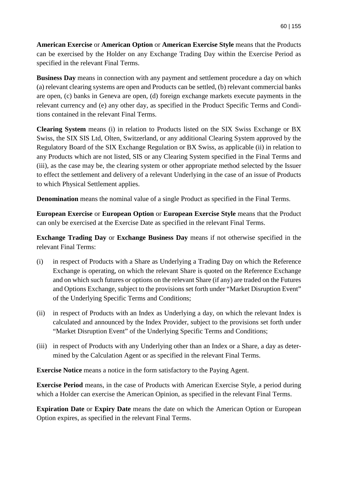**American Exercise** or **American Option** or **American Exercise Style** means that the Products can be exercised by the Holder on any Exchange Trading Day within the Exercise Period as specified in the relevant Final Terms.

**Business Day** means in connection with any payment and settlement procedure a day on which (a) relevant clearing systems are open and Products can be settled, (b) relevant commercial banks are open, (c) banks in Geneva are open, (d) foreign exchange markets execute payments in the relevant currency and (e) any other day, as specified in the Product Specific Terms and Conditions contained in the relevant Final Terms.

**Clearing System** means (i) in relation to Products listed on the SIX Swiss Exchange or BX Swiss, the SIX SIS Ltd, Olten, Switzerland, or any additional Clearing System approved by the Regulatory Board of the SIX Exchange Regulation or BX Swiss, as applicable (ii) in relation to any Products which are not listed, SIS or any Clearing System specified in the Final Terms and (iii), as the case may be, the clearing system or other appropriate method selected by the Issuer to effect the settlement and delivery of a relevant Underlying in the case of an issue of Products to which Physical Settlement applies.

**Denomination** means the nominal value of a single Product as specified in the Final Terms.

**European Exercise** or **European Option** or **European Exercise Style** means that the Product can only be exercised at the Exercise Date as specified in the relevant Final Terms.

**Exchange Trading Day** or **Exchange Business Day** means if not otherwise specified in the relevant Final Terms:

- (i) in respect of Products with a Share as Underlying a Trading Day on which the Reference Exchange is operating, on which the relevant Share is quoted on the Reference Exchange and on which such futures or options on the relevant Share (if any) are traded on the Futures and Options Exchange, subject to the provisions set forth under "Market Disruption Event" of the Underlying Specific Terms and Conditions;
- (ii) in respect of Products with an Index as Underlying a day, on which the relevant Index is calculated and announced by the Index Provider, subject to the provisions set forth under "Market Disruption Event" of the Underlying Specific Terms and Conditions;
- (iii) in respect of Products with any Underlying other than an Index or a Share, a day as determined by the Calculation Agent or as specified in the relevant Final Terms.

**Exercise Notice** means a notice in the form satisfactory to the Paying Agent.

**Exercise Period** means, in the case of Products with American Exercise Style, a period during which a Holder can exercise the American Opinion, as specified in the relevant Final Terms.

**Expiration Date** or **Expiry Date** means the date on which the American Option or European Option expires, as specified in the relevant Final Terms.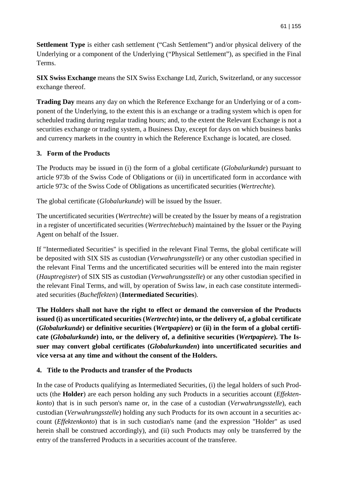**Settlement Type** is either cash settlement ("Cash Settlement") and/or physical delivery of the Underlying or a component of the Underlying ("Physical Settlement"), as specified in the Final Terms.

**SIX Swiss Exchange** means the SIX Swiss Exchange Ltd, Zurich, Switzerland, or any successor exchange thereof.

**Trading Day** means any day on which the Reference Exchange for an Underlying or of a component of the Underlying, to the extent this is an exchange or a trading system which is open for scheduled trading during regular trading hours; and, to the extent the Relevant Exchange is not a securities exchange or trading system, a Business Day, except for days on which business banks and currency markets in the country in which the Reference Exchange is located, are closed.

## **3. Form of the Products**

The Products may be issued in (i) the form of a global certificate (*Globalurkunde*) pursuant to article 973b of the Swiss Code of Obligations or (ii) in uncertificated form in accordance with article 973c of the Swiss Code of Obligations as uncertificated securities (*Wertrechte*).

The global certificate (*Globalurkunde*) will be issued by the Issuer.

The uncertificated securities (*Wertrechte*) will be created by the Issuer by means of a registration in a register of uncertificated securities (*Wertrechtebuch*) maintained by the Issuer or the Paying Agent on behalf of the Issuer.

If "Intermediated Securities" is specified in the relevant Final Terms, the global certificate will be deposited with SIX SIS as custodian (*Verwahrungsstelle*) or any other custodian specified in the relevant Final Terms and the uncertificated securities will be entered into the main register (*Hauptregister*) of SIX SIS as custodian (*Verwahrungsstelle*) or any other custodian specified in the relevant Final Terms, and will, by operation of Swiss law, in each case constitute intermediated securities (*Bucheffekten*) (**Intermediated Securities**).

**The Holders shall not have the right to effect or demand the conversion of the Products issued (i) as uncertificated securities (***Wertrechte***) into, or the delivery of, a global certificate (***Globalurkunde***) or definitive securities (***Wertpapiere***) or (ii) in the form of a global certificate (***Globalurkunde***) into, or the delivery of, a definitive securities (***Wertpapiere***). The Issuer may convert global certificates (***Globalurkunden***) into uncertificated securities and vice versa at any time and without the consent of the Holders.** 

### **4. Title to the Products and transfer of the Products**

In the case of Products qualifying as Intermediated Securities, (i) the legal holders of such Products (the **Holder**) are each person holding any such Products in a securities account (*Effektenkonto*) that is in such person's name or, in the case of a custodian (*Verwahrungsstelle*), each custodian (*Verwahrungsstelle*) holding any such Products for its own account in a securities account (*Effektenkonto*) that is in such custodian's name (and the expression "Holder" as used herein shall be construed accordingly), and (ii) such Products may only be transferred by the entry of the transferred Products in a securities account of the transferee.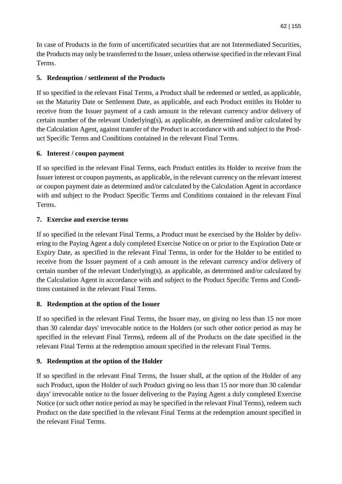In case of Products in the form of uncertificated securities that are not Intermediated Securities, the Products may only be transferred to the Issuer, unless otherwise specified in the relevant Final Terms.

# **5. Redemption / settlement of the Products**

If so specified in the relevant Final Terms, a Product shall be redeemed or settled, as applicable, on the Maturity Date or Settlement Date, as applicable, and each Product entitles its Holder to receive from the Issuer payment of a cash amount in the relevant currency and/or delivery of certain number of the relevant Underlying(s), as applicable, as determined and/or calculated by the Calculation Agent, against transfer of the Product in accordance with and subject to the Product Specific Terms and Conditions contained in the relevant Final Terms.

## **6. Interest / coupon payment**

If so specified in the relevant Final Terms, each Product entitles its Holder to receive from the Issuer interest or coupon payments, as applicable, in the relevant currency on the relevant interest or coupon payment date as determined and/or calculated by the Calculation Agent in accordance with and subject to the Product Specific Terms and Conditions contained in the relevant Final Terms.

## **7. Exercise and exercise terms**

If so specified in the relevant Final Terms, a Product must be exercised by the Holder by delivering to the Paying Agent a duly completed Exercise Notice on or prior to the Expiration Date or Expiry Date, as specified in the relevant Final Terms, in order for the Holder to be entitled to receive from the Issuer payment of a cash amount in the relevant currency and/or delivery of certain number of the relevant Underlying(s), as applicable, as determined and/or calculated by the Calculation Agent in accordance with and subject to the Product Specific Terms and Conditions contained in the relevant Final Terms.

# **8. Redemption at the option of the Issuer**

If so specified in the relevant Final Terms, the Issuer may, on giving no less than 15 nor more than 30 calendar days' irrevocable notice to the Holders (or such other notice period as may be specified in the relevant Final Terms), redeem all of the Products on the date specified in the relevant Final Terms at the redemption amount specified in the relevant Final Terms.

# **9. Redemption at the option of the Holder**

If so specified in the relevant Final Terms, the Issuer shall, at the option of the Holder of any such Product, upon the Holder of such Product giving no less than 15 nor more than 30 calendar days' irrevocable notice to the Issuer delivering to the Paying Agent a duly completed Exercise Notice (or such other notice period as may be specified in the relevant Final Terms), redeem such Product on the date specified in the relevant Final Terms at the redemption amount specified in the relevant Final Terms.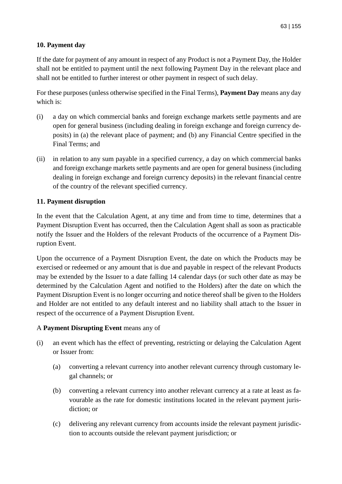# **10. Payment day**

If the date for payment of any amount in respect of any Product is not a Payment Day, the Holder shall not be entitled to payment until the next following Payment Day in the relevant place and shall not be entitled to further interest or other payment in respect of such delay.

For these purposes (unless otherwise specified in the Final Terms), **Payment Day** means any day which is:

- (i) a day on which commercial banks and foreign exchange markets settle payments and are open for general business (including dealing in foreign exchange and foreign currency deposits) in (a) the relevant place of payment; and (b) any Financial Centre specified in the Final Terms; and
- (ii) in relation to any sum payable in a specified currency, a day on which commercial banks and foreign exchange markets settle payments and are open for general business (including dealing in foreign exchange and foreign currency deposits) in the relevant financial centre of the country of the relevant specified currency.

## **11. Payment disruption**

In the event that the Calculation Agent, at any time and from time to time, determines that a Payment Disruption Event has occurred, then the Calculation Agent shall as soon as practicable notify the Issuer and the Holders of the relevant Products of the occurrence of a Payment Disruption Event.

Upon the occurrence of a Payment Disruption Event, the date on which the Products may be exercised or redeemed or any amount that is due and payable in respect of the relevant Products may be extended by the Issuer to a date falling 14 calendar days (or such other date as may be determined by the Calculation Agent and notified to the Holders) after the date on which the Payment Disruption Event is no longer occurring and notice thereof shall be given to the Holders and Holder are not entitled to any default interest and no liability shall attach to the Issuer in respect of the occurrence of a Payment Disruption Event.

### A **Payment Disrupting Event** means any of

- (i) an event which has the effect of preventing, restricting or delaying the Calculation Agent or Issuer from:
	- (a) converting a relevant currency into another relevant currency through customary legal channels; or
	- (b) converting a relevant currency into another relevant currency at a rate at least as favourable as the rate for domestic institutions located in the relevant payment jurisdiction; or
	- (c) delivering any relevant currency from accounts inside the relevant payment jurisdiction to accounts outside the relevant payment jurisdiction; or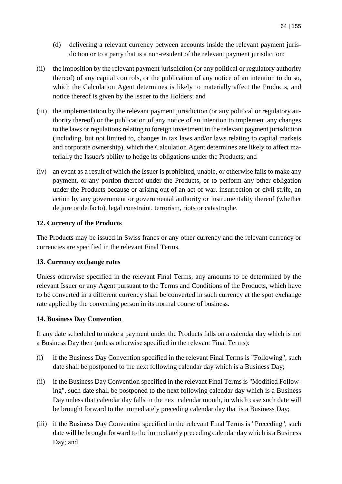- (d) delivering a relevant currency between accounts inside the relevant payment jurisdiction or to a party that is a non-resident of the relevant payment jurisdiction;
- (ii) the imposition by the relevant payment jurisdiction (or any political or regulatory authority thereof) of any capital controls, or the publication of any notice of an intention to do so, which the Calculation Agent determines is likely to materially affect the Products, and notice thereof is given by the Issuer to the Holders; and
- (iii) the implementation by the relevant payment jurisdiction (or any political or regulatory authority thereof) or the publication of any notice of an intention to implement any changes to the laws or regulations relating to foreign investment in the relevant payment jurisdiction (including, but not limited to, changes in tax laws and/or laws relating to capital markets and corporate ownership), which the Calculation Agent determines are likely to affect materially the Issuer's ability to hedge its obligations under the Products; and
- (iv) an event as a result of which the Issuer is prohibited, unable, or otherwise fails to make any payment, or any portion thereof under the Products, or to perform any other obligation under the Products because or arising out of an act of war, insurrection or civil strife, an action by any government or governmental authority or instrumentality thereof (whether de jure or de facto), legal constraint, terrorism, riots or catastrophe.

## **12. Currency of the Products**

The Products may be issued in Swiss francs or any other currency and the relevant currency or currencies are specified in the relevant Final Terms.

### **13. Currency exchange rates**

Unless otherwise specified in the relevant Final Terms, any amounts to be determined by the relevant Issuer or any Agent pursuant to the Terms and Conditions of the Products, which have to be converted in a different currency shall be converted in such currency at the spot exchange rate applied by the converting person in its normal course of business.

### **14. Business Day Convention**

If any date scheduled to make a payment under the Products falls on a calendar day which is not a Business Day then (unless otherwise specified in the relevant Final Terms):

- (i) if the Business Day Convention specified in the relevant Final Terms is "Following", such date shall be postponed to the next following calendar day which is a Business Day;
- (ii) if the Business Day Convention specified in the relevant Final Terms is "Modified Following", such date shall be postponed to the next following calendar day which is a Business Day unless that calendar day falls in the next calendar month, in which case such date will be brought forward to the immediately preceding calendar day that is a Business Day;
- (iii) if the Business Day Convention specified in the relevant Final Terms is "Preceding", such date will be brought forward to the immediately preceding calendar day which is a Business Day; and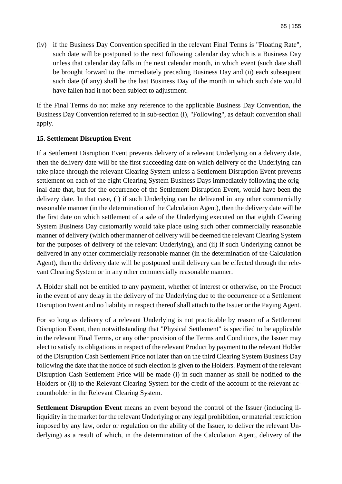(iv) if the Business Day Convention specified in the relevant Final Terms is "Floating Rate", such date will be postponed to the next following calendar day which is a Business Day unless that calendar day falls in the next calendar month, in which event (such date shall be brought forward to the immediately preceding Business Day and (ii) each subsequent such date (if any) shall be the last Business Day of the month in which such date would have fallen had it not been subject to adjustment.

If the Final Terms do not make any reference to the applicable Business Day Convention, the Business Day Convention referred to in sub-section (i), "Following", as default convention shall apply.

### **15. Settlement Disruption Event**

If a Settlement Disruption Event prevents delivery of a relevant Underlying on a delivery date, then the delivery date will be the first succeeding date on which delivery of the Underlying can take place through the relevant Clearing System unless a Settlement Disruption Event prevents settlement on each of the eight Clearing System Business Days immediately following the original date that, but for the occurrence of the Settlement Disruption Event, would have been the delivery date. In that case, (i) if such Underlying can be delivered in any other commercially reasonable manner (in the determination of the Calculation Agent), then the delivery date will be the first date on which settlement of a sale of the Underlying executed on that eighth Clearing System Business Day customarily would take place using such other commercially reasonable manner of delivery (which other manner of delivery will be deemed the relevant Clearing System for the purposes of delivery of the relevant Underlying), and (ii) if such Underlying cannot be delivered in any other commercially reasonable manner (in the determination of the Calculation Agent), then the delivery date will be postponed until delivery can be effected through the relevant Clearing System or in any other commercially reasonable manner.

A Holder shall not be entitled to any payment, whether of interest or otherwise, on the Product in the event of any delay in the delivery of the Underlying due to the occurrence of a Settlement Disruption Event and no liability in respect thereof shall attach to the Issuer or the Paying Agent.

For so long as delivery of a relevant Underlying is not practicable by reason of a Settlement Disruption Event, then notwithstanding that "Physical Settlement" is specified to be applicable in the relevant Final Terms, or any other provision of the Terms and Conditions, the Issuer may elect to satisfy its obligations in respect of the relevant Product by payment to the relevant Holder of the Disruption Cash Settlement Price not later than on the third Clearing System Business Day following the date that the notice of such election is given to the Holders. Payment of the relevant Disruption Cash Settlement Price will be made (i) in such manner as shall be notified to the Holders or (ii) to the Relevant Clearing System for the credit of the account of the relevant accountholder in the Relevant Clearing System.

**Settlement Disruption Event** means an event beyond the control of the Issuer (including illiquidity in the market for the relevant Underlying or any legal prohibition, or material restriction imposed by any law, order or regulation on the ability of the Issuer, to deliver the relevant Underlying) as a result of which, in the determination of the Calculation Agent, delivery of the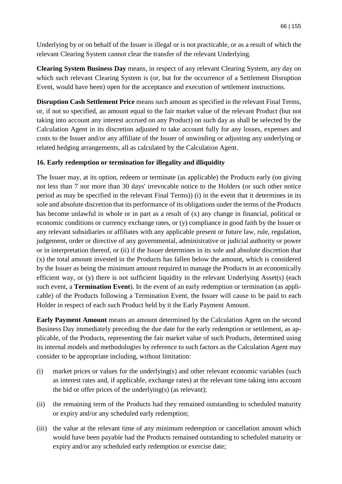Underlying by or on behalf of the Issuer is illegal or is not practicable, or as a result of which the relevant Clearing System cannot clear the transfer of the relevant Underlying.

**Clearing System Business Day** means, in respect of any relevant Clearing System, any day on which such relevant Clearing System is (or, but for the occurrence of a Settlement Disruption Event, would have been) open for the acceptance and execution of settlement instructions.

**Disruption Cash Settlement Price** means such amount as specified in the relevant Final Terms, or, if not so specified, an amount equal to the fair market value of the relevant Product (but not taking into account any interest accrued on any Product) on such day as shall be selected by the Calculation Agent in its discretion adjusted to take account fully for any losses, expenses and costs to the Issuer and/or any affiliate of the Issuer of unwinding or adjusting any underlying or related hedging arrangements, all as calculated by the Calculation Agent.

## **16. Early redemption or termination for illegality and illiquidity**

The Issuer may, at its option, redeem or terminate (as applicable) the Products early (on giving not less than 7 nor more than 30 days' irrevocable notice to the Holders (or such other notice period as may be specified in the relevant Final Terms)) (i) in the event that it determines in its sole and absolute discretion that its performance of its obligations under the terms of the Products has become unlawful in whole or in part as a result of (x) any change in financial, political or economic conditions or currency exchange rates, or (y) compliance in good faith by the Issuer or any relevant subsidiaries or affiliates with any applicable present or future law, rule, regulation, judgement, order or directive of any governmental, administrative or judicial authority or power or in interpretation thereof, or (ii) if the Issuer determines in its sole and absolute discretion that (x) the total amount invested in the Products has fallen below the amount, which is considered by the Issuer as being the minimum amount required to manage the Products in an economically efficient way, or (y) there is not sufficient liquidity in the relevant Underlying Asset(s) (each such event, a **Termination Event**). In the event of an early redemption or termination (as applicable) of the Products following a Termination Event, the Issuer will cause to be paid to each Holder in respect of each such Product held by it the Early Payment Amount.

**Early Payment Amount** means an amount determined by the Calculation Agent on the second Business Day immediately preceding the due date for the early redemption or settlement, as applicable, of the Products, representing the fair market value of such Products, determined using its internal models and methodologies by reference to such factors as the Calculation Agent may consider to be appropriate including, without limitation:

- (i) market prices or values for the underlying(s) and other relevant economic variables (such as interest rates and, if applicable, exchange rates) at the relevant time taking into account the bid or offer prices of the underlying(s) (as relevant);
- (ii) the remaining term of the Products had they remained outstanding to scheduled maturity or expiry and/or any scheduled early redemption;
- (iii) the value at the relevant time of any minimum redemption or cancellation amount which would have been payable had the Products remained outstanding to scheduled maturity or expiry and/or any scheduled early redemption or exercise date;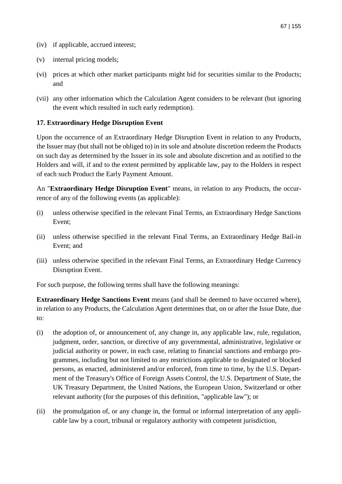- (iv) if applicable, accrued interest;
- (v) internal pricing models;
- (vi) prices at which other market participants might bid for securities similar to the Products; and
- (vii) any other information which the Calculation Agent considers to be relevant (but ignoring the event which resulted in such early redemption).

### **17. Extraordinary Hedge Disruption Event**

Upon the occurrence of an Extraordinary Hedge Disruption Event in relation to any Products, the Issuer may (but shall not be obliged to) in its sole and absolute discretion redeem the Products on such day as determined by the Issuer in its sole and absolute discretion and as notified to the Holders and will, if and to the extent permitted by applicable law, pay to the Holders in respect of each such Product the Early Payment Amount.

An "**Extraordinary Hedge Disruption Event**" means, in relation to any Products, the occurrence of any of the following events (as applicable):

- (i) unless otherwise specified in the relevant Final Terms, an Extraordinary Hedge Sanctions Event;
- (ii) unless otherwise specified in the relevant Final Terms, an Extraordinary Hedge Bail-in Event; and
- (iii) unless otherwise specified in the relevant Final Terms, an Extraordinary Hedge Currency Disruption Event.

For such purpose, the following terms shall have the following meanings:

**Extraordinary Hedge Sanctions Event** means (and shall be deemed to have occurred where), in relation to any Products, the Calculation Agent determines that, on or after the Issue Date, due to:

- (i) the adoption of, or announcement of, any change in, any applicable law, rule, regulation, judgment, order, sanction, or directive of any governmental, administrative, legislative or judicial authority or power, in each case, relating to financial sanctions and embargo programmes, including but not limited to any restrictions applicable to designated or blocked persons, as enacted, administered and/or enforced, from time to time, by the U.S. Department of the Treasury's Office of Foreign Assets Control, the U.S. Department of State, the UK Treasury Department, the United Nations, the European Union, Switzerland or other relevant authority (for the purposes of this definition, "applicable law"); or
- (ii) the promulgation of, or any change in, the formal or informal interpretation of any applicable law by a court, tribunal or regulatory authority with competent jurisdiction,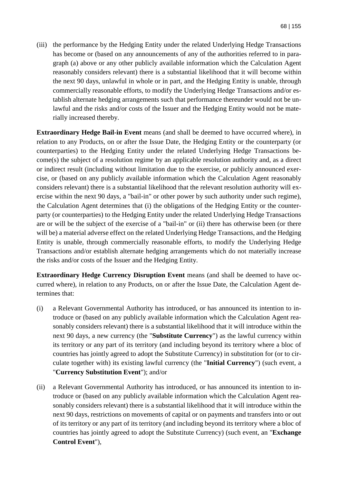(iii) the performance by the Hedging Entity under the related Underlying Hedge Transactions has become or (based on any announcements of any of the authorities referred to in paragraph (a) above or any other publicly available information which the Calculation Agent reasonably considers relevant) there is a substantial likelihood that it will become within the next 90 days, unlawful in whole or in part, and the Hedging Entity is unable, through commercially reasonable efforts, to modify the Underlying Hedge Transactions and/or establish alternate hedging arrangements such that performance thereunder would not be unlawful and the risks and/or costs of the Issuer and the Hedging Entity would not be materially increased thereby.

**Extraordinary Hedge Bail-in Event** means (and shall be deemed to have occurred where), in relation to any Products, on or after the Issue Date, the Hedging Entity or the counterparty (or counterparties) to the Hedging Entity under the related Underlying Hedge Transactions become(s) the subject of a resolution regime by an applicable resolution authority and, as a direct or indirect result (including without limitation due to the exercise, or publicly announced exercise, or (based on any publicly available information which the Calculation Agent reasonably considers relevant) there is a substantial likelihood that the relevant resolution authority will exercise within the next 90 days, a "bail-in" or other power by such authority under such regime), the Calculation Agent determines that (i) the obligations of the Hedging Entity or the counterparty (or counterparties) to the Hedging Entity under the related Underlying Hedge Transactions are or will be the subject of the exercise of a "bail-in" or (ii) there has otherwise been (or there will be) a material adverse effect on the related Underlying Hedge Transactions, and the Hedging Entity is unable, through commercially reasonable efforts, to modify the Underlying Hedge Transactions and/or establish alternate hedging arrangements which do not materially increase the risks and/or costs of the Issuer and the Hedging Entity.

**Extraordinary Hedge Currency Disruption Event** means (and shall be deemed to have occurred where), in relation to any Products, on or after the Issue Date, the Calculation Agent determines that:

- (i) a Relevant Governmental Authority has introduced, or has announced its intention to introduce or (based on any publicly available information which the Calculation Agent reasonably considers relevant) there is a substantial likelihood that it will introduce within the next 90 days, a new currency (the "**Substitute Currency**") as the lawful currency within its territory or any part of its territory (and including beyond its territory where a bloc of countries has jointly agreed to adopt the Substitute Currency) in substitution for (or to circulate together with) its existing lawful currency (the "**Initial Currency**") (such event, a "**Currency Substitution Event**"); and/or
- (ii) a Relevant Governmental Authority has introduced, or has announced its intention to introduce or (based on any publicly available information which the Calculation Agent reasonably considers relevant) there is a substantial likelihood that it will introduce within the next 90 days, restrictions on movements of capital or on payments and transfers into or out of its territory or any part of its territory (and including beyond its territory where a bloc of countries has jointly agreed to adopt the Substitute Currency) (such event, an "**Exchange Control Event**"),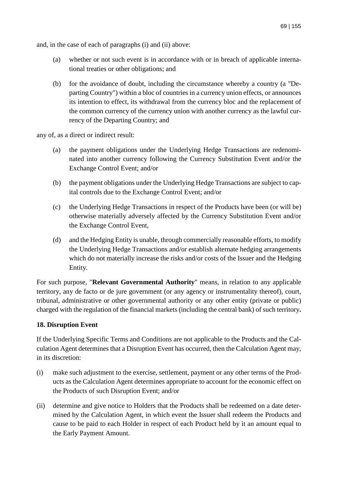and, in the case of each of paragraphs (i) and (ii) above:

- (a) whether or not such event is in accordance with or in breach of applicable international treaties or other obligations; and
- (b) for the avoidance of doubt, including the circumstance whereby a country (a "Departing Country") within a bloc of countries in a currency union effects, or announces its intention to effect, its withdrawal from the currency bloc and the replacement of the common currency of the currency union with another currency as the lawful currency of the Departing Country; and

any of, as a direct or indirect result:

- (a) the payment obligations under the Underlying Hedge Transactions are redenominated into another currency following the Currency Substitution Event and/or the Exchange Control Event; and/or
- (b) the payment obligations under the Underlying Hedge Transactions are subject to capital controls due to the Exchange Control Event; and/or
- (c) the Underlying Hedge Transactions in respect of the Products have been (or will be) otherwise materially adversely affected by the Currency Substitution Event and/or the Exchange Control Event,
- (d) and the Hedging Entity is unable, through commercially reasonable efforts, to modify the Underlying Hedge Transactions and/or establish alternate hedging arrangements which do not materially increase the risks and/or costs of the Issuer and the Hedging Entity.

For such purpose, "**Relevant Governmental Authority**" means, in relation to any applicable territory, any de facto or de jure government (or any agency or instrumentality thereof), court, tribunal, administrative or other governmental authority or any other entity (private or public) charged with the regulation of the financial markets (including the central bank) of such territory**.** 

### **18. Disruption Event**

If the Underlying Specific Terms and Conditions are not applicable to the Products and the Calculation Agent determines that a Disruption Event has occurred, then the Calculation Agent may, in its discretion:

- (i) make such adjustment to the exercise, settlement, payment or any other terms of the Products as the Calculation Agent determines appropriate to account for the economic effect on the Products of such Disruption Event; and/or
- (ii) determine and give notice to Holders that the Products shall be redeemed on a date determined by the Calculation Agent, in which event the Issuer shall redeem the Products and cause to be paid to each Holder in respect of each Product held by it an amount equal to the Early Payment Amount.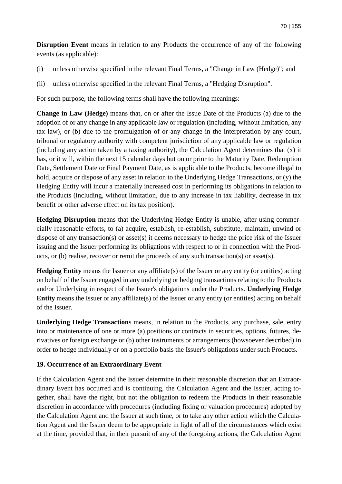**Disruption Event** means in relation to any Products the occurrence of any of the following events (as applicable):

- (i) unless otherwise specified in the relevant Final Terms, a "Change in Law (Hedge)"; and
- (ii) unless otherwise specified in the relevant Final Terms, a "Hedging Disruption".

For such purpose, the following terms shall have the following meanings:

**Change in Law (Hedge)** means that, on or after the Issue Date of the Products (a) due to the adoption of or any change in any applicable law or regulation (including, without limitation, any tax law), or (b) due to the promulgation of or any change in the interpretation by any court, tribunal or regulatory authority with competent jurisdiction of any applicable law or regulation (including any action taken by a taxing authority), the Calculation Agent determines that  $(x)$  it has, or it will, within the next 15 calendar days but on or prior to the Maturity Date, Redemption Date, Settlement Date or Final Payment Date, as is applicable to the Products, become illegal to hold, acquire or dispose of any asset in relation to the Underlying Hedge Transactions, or (y) the Hedging Entity will incur a materially increased cost in performing its obligations in relation to the Products (including, without limitation, due to any increase in tax liability, decrease in tax benefit or other adverse effect on its tax position).

**Hedging Disruption** means that the Underlying Hedge Entity is unable, after using commercially reasonable efforts, to (a) acquire, establish, re-establish, substitute, maintain, unwind or dispose of any transaction(s) or asset(s) it deems necessary to hedge the price risk of the Issuer issuing and the Issuer performing its obligations with respect to or in connection with the Products, or (b) realise, recover or remit the proceeds of any such transaction(s) or asset(s).

**Hedging Entity** means the Issuer or any affiliate(s) of the Issuer or any entity (or entities) acting on behalf of the Issuer engaged in any underlying or hedging transactions relating to the Products and/or Underlying in respect of the Issuer's obligations under the Products. **Underlying Hedge Entity** means the Issuer or any affiliate(s) of the Issuer or any entity (or entities) acting on behalf of the Issuer.

**Underlying Hedge Transaction**s means, in relation to the Products, any purchase, sale, entry into or maintenance of one or more (a) positions or contracts in securities, options, futures, derivatives or foreign exchange or (b) other instruments or arrangements (howsoever described) in order to hedge individually or on a portfolio basis the Issuer's obligations under such Products.

### **19. Occurrence of an Extraordinary Event**

If the Calculation Agent and the Issuer determine in their reasonable discretion that an Extraordinary Event has occurred and is continuing, the Calculation Agent and the Issuer, acting together, shall have the right, but not the obligation to redeem the Products in their reasonable discretion in accordance with procedures (including fixing or valuation procedures) adopted by the Calculation Agent and the Issuer at such time, or to take any other action which the Calculation Agent and the Issuer deem to be appropriate in light of all of the circumstances which exist at the time, provided that, in their pursuit of any of the foregoing actions, the Calculation Agent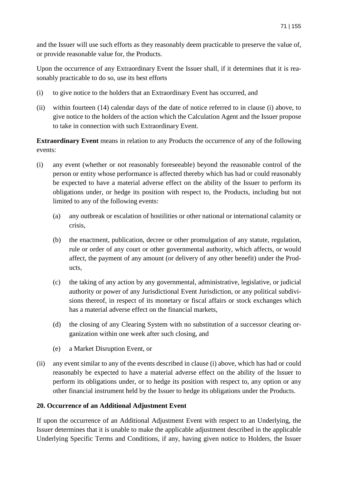and the Issuer will use such efforts as they reasonably deem practicable to preserve the value of, or provide reasonable value for, the Products.

Upon the occurrence of any Extraordinary Event the Issuer shall, if it determines that it is reasonably practicable to do so, use its best efforts

- (i) to give notice to the holders that an Extraordinary Event has occurred, and
- (ii) within fourteen (14) calendar days of the date of notice referred to in clause (i) above, to give notice to the holders of the action which the Calculation Agent and the Issuer propose to take in connection with such Extraordinary Event.

**Extraordinary Event** means in relation to any Products the occurrence of any of the following events:

- (i) any event (whether or not reasonably foreseeable) beyond the reasonable control of the person or entity whose performance is affected thereby which has had or could reasonably be expected to have a material adverse effect on the ability of the Issuer to perform its obligations under, or hedge its position with respect to, the Products, including but not limited to any of the following events:
	- (a) any outbreak or escalation of hostilities or other national or international calamity or crisis,
	- (b) the enactment, publication, decree or other promulgation of any statute, regulation, rule or order of any court or other governmental authority, which affects, or would affect, the payment of any amount (or delivery of any other benefit) under the Products,
	- (c) the taking of any action by any governmental, administrative, legislative, or judicial authority or power of any Jurisdictional Event Jurisdiction, or any political subdivisions thereof, in respect of its monetary or fiscal affairs or stock exchanges which has a material adverse effect on the financial markets,
	- (d) the closing of any Clearing System with no substitution of a successor clearing organization within one week after such closing, and
	- (e) a Market Disruption Event, or
- (ii) any event similar to any of the events described in clause (i) above, which has had or could reasonably be expected to have a material adverse effect on the ability of the Issuer to perform its obligations under, or to hedge its position with respect to, any option or any other financial instrument held by the Issuer to hedge its obligations under the Products.

### **20. Occurrence of an Additional Adjustment Event**

If upon the occurrence of an Additional Adjustment Event with respect to an Underlying, the Issuer determines that it is unable to make the applicable adjustment described in the applicable Underlying Specific Terms and Conditions, if any, having given notice to Holders, the Issuer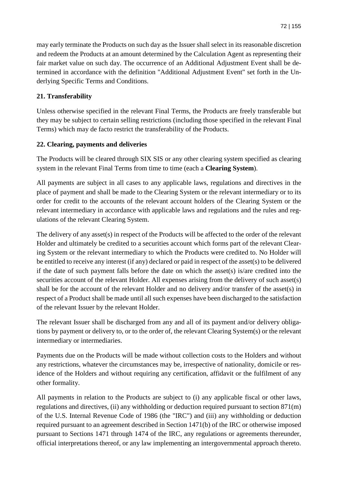may early terminate the Products on such day as the Issuer shall select in its reasonable discretion and redeem the Products at an amount determined by the Calculation Agent as representing their fair market value on such day. The occurrence of an Additional Adjustment Event shall be determined in accordance with the definition "Additional Adjustment Event" set forth in the Underlying Specific Terms and Conditions.

# **21. Transferability**

Unless otherwise specified in the relevant Final Terms, the Products are freely transferable but they may be subject to certain selling restrictions (including those specified in the relevant Final Terms) which may de facto restrict the transferability of the Products.

# **22. Clearing, payments and deliveries**

The Products will be cleared through SIX SIS or any other clearing system specified as clearing system in the relevant Final Terms from time to time (each a **Clearing System**).

All payments are subject in all cases to any applicable laws, regulations and directives in the place of payment and shall be made to the Clearing System or the relevant intermediary or to its order for credit to the accounts of the relevant account holders of the Clearing System or the relevant intermediary in accordance with applicable laws and regulations and the rules and regulations of the relevant Clearing System.

The delivery of any asset(s) in respect of the Products will be affected to the order of the relevant Holder and ultimately be credited to a securities account which forms part of the relevant Clearing System or the relevant intermediary to which the Products were credited to. No Holder will be entitled to receive any interest (if any) declared or paid in respect of the asset(s) to be delivered if the date of such payment falls before the date on which the asset(s) is/are credited into the securities account of the relevant Holder. All expenses arising from the delivery of such asset(s) shall be for the account of the relevant Holder and no delivery and/or transfer of the asset(s) in respect of a Product shall be made until all such expenses have been discharged to the satisfaction of the relevant Issuer by the relevant Holder.

The relevant Issuer shall be discharged from any and all of its payment and/or delivery obligations by payment or delivery to, or to the order of, the relevant Clearing System(s) or the relevant intermediary or intermediaries.

Payments due on the Products will be made without collection costs to the Holders and without any restrictions, whatever the circumstances may be, irrespective of nationality, domicile or residence of the Holders and without requiring any certification, affidavit or the fulfilment of any other formality.

All payments in relation to the Products are subject to (i) any applicable fiscal or other laws, regulations and directives, (ii) any withholding or deduction required pursuant to section 871(m) of the U.S. Internal Revenue Code of 1986 (the "IRC") and (iii) any withholding or deduction required pursuant to an agreement described in Section 1471(b) of the IRC or otherwise imposed pursuant to Sections 1471 through 1474 of the IRC, any regulations or agreements thereunder, official interpretations thereof, or any law implementing an intergovernmental approach thereto.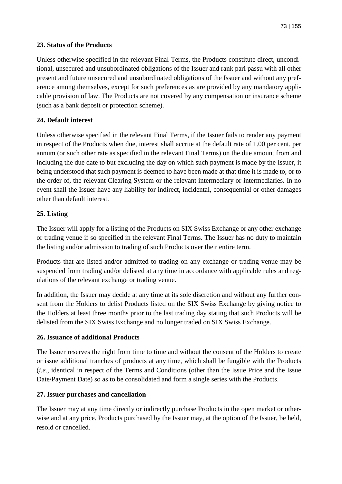### **23. Status of the Products**

Unless otherwise specified in the relevant Final Terms, the Products constitute direct, unconditional, unsecured and unsubordinated obligations of the Issuer and rank pari passu with all other present and future unsecured and unsubordinated obligations of the Issuer and without any preference among themselves, except for such preferences as are provided by any mandatory applicable provision of law. The Products are not covered by any compensation or insurance scheme (such as a bank deposit or protection scheme).

## **24. Default interest**

Unless otherwise specified in the relevant Final Terms, if the Issuer fails to render any payment in respect of the Products when due, interest shall accrue at the default rate of 1.00 per cent. per annum (or such other rate as specified in the relevant Final Terms) on the due amount from and including the due date to but excluding the day on which such payment is made by the Issuer, it being understood that such payment is deemed to have been made at that time it is made to, or to the order of, the relevant Clearing System or the relevant intermediary or intermediaries. In no event shall the Issuer have any liability for indirect, incidental, consequential or other damages other than default interest.

### **25. Listing**

The Issuer will apply for a listing of the Products on SIX Swiss Exchange or any other exchange or trading venue if so specified in the relevant Final Terms. The Issuer has no duty to maintain the listing and/or admission to trading of such Products over their entire term.

Products that are listed and/or admitted to trading on any exchange or trading venue may be suspended from trading and/or delisted at any time in accordance with applicable rules and regulations of the relevant exchange or trading venue.

In addition, the Issuer may decide at any time at its sole discretion and without any further consent from the Holders to delist Products listed on the SIX Swiss Exchange by giving notice to the Holders at least three months prior to the last trading day stating that such Products will be delisted from the SIX Swiss Exchange and no longer traded on SIX Swiss Exchange.

### **26. Issuance of additional Products**

The Issuer reserves the right from time to time and without the consent of the Holders to create or issue additional tranches of products at any time, which shall be fungible with the Products (*i.e.*, identical in respect of the Terms and Conditions (other than the Issue Price and the Issue Date/Payment Date) so as to be consolidated and form a single series with the Products.

### **27. Issuer purchases and cancellation**

The Issuer may at any time directly or indirectly purchase Products in the open market or otherwise and at any price. Products purchased by the Issuer may, at the option of the Issuer, be held, resold or cancelled.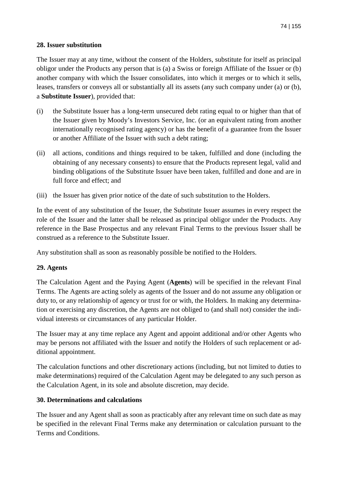### **28. Issuer substitution**

The Issuer may at any time, without the consent of the Holders, substitute for itself as principal obligor under the Products any person that is (a) a Swiss or foreign Affiliate of the Issuer or (b) another company with which the Issuer consolidates, into which it merges or to which it sells, leases, transfers or conveys all or substantially all its assets (any such company under (a) or (b), a **Substitute Issuer**), provided that:

- (i) the Substitute Issuer has a long-term unsecured debt rating equal to or higher than that of the Issuer given by Moody's Investors Service, Inc. (or an equivalent rating from another internationally recognised rating agency) or has the benefit of a guarantee from the Issuer or another Affiliate of the Issuer with such a debt rating;
- (ii) all actions, conditions and things required to be taken, fulfilled and done (including the obtaining of any necessary consents) to ensure that the Products represent legal, valid and binding obligations of the Substitute Issuer have been taken, fulfilled and done and are in full force and effect; and
- (iii) the Issuer has given prior notice of the date of such substitution to the Holders.

In the event of any substitution of the Issuer, the Substitute Issuer assumes in every respect the role of the Issuer and the latter shall be released as principal obligor under the Products. Any reference in the Base Prospectus and any relevant Final Terms to the previous Issuer shall be construed as a reference to the Substitute Issuer.

Any substitution shall as soon as reasonably possible be notified to the Holders.

### **29. Agents**

The Calculation Agent and the Paying Agent (**Agents**) will be specified in the relevant Final Terms. The Agents are acting solely as agents of the Issuer and do not assume any obligation or duty to, or any relationship of agency or trust for or with, the Holders. In making any determination or exercising any discretion, the Agents are not obliged to (and shall not) consider the individual interests or circumstances of any particular Holder.

The Issuer may at any time replace any Agent and appoint additional and/or other Agents who may be persons not affiliated with the Issuer and notify the Holders of such replacement or additional appointment.

The calculation functions and other discretionary actions (including, but not limited to duties to make determinations) required of the Calculation Agent may be delegated to any such person as the Calculation Agent, in its sole and absolute discretion, may decide.

### **30. Determinations and calculations**

The Issuer and any Agent shall as soon as practicably after any relevant time on such date as may be specified in the relevant Final Terms make any determination or calculation pursuant to the Terms and Conditions.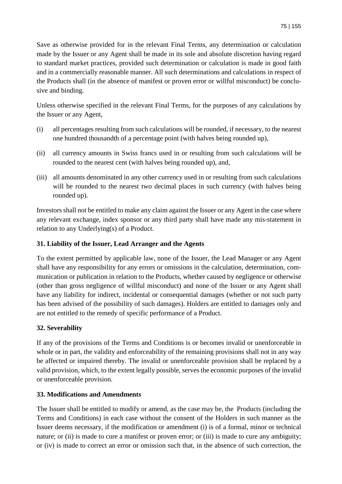Save as otherwise provided for in the relevant Final Terms, any determination or calculation made by the Issuer or any Agent shall be made in its sole and absolute discretion having regard to standard market practices, provided such determination or calculation is made in good faith and in a commercially reasonable manner. All such determinations and calculations in respect of the Products shall (in the absence of manifest or proven error or willful misconduct) be conclusive and binding.

Unless otherwise specified in the relevant Final Terms, for the purposes of any calculations by the Issuer or any Agent,

- (i) all percentages resulting from such calculations will be rounded, if necessary, to the nearest one hundred thousandth of a percentage point (with halves being rounded up),
- (ii) all currency amounts in Swiss francs used in or resulting from such calculations will be rounded to the nearest cent (with halves being rounded up), and,
- (iii) all amounts denominated in any other currency used in or resulting from such calculations will be rounded to the nearest two decimal places in such currency (with halves being rounded up).

Investors shall not be entitled to make any claim against the Issuer or any Agent in the case where any relevant exchange, index sponsor or any third party shall have made any mis-statement in relation to any Underlying(s) of a Product.

## **31. Liability of the Issuer, Lead Arranger and the Agents**

To the extent permitted by applicable law, none of the Issuer, the Lead Manager or any Agent shall have any responsibility for any errors or omissions in the calculation, determination, communication or publication in relation to the Products, whether caused by negligence or otherwise (other than gross negligence of willful misconduct) and none of the Issuer or any Agent shall have any liability for indirect, incidental or consequential damages (whether or not such party has been advised of the possibility of such damages). Holders are entitled to damages only and are not entitled to the remedy of specific performance of a Product.

# **32. Severability**

If any of the provisions of the Terms and Conditions is or becomes invalid or unenforceable in whole or in part, the validity and enforceability of the remaining provisions shall not in any way be affected or impaired thereby. The invalid or unenforceable provision shall be replaced by a valid provision, which, to the extent legally possible, serves the economic purposes of the invalid or unenforceable provision.

### **33. Modifications and Amendments**

The Issuer shall be entitled to modify or amend, as the case may be, the Products (including the Terms and Conditions) in each case without the consent of the Holders in such manner as the Issuer deems necessary, if the modification or amendment (i) is of a formal, minor or technical nature; or (ii) is made to cure a manifest or proven error; or (iii) is made to cure any ambiguity; or (iv) is made to correct an error or omission such that, in the absence of such correction, the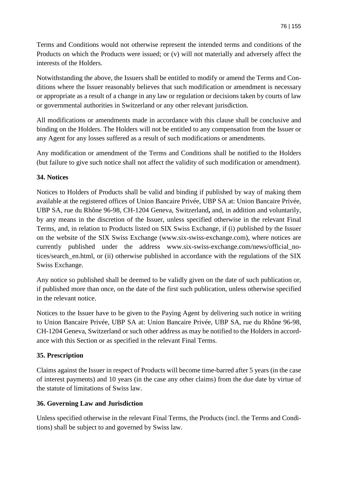Terms and Conditions would not otherwise represent the intended terms and conditions of the Products on which the Products were issued; or (v) will not materially and adversely affect the interests of the Holders.

Notwithstanding the above, the Issuers shall be entitled to modify or amend the Terms and Conditions where the Issuer reasonably believes that such modification or amendment is necessary or appropriate as a result of a change in any law or regulation or decisions taken by courts of law or governmental authorities in Switzerland or any other relevant jurisdiction.

All modifications or amendments made in accordance with this clause shall be conclusive and binding on the Holders. The Holders will not be entitled to any compensation from the Issuer or any Agent for any losses suffered as a result of such modifications or amendments.

Any modification or amendment of the Terms and Conditions shall be notified to the Holders (but failure to give such notice shall not affect the validity of such modification or amendment).

### **34. Notices**

Notices to Holders of Products shall be valid and binding if published by way of making them available at the registered offices of Union Bancaire Privée, UBP SA at: Union Bancaire Privée, UBP SA, rue du Rhône 96-98, CH-1204 Geneva, Switzerland**,** and, in addition and voluntarily, by any means in the discretion of the Issuer, unless specified otherwise in the relevant Final Terms, and, in relation to Products listed on SIX Swiss Exchange, if (i) published by the Issuer on the website of the SIX Swiss Exchange (www.six-swiss-exchange.com), where notices are currently published under the address www.six-swiss-exchange.com/news/official\_notices/search\_en.html, or (ii) otherwise published in accordance with the regulations of the SIX Swiss Exchange.

Any notice so published shall be deemed to be validly given on the date of such publication or, if published more than once, on the date of the first such publication, unless otherwise specified in the relevant notice.

Notices to the Issuer have to be given to the Paying Agent by delivering such notice in writing to Union Bancaire Privée, UBP SA at: Union Bancaire Privée, UBP SA, rue du Rhône 96-98, CH-1204 Geneva, Switzerland or such other address as may be notified to the Holders in accordance with this Section or as specified in the relevant Final Terms.

# **35. Prescription**

Claims against the Issuer in respect of Products will become time-barred after 5 years (in the case of interest payments) and 10 years (in the case any other claims) from the due date by virtue of the statute of limitations of Swiss law.

# **36. Governing Law and Jurisdiction**

Unless specified otherwise in the relevant Final Terms, the Products (incl. the Terms and Conditions) shall be subject to and governed by Swiss law.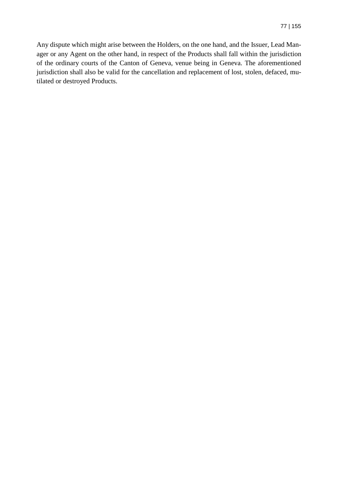Any dispute which might arise between the Holders, on the one hand, and the Issuer, Lead Manager or any Agent on the other hand, in respect of the Products shall fall within the jurisdiction of the ordinary courts of the Canton of Geneva, venue being in Geneva. The aforementioned jurisdiction shall also be valid for the cancellation and replacement of lost, stolen, defaced, mutilated or destroyed Products.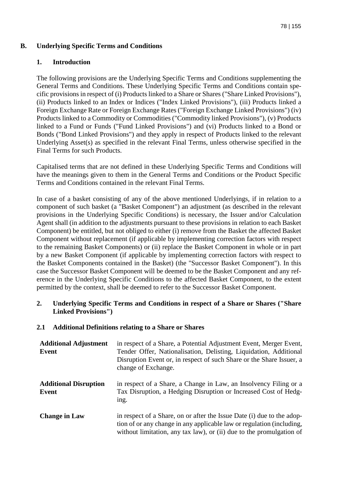### **B. Underlying Specific Terms and Conditions**

### **1. Introduction**

The following provisions are the Underlying Specific Terms and Conditions supplementing the General Terms and Conditions. These Underlying Specific Terms and Conditions contain specific provisions in respect of (i) Products linked to a Share or Shares ("Share Linked Provisions"), (ii) Products linked to an Index or Indices ("Index Linked Provisions"), (iii) Products linked a Foreign Exchange Rate or Foreign Exchange Rates ("Foreign Exchange Linked Provisions") (iv) Products linked to a Commodity or Commodities ("Commodity linked Provisions"), (v) Products linked to a Fund or Funds ("Fund Linked Provisions") and (vi) Products linked to a Bond or Bonds ("Bond Linked Provisions") and they apply in respect of Products linked to the relevant Underlying Asset(s) as specified in the relevant Final Terms, unless otherwise specified in the Final Terms for such Products.

Capitalised terms that are not defined in these Underlying Specific Terms and Conditions will have the meanings given to them in the General Terms and Conditions or the Product Specific Terms and Conditions contained in the relevant Final Terms.

In case of a basket consisting of any of the above mentioned Underlyings, if in relation to a component of such basket (a "Basket Component") an adjustment (as described in the relevant provisions in the Underlying Specific Conditions) is necessary, the Issuer and/or Calculation Agent shall (in addition to the adjustments pursuant to these provisions in relation to each Basket Component) be entitled, but not obliged to either (i) remove from the Basket the affected Basket Component without replacement (if applicable by implementing correction factors with respect to the remaining Basket Components) or (ii) replace the Basket Component in whole or in part by a new Basket Component (if applicable by implementing correction factors with respect to the Basket Components contained in the Basket) (the "Successor Basket Component"). In this case the Successor Basket Component will be deemed to be the Basket Component and any reference in the Underlying Specific Conditions to the affected Basket Component, to the extent permitted by the context, shall be deemed to refer to the Successor Basket Component.

### **2. Underlying Specific Terms and Conditions in respect of a Share or Shares ("Share Linked Provisions")**

### **2.1 Additional Definitions relating to a Share or Shares**

| <b>Additional Adjustment</b><br>Event | in respect of a Share, a Potential Adjustment Event, Merger Event,<br>Tender Offer, Nationalisation, Delisting, Liquidation, Additional<br>Disruption Event or, in respect of such Share or the Share Issuer, a<br>change of Exchange. |
|---------------------------------------|----------------------------------------------------------------------------------------------------------------------------------------------------------------------------------------------------------------------------------------|
| <b>Additional Disruption</b><br>Event | in respect of a Share, a Change in Law, an Insolvency Filing or a<br>Tax Disruption, a Hedging Disruption or Increased Cost of Hedg-<br>ing.                                                                                           |
| <b>Change in Law</b>                  | in respect of a Share, on or after the Issue Date (i) due to the adop-<br>tion of or any change in any applicable law or regulation (including,<br>without limitation, any tax law), or (ii) due to the promulgation of                |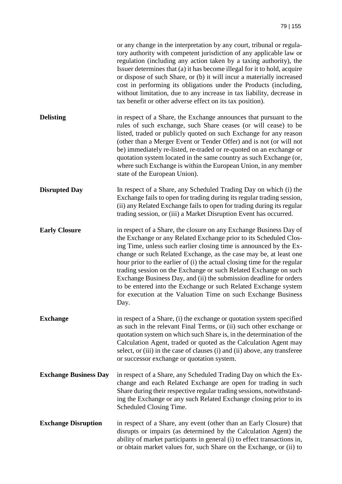|                              | or any change in the interpretation by any court, tribunal or regula-<br>tory authority with competent jurisdiction of any applicable law or<br>regulation (including any action taken by a taxing authority), the<br>Issuer determines that (a) it has become illegal for it to hold, acquire<br>or dispose of such Share, or (b) it will incur a materially increased<br>cost in performing its obligations under the Products (including,<br>without limitation, due to any increase in tax liability, decrease in<br>tax benefit or other adverse effect on its tax position).                                                                   |
|------------------------------|------------------------------------------------------------------------------------------------------------------------------------------------------------------------------------------------------------------------------------------------------------------------------------------------------------------------------------------------------------------------------------------------------------------------------------------------------------------------------------------------------------------------------------------------------------------------------------------------------------------------------------------------------|
| <b>Delisting</b>             | in respect of a Share, the Exchange announces that pursuant to the<br>rules of such exchange, such Share ceases (or will cease) to be<br>listed, traded or publicly quoted on such Exchange for any reason<br>(other than a Merger Event or Tender Offer) and is not (or will not<br>be) immediately re-listed, re-traded or re-quoted on an exchange or<br>quotation system located in the same country as such Exchange (or,<br>where such Exchange is within the European Union, in any member<br>state of the European Union).                                                                                                                   |
| <b>Disrupted Day</b>         | In respect of a Share, any Scheduled Trading Day on which (i) the<br>Exchange fails to open for trading during its regular trading session,<br>(ii) any Related Exchange fails to open for trading during its regular<br>trading session, or (iii) a Market Disruption Event has occurred.                                                                                                                                                                                                                                                                                                                                                           |
| <b>Early Closure</b>         | in respect of a Share, the closure on any Exchange Business Day of<br>the Exchange or any Related Exchange prior to its Scheduled Clos-<br>ing Time, unless such earlier closing time is announced by the Ex-<br>change or such Related Exchange, as the case may be, at least one<br>hour prior to the earlier of (i) the actual closing time for the regular<br>trading session on the Exchange or such Related Exchange on such<br>Exchange Business Day, and (ii) the submission deadline for orders<br>to be entered into the Exchange or such Related Exchange system<br>for execution at the Valuation Time on such Exchange Business<br>Day. |
| <b>Exchange</b>              | in respect of a Share, (i) the exchange or quotation system specified<br>as such in the relevant Final Terms, or (ii) such other exchange or<br>quotation system on which such Share is, in the determination of the<br>Calculation Agent, traded or quoted as the Calculation Agent may<br>select, or (iii) in the case of clauses (i) and (ii) above, any transferee<br>or successor exchange or quotation system.                                                                                                                                                                                                                                 |
| <b>Exchange Business Day</b> | in respect of a Share, any Scheduled Trading Day on which the Ex-<br>change and each Related Exchange are open for trading in such<br>Share during their respective regular trading sessions, notwithstand-<br>ing the Exchange or any such Related Exchange closing prior to its<br>Scheduled Closing Time.                                                                                                                                                                                                                                                                                                                                         |
| <b>Exchange Disruption</b>   | in respect of a Share, any event (other than an Early Closure) that<br>disrupts or impairs (as determined by the Calculation Agent) the<br>ability of market participants in general (i) to effect transactions in,<br>or obtain market values for, such Share on the Exchange, or (ii) to                                                                                                                                                                                                                                                                                                                                                           |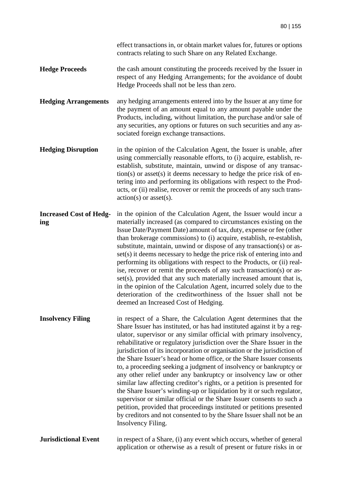effect transactions in, or obtain market values for, futures or options contracts relating to such Share on any Related Exchange.

- **Hedge Proceeds** the cash amount constituting the proceeds received by the Issuer in respect of any Hedging Arrangements; for the avoidance of doubt Hedge Proceeds shall not be less than zero.
- **Hedging Arrangements** any hedging arrangements entered into by the Issuer at any time for the payment of an amount equal to any amount payable under the Products, including, without limitation, the purchase and/or sale of any securities, any options or futures on such securities and any associated foreign exchange transactions.
- **Hedging Disruption** in the opinion of the Calculation Agent, the Issuer is unable, after using commercially reasonable efforts, to (i) acquire, establish, reestablish, substitute, maintain, unwind or dispose of any transaction(s) or asset(s) it deems necessary to hedge the price risk of entering into and performing its obligations with respect to the Products, or (ii) realise, recover or remit the proceeds of any such trans $action(s)$  or asset $(s)$ .
- **Increased Cost of Hedging**  in the opinion of the Calculation Agent, the Issuer would incur a materially increased (as compared to circumstances existing on the Issue Date/Payment Date) amount of tax, duty, expense or fee (other than brokerage commissions) to (i) acquire, establish, re-establish, substitute, maintain, unwind or dispose of any transaction(s) or asset(s) it deems necessary to hedge the price risk of entering into and performing its obligations with respect to the Products, or (ii) realise, recover or remit the proceeds of any such transaction(s) or asset(s), provided that any such materially increased amount that is, in the opinion of the Calculation Agent, incurred solely due to the deterioration of the creditworthiness of the Issuer shall not be deemed an Increased Cost of Hedging.
- **Insolvency Filing** in respect of a Share, the Calculation Agent determines that the Share Issuer has instituted, or has had instituted against it by a regulator, supervisor or any similar official with primary insolvency, rehabilitative or regulatory jurisdiction over the Share Issuer in the jurisdiction of its incorporation or organisation or the jurisdiction of the Share Issuer's head or home office, or the Share Issuer consents to, a proceeding seeking a judgment of insolvency or bankruptcy or any other relief under any bankruptcy or insolvency law or other similar law affecting creditor's rights, or a petition is presented for the Share Issuer's winding-up or liquidation by it or such regulator, supervisor or similar official or the Share Issuer consents to such a petition, provided that proceedings instituted or petitions presented by creditors and not consented to by the Share Issuer shall not be an Insolvency Filing.
- **Jurisdictional Event** in respect of a Share, (i) any event which occurs, whether of general application or otherwise as a result of present or future risks in or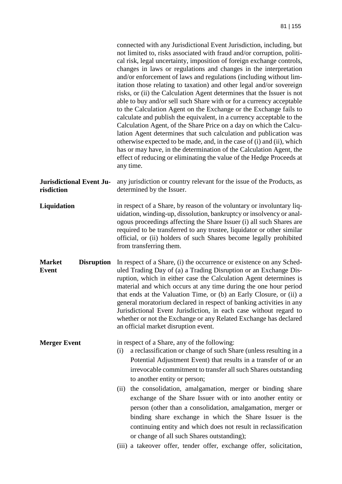|                                                    | connected with any Jurisdictional Event Jurisdiction, including, but<br>not limited to, risks associated with fraud and/or corruption, politi-<br>cal risk, legal uncertainty, imposition of foreign exchange controls,<br>changes in laws or regulations and changes in the interpretation<br>and/or enforcement of laws and regulations (including without lim-<br>itation those relating to taxation) and other legal and/or sovereign<br>risks, or (ii) the Calculation Agent determines that the Issuer is not<br>able to buy and/or sell such Share with or for a currency acceptable<br>to the Calculation Agent on the Exchange or the Exchange fails to<br>calculate and publish the equivalent, in a currency acceptable to the<br>Calculation Agent, of the Share Price on a day on which the Calcu-<br>lation Agent determines that such calculation and publication was<br>otherwise expected to be made, and, in the case of (i) and (ii), which<br>has or may have, in the determination of the Calculation Agent, the<br>effect of reducing or eliminating the value of the Hedge Proceeds at<br>any time. |
|----------------------------------------------------|----------------------------------------------------------------------------------------------------------------------------------------------------------------------------------------------------------------------------------------------------------------------------------------------------------------------------------------------------------------------------------------------------------------------------------------------------------------------------------------------------------------------------------------------------------------------------------------------------------------------------------------------------------------------------------------------------------------------------------------------------------------------------------------------------------------------------------------------------------------------------------------------------------------------------------------------------------------------------------------------------------------------------------------------------------------------------------------------------------------------------|
| <b>Jurisdictional Event Ju-</b><br>risdiction      | any jurisdiction or country relevant for the issue of the Products, as<br>determined by the Issuer.                                                                                                                                                                                                                                                                                                                                                                                                                                                                                                                                                                                                                                                                                                                                                                                                                                                                                                                                                                                                                        |
| Liquidation                                        | in respect of a Share, by reason of the voluntary or involuntary liq-<br>uidation, winding-up, dissolution, bankruptcy or insolvency or anal-<br>ogous proceedings affecting the Share Issuer (i) all such Shares are<br>required to be transferred to any trustee, liquidator or other similar<br>official, or (ii) holders of such Shares become legally prohibited<br>from transferring them.                                                                                                                                                                                                                                                                                                                                                                                                                                                                                                                                                                                                                                                                                                                           |
| <b>Market</b><br><b>Disruption</b><br><b>Event</b> | In respect of a Share, (i) the occurrence or existence on any Sched-<br>uled Trading Day of (a) a Trading Disruption or an Exchange Dis-<br>ruption, which in either case the Calculation Agent determines is<br>material and which occurs at any time during the one hour period<br>that ends at the Valuation Time, or (b) an Early Closure, or (ii) a<br>general moratorium declared in respect of banking activities in any<br>Jurisdictional Event Jurisdiction, in each case without regard to<br>whether or not the Exchange or any Related Exchange has declared<br>an official market disruption event.                                                                                                                                                                                                                                                                                                                                                                                                                                                                                                           |
| <b>Merger Event</b>                                | in respect of a Share, any of the following:<br>a reclassification or change of such Share (unless resulting in a<br>(i)<br>Potential Adjustment Event) that results in a transfer of or an<br>irrevocable commitment to transfer all such Shares outstanding<br>to another entity or person;<br>(ii) the consolidation, amalgamation, merger or binding share<br>exchange of the Share Issuer with or into another entity or<br>person (other than a consolidation, amalgamation, merger or                                                                                                                                                                                                                                                                                                                                                                                                                                                                                                                                                                                                                               |
|                                                    | binding share exchange in which the Share Issuer is the<br>continuing entity and which does not result in reclassification<br>or change of all such Shares outstanding);<br>(iii) a takeover offer, tender offer, exchange offer, solicitation,                                                                                                                                                                                                                                                                                                                                                                                                                                                                                                                                                                                                                                                                                                                                                                                                                                                                            |
|                                                    |                                                                                                                                                                                                                                                                                                                                                                                                                                                                                                                                                                                                                                                                                                                                                                                                                                                                                                                                                                                                                                                                                                                            |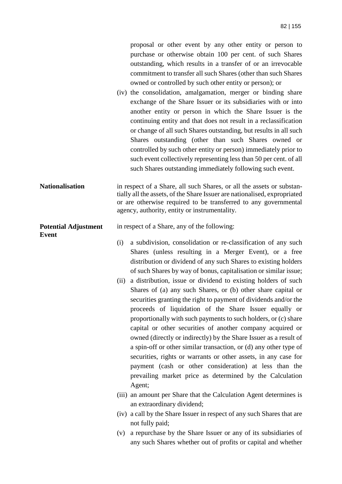|                                             | proposal or other event by any other entity or person to<br>purchase or otherwise obtain 100 per cent. of such Shares<br>outstanding, which results in a transfer of or an irrevocable<br>commitment to transfer all such Shares (other than such Shares<br>owned or controlled by such other entity or person); or<br>(iv) the consolidation, amalgamation, merger or binding share<br>exchange of the Share Issuer or its subsidiaries with or into<br>another entity or person in which the Share Issuer is the<br>continuing entity and that does not result in a reclassification<br>or change of all such Shares outstanding, but results in all such<br>Shares outstanding (other than such Shares owned or<br>controlled by such other entity or person) immediately prior to<br>such event collectively representing less than 50 per cent. of all<br>such Shares outstanding immediately following such event. |
|---------------------------------------------|--------------------------------------------------------------------------------------------------------------------------------------------------------------------------------------------------------------------------------------------------------------------------------------------------------------------------------------------------------------------------------------------------------------------------------------------------------------------------------------------------------------------------------------------------------------------------------------------------------------------------------------------------------------------------------------------------------------------------------------------------------------------------------------------------------------------------------------------------------------------------------------------------------------------------|
| <b>Nationalisation</b>                      | in respect of a Share, all such Shares, or all the assets or substan-<br>tially all the assets, of the Share Issuer are nationalised, expropriated<br>or are otherwise required to be transferred to any governmental<br>agency, authority, entity or instrumentality.                                                                                                                                                                                                                                                                                                                                                                                                                                                                                                                                                                                                                                                   |
| <b>Potential Adjustment</b><br><b>Event</b> | in respect of a Share, any of the following:<br>a subdivision, consolidation or re-classification of any such<br>(i)<br>Shares (unless resulting in a Merger Event), or a free<br>distribution or dividend of any such Shares to existing holders                                                                                                                                                                                                                                                                                                                                                                                                                                                                                                                                                                                                                                                                        |
|                                             | of such Shares by way of bonus, capitalisation or similar issue;<br>a distribution, issue or dividend to existing holders of such<br>(ii)<br>Shares of (a) any such Shares, or (b) other share capital or<br>securities granting the right to payment of dividends and/or the<br>proceeds of liquidation of the Share Issuer equally or<br>proportionally with such payments to such holders, or (c) share<br>capital or other securities of another company acquired or<br>owned (directly or indirectly) by the Share Issuer as a result of<br>a spin-off or other similar transaction, or (d) any other type of<br>securities, rights or warrants or other assets, in any case for<br>payment (cash or other consideration) at less than the<br>prevailing market price as determined by the Calculation<br>Agent;                                                                                                    |
|                                             | (iii) an amount per Share that the Calculation Agent determines is                                                                                                                                                                                                                                                                                                                                                                                                                                                                                                                                                                                                                                                                                                                                                                                                                                                       |
|                                             |                                                                                                                                                                                                                                                                                                                                                                                                                                                                                                                                                                                                                                                                                                                                                                                                                                                                                                                          |

(v) a repurchase by the Share Issuer or any of its subsidiaries of any such Shares whether out of profits or capital and whether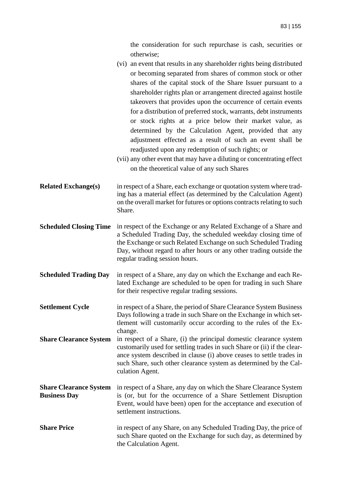the consideration for such repurchase is cash, securities or otherwise; (vi) an event that results in any shareholder rights being distributed

|                                                      | (vi) an event that results in any shareholder rights being distributed<br>or becoming separated from shares of common stock or other<br>shares of the capital stock of the Share Issuer pursuant to a<br>shareholder rights plan or arrangement directed against hostile<br>takeovers that provides upon the occurrence of certain events<br>for a distribution of preferred stock, warrants, debt instruments<br>or stock rights at a price below their market value, as<br>determined by the Calculation Agent, provided that any<br>adjustment effected as a result of such an event shall be<br>readjusted upon any redemption of such rights; or<br>(vii) any other event that may have a diluting or concentrating effect<br>on the theoretical value of any such Shares |
|------------------------------------------------------|--------------------------------------------------------------------------------------------------------------------------------------------------------------------------------------------------------------------------------------------------------------------------------------------------------------------------------------------------------------------------------------------------------------------------------------------------------------------------------------------------------------------------------------------------------------------------------------------------------------------------------------------------------------------------------------------------------------------------------------------------------------------------------|
| <b>Related Exchange(s)</b>                           | in respect of a Share, each exchange or quotation system where trad-<br>ing has a material effect (as determined by the Calculation Agent)<br>on the overall market for futures or options contracts relating to such<br>Share.                                                                                                                                                                                                                                                                                                                                                                                                                                                                                                                                                |
| <b>Scheduled Closing Time</b>                        | in respect of the Exchange or any Related Exchange of a Share and<br>a Scheduled Trading Day, the scheduled weekday closing time of<br>the Exchange or such Related Exchange on such Scheduled Trading<br>Day, without regard to after hours or any other trading outside the<br>regular trading session hours.                                                                                                                                                                                                                                                                                                                                                                                                                                                                |
| <b>Scheduled Trading Day</b>                         | in respect of a Share, any day on which the Exchange and each Re-<br>lated Exchange are scheduled to be open for trading in such Share<br>for their respective regular trading sessions.                                                                                                                                                                                                                                                                                                                                                                                                                                                                                                                                                                                       |
| <b>Settlement Cycle</b>                              | in respect of a Share, the period of Share Clearance System Business<br>Days following a trade in such Share on the Exchange in which set-<br>tlement will customarily occur according to the rules of the Ex-<br>change.                                                                                                                                                                                                                                                                                                                                                                                                                                                                                                                                                      |
| <b>Share Clearance System</b>                        | in respect of a Share, (i) the principal domestic clearance system<br>customarily used for settling trades in such Share or (ii) if the clear-<br>ance system described in clause (i) above ceases to settle trades in<br>such Share, such other clearance system as determined by the Cal-<br>culation Agent.                                                                                                                                                                                                                                                                                                                                                                                                                                                                 |
| <b>Share Clearance System</b><br><b>Business Day</b> | in respect of a Share, any day on which the Share Clearance System<br>is (or, but for the occurrence of a Share Settlement Disruption<br>Event, would have been) open for the acceptance and execution of<br>settlement instructions.                                                                                                                                                                                                                                                                                                                                                                                                                                                                                                                                          |
| <b>Share Price</b>                                   | in respect of any Share, on any Scheduled Trading Day, the price of<br>such Share quoted on the Exchange for such day, as determined by<br>the Calculation Agent.                                                                                                                                                                                                                                                                                                                                                                                                                                                                                                                                                                                                              |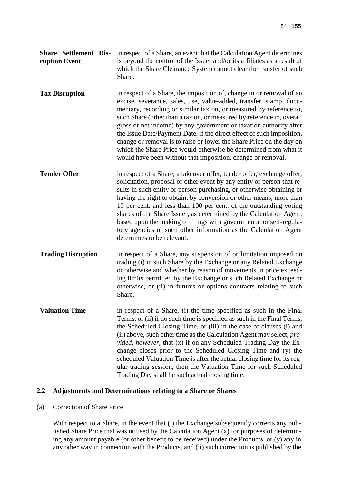|               | <b>Share</b> Settlement Dis- in respect of a Share, an event that the Calculation Agent determines |
|---------------|----------------------------------------------------------------------------------------------------|
| ruption Event | is beyond the control of the Issuer and/or its affiliates as a result of                           |
|               | which the Share Clearance System cannot clear the transfer of such                                 |
|               | Share.                                                                                             |

**Tax Disruption** in respect of a Share, the imposition of, change in or removal of an excise, severance, sales, use, value-added, transfer, stamp, documentary, recording or similar tax on, or measured by reference to, such Share (other than a tax on, or measured by reference to, overall gross or net income) by any government or taxation authority after the Issue Date/Payment Date, if the direct effect of such imposition, change or removal is to raise or lower the Share Price on the day on which the Share Price would otherwise be determined from what it would have been without that imposition, change or removal.

**Tender Offer in respect of a Share, a takeover offer, tender offer, exchange offer,** solicitation, proposal or other event by any entity or person that results in such entity or person purchasing, or otherwise obtaining or having the right to obtain, by conversion or other means, more than 10 per cent. and less than 100 per cent. of the outstanding voting shares of the Share Issuer, as determined by the Calculation Agent, based upon the making of filings with governmental or self-regulatory agencies or such other information as the Calculation Agent determines to be relevant.

**Trading Disruption** in respect of a Share, any suspension of or limitation imposed on trading (i) in such Share by the Exchange or any Related Exchange or otherwise and whether by reason of movements in price exceeding limits permitted by the Exchange or such Related Exchange or otherwise, or (ii) in futures or options contracts relating to such Share.

**Valuation Time** in respect of a Share, (i) the time specified as such in the Final Terms, or (ii) if no such time is specified as such in the Final Terms, the Scheduled Closing Time, or (iii) in the case of clauses (i) and (ii) above, such other time as the Calculation Agent may select; *provided*, *however*, that (x) if on any Scheduled Trading Day the Exchange closes prior to the Scheduled Closing Time and (y) the scheduled Valuation Time is after the actual closing time for its regular trading session, then the Valuation Time for such Scheduled Trading Day shall be such actual closing time.

### **2.2 Adjustments and Determinations relating to a Share or Shares**

#### (a) Correction of Share Price

With respect to a Share, in the event that (i) the Exchange subsequently corrects any published Share Price that was utilised by the Calculation Agent (x) for purposes of determining any amount payable (or other benefit to be received) under the Products, or (y) any in any other way in connection with the Products, and (ii) such correction is published by the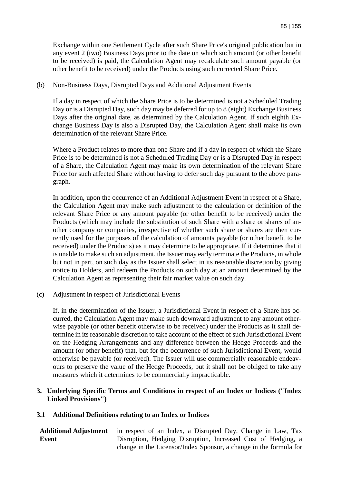Exchange within one Settlement Cycle after such Share Price's original publication but in any event 2 (two) Business Days prior to the date on which such amount (or other benefit to be received) is paid, the Calculation Agent may recalculate such amount payable (or other benefit to be received) under the Products using such corrected Share Price.

(b) Non-Business Days, Disrupted Days and Additional Adjustment Events

If a day in respect of which the Share Price is to be determined is not a Scheduled Trading Day or is a Disrupted Day, such day may be deferred for up to 8 (eight) Exchange Business Days after the original date, as determined by the Calculation Agent. If such eighth Exchange Business Day is also a Disrupted Day, the Calculation Agent shall make its own determination of the relevant Share Price.

Where a Product relates to more than one Share and if a day in respect of which the Share Price is to be determined is not a Scheduled Trading Day or is a Disrupted Day in respect of a Share, the Calculation Agent may make its own determination of the relevant Share Price for such affected Share without having to defer such day pursuant to the above paragraph.

In addition, upon the occurrence of an Additional Adjustment Event in respect of a Share, the Calculation Agent may make such adjustment to the calculation or definition of the relevant Share Price or any amount payable (or other benefit to be received) under the Products (which may include the substitution of such Share with a share or shares of another company or companies, irrespective of whether such share or shares are then currently used for the purposes of the calculation of amounts payable (or other benefit to be received) under the Products) as it may determine to be appropriate. If it determines that it is unable to make such an adjustment, the Issuer may early terminate the Products, in whole but not in part, on such day as the Issuer shall select in its reasonable discretion by giving notice to Holders, and redeem the Products on such day at an amount determined by the Calculation Agent as representing their fair market value on such day.

(c) Adjustment in respect of Jurisdictional Events

If, in the determination of the Issuer, a Jurisdictional Event in respect of a Share has occurred, the Calculation Agent may make such downward adjustment to any amount otherwise payable (or other benefit otherwise to be received) under the Products as it shall determine in its reasonable discretion to take account of the effect of such Jurisdictional Event on the Hedging Arrangements and any difference between the Hedge Proceeds and the amount (or other benefit) that, but for the occurrence of such Jurisdictional Event, would otherwise be payable (or received). The Issuer will use commercially reasonable endeavours to preserve the value of the Hedge Proceeds, but it shall not be obliged to take any measures which it determines to be commercially impracticable.

### **3. Underlying Specific Terms and Conditions in respect of an Index or Indices ("Index Linked Provisions")**

### **3.1 Additional Definitions relating to an Index or Indices**

**Additional Adjustment Event**  in respect of an Index, a Disrupted Day, Change in Law, Tax Disruption, Hedging Disruption, Increased Cost of Hedging, a change in the Licensor/Index Sponsor, a change in the formula for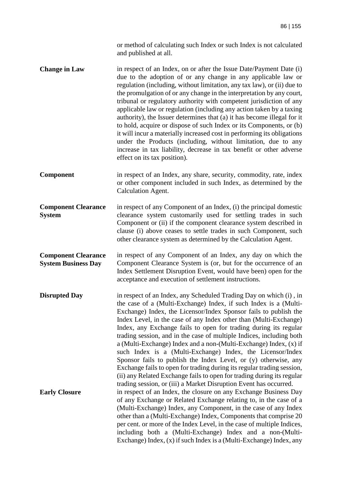or method of calculating such Index or such Index is not calculated and published at all.

**Change in Law** in respect of an Index, on or after the Issue Date/Payment Date (i) due to the adoption of or any change in any applicable law or regulation (including, without limitation, any tax law), or (ii) due to the promulgation of or any change in the interpretation by any court, tribunal or regulatory authority with competent jurisdiction of any applicable law or regulation (including any action taken by a taxing authority), the Issuer determines that (a) it has become illegal for it to hold, acquire or dispose of such Index or its Components, or (b) it will incur a materially increased cost in performing its obligations under the Products (including, without limitation, due to any increase in tax liability, decrease in tax benefit or other adverse effect on its tax position).

**Component** in respect of an Index, any share, security, commodity, rate, index or other component included in such Index, as determined by the Calculation Agent.

**Component Clearance System**  in respect of any Component of an Index, (i) the principal domestic clearance system customarily used for settling trades in such Component or (ii) if the component clearance system described in clause (i) above ceases to settle trades in such Component, such other clearance system as determined by the Calculation Agent.

**Component Clearance System Business Day**  in respect of any Component of an Index, any day on which the Component Clearance System is (or, but for the occurrence of an Index Settlement Disruption Event, would have been) open for the acceptance and execution of settlement instructions.

**Disrupted Day** in respect of an Index, any Scheduled Trading Day on which (i), in the case of a (Multi-Exchange) Index, if such Index is a (Multi-Exchange) Index, the Licensor/Index Sponsor fails to publish the Index Level, in the case of any Index other than (Multi-Exchange) Index, any Exchange fails to open for trading during its regular trading session, and in the case of multiple Indices, including both a (Multi-Exchange) Index and a non-(Multi-Exchange) Index, (x) if such Index is a (Multi-Exchange) Index, the Licensor/Index Sponsor fails to publish the Index Level, or (y) otherwise, any Exchange fails to open for trading during its regular trading session, (ii) any Related Exchange fails to open for trading during its regular trading session, or (iii) a Market Disruption Event has occurred. **Early Closure in respect of an Index, the closure on any Exchange Business Day** of any Exchange or Related Exchange relating to, in the case of a (Multi-Exchange) Index, any Component, in the case of any Index other than a (Multi-Exchange) Index, Components that comprise 20 per cent. or more of the Index Level, in the case of multiple Indices, including both a (Multi-Exchange) Index and a non-(Multi-Exchange) Index, (x) if such Index is a (Multi-Exchange) Index, any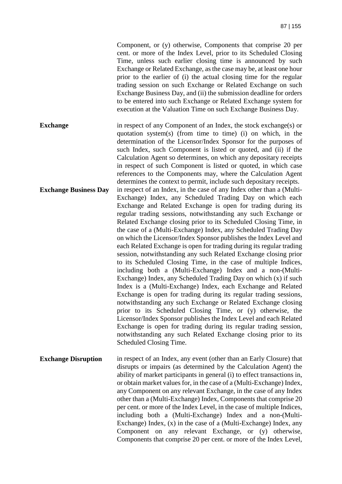Component, or (y) otherwise, Components that comprise 20 per cent. or more of the Index Level, prior to its Scheduled Closing Time, unless such earlier closing time is announced by such Exchange or Related Exchange, as the case may be, at least one hour prior to the earlier of (i) the actual closing time for the regular trading session on such Exchange or Related Exchange on such Exchange Business Day, and (ii) the submission deadline for orders to be entered into such Exchange or Related Exchange system for execution at the Valuation Time on such Exchange Business Day.

**Exchange in respect of any Component of an Index, the stock exchange(s) or** quotation system(s) (from time to time) (i) on which, in the determination of the Licensor/Index Sponsor for the purposes of such Index, such Component is listed or quoted, and (ii) if the Calculation Agent so determines, on which any depositary receipts in respect of such Component is listed or quoted, in which case references to the Components may, where the Calculation Agent determines the context to permit, include such depositary receipts. **Exchange Business Day** in respect of an Index, in the case of any Index other than a (Multi-Exchange) Index, any Scheduled Trading Day on which each Exchange and Related Exchange is open for trading during its regular trading sessions, notwithstanding any such Exchange or Related Exchange closing prior to its Scheduled Closing Time, in the case of a (Multi-Exchange) Index, any Scheduled Trading Day on which the Licensor/Index Sponsor publishes the Index Level and each Related Exchange is open for trading during its regular trading session, notwithstanding any such Related Exchange closing prior to its Scheduled Closing Time, in the case of multiple Indices, including both a (Multi-Exchange) Index and a non-(Multi-Exchange) Index, any Scheduled Trading Day on which (x) if such Index is a (Multi-Exchange) Index, each Exchange and Related Exchange is open for trading during its regular trading sessions, notwithstanding any such Exchange or Related Exchange closing prior to its Scheduled Closing Time, or (y) otherwise, the Licensor/Index Sponsor publishes the Index Level and each Related Exchange is open for trading during its regular trading session, notwithstanding any such Related Exchange closing prior to its Scheduled Closing Time.

**Exchange Disruption** in respect of an Index, any event (other than an Early Closure) that disrupts or impairs (as determined by the Calculation Agent) the ability of market participants in general (i) to effect transactions in, or obtain market values for, in the case of a (Multi-Exchange) Index, any Component on any relevant Exchange, in the case of any Index other than a (Multi-Exchange) Index, Components that comprise 20 per cent. or more of the Index Level, in the case of multiple Indices, including both a (Multi-Exchange) Index and a non-(Multi-Exchange) Index, (x) in the case of a (Multi-Exchange) Index, any Component on any relevant Exchange, or (y) otherwise, Components that comprise 20 per cent. or more of the Index Level,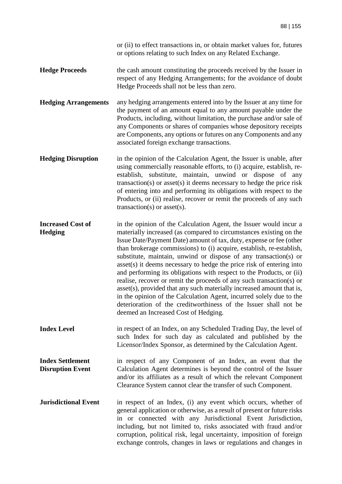or (ii) to effect transactions in, or obtain market values for, futures or options relating to such Index on any Related Exchange.

- **Hedge Proceeds** the cash amount constituting the proceeds received by the Issuer in respect of any Hedging Arrangements; for the avoidance of doubt Hedge Proceeds shall not be less than zero.
- **Hedging Arrangements** any hedging arrangements entered into by the Issuer at any time for the payment of an amount equal to any amount payable under the Products, including, without limitation, the purchase and/or sale of any Components or shares of companies whose depository receipts are Components, any options or futures on any Components and any associated foreign exchange transactions.
- **Hedging Disruption** in the opinion of the Calculation Agent, the Issuer is unable, after using commercially reasonable efforts, to (i) acquire, establish, reestablish, substitute, maintain, unwind or dispose of any transaction(s) or asset(s) it deems necessary to hedge the price risk of entering into and performing its obligations with respect to the Products, or (ii) realise, recover or remit the proceeds of any such transaction(s) or asset(s).
- **Increased Cost of Hedging**  in the opinion of the Calculation Agent, the Issuer would incur a materially increased (as compared to circumstances existing on the Issue Date/Payment Date) amount of tax, duty, expense or fee (other than brokerage commissions) to (i) acquire, establish, re-establish, substitute, maintain, unwind or dispose of any transaction(s) or asset(s) it deems necessary to hedge the price risk of entering into and performing its obligations with respect to the Products, or (ii) realise, recover or remit the proceeds of any such transaction(s) or asset(s), provided that any such materially increased amount that is, in the opinion of the Calculation Agent, incurred solely due to the deterioration of the creditworthiness of the Issuer shall not be deemed an Increased Cost of Hedging.
- **Index Level in respect of an Index, on any Scheduled Trading Day, the level of** such Index for such day as calculated and published by the Licensor/Index Sponsor, as determined by the Calculation Agent.
- **Index Settlement Disruption Event**  in respect of any Component of an Index, an event that the Calculation Agent determines is beyond the control of the Issuer and/or its affiliates as a result of which the relevant Component Clearance System cannot clear the transfer of such Component.
- **Jurisdictional Event** in respect of an Index, (i) any event which occurs, whether of general application or otherwise, as a result of present or future risks in or connected with any Jurisdictional Event Jurisdiction, including, but not limited to, risks associated with fraud and/or corruption, political risk, legal uncertainty, imposition of foreign exchange controls, changes in laws or regulations and changes in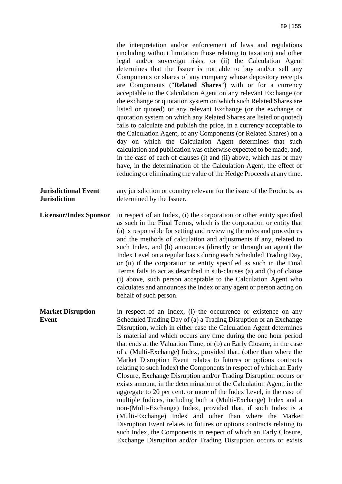the interpretation and/or enforcement of laws and regulations (including without limitation those relating to taxation) and other legal and/or sovereign risks, or (ii) the Calculation Agent determines that the Issuer is not able to buy and/or sell any Components or shares of any company whose depository receipts are Components ("**Related Shares**") with or for a currency acceptable to the Calculation Agent on any relevant Exchange (or the exchange or quotation system on which such Related Shares are listed or quoted) or any relevant Exchange (or the exchange or quotation system on which any Related Shares are listed or quoted) fails to calculate and publish the price, in a currency acceptable to the Calculation Agent, of any Components (or Related Shares) on a day on which the Calculation Agent determines that such calculation and publication was otherwise expected to be made, and, in the case of each of clauses (i) and (ii) above, which has or may have, in the determination of the Calculation Agent, the effect of reducing or eliminating the value of the Hedge Proceeds at any time.

**Jurisdictional Event Jurisdiction**  any jurisdiction or country relevant for the issue of the Products, as determined by the Issuer.

**Licensor/Index Sponsor** in respect of an Index, (i) the corporation or other entity specified as such in the Final Terms, which is the corporation or entity that (a) is responsible for setting and reviewing the rules and procedures and the methods of calculation and adjustments if any, related to such Index, and (b) announces (directly or through an agent) the Index Level on a regular basis during each Scheduled Trading Day, or (ii) if the corporation or entity specified as such in the Final Terms fails to act as described in sub-clauses (a) and (b) of clause (i) above, such person acceptable to the Calculation Agent who calculates and announces the Index or any agent or person acting on behalf of such person.

**Market Disruption Event**  in respect of an Index, (i) the occurrence or existence on any Scheduled Trading Day of (a) a Trading Disruption or an Exchange Disruption, which in either case the Calculation Agent determines is material and which occurs any time during the one hour period that ends at the Valuation Time, or (b) an Early Closure, in the case of a (Multi-Exchange) Index, provided that, (other than where the Market Disruption Event relates to futures or options contracts relating to such Index) the Components in respect of which an Early Closure, Exchange Disruption and/or Trading Disruption occurs or exists amount, in the determination of the Calculation Agent, in the aggregate to 20 per cent. or more of the Index Level, in the case of multiple Indices, including both a (Multi-Exchange) Index and a non-(Multi-Exchange) Index, provided that, if such Index is a (Multi-Exchange) Index and other than where the Market Disruption Event relates to futures or options contracts relating to such Index, the Components in respect of which an Early Closure, Exchange Disruption and/or Trading Disruption occurs or exists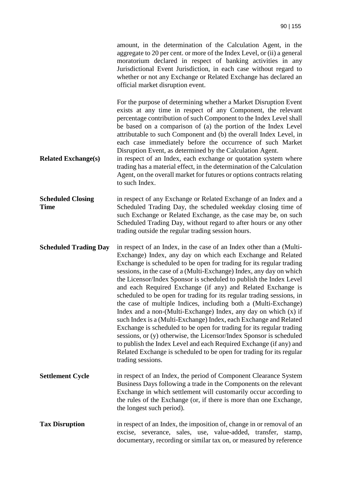amount, in the determination of the Calculation Agent, in the aggregate to 20 per cent. or more of the Index Level, or (ii) a general moratorium declared in respect of banking activities in any Jurisdictional Event Jurisdiction, in each case without regard to whether or not any Exchange or Related Exchange has declared an official market disruption event.

For the purpose of determining whether a Market Disruption Event exists at any time in respect of any Component, the relevant percentage contribution of such Component to the Index Level shall be based on a comparison of (a) the portion of the Index Level attributable to such Component and (b) the overall Index Level, in each case immediately before the occurrence of such Market Disruption Event, as determined by the Calculation Agent.

**Related Exchange(s)** in respect of an Index, each exchange or quotation system where trading has a material effect, in the determination of the Calculation Agent, on the overall market for futures or options contracts relating to such Index.

**Scheduled Closing Time**  in respect of any Exchange or Related Exchange of an Index and a Scheduled Trading Day, the scheduled weekday closing time of such Exchange or Related Exchange, as the case may be, on such Scheduled Trading Day, without regard to after hours or any other trading outside the regular trading session hours.

**Scheduled Trading Day** in respect of an Index, in the case of an Index other than a (Multi-Exchange) Index, any day on which each Exchange and Related Exchange is scheduled to be open for trading for its regular trading sessions, in the case of a (Multi-Exchange) Index, any day on which the Licensor/Index Sponsor is scheduled to publish the Index Level and each Required Exchange (if any) and Related Exchange is scheduled to be open for trading for its regular trading sessions, in the case of multiple Indices, including both a (Multi-Exchange) Index and a non-(Multi-Exchange) Index, any day on which (x) if such Index is a (Multi-Exchange) Index, each Exchange and Related Exchange is scheduled to be open for trading for its regular trading sessions, or (y) otherwise, the Licensor/Index Sponsor is scheduled to publish the Index Level and each Required Exchange (if any) and Related Exchange is scheduled to be open for trading for its regular trading sessions.

- **Settlement Cycle** in respect of an Index, the period of Component Clearance System Business Days following a trade in the Components on the relevant Exchange in which settlement will customarily occur according to the rules of the Exchange (or, if there is more than one Exchange, the longest such period).
- **Tax Disruption** in respect of an Index, the imposition of, change in or removal of an excise, severance, sales, use, value-added, transfer, stamp, documentary, recording or similar tax on, or measured by reference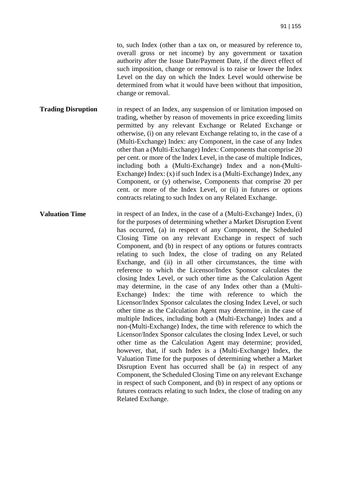to, such Index (other than a tax on, or measured by reference to, overall gross or net income) by any government or taxation authority after the Issue Date/Payment Date, if the direct effect of such imposition, change or removal is to raise or lower the Index Level on the day on which the Index Level would otherwise be determined from what it would have been without that imposition, change or removal.

- **Trading Disruption** in respect of an Index, any suspension of or limitation imposed on trading, whether by reason of movements in price exceeding limits permitted by any relevant Exchange or Related Exchange or otherwise, (i) on any relevant Exchange relating to, in the case of a (Multi-Exchange) Index: any Component, in the case of any Index other than a (Multi-Exchange) Index: Components that comprise 20 per cent. or more of the Index Level, in the case of multiple Indices, including both a (Multi-Exchange) Index and a non-(Multi-Exchange) Index: (x) if such Index is a (Multi-Exchange) Index, any Component, or (y) otherwise, Components that comprise 20 per cent. or more of the Index Level, or (ii) in futures or options contracts relating to such Index on any Related Exchange.
- **Valuation Time** in respect of an Index, in the case of a (Multi-Exchange) Index, (i) for the purposes of determining whether a Market Disruption Event has occurred, (a) in respect of any Component, the Scheduled Closing Time on any relevant Exchange in respect of such Component, and (b) in respect of any options or futures contracts relating to such Index, the close of trading on any Related Exchange, and (ii) in all other circumstances, the time with reference to which the Licensor/Index Sponsor calculates the closing Index Level, or such other time as the Calculation Agent may determine, in the case of any Index other than a (Multi-Exchange) Index: the time with reference to which the Licensor/Index Sponsor calculates the closing Index Level, or such other time as the Calculation Agent may determine, in the case of multiple Indices, including both a (Multi-Exchange) Index and a non-(Multi-Exchange) Index, the time with reference to which the Licensor/Index Sponsor calculates the closing Index Level, or such other time as the Calculation Agent may determine; provided, however, that, if such Index is a (Multi-Exchange) Index, the Valuation Time for the purposes of determining whether a Market Disruption Event has occurred shall be (a) in respect of any Component, the Scheduled Closing Time on any relevant Exchange in respect of such Component, and (b) in respect of any options or futures contracts relating to such Index, the close of trading on any Related Exchange.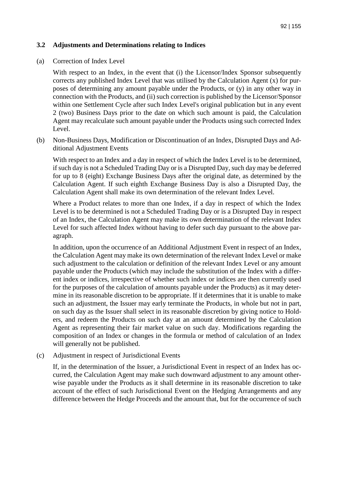### **3.2 Adjustments and Determinations relating to Indices**

(a) Correction of Index Level

With respect to an Index, in the event that (i) the Licensor/Index Sponsor subsequently corrects any published Index Level that was utilised by the Calculation Agent (x) for purposes of determining any amount payable under the Products, or (y) in any other way in connection with the Products, and (ii) such correction is published by the Licensor/Sponsor within one Settlement Cycle after such Index Level's original publication but in any event 2 (two) Business Days prior to the date on which such amount is paid, the Calculation Agent may recalculate such amount payable under the Products using such corrected Index Level.

(b) Non-Business Days, Modification or Discontinuation of an Index, Disrupted Days and Additional Adjustment Events

With respect to an Index and a day in respect of which the Index Level is to be determined, if such day is not a Scheduled Trading Day or is a Disrupted Day, such day may be deferred for up to 8 (eight) Exchange Business Days after the original date, as determined by the Calculation Agent. If such eighth Exchange Business Day is also a Disrupted Day, the Calculation Agent shall make its own determination of the relevant Index Level.

Where a Product relates to more than one Index, if a day in respect of which the Index Level is to be determined is not a Scheduled Trading Day or is a Disrupted Day in respect of an Index, the Calculation Agent may make its own determination of the relevant Index Level for such affected Index without having to defer such day pursuant to the above paragraph.

In addition, upon the occurrence of an Additional Adjustment Event in respect of an Index, the Calculation Agent may make its own determination of the relevant Index Level or make such adjustment to the calculation or definition of the relevant Index Level or any amount payable under the Products (which may include the substitution of the Index with a different index or indices, irrespective of whether such index or indices are then currently used for the purposes of the calculation of amounts payable under the Products) as it may determine in its reasonable discretion to be appropriate. If it determines that it is unable to make such an adjustment, the Issuer may early terminate the Products, in whole but not in part, on such day as the Issuer shall select in its reasonable discretion by giving notice to Holders, and redeem the Products on such day at an amount determined by the Calculation Agent as representing their fair market value on such day. Modifications regarding the composition of an Index or changes in the formula or method of calculation of an Index will generally not be published.

(c) Adjustment in respect of Jurisdictional Events

If, in the determination of the Issuer, a Jurisdictional Event in respect of an Index has occurred, the Calculation Agent may make such downward adjustment to any amount otherwise payable under the Products as it shall determine in its reasonable discretion to take account of the effect of such Jurisdictional Event on the Hedging Arrangements and any difference between the Hedge Proceeds and the amount that, but for the occurrence of such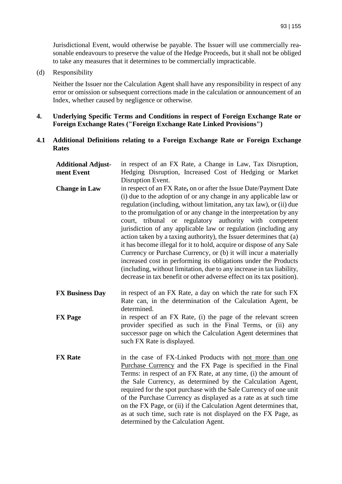Jurisdictional Event, would otherwise be payable. The Issuer will use commercially reasonable endeavours to preserve the value of the Hedge Proceeds, but it shall not be obliged to take any measures that it determines to be commercially impracticable.

(d) Responsibility

Neither the Issuer nor the Calculation Agent shall have any responsibility in respect of any error or omission or subsequent corrections made in the calculation or announcement of an Index, whether caused by negligence or otherwise.

### **4. Underlying Specific Terms and Conditions in respect of Foreign Exchange Rate or Foreign Exchange Rates ("Foreign Exchange Rate Linked Provisions")**

#### **4.1 Additional Definitions relating to a Foreign Exchange Rate or Foreign Exchange Rates**

| <b>Additional Adjust-</b> | in respect of an FX Rate, a Change in Law, Tax Disruption,                                                                                                                                                                                                                                                                                                                                                                                                                                                                                                                                                                                                                                                                                                                                                                                               |
|---------------------------|----------------------------------------------------------------------------------------------------------------------------------------------------------------------------------------------------------------------------------------------------------------------------------------------------------------------------------------------------------------------------------------------------------------------------------------------------------------------------------------------------------------------------------------------------------------------------------------------------------------------------------------------------------------------------------------------------------------------------------------------------------------------------------------------------------------------------------------------------------|
| ment Event                | Hedging Disruption, Increased Cost of Hedging or Market<br>Disruption Event.                                                                                                                                                                                                                                                                                                                                                                                                                                                                                                                                                                                                                                                                                                                                                                             |
| <b>Change in Law</b>      | in respect of an FX Rate, on or after the Issue Date/Payment Date<br>(i) due to the adoption of or any change in any applicable law or<br>regulation (including, without limitation, any tax law), or (ii) due<br>to the promulgation of or any change in the interpretation by any<br>court, tribunal or regulatory authority with competent<br>jurisdiction of any applicable law or regulation (including any<br>action taken by a taxing authority), the Issuer determines that (a)<br>it has become illegal for it to hold, acquire or dispose of any Sale<br>Currency or Purchase Currency, or (b) it will incur a materially<br>increased cost in performing its obligations under the Products<br>(including, without limitation, due to any increase in tax liability,<br>decrease in tax benefit or other adverse effect on its tax position). |
| <b>FX Business Day</b>    | in respect of an FX Rate, a day on which the rate for such FX<br>Rate can, in the determination of the Calculation Agent, be<br>determined.                                                                                                                                                                                                                                                                                                                                                                                                                                                                                                                                                                                                                                                                                                              |
| <b>FX</b> Page            | in respect of an FX Rate, (i) the page of the relevant screen<br>provider specified as such in the Final Terms, or (ii) any<br>successor page on which the Calculation Agent determines that<br>such FX Rate is displayed.                                                                                                                                                                                                                                                                                                                                                                                                                                                                                                                                                                                                                               |
| <b>FX</b> Rate            | in the case of FX-Linked Products with not more than one<br>Purchase Currency and the FX Page is specified in the Final<br>Terms: in respect of an FX Rate, at any time, (i) the amount of<br>the Sale Currency, as determined by the Calculation Agent,<br>required for the spot purchase with the Sale Currency of one unit<br>of the Purchase Currency as displayed as a rate as at such time<br>on the FX Page, or (ii) if the Calculation Agent determines that,<br>as at such time, such rate is not displayed on the FX Page, as<br>determined by the Calculation Agent.                                                                                                                                                                                                                                                                          |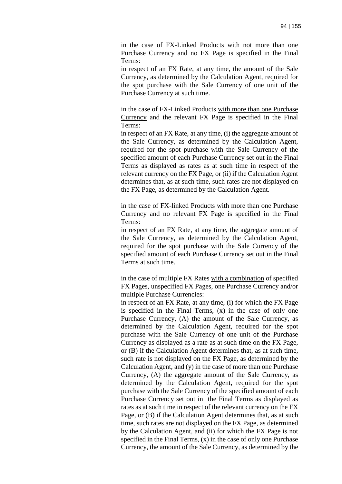in the case of FX-Linked Products with not more than one Purchase Currency and no FX Page is specified in the Final Terms:

in respect of an FX Rate, at any time, the amount of the Sale Currency, as determined by the Calculation Agent, required for the spot purchase with the Sale Currency of one unit of the Purchase Currency at such time.

in the case of FX-Linked Products with more than one Purchase Currency and the relevant FX Page is specified in the Final Terms:

in respect of an FX Rate, at any time, (i) the aggregate amount of the Sale Currency, as determined by the Calculation Agent, required for the spot purchase with the Sale Currency of the specified amount of each Purchase Currency set out in the Final Terms as displayed as rates as at such time in respect of the relevant currency on the FX Page, or (ii) if the Calculation Agent determines that, as at such time, such rates are not displayed on the FX Page, as determined by the Calculation Agent.

in the case of FX-linked Products with more than one Purchase Currency and no relevant FX Page is specified in the Final Terms:

in respect of an FX Rate, at any time, the aggregate amount of the Sale Currency, as determined by the Calculation Agent, required for the spot purchase with the Sale Currency of the specified amount of each Purchase Currency set out in the Final Terms at such time.

in the case of multiple FX Rates with a combination of specified FX Pages, unspecified FX Pages, one Purchase Currency and/or multiple Purchase Currencies:

in respect of an FX Rate, at any time, (i) for which the FX Page is specified in the Final Terms, (x) in the case of only one Purchase Currency, (A) the amount of the Sale Currency, as determined by the Calculation Agent, required for the spot purchase with the Sale Currency of one unit of the Purchase Currency as displayed as a rate as at such time on the FX Page, or (B) if the Calculation Agent determines that, as at such time, such rate is not displayed on the FX Page, as determined by the Calculation Agent, and (y) in the case of more than one Purchase Currency, (A) the aggregate amount of the Sale Currency, as determined by the Calculation Agent, required for the spot purchase with the Sale Currency of the specified amount of each Purchase Currency set out in the Final Terms as displayed as rates as at such time in respect of the relevant currency on the FX Page, or (B) if the Calculation Agent determines that, as at such time, such rates are not displayed on the FX Page, as determined by the Calculation Agent, and (ii) for which the FX Page is not specified in the Final Terms, (x) in the case of only one Purchase Currency, the amount of the Sale Currency, as determined by the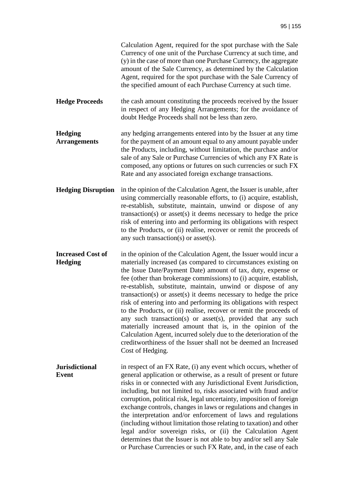|                                       | Calculation Agent, required for the spot purchase with the Sale<br>Currency of one unit of the Purchase Currency at such time, and<br>(y) in the case of more than one Purchase Currency, the aggregate<br>amount of the Sale Currency, as determined by the Calculation<br>Agent, required for the spot purchase with the Sale Currency of<br>the specified amount of each Purchase Currency at such time.                                                                                                                                                                                                                                                                                                                                                                                                                                       |
|---------------------------------------|---------------------------------------------------------------------------------------------------------------------------------------------------------------------------------------------------------------------------------------------------------------------------------------------------------------------------------------------------------------------------------------------------------------------------------------------------------------------------------------------------------------------------------------------------------------------------------------------------------------------------------------------------------------------------------------------------------------------------------------------------------------------------------------------------------------------------------------------------|
| <b>Hedge Proceeds</b>                 | the cash amount constituting the proceeds received by the Issuer<br>in respect of any Hedging Arrangements; for the avoidance of<br>doubt Hedge Proceeds shall not be less than zero.                                                                                                                                                                                                                                                                                                                                                                                                                                                                                                                                                                                                                                                             |
| <b>Hedging</b><br><b>Arrangements</b> | any hedging arrangements entered into by the Issuer at any time<br>for the payment of an amount equal to any amount payable under<br>the Products, including, without limitation, the purchase and/or<br>sale of any Sale or Purchase Currencies of which any FX Rate is<br>composed, any options or futures on such currencies or such FX<br>Rate and any associated foreign exchange transactions.                                                                                                                                                                                                                                                                                                                                                                                                                                              |
| <b>Hedging Disruption</b>             | in the opinion of the Calculation Agent, the Issuer is unable, after<br>using commercially reasonable efforts, to (i) acquire, establish,<br>re-establish, substitute, maintain, unwind or dispose of any<br>$transaction(s)$ or asset $(s)$ it deems necessary to hedge the price<br>risk of entering into and performing its obligations with respect<br>to the Products, or (ii) realise, recover or remit the proceeds of<br>any such transaction(s) or asset(s).                                                                                                                                                                                                                                                                                                                                                                             |
| <b>Increased Cost of</b><br>Hedging   | in the opinion of the Calculation Agent, the Issuer would incur a<br>materially increased (as compared to circumstances existing on<br>the Issue Date/Payment Date) amount of tax, duty, expense or<br>fee (other than brokerage commissions) to (i) acquire, establish,<br>re-establish, substitute, maintain, unwind or dispose of any<br>transaction(s) or asset(s) it deems necessary to hedge the price<br>risk of entering into and performing its obligations with respect<br>to the Products, or (ii) realise, recover or remit the proceeds of<br>any such transaction(s) or asset(s), provided that any such<br>materially increased amount that is, in the opinion of the<br>Calculation Agent, incurred solely due to the deterioration of the<br>creditworthiness of the Issuer shall not be deemed an Increased<br>Cost of Hedging. |
| <b>Jurisdictional</b><br>Event        | in respect of an FX Rate, (i) any event which occurs, whether of<br>general application or otherwise, as a result of present or future<br>risks in or connected with any Jurisdictional Event Jurisdiction,<br>including, but not limited to, risks associated with fraud and/or<br>corruption, political risk, legal uncertainty, imposition of foreign<br>exchange controls, changes in laws or regulations and changes in<br>the interpretation and/or enforcement of laws and regulations<br>(including without limitation those relating to taxation) and other<br>legal and/or sovereign risks, or (ii) the Calculation Agent<br>determines that the Issuer is not able to buy and/or sell any Sale<br>or Purchase Currencies or such FX Rate, and, in the case of each                                                                     |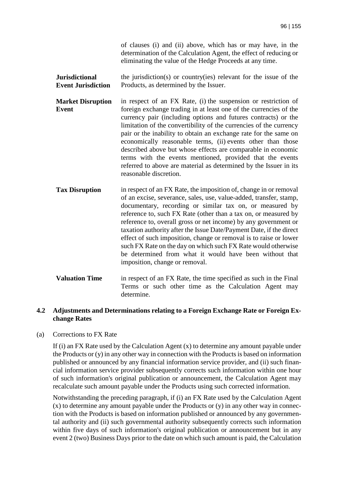of clauses (i) and (ii) above, which has or may have, in the determination of the Calculation Agent, the effect of reducing or eliminating the value of the Hedge Proceeds at any time.

- **Jurisdictional Event Jurisdiction**  the jurisdiction(s) or country(ies) relevant for the issue of the Products, as determined by the Issuer.
- **Market Disruption Event**  in respect of an FX Rate, (i) the suspension or restriction of foreign exchange trading in at least one of the currencies of the currency pair (including options and futures contracts) or the limitation of the convertibility of the currencies of the currency pair or the inability to obtain an exchange rate for the same on economically reasonable terms, (ii) events other than those described above but whose effects are comparable in economic terms with the events mentioned, provided that the events referred to above are material as determined by the Issuer in its reasonable discretion.
- **Tax Disruption** in respect of an FX Rate, the imposition of, change in or removal of an excise, severance, sales, use, value-added, transfer, stamp, documentary, recording or similar tax on, or measured by reference to, such FX Rate (other than a tax on, or measured by reference to, overall gross or net income) by any government or taxation authority after the Issue Date/Payment Date, if the direct effect of such imposition, change or removal is to raise or lower such FX Rate on the day on which such FX Rate would otherwise be determined from what it would have been without that imposition, change or removal.
- **Valuation Time** in respect of an FX Rate, the time specified as such in the Final Terms or such other time as the Calculation Agent may determine.

### **4.2 Adjustments and Determinations relating to a Foreign Exchange Rate or Foreign Exchange Rates**

(a) Corrections to FX Rate

If (i) an FX Rate used by the Calculation Agent (x) to determine any amount payable under the Products or (y) in any other way in connection with the Products is based on information published or announced by any financial information service provider, and (ii) such financial information service provider subsequently corrects such information within one hour of such information's original publication or announcement, the Calculation Agent may recalculate such amount payable under the Products using such corrected information.

Notwithstanding the preceding paragraph, if (i) an FX Rate used by the Calculation Agent  $(x)$  to determine any amount payable under the Products or  $(y)$  in any other way in connection with the Products is based on information published or announced by any governmental authority and (ii) such governmental authority subsequently corrects such information within five days of such information's original publication or announcement but in any event 2 (two) Business Days prior to the date on which such amount is paid, the Calculation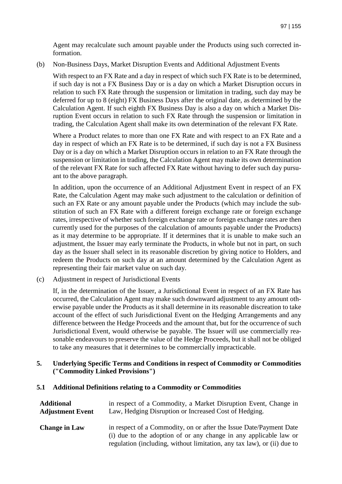Agent may recalculate such amount payable under the Products using such corrected information.

(b) Non-Business Days, Market Disruption Events and Additional Adjustment Events

With respect to an FX Rate and a day in respect of which such FX Rate is to be determined, if such day is not a FX Business Day or is a day on which a Market Disruption occurs in relation to such FX Rate through the suspension or limitation in trading, such day may be deferred for up to 8 (eight) FX Business Days after the original date, as determined by the Calculation Agent. If such eighth FX Business Day is also a day on which a Market Disruption Event occurs in relation to such FX Rate through the suspension or limitation in trading, the Calculation Agent shall make its own determination of the relevant FX Rate.

Where a Product relates to more than one FX Rate and with respect to an FX Rate and a day in respect of which an FX Rate is to be determined, if such day is not a FX Business Day or is a day on which a Market Disruption occurs in relation to an FX Rate through the suspension or limitation in trading, the Calculation Agent may make its own determination of the relevant FX Rate for such affected FX Rate without having to defer such day pursuant to the above paragraph.

In addition, upon the occurrence of an Additional Adjustment Event in respect of an FX Rate, the Calculation Agent may make such adjustment to the calculation or definition of such an FX Rate or any amount payable under the Products (which may include the substitution of such an FX Rate with a different foreign exchange rate or foreign exchange rates, irrespective of whether such foreign exchange rate or foreign exchange rates are then currently used for the purposes of the calculation of amounts payable under the Products) as it may determine to be appropriate. If it determines that it is unable to make such an adjustment, the Issuer may early terminate the Products, in whole but not in part, on such day as the Issuer shall select in its reasonable discretion by giving notice to Holders, and redeem the Products on such day at an amount determined by the Calculation Agent as representing their fair market value on such day.

(c) Adjustment in respect of Jurisdictional Events

If, in the determination of the Issuer, a Jurisdictional Event in respect of an FX Rate has occurred, the Calculation Agent may make such downward adjustment to any amount otherwise payable under the Products as it shall determine in its reasonable discreation to take account of the effect of such Jurisdictional Event on the Hedging Arrangements and any difference between the Hedge Proceeds and the amount that, but for the occurrence of such Jurisdictional Event, would otherwise be payable. The Issuer will use commercially reasonable endeavours to preserve the value of the Hedge Proceeds, but it shall not be obliged to take any measures that it determines to be commercially impracticable.

**5. Underlying Specific Terms and Conditions in respect of Commodity or Commodities ("Commodity Linked Provisions")** 

### **5.1 Additional Definitions relating to a Commodity or Commodities**

| <b>Additional</b>       | in respect of a Commodity, a Market Disruption Event, Change in                                                                                                                                                    |
|-------------------------|--------------------------------------------------------------------------------------------------------------------------------------------------------------------------------------------------------------------|
| <b>Adjustment Event</b> | Law, Hedging Disruption or Increased Cost of Hedging.                                                                                                                                                              |
| <b>Change in Law</b>    | in respect of a Commodity, on or after the Issue Date/Payment Date<br>(i) due to the adoption of or any change in any applicable law or<br>regulation (including, without limitation, any tax law), or (ii) due to |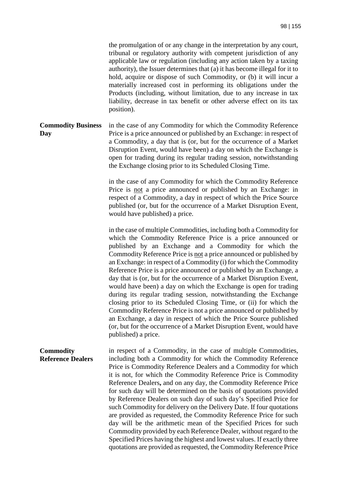the promulgation of or any change in the interpretation by any court, tribunal or regulatory authority with competent jurisdiction of any applicable law or regulation (including any action taken by a taxing authority), the Issuer determines that (a) it has become illegal for it to hold, acquire or dispose of such Commodity, or (b) it will incur a materially increased cost in performing its obligations under the Products (including, without limitation, due to any increase in tax liability, decrease in tax benefit or other adverse effect on its tax position).

#### **Commodity Business Day**  in the case of any Commodity for which the Commodity Reference Price is a price announced or published by an Exchange: in respect of a Commodity, a day that is (or, but for the occurrence of a Market Disruption Event, would have been) a day on which the Exchange is open for trading during its regular trading session, notwithstanding the Exchange closing prior to its Scheduled Closing Time.

in the case of any Commodity for which the Commodity Reference Price is not a price announced or published by an Exchange: in respect of a Commodity, a day in respect of which the Price Source published (or, but for the occurrence of a Market Disruption Event, would have published) a price.

in the case of multiple Commodities, including both a Commodity for which the Commodity Reference Price is a price announced or published by an Exchange and a Commodity for which the Commodity Reference Price is not a price announced or published by an Exchange: in respect of a Commodity (i) for which the Commodity Reference Price is a price announced or published by an Exchange, a day that is (or, but for the occurrence of a Market Disruption Event, would have been) a day on which the Exchange is open for trading during its regular trading session, notwithstanding the Exchange closing prior to its Scheduled Closing Time, or (ii) for which the Commodity Reference Price is not a price announced or published by an Exchange, a day in respect of which the Price Source published (or, but for the occurrence of a Market Disruption Event, would have published) a price.

**Commodity Reference Dealers** in respect of a Commodity, in the case of multiple Commodities, including both a Commodity for which the Commodity Reference Price is Commodity Reference Dealers and a Commodity for which it is not, for which the Commodity Reference Price is Commodity Reference Dealers**,** and on any day, the Commodity Reference Price for such day will be determined on the basis of quotations provided by Reference Dealers on such day of such day's Specified Price for such Commodity for delivery on the Delivery Date. If four quotations are provided as requested, the Commodity Reference Price for such day will be the arithmetic mean of the Specified Prices for such Commodity provided by each Reference Dealer, without regard to the Specified Prices having the highest and lowest values. If exactly three quotations are provided as requested, the Commodity Reference Price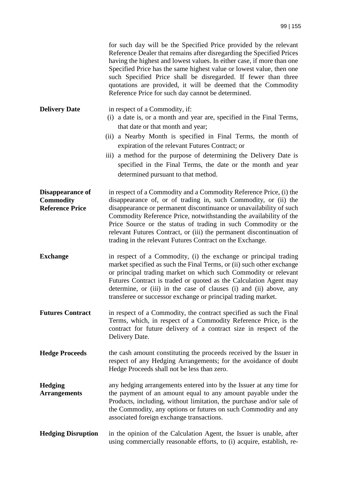|                                                                | for such day will be the Specified Price provided by the relevant<br>Reference Dealer that remains after disregarding the Specified Prices<br>having the highest and lowest values. In either case, if more than one<br>Specified Price has the same highest value or lowest value, then one<br>such Specified Price shall be disregarded. If fewer than three<br>quotations are provided, it will be deemed that the Commodity<br>Reference Price for such day cannot be determined.     |
|----------------------------------------------------------------|-------------------------------------------------------------------------------------------------------------------------------------------------------------------------------------------------------------------------------------------------------------------------------------------------------------------------------------------------------------------------------------------------------------------------------------------------------------------------------------------|
| <b>Delivery Date</b>                                           | in respect of a Commodity, if:<br>(i) a date is, or a month and year are, specified in the Final Terms,<br>that date or that month and year;<br>a Nearby Month is specified in Final Terms, the month of<br>(i)<br>expiration of the relevant Futures Contract; or<br>iii) a method for the purpose of determining the Delivery Date is<br>specified in the Final Terms, the date or the month and year<br>determined pursuant to that method.                                            |
| Disappearance of<br><b>Commodity</b><br><b>Reference Price</b> | in respect of a Commodity and a Commodity Reference Price, (i) the<br>disappearance of, or of trading in, such Commodity, or (ii) the<br>disappearance or permanent discontinuance or unavailability of such<br>Commodity Reference Price, notwithstanding the availability of the<br>Price Source or the status of trading in such Commodity or the<br>relevant Futures Contract, or (iii) the permanent discontinuation of<br>trading in the relevant Futures Contract on the Exchange. |
| <b>Exchange</b>                                                | in respect of a Commodity, (i) the exchange or principal trading<br>market specified as such the Final Terms, or (ii) such other exchange<br>or principal trading market on which such Commodity or relevant<br>Futures Contract is traded or quoted as the Calculation Agent may<br>determine, or (iii) in the case of clauses (i) and (ii) above, any<br>transferee or successor exchange or principal trading market.                                                                  |
| <b>Futures Contract</b>                                        | in respect of a Commodity, the contract specified as such the Final<br>Terms, which, in respect of a Commodity Reference Price, is the<br>contract for future delivery of a contract size in respect of the<br>Delivery Date.                                                                                                                                                                                                                                                             |
| <b>Hedge Proceeds</b>                                          | the cash amount constituting the proceeds received by the Issuer in<br>respect of any Hedging Arrangements; for the avoidance of doubt<br>Hedge Proceeds shall not be less than zero.                                                                                                                                                                                                                                                                                                     |
| <b>Hedging</b><br><b>Arrangements</b>                          | any hedging arrangements entered into by the Issuer at any time for<br>the payment of an amount equal to any amount payable under the<br>Products, including, without limitation, the purchase and/or sale of<br>the Commodity, any options or futures on such Commodity and any<br>associated foreign exchange transactions.                                                                                                                                                             |
| <b>Hedging Disruption</b>                                      | in the opinion of the Calculation Agent, the Issuer is unable, after<br>using commercially reasonable efforts, to (i) acquire, establish, re-                                                                                                                                                                                                                                                                                                                                             |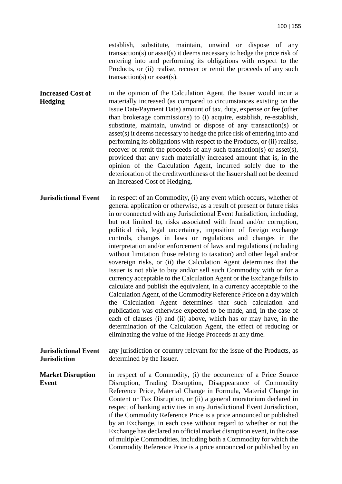establish, substitute, maintain, unwind or dispose of any transaction(s) or asset(s) it deems necessary to hedge the price risk of entering into and performing its obligations with respect to the Products, or (ii) realise, recover or remit the proceeds of any such transaction(s) or asset(s).

**Increased Cost of Hedging**  in the opinion of the Calculation Agent, the Issuer would incur a materially increased (as compared to circumstances existing on the Issue Date/Payment Date) amount of tax, duty, expense or fee (other than brokerage commissions) to (i) acquire, establish, re-establish, substitute, maintain, unwind or dispose of any transaction(s) or asset(s) it deems necessary to hedge the price risk of entering into and performing its obligations with respect to the Products, or (ii) realise, recover or remit the proceeds of any such transaction(s) or asset(s), provided that any such materially increased amount that is, in the opinion of the Calculation Agent, incurred solely due to the deterioration of the creditworthiness of the Issuer shall not be deemed an Increased Cost of Hedging.

- **Jurisdictional Event** in respect of an Commodity, (i) any event which occurs, whether of general application or otherwise, as a result of present or future risks in or connected with any Jurisdictional Event Jurisdiction, including, but not limited to, risks associated with fraud and/or corruption, political risk, legal uncertainty, imposition of foreign exchange controls, changes in laws or regulations and changes in the interpretation and/or enforcement of laws and regulations (including without limitation those relating to taxation) and other legal and/or sovereign risks, or (ii) the Calculation Agent determines that the Issuer is not able to buy and/or sell such Commodity with or for a currency acceptable to the Calculation Agent or the Exchange fails to calculate and publish the equivalent, in a currency acceptable to the Calculation Agent, of the Commodity Reference Price on a day which the Calculation Agent determines that such calculation and publication was otherwise expected to be made, and, in the case of each of clauses (i) and (ii) above, which has or may have, in the determination of the Calculation Agent, the effect of reducing or eliminating the value of the Hedge Proceeds at any time.
- **Jurisdictional Event Jurisdiction**  any jurisdiction or country relevant for the issue of the Products, as determined by the Issuer.

#### **Market Disruption Event**  in respect of a Commodity, (i) the occurrence of a Price Source Disruption, Trading Disruption, Disappearance of Commodity Reference Price, Material Change in Formula, Material Change in Content or Tax Disruption, or (ii) a general moratorium declared in respect of banking activities in any Jurisdictional Event Jurisdiction, if the Commodity Reference Price is a price announced or published by an Exchange, in each case without regard to whether or not the Exchange has declared an official market disruption event, in the case of multiple Commodities, including both a Commodity for which the Commodity Reference Price is a price announced or published by an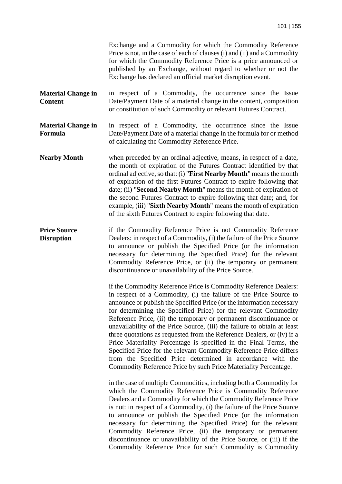Exchange and a Commodity for which the Commodity Reference Price is not, in the case of each of clauses (i) and (ii) and a Commodity for which the Commodity Reference Price is a price announced or published by an Exchange, without regard to whether or not the Exchange has declared an official market disruption event.

- **Material Change in Content**  in respect of a Commodity, the occurrence since the Issue Date/Payment Date of a material change in the content, composition or constitution of such Commodity or relevant Futures Contract.
- **Material Change in Formula**  in respect of a Commodity, the occurrence since the Issue Date/Payment Date of a material change in the formula for or method of calculating the Commodity Reference Price.
- **Nearby Month** when preceded by an ordinal adjective, means, in respect of a date, the month of expiration of the Futures Contract identified by that ordinal adjective, so that: (i) "**First Nearby Month**" means the month of expiration of the first Futures Contract to expire following that date; (ii) "**Second Nearby Month**" means the month of expiration of the second Futures Contract to expire following that date; and, for example, (iii) "**Sixth Nearby Month**" means the month of expiration of the sixth Futures Contract to expire following that date.
- **Price Source Disruption**  if the Commodity Reference Price is not Commodity Reference Dealers: in respect of a Commodity, (i) the failure of the Price Source to announce or publish the Specified Price (or the information necessary for determining the Specified Price) for the relevant Commodity Reference Price, or (ii) the temporary or permanent discontinuance or unavailability of the Price Source.

if the Commodity Reference Price is Commodity Reference Dealers: in respect of a Commodity, (i) the failure of the Price Source to announce or publish the Specified Price (or the information necessary for determining the Specified Price) for the relevant Commodity Reference Price, (ii) the temporary or permanent discontinuance or unavailability of the Price Source, (iii) the failure to obtain at least three quotations as requested from the Reference Dealers, or (iv) if a Price Materiality Percentage is specified in the Final Terms, the Specified Price for the relevant Commodity Reference Price differs from the Specified Price determined in accordance with the Commodity Reference Price by such Price Materiality Percentage.

in the case of multiple Commodities, including both a Commodity for which the Commodity Reference Price is Commodity Reference Dealers and a Commodity for which the Commodity Reference Price is not: in respect of a Commodity, (i) the failure of the Price Source to announce or publish the Specified Price (or the information necessary for determining the Specified Price) for the relevant Commodity Reference Price, (ii) the temporary or permanent discontinuance or unavailability of the Price Source, or (iii) if the Commodity Reference Price for such Commodity is Commodity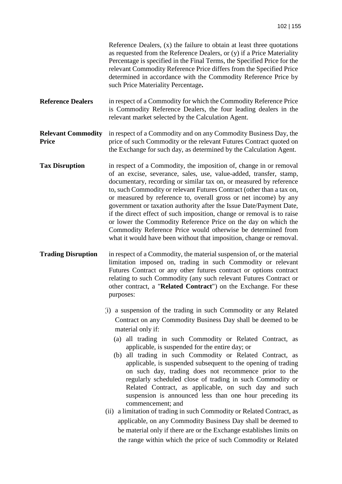|                                           | Reference Dealers, (x) the failure to obtain at least three quotations<br>as requested from the Reference Dealers, or (y) if a Price Materiality<br>Percentage is specified in the Final Terms, the Specified Price for the<br>relevant Commodity Reference Price differs from the Specified Price<br>determined in accordance with the Commodity Reference Price by<br>such Price Materiality Percentage.                                                                                                                                                                                                                                                                                                                                                                                                                                                                                                                                            |
|-------------------------------------------|-------------------------------------------------------------------------------------------------------------------------------------------------------------------------------------------------------------------------------------------------------------------------------------------------------------------------------------------------------------------------------------------------------------------------------------------------------------------------------------------------------------------------------------------------------------------------------------------------------------------------------------------------------------------------------------------------------------------------------------------------------------------------------------------------------------------------------------------------------------------------------------------------------------------------------------------------------|
| <b>Reference Dealers</b>                  | in respect of a Commodity for which the Commodity Reference Price<br>is Commodity Reference Dealers, the four leading dealers in the<br>relevant market selected by the Calculation Agent.                                                                                                                                                                                                                                                                                                                                                                                                                                                                                                                                                                                                                                                                                                                                                            |
| <b>Relevant Commodity</b><br><b>Price</b> | in respect of a Commodity and on any Commodity Business Day, the<br>price of such Commodity or the relevant Futures Contract quoted on<br>the Exchange for such day, as determined by the Calculation Agent.                                                                                                                                                                                                                                                                                                                                                                                                                                                                                                                                                                                                                                                                                                                                          |
| <b>Tax Disruption</b>                     | in respect of a Commodity, the imposition of, change in or removal<br>of an excise, severance, sales, use, value-added, transfer, stamp,<br>documentary, recording or similar tax on, or measured by reference<br>to, such Commodity or relevant Futures Contract (other than a tax on,<br>or measured by reference to, overall gross or net income) by any<br>government or taxation authority after the Issue Date/Payment Date,<br>if the direct effect of such imposition, change or removal is to raise<br>or lower the Commodity Reference Price on the day on which the<br>Commodity Reference Price would otherwise be determined from<br>what it would have been without that imposition, change or removal.                                                                                                                                                                                                                                 |
| <b>Trading Disruption</b>                 | in respect of a Commodity, the material suspension of, or the material<br>limitation imposed on, trading in such Commodity or relevant<br>Futures Contract or any other futures contract or options contract<br>relating to such Commodity (any such relevant Futures Contract or<br>other contract, a "Related Contract") on the Exchange. For these<br>purposes:                                                                                                                                                                                                                                                                                                                                                                                                                                                                                                                                                                                    |
|                                           | (1) a suspension of the trading in such Commodity or any Related<br>Contract on any Commodity Business Day shall be deemed to be<br>material only if:<br>(a) all trading in such Commodity or Related Contract, as<br>applicable, is suspended for the entire day; or<br>(b) all trading in such Commodity or Related Contract, as<br>applicable, is suspended subsequent to the opening of trading<br>on such day, trading does not recommence prior to the<br>regularly scheduled close of trading in such Commodity or<br>Related Contract, as applicable, on such day and such<br>suspension is announced less than one hour preceding its<br>commencement; and<br>(ii) a limitation of trading in such Commodity or Related Contract, as<br>applicable, on any Commodity Business Day shall be deemed to<br>be material only if there are or the Exchange establishes limits on<br>the range within which the price of such Commodity or Related |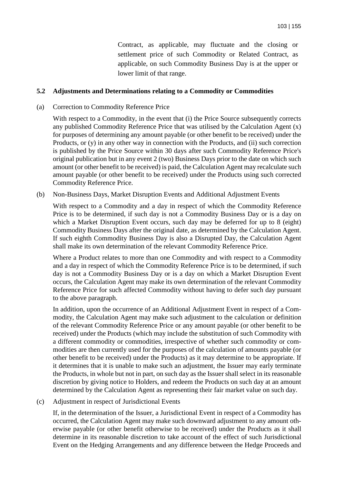Contract, as applicable, may fluctuate and the closing or settlement price of such Commodity or Related Contract, as applicable, on such Commodity Business Day is at the upper or lower limit of that range.

### **5.2 Adjustments and Determinations relating to a Commodity or Commodities**

#### (a) Correction to Commodity Reference Price

With respect to a Commodity, in the event that (i) the Price Source subsequently corrects any published Commodity Reference Price that was utilised by the Calculation Agent (x) for purposes of determining any amount payable (or other benefit to be received) under the Products, or (y) in any other way in connection with the Products, and (ii) such correction is published by the Price Source within 30 days after such Commodity Reference Price's original publication but in any event 2 (two) Business Days prior to the date on which such amount (or other benefit to be received) is paid, the Calculation Agent may recalculate such amount payable (or other benefit to be received) under the Products using such corrected Commodity Reference Price.

(b) Non-Business Days, Market Disruption Events and Additional Adjustment Events

With respect to a Commodity and a day in respect of which the Commodity Reference Price is to be determined, if such day is not a Commodity Business Day or is a day on which a Market Disruption Event occurs, such day may be deferred for up to 8 (eight) Commodity Business Days after the original date, as determined by the Calculation Agent. If such eighth Commodity Business Day is also a Disrupted Day, the Calculation Agent shall make its own determination of the relevant Commodity Reference Price.

Where a Product relates to more than one Commodity and with respect to a Commodity and a day in respect of which the Commodity Reference Price is to be determined, if such day is not a Commodity Business Day or is a day on which a Market Disruption Event occurs, the Calculation Agent may make its own determination of the relevant Commodity Reference Price for such affected Commodity without having to defer such day pursuant to the above paragraph.

In addition, upon the occurrence of an Additional Adjustment Event in respect of a Commodity, the Calculation Agent may make such adjustment to the calculation or definition of the relevant Commodity Reference Price or any amount payable (or other benefit to be received) under the Products (which may include the substitution of such Commodity with a different commodity or commodities, irrespective of whether such commodity or commodities are then currently used for the purposes of the calculation of amounts payable (or other benefit to be received) under the Products) as it may determine to be appropriate. If it determines that it is unable to make such an adjustment, the Issuer may early terminate the Products, in whole but not in part, on such day as the Issuer shall select in its reasonable discretion by giving notice to Holders, and redeem the Products on such day at an amount determined by the Calculation Agent as representing their fair market value on such day.

(c) Adjustment in respect of Jurisdictional Events

If, in the determination of the Issuer, a Jurisdictional Event in respect of a Commodity has occurred, the Calculation Agent may make such downward adjustment to any amount otherwise payable (or other benefit otherwise to be received) under the Products as it shall determine in its reasonable discretion to take account of the effect of such Jurisdictional Event on the Hedging Arrangements and any difference between the Hedge Proceeds and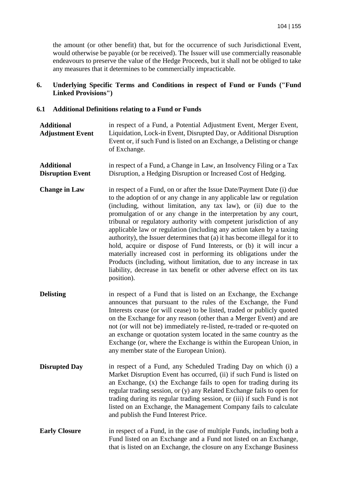the amount (or other benefit) that, but for the occurrence of such Jurisdictional Event, would otherwise be payable (or be received). The Issuer will use commercially reasonable endeavours to preserve the value of the Hedge Proceeds, but it shall not be obliged to take any measures that it determines to be commercially impracticable.

### **6. Underlying Specific Terms and Conditions in respect of Fund or Funds ("Fund Linked Provisions")**

### **6.1 Additional Definitions relating to a Fund or Funds**

| <b>Additional</b><br><b>Adjustment Event</b> | in respect of a Fund, a Potential Adjustment Event, Merger Event,<br>Liquidation, Lock-in Event, Disrupted Day, or Additional Disruption<br>Event or, if such Fund is listed on an Exchange, a Delisting or change<br>of Exchange.                                                                                                                                                                                                                                                                                                                                                                                                                                                                                                                                                                                           |
|----------------------------------------------|------------------------------------------------------------------------------------------------------------------------------------------------------------------------------------------------------------------------------------------------------------------------------------------------------------------------------------------------------------------------------------------------------------------------------------------------------------------------------------------------------------------------------------------------------------------------------------------------------------------------------------------------------------------------------------------------------------------------------------------------------------------------------------------------------------------------------|
| <b>Additional</b><br><b>Disruption Event</b> | in respect of a Fund, a Change in Law, an Insolvency Filing or a Tax<br>Disruption, a Hedging Disruption or Increased Cost of Hedging.                                                                                                                                                                                                                                                                                                                                                                                                                                                                                                                                                                                                                                                                                       |
| <b>Change in Law</b>                         | in respect of a Fund, on or after the Issue Date/Payment Date (i) due<br>to the adoption of or any change in any applicable law or regulation<br>(including, without limitation, any tax law), or (ii) due to the<br>promulgation of or any change in the interpretation by any court,<br>tribunal or regulatory authority with competent jurisdiction of any<br>applicable law or regulation (including any action taken by a taxing<br>authority), the Issuer determines that (a) it has become illegal for it to<br>hold, acquire or dispose of Fund Interests, or (b) it will incur a<br>materially increased cost in performing its obligations under the<br>Products (including, without limitation, due to any increase in tax<br>liability, decrease in tax benefit or other adverse effect on its tax<br>position). |
| <b>Delisting</b>                             | in respect of a Fund that is listed on an Exchange, the Exchange<br>announces that pursuant to the rules of the Exchange, the Fund<br>Interests cease (or will cease) to be listed, traded or publicly quoted<br>on the Exchange for any reason (other than a Merger Event) and are<br>not (or will not be) immediately re-listed, re-traded or re-quoted on<br>an exchange or quotation system located in the same country as the<br>Exchange (or, where the Exchange is within the European Union, in<br>any member state of the European Union).                                                                                                                                                                                                                                                                          |
| <b>Disrupted Day</b>                         | in respect of a Fund, any Scheduled Trading Day on which (i) a<br>Market Disruption Event has occurred, (ii) if such Fund is listed on<br>an Exchange, (x) the Exchange fails to open for trading during its<br>regular trading session, or (y) any Related Exchange fails to open for<br>trading during its regular trading session, or (iii) if such Fund is not<br>listed on an Exchange, the Management Company fails to calculate<br>and publish the Fund Interest Price.                                                                                                                                                                                                                                                                                                                                               |
| <b>Early Closure</b>                         | in respect of a Fund, in the case of multiple Funds, including both a<br>Fund listed on an Exchange and a Fund not listed on an Exchange,<br>that is listed on an Exchange, the closure on any Exchange Business                                                                                                                                                                                                                                                                                                                                                                                                                                                                                                                                                                                                             |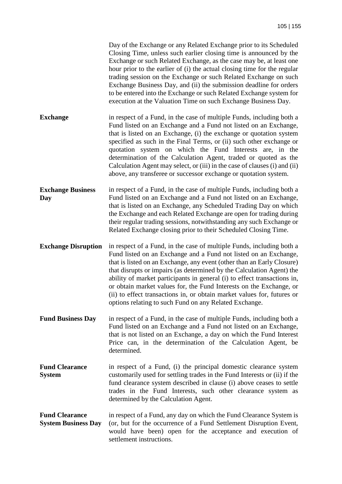|                                                     | Day of the Exchange or any Related Exchange prior to its Scheduled<br>Closing Time, unless such earlier closing time is announced by the<br>Exchange or such Related Exchange, as the case may be, at least one<br>hour prior to the earlier of (i) the actual closing time for the regular<br>trading session on the Exchange or such Related Exchange on such<br>Exchange Business Day, and (ii) the submission deadline for orders<br>to be entered into the Exchange or such Related Exchange system for<br>execution at the Valuation Time on such Exchange Business Day.       |
|-----------------------------------------------------|--------------------------------------------------------------------------------------------------------------------------------------------------------------------------------------------------------------------------------------------------------------------------------------------------------------------------------------------------------------------------------------------------------------------------------------------------------------------------------------------------------------------------------------------------------------------------------------|
| <b>Exchange</b>                                     | in respect of a Fund, in the case of multiple Funds, including both a<br>Fund listed on an Exchange and a Fund not listed on an Exchange,<br>that is listed on an Exchange, (i) the exchange or quotation system<br>specified as such in the Final Terms, or (ii) such other exchange or<br>quotation system on which the Fund Interests are, in the<br>determination of the Calculation Agent, traded or quoted as the<br>Calculation Agent may select, or (iii) in the case of clauses (i) and (ii)<br>above, any transferee or successor exchange or quotation system.            |
| <b>Exchange Business</b><br>Day                     | in respect of a Fund, in the case of multiple Funds, including both a<br>Fund listed on an Exchange and a Fund not listed on an Exchange,<br>that is listed on an Exchange, any Scheduled Trading Day on which<br>the Exchange and each Related Exchange are open for trading during<br>their regular trading sessions, notwithstanding any such Exchange or<br>Related Exchange closing prior to their Scheduled Closing Time.                                                                                                                                                      |
| <b>Exchange Disruption</b>                          | in respect of a Fund, in the case of multiple Funds, including both a<br>Fund listed on an Exchange and a Fund not listed on an Exchange,<br>that is listed on an Exchange, any event (other than an Early Closure)<br>that disrupts or impairs (as determined by the Calculation Agent) the<br>ability of market participants in general (i) to effect transactions in,<br>or obtain market values for, the Fund Interests on the Exchange, or<br>(ii) to effect transactions in, or obtain market values for, futures or<br>options relating to such Fund on any Related Exchange. |
| <b>Fund Business Day</b>                            | in respect of a Fund, in the case of multiple Funds, including both a<br>Fund listed on an Exchange and a Fund not listed on an Exchange,<br>that is not listed on an Exchange, a day on which the Fund Interest<br>Price can, in the determination of the Calculation Agent, be<br>determined.                                                                                                                                                                                                                                                                                      |
| <b>Fund Clearance</b><br><b>System</b>              | in respect of a Fund, (i) the principal domestic clearance system<br>customarily used for settling trades in the Fund Interests or (ii) if the<br>fund clearance system described in clause (i) above ceases to settle<br>trades in the Fund Interests, such other clearance system as<br>determined by the Calculation Agent.                                                                                                                                                                                                                                                       |
| <b>Fund Clearance</b><br><b>System Business Day</b> | in respect of a Fund, any day on which the Fund Clearance System is<br>(or, but for the occurrence of a Fund Settlement Disruption Event,<br>would have been) open for the acceptance and execution of<br>settlement instructions.                                                                                                                                                                                                                                                                                                                                                   |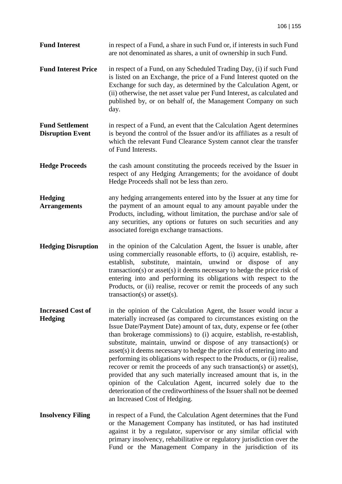**Fund Interest** in respect of a Fund, a share in such Fund or, if interests in such Fund are not denominated as shares, a unit of ownership in such Fund.

- **Fund Interest Price** in respect of a Fund, on any Scheduled Trading Day, (i) if such Fund is listed on an Exchange, the price of a Fund Interest quoted on the Exchange for such day, as determined by the Calculation Agent, or (ii) otherwise, the net asset value per Fund Interest, as calculated and published by, or on behalf of, the Management Company on such day.
- **Fund Settlement Disruption Event**  in respect of a Fund, an event that the Calculation Agent determines is beyond the control of the Issuer and/or its affiliates as a result of which the relevant Fund Clearance System cannot clear the transfer of Fund Interests.
- **Hedge Proceeds** the cash amount constituting the proceeds received by the Issuer in respect of any Hedging Arrangements; for the avoidance of doubt Hedge Proceeds shall not be less than zero.
- **Hedging Arrangements**  any hedging arrangements entered into by the Issuer at any time for the payment of an amount equal to any amount payable under the Products, including, without limitation, the purchase and/or sale of any securities, any options or futures on such securities and any associated foreign exchange transactions.
- **Hedging Disruption** in the opinion of the Calculation Agent, the Issuer is unable, after using commercially reasonable efforts, to (i) acquire, establish, reestablish, substitute, maintain, unwind or dispose of any transaction(s) or asset(s) it deems necessary to hedge the price risk of entering into and performing its obligations with respect to the Products, or (ii) realise, recover or remit the proceeds of any such transaction(s) or asset(s).
- **Increased Cost of Hedging**  in the opinion of the Calculation Agent, the Issuer would incur a materially increased (as compared to circumstances existing on the Issue Date/Payment Date) amount of tax, duty, expense or fee (other than brokerage commissions) to (i) acquire, establish, re-establish, substitute, maintain, unwind or dispose of any transaction(s) or asset(s) it deems necessary to hedge the price risk of entering into and performing its obligations with respect to the Products, or (ii) realise, recover or remit the proceeds of any such transaction(s) or asset(s), provided that any such materially increased amount that is, in the opinion of the Calculation Agent, incurred solely due to the deterioration of the creditworthiness of the Issuer shall not be deemed an Increased Cost of Hedging.
- **Insolvency Filing** in respect of a Fund, the Calculation Agent determines that the Fund or the Management Company has instituted, or has had instituted against it by a regulator, supervisor or any similar official with primary insolvency, rehabilitative or regulatory jurisdiction over the Fund or the Management Company in the jurisdiction of its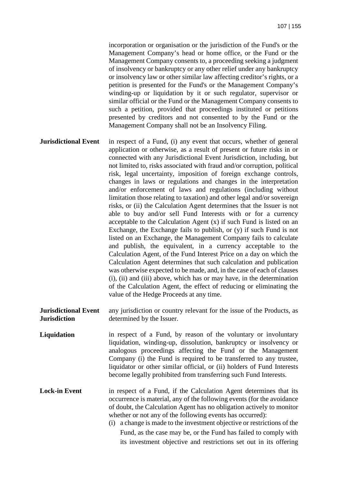incorporation or organisation or the jurisdiction of the Fund's or the Management Company's head or home office, or the Fund or the Management Company consents to, a proceeding seeking a judgment of insolvency or bankruptcy or any other relief under any bankruptcy or insolvency law or other similar law affecting creditor's rights, or a petition is presented for the Fund's or the Management Company's winding-up or liquidation by it or such regulator, supervisor or similar official or the Fund or the Management Company consents to such a petition, provided that proceedings instituted or petitions presented by creditors and not consented to by the Fund or the Management Company shall not be an Insolvency Filing.

**Jurisdictional Event** in respect of a Fund, (i) any event that occurs, whether of general application or otherwise, as a result of present or future risks in or connected with any Jurisdictional Event Jurisdiction, including, but not limited to, risks associated with fraud and/or corruption, political risk, legal uncertainty, imposition of foreign exchange controls, changes in laws or regulations and changes in the interpretation and/or enforcement of laws and regulations (including without limitation those relating to taxation) and other legal and/or sovereign risks, or (ii) the Calculation Agent determines that the Issuer is not able to buy and/or sell Fund Interests with or for a currency acceptable to the Calculation Agent (x) if such Fund is listed on an Exchange, the Exchange fails to publish, or (y) if such Fund is not listed on an Exchange, the Management Company fails to calculate and publish, the equivalent, in a currency acceptable to the Calculation Agent, of the Fund Interest Price on a day on which the Calculation Agent determines that such calculation and publication was otherwise expected to be made, and, in the case of each of clauses (i), (ii) and (iii) above, which has or may have, in the determination of the Calculation Agent, the effect of reducing or eliminating the value of the Hedge Proceeds at any time.

**Jurisdictional Event Jurisdiction**  any jurisdiction or country relevant for the issue of the Products, as determined by the Issuer.

**Liquidation** in respect of a Fund, by reason of the voluntary or involuntary liquidation, winding-up, dissolution, bankruptcy or insolvency or analogous proceedings affecting the Fund or the Management Company (i) the Fund is required to be transferred to any trustee, liquidator or other similar official, or (ii) holders of Fund Interests become legally prohibited from transferring such Fund Interests.

Lock-in Event in respect of a Fund, if the Calculation Agent determines that its occurrence is material, any of the following events (for the avoidance of doubt, the Calculation Agent has no obligation actively to monitor whether or not any of the following events has occurred):

> (i) a change is made to the investment objective or restrictions of the Fund, as the case may be, or the Fund has failed to comply with its investment objective and restrictions set out in its offering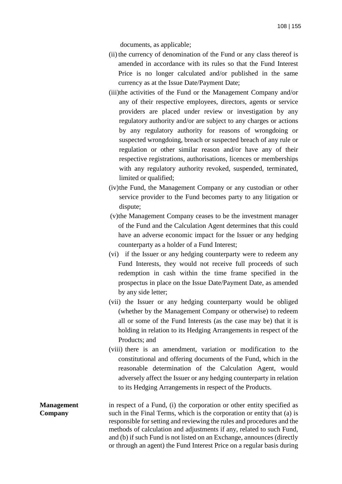documents, as applicable;

- (ii) the currency of denomination of the Fund or any class thereof is amended in accordance with its rules so that the Fund Interest Price is no longer calculated and/or published in the same currency as at the Issue Date/Payment Date;
- (iii)the activities of the Fund or the Management Company and/or any of their respective employees, directors, agents or service providers are placed under review or investigation by any regulatory authority and/or are subject to any charges or actions by any regulatory authority for reasons of wrongdoing or suspected wrongdoing, breach or suspected breach of any rule or regulation or other similar reason and/or have any of their respective registrations, authorisations, licences or memberships with any regulatory authority revoked, suspended, terminated, limited or qualified;
- (iv)the Fund, the Management Company or any custodian or other service provider to the Fund becomes party to any litigation or dispute;
- (v)the Management Company ceases to be the investment manager of the Fund and the Calculation Agent determines that this could have an adverse economic impact for the Issuer or any hedging counterparty as a holder of a Fund Interest;
- (vi) if the Issuer or any hedging counterparty were to redeem any Fund Interests, they would not receive full proceeds of such redemption in cash within the time frame specified in the prospectus in place on the Issue Date/Payment Date, as amended by any side letter;
- (vii) the Issuer or any hedging counterparty would be obliged (whether by the Management Company or otherwise) to redeem all or some of the Fund Interests (as the case may be) that it is holding in relation to its Hedging Arrangements in respect of the Products; and
- (viii) there is an amendment, variation or modification to the constitutional and offering documents of the Fund, which in the reasonable determination of the Calculation Agent, would adversely affect the Issuer or any hedging counterparty in relation to its Hedging Arrangements in respect of the Products.
- **Management Company**  in respect of a Fund, (i) the corporation or other entity specified as such in the Final Terms, which is the corporation or entity that (a) is responsible for setting and reviewing the rules and procedures and the methods of calculation and adjustments if any, related to such Fund, and (b) if such Fund is not listed on an Exchange, announces (directly or through an agent) the Fund Interest Price on a regular basis during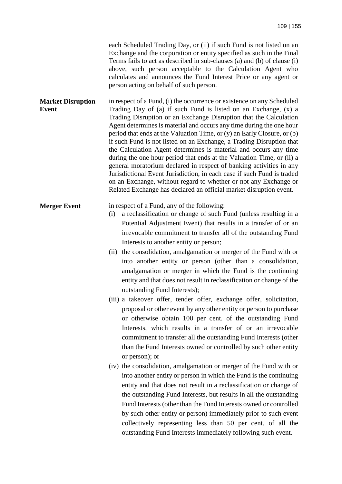each Scheduled Trading Day, or (ii) if such Fund is not listed on an Exchange and the corporation or entity specified as such in the Final Terms fails to act as described in sub-clauses (a) and (b) of clause (i) above, such person acceptable to the Calculation Agent who calculates and announces the Fund Interest Price or any agent or person acting on behalf of such person.

**Market Disruption Event**  in respect of a Fund, (i) the occurrence or existence on any Scheduled Trading Day of (a) if such Fund is listed on an Exchange, (x) a Trading Disruption or an Exchange Disruption that the Calculation Agent determines is material and occurs any time during the one hour period that ends at the Valuation Time, or (y) an Early Closure, or (b) if such Fund is not listed on an Exchange, a Trading Disruption that the Calculation Agent determines is material and occurs any time during the one hour period that ends at the Valuation Time, or (ii) a general moratorium declared in respect of banking activities in any Jurisdictional Event Jurisdiction, in each case if such Fund is traded on an Exchange, without regard to whether or not any Exchange or Related Exchange has declared an official market disruption event.

## **Merger Event** in respect of a Fund, any of the following:

- (i) a reclassification or change of such Fund (unless resulting in a Potential Adjustment Event) that results in a transfer of or an irrevocable commitment to transfer all of the outstanding Fund Interests to another entity or person;
- (ii) the consolidation, amalgamation or merger of the Fund with or into another entity or person (other than a consolidation, amalgamation or merger in which the Fund is the continuing entity and that does not result in reclassification or change of the outstanding Fund Interests);
- (iii) a takeover offer, tender offer, exchange offer, solicitation, proposal or other event by any other entity or person to purchase or otherwise obtain 100 per cent. of the outstanding Fund Interests, which results in a transfer of or an irrevocable commitment to transfer all the outstanding Fund Interests (other than the Fund Interests owned or controlled by such other entity or person); or
- (iv) the consolidation, amalgamation or merger of the Fund with or into another entity or person in which the Fund is the continuing entity and that does not result in a reclassification or change of the outstanding Fund Interests, but results in all the outstanding Fund Interests (other than the Fund Interests owned or controlled by such other entity or person) immediately prior to such event collectively representing less than 50 per cent. of all the outstanding Fund Interests immediately following such event.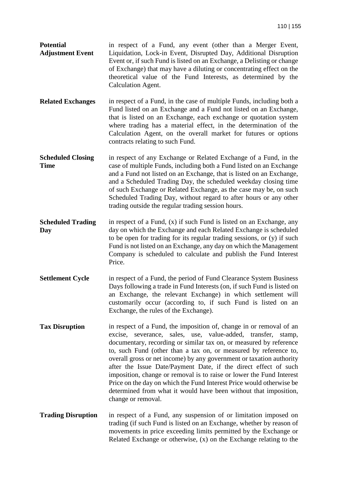**Potential Adjustment Event**  in respect of a Fund, any event (other than a Merger Event, Liquidation, Lock-in Event, Disrupted Day, Additional Disruption Event or, if such Fund is listed on an Exchange, a Delisting or change of Exchange) that may have a diluting or concentrating effect on the theoretical value of the Fund Interests, as determined by the Calculation Agent.

**Related Exchanges** in respect of a Fund, in the case of multiple Funds, including both a Fund listed on an Exchange and a Fund not listed on an Exchange, that is listed on an Exchange, each exchange or quotation system where trading has a material effect, in the determination of the Calculation Agent, on the overall market for futures or options contracts relating to such Fund.

**Scheduled Closing Time**  in respect of any Exchange or Related Exchange of a Fund, in the case of multiple Funds, including both a Fund listed on an Exchange and a Fund not listed on an Exchange, that is listed on an Exchange, and a Scheduled Trading Day, the scheduled weekday closing time of such Exchange or Related Exchange, as the case may be, on such Scheduled Trading Day, without regard to after hours or any other trading outside the regular trading session hours.

- **Scheduled Trading Day**  in respect of a Fund, (x) if such Fund is listed on an Exchange, any day on which the Exchange and each Related Exchange is scheduled to be open for trading for its regular trading sessions, or (y) if such Fund is not listed on an Exchange, any day on which the Management Company is scheduled to calculate and publish the Fund Interest Price.
- **Settlement Cycle** in respect of a Fund, the period of Fund Clearance System Business Days following a trade in Fund Interests (on, if such Fund is listed on an Exchange, the relevant Exchange) in which settlement will customarily occur (according to, if such Fund is listed on an Exchange, the rules of the Exchange).
- **Tax Disruption** in respect of a Fund, the imposition of, change in or removal of an excise, severance, sales, use, value-added, transfer, stamp, documentary, recording or similar tax on, or measured by reference to, such Fund (other than a tax on, or measured by reference to, overall gross or net income) by any government or taxation authority after the Issue Date/Payment Date, if the direct effect of such imposition, change or removal is to raise or lower the Fund Interest Price on the day on which the Fund Interest Price would otherwise be determined from what it would have been without that imposition, change or removal.
- **Trading Disruption** in respect of a Fund, any suspension of or limitation imposed on trading (if such Fund is listed on an Exchange, whether by reason of movements in price exceeding limits permitted by the Exchange or Related Exchange or otherwise, (x) on the Exchange relating to the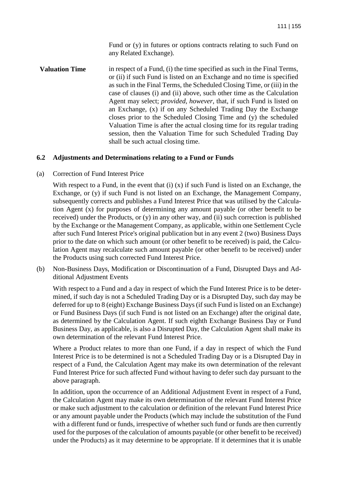Fund or (y) in futures or options contracts relating to such Fund on any Related Exchange).

**Valuation Time** in respect of a Fund, (i) the time specified as such in the Final Terms, or (ii) if such Fund is listed on an Exchange and no time is specified as such in the Final Terms, the Scheduled Closing Time, or (iii) in the case of clauses (i) and (ii) above, such other time as the Calculation Agent may select; *provided*, *however*, that, if such Fund is listed on an Exchange, (x) if on any Scheduled Trading Day the Exchange closes prior to the Scheduled Closing Time and (y) the scheduled Valuation Time is after the actual closing time for its regular trading session, then the Valuation Time for such Scheduled Trading Day shall be such actual closing time.

## **6.2 Adjustments and Determinations relating to a Fund or Funds**

(a) Correction of Fund Interest Price

With respect to a Fund, in the event that (i) (x) if such Fund is listed on an Exchange, the Exchange, or (y) if such Fund is not listed on an Exchange, the Management Company, subsequently corrects and publishes a Fund Interest Price that was utilised by the Calculation Agent (x) for purposes of determining any amount payable (or other benefit to be received) under the Products, or  $(v)$  in any other way, and  $(ii)$  such correction is published by the Exchange or the Management Company, as applicable, within one Settlement Cycle after such Fund Interest Price's original publication but in any event 2 (two) Business Days prior to the date on which such amount (or other benefit to be received) is paid, the Calculation Agent may recalculate such amount payable (or other benefit to be received) under the Products using such corrected Fund Interest Price.

(b) Non-Business Days, Modification or Discontinuation of a Fund, Disrupted Days and Additional Adjustment Events

With respect to a Fund and a day in respect of which the Fund Interest Price is to be determined, if such day is not a Scheduled Trading Day or is a Disrupted Day, such day may be deferred for up to 8 (eight) Exchange Business Days (if such Fund is listed on an Exchange) or Fund Business Days (if such Fund is not listed on an Exchange) after the original date, as determined by the Calculation Agent. If such eighth Exchange Business Day or Fund Business Day, as applicable, is also a Disrupted Day, the Calculation Agent shall make its own determination of the relevant Fund Interest Price.

Where a Product relates to more than one Fund, if a day in respect of which the Fund Interest Price is to be determined is not a Scheduled Trading Day or is a Disrupted Day in respect of a Fund, the Calculation Agent may make its own determination of the relevant Fund Interest Price for such affected Fund without having to defer such day pursuant to the above paragraph.

In addition, upon the occurrence of an Additional Adjustment Event in respect of a Fund, the Calculation Agent may make its own determination of the relevant Fund Interest Price or make such adjustment to the calculation or definition of the relevant Fund Interest Price or any amount payable under the Products (which may include the substitution of the Fund with a different fund or funds, irrespective of whether such fund or funds are then currently used for the purposes of the calculation of amounts payable (or other benefit to be received) under the Products) as it may determine to be appropriate. If it determines that it is unable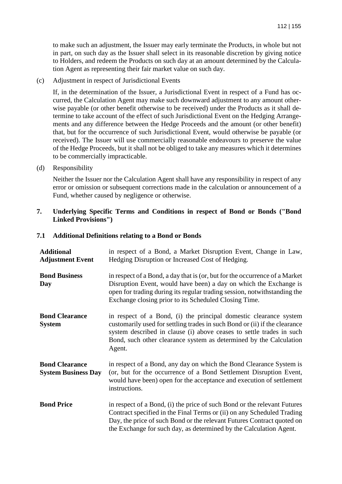to make such an adjustment, the Issuer may early terminate the Products, in whole but not in part, on such day as the Issuer shall select in its reasonable discretion by giving notice to Holders, and redeem the Products on such day at an amount determined by the Calculation Agent as representing their fair market value on such day.

(c) Adjustment in respect of Jurisdictional Events

If, in the determination of the Issuer, a Jurisdictional Event in respect of a Fund has occurred, the Calculation Agent may make such downward adjustment to any amount otherwise payable (or other benefit otherwise to be received) under the Products as it shall determine to take account of the effect of such Jurisdictional Event on the Hedging Arrangements and any difference between the Hedge Proceeds and the amount (or other benefit) that, but for the occurrence of such Jurisdictional Event, would otherwise be payable (or received). The Issuer will use commercially reasonable endeavours to preserve the value of the Hedge Proceeds, but it shall not be obliged to take any measures which it determines to be commercially impracticable.

(d) Responsibility

Neither the Issuer nor the Calculation Agent shall have any responsibility in respect of any error or omission or subsequent corrections made in the calculation or announcement of a Fund, whether caused by negligence or otherwise.

**7. Underlying Specific Terms and Conditions in respect of Bond or Bonds ("Bond Linked Provisions")** 

| <b>Additional</b><br><b>Adjustment Event</b>        | in respect of a Bond, a Market Disruption Event, Change in Law,<br>Hedging Disruption or Increased Cost of Hedging.                                                                                                                                                                                     |  |
|-----------------------------------------------------|---------------------------------------------------------------------------------------------------------------------------------------------------------------------------------------------------------------------------------------------------------------------------------------------------------|--|
| <b>Bond Business</b><br>Day                         | in respect of a Bond, a day that is (or, but for the occurrence of a Market<br>Disruption Event, would have been) a day on which the Exchange is<br>open for trading during its regular trading session, notwithstanding the<br>Exchange closing prior to its Scheduled Closing Time.                   |  |
| <b>Bond Clearance</b><br><b>System</b>              | in respect of a Bond, (i) the principal domestic clearance system<br>customarily used for settling trades in such Bond or (ii) if the clearance<br>system described in clause (i) above ceases to settle trades in such<br>Bond, such other clearance system as determined by the Calculation<br>Agent. |  |
| <b>Bond Clearance</b><br><b>System Business Day</b> | in respect of a Bond, any day on which the Bond Clearance System is<br>(or, but for the occurrence of a Bond Settlement Disruption Event,<br>would have been) open for the acceptance and execution of settlement<br>instructions.                                                                      |  |
| <b>Bond Price</b>                                   | in respect of a Bond, (i) the price of such Bond or the relevant Futures<br>Contract specified in the Final Terms or (ii) on any Scheduled Trading<br>Day, the price of such Bond or the relevant Futures Contract quoted on<br>the Exchange for such day, as determined by the Calculation Agent.      |  |

### **7.1 Additional Definitions relating to a Bond or Bonds**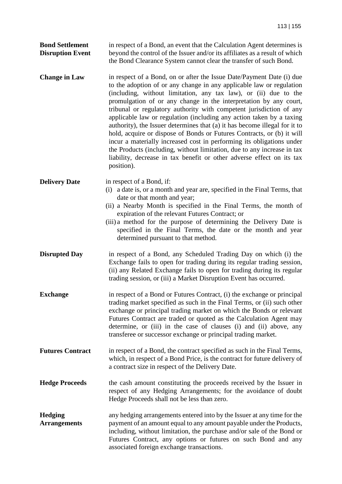| <b>Bond Settlement</b>  | in respect of a Bond, an event that the Calculation Agent determines is     |
|-------------------------|-----------------------------------------------------------------------------|
| <b>Disruption Event</b> | beyond the control of the Issuer and/or its affiliates as a result of which |
|                         | the Bond Clearance System cannot clear the transfer of such Bond.           |

**Change in Law** in respect of a Bond, on or after the Issue Date/Payment Date (i) due to the adoption of or any change in any applicable law or regulation (including, without limitation, any tax law), or (ii) due to the promulgation of or any change in the interpretation by any court, tribunal or regulatory authority with competent jurisdiction of any applicable law or regulation (including any action taken by a taxing authority), the Issuer determines that (a) it has become illegal for it to hold, acquire or dispose of Bonds or Futures Contracts, or (b) it will incur a materially increased cost in performing its obligations under the Products (including, without limitation, due to any increase in tax liability, decrease in tax benefit or other adverse effect on its tax position).

**Delivery Date** in respect of a Bond, if:

- (i) a date is, or a month and year are, specified in the Final Terms, that date or that month and year;
	- (ii) a Nearby Month is specified in the Final Terms, the month of expiration of the relevant Futures Contract; or
- (iii) a method for the purpose of determining the Delivery Date is specified in the Final Terms, the date or the month and year determined pursuant to that method.
- **Disrupted Day** in respect of a Bond, any Scheduled Trading Day on which (i) the Exchange fails to open for trading during its regular trading session, (ii) any Related Exchange fails to open for trading during its regular trading session, or (iii) a Market Disruption Event has occurred.
- **Exchange** in respect of a Bond or Futures Contract, (i) the exchange or principal trading market specified as such in the Final Terms, or (ii) such other exchange or principal trading market on which the Bonds or relevant Futures Contract are traded or quoted as the Calculation Agent may determine, or (iii) in the case of clauses (i) and (ii) above, any transferee or successor exchange or principal trading market.
- **Futures Contract** in respect of a Bond, the contract specified as such in the Final Terms, which, in respect of a Bond Price, is the contract for future delivery of a contract size in respect of the Delivery Date.
- **Hedge Proceeds** the cash amount constituting the proceeds received by the Issuer in respect of any Hedging Arrangements; for the avoidance of doubt Hedge Proceeds shall not be less than zero.
- **Hedging Arrangements**  any hedging arrangements entered into by the Issuer at any time for the payment of an amount equal to any amount payable under the Products, including, without limitation, the purchase and/or sale of the Bond or Futures Contract, any options or futures on such Bond and any associated foreign exchange transactions.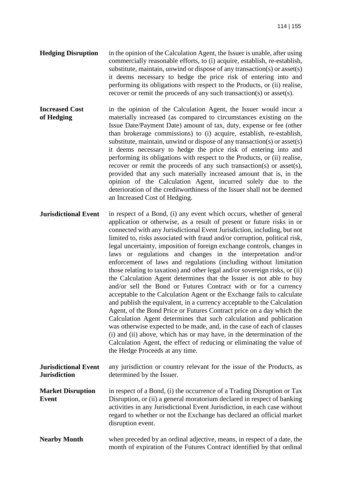- **Hedging Disruption** in the opinion of the Calculation Agent, the Issuer is unable, after using commercially reasonable efforts, to (i) acquire, establish, re-establish, substitute, maintain, unwind or dispose of any transaction(s) or asset(s) it deems necessary to hedge the price risk of entering into and performing its obligations with respect to the Products, or (ii) realise, recover or remit the proceeds of any such transaction(s) or asset(s).
- **Increased Cost of Hedging** in the opinion of the Calculation Agent, the Issuer would incur a materially increased (as compared to circumstances existing on the Issue Date/Payment Date) amount of tax, duty, expense or fee (other than brokerage commissions) to (i) acquire, establish, re-establish, substitute, maintain, unwind or dispose of any transaction(s) or asset(s) it deems necessary to hedge the price risk of entering into and performing its obligations with respect to the Products, or (ii) realise, recover or remit the proceeds of any such transaction(s) or asset(s), provided that any such materially increased amount that is, in the opinion of the Calculation Agent, incurred solely due to the deterioration of the creditworthiness of the Issuer shall not be deemed an Increased Cost of Hedging.
- **Jurisdictional Event** in respect of a Bond, (i) any event which occurs, whether of general application or otherwise, as a result of present or future risks in or connected with any Jurisdictional Event Jurisdiction, including, but not limited to, risks associated with fraud and/or corruption, political risk, legal uncertainty, imposition of foreign exchange controls, changes in laws or regulations and changes in the interpretation and/or enforcement of laws and regulations (including without limitation those relating to taxation) and other legal and/or sovereign risks, or (ii) the Calculation Agent determines that the Issuer is not able to buy and/or sell the Bond or Futures Contract with or for a currency acceptable to the Calculation Agent or the Exchange fails to calculate and publish the equivalent, in a currency acceptable to the Calculation Agent, of the Bond Price or Futures Contract price on a day which the Calculation Agent determines that such calculation and publication was otherwise expected to be made, and, in the case of each of clauses (i) and (ii) above, which has or may have, in the determination of the Calculation Agent, the effect of reducing or eliminating the value of the Hedge Proceeds at any time.
- **Jurisdictional Event Jurisdiction**  any jurisdiction or country relevant for the issue of the Products, as determined by the Issuer.
- **Market Disruption Event**  in respect of a Bond, (i) the occurrence of a Trading Disruption or Tax Disruption, or (ii) a general moratorium declared in respect of banking activities in any Jurisdictional Event Jurisdiction, in each case without regard to whether or not the Exchange has declared an official market disruption event.
- **Nearby Month** when preceded by an ordinal adjective, means, in respect of a date, the month of expiration of the Futures Contract identified by that ordinal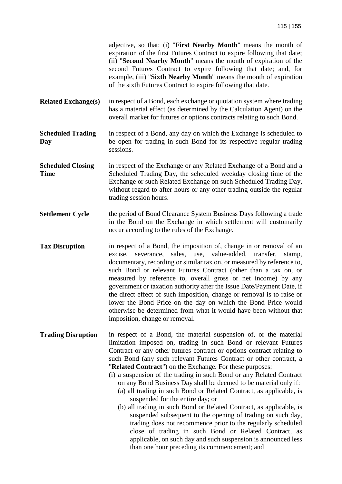adjective, so that: (i) "**First Nearby Month**" means the month of expiration of the first Futures Contract to expire following that date; (ii) "**Second Nearby Month**" means the month of expiration of the second Futures Contract to expire following that date; and, for example, (iii) "**Sixth Nearby Month**" means the month of expiration of the sixth Futures Contract to expire following that date.

**Related Exchange(s)** in respect of a Bond, each exchange or quotation system where trading has a material effect (as determined by the Calculation Agent) on the overall market for futures or options contracts relating to such Bond.

**Scheduled Trading Day**  in respect of a Bond, any day on which the Exchange is scheduled to be open for trading in such Bond for its respective regular trading sessions.

- **Scheduled Closing Time**  in respect of the Exchange or any Related Exchange of a Bond and a Scheduled Trading Day, the scheduled weekday closing time of the Exchange or such Related Exchange on such Scheduled Trading Day, without regard to after hours or any other trading outside the regular trading session hours.
- **Settlement Cycle** the period of Bond Clearance System Business Days following a trade in the Bond on the Exchange in which settlement will customarily occur according to the rules of the Exchange.
- **Tax Disruption** in respect of a Bond, the imposition of, change in or removal of an excise, severance, sales, use, value-added, transfer, stamp, documentary, recording or similar tax on, or measured by reference to, such Bond or relevant Futures Contract (other than a tax on, or measured by reference to, overall gross or net income) by any government or taxation authority after the Issue Date/Payment Date, if the direct effect of such imposition, change or removal is to raise or lower the Bond Price on the day on which the Bond Price would otherwise be determined from what it would have been without that imposition, change or removal.
- **Trading Disruption** in respect of a Bond, the material suspension of, or the material limitation imposed on, trading in such Bond or relevant Futures Contract or any other futures contract or options contract relating to such Bond (any such relevant Futures Contract or other contract, a "**Related Contract**") on the Exchange. For these purposes:
	- (i) a suspension of the trading in such Bond or any Related Contract on any Bond Business Day shall be deemed to be material only if:
		- (a) all trading in such Bond or Related Contract, as applicable, is suspended for the entire day; or
		- (b) all trading in such Bond or Related Contract, as applicable, is suspended subsequent to the opening of trading on such day, trading does not recommence prior to the regularly scheduled close of trading in such Bond or Related Contract, as applicable, on such day and such suspension is announced less than one hour preceding its commencement; and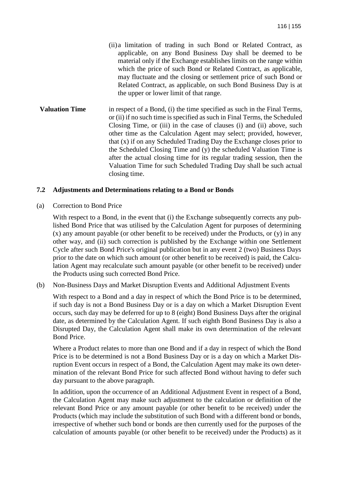- (ii) a limitation of trading in such Bond or Related Contract, as applicable, on any Bond Business Day shall be deemed to be material only if the Exchange establishes limits on the range within which the price of such Bond or Related Contract, as applicable, may fluctuate and the closing or settlement price of such Bond or Related Contract, as applicable, on such Bond Business Day is at the upper or lower limit of that range.
- **Valuation Time** in respect of a Bond, (i) the time specified as such in the Final Terms, or (ii) if no such time is specified as such in Final Terms, the Scheduled Closing Time, or (iii) in the case of clauses (i) and (ii) above, such other time as the Calculation Agent may select; provided, however, that (x) if on any Scheduled Trading Day the Exchange closes prior to the Scheduled Closing Time and (y) the scheduled Valuation Time is after the actual closing time for its regular trading session, then the Valuation Time for such Scheduled Trading Day shall be such actual closing time.

### **7.2 Adjustments and Determinations relating to a Bond or Bonds**

(a) Correction to Bond Price

With respect to a Bond, in the event that (i) the Exchange subsequently corrects any published Bond Price that was utilised by the Calculation Agent for purposes of determining  $(x)$  any amount payable (or other benefit to be received) under the Products, or  $(y)$  in any other way, and (ii) such correction is published by the Exchange within one Settlement Cycle after such Bond Price's original publication but in any event 2 (two) Business Days prior to the date on which such amount (or other benefit to be received) is paid, the Calculation Agent may recalculate such amount payable (or other benefit to be received) under the Products using such corrected Bond Price.

(b) Non-Business Days and Market Disruption Events and Additional Adjustment Events

With respect to a Bond and a day in respect of which the Bond Price is to be determined, if such day is not a Bond Business Day or is a day on which a Market Disruption Event occurs, such day may be deferred for up to 8 (eight) Bond Business Days after the original date, as determined by the Calculation Agent. If such eighth Bond Business Day is also a Disrupted Day, the Calculation Agent shall make its own determination of the relevant Bond Price.

Where a Product relates to more than one Bond and if a day in respect of which the Bond Price is to be determined is not a Bond Business Day or is a day on which a Market Disruption Event occurs in respect of a Bond, the Calculation Agent may make its own determination of the relevant Bond Price for such affected Bond without having to defer such day pursuant to the above paragraph.

In addition, upon the occurrence of an Additional Adjustment Event in respect of a Bond, the Calculation Agent may make such adjustment to the calculation or definition of the relevant Bond Price or any amount payable (or other benefit to be received) under the Products (which may include the substitution of such Bond with a different bond or bonds, irrespective of whether such bond or bonds are then currently used for the purposes of the calculation of amounts payable (or other benefit to be received) under the Products) as it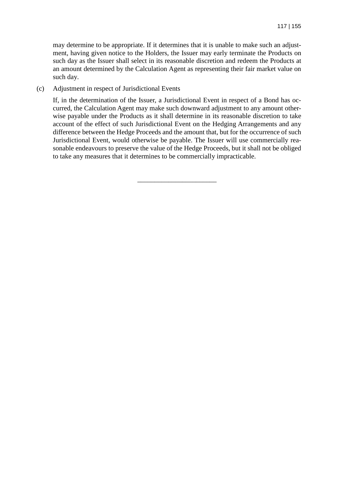may determine to be appropriate. If it determines that it is unable to make such an adjustment, having given notice to the Holders, the Issuer may early terminate the Products on such day as the Issuer shall select in its reasonable discretion and redeem the Products at an amount determined by the Calculation Agent as representing their fair market value on such day.

(c) Adjustment in respect of Jurisdictional Events

If, in the determination of the Issuer, a Jurisdictional Event in respect of a Bond has occurred, the Calculation Agent may make such downward adjustment to any amount otherwise payable under the Products as it shall determine in its reasonable discretion to take account of the effect of such Jurisdictional Event on the Hedging Arrangements and any difference between the Hedge Proceeds and the amount that, but for the occurrence of such Jurisdictional Event, would otherwise be payable. The Issuer will use commercially reasonable endeavours to preserve the value of the Hedge Proceeds, but it shall not be obliged to take any measures that it determines to be commercially impracticable.

\_\_\_\_\_\_\_\_\_\_\_\_\_\_\_\_\_\_\_\_\_\_\_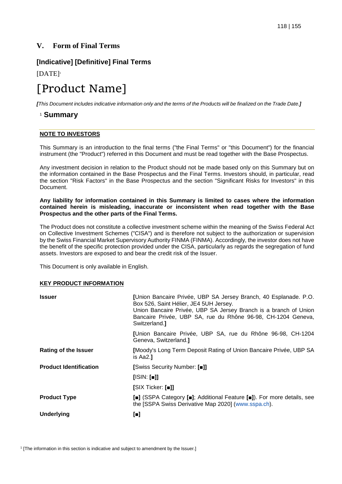## **V. Form of Final Terms**

## **[Indicative] [Definitive] Final Terms**

[DATE]<sup>1</sup>

# [Product Name]

*[This Document includes indicative information only and the terms of the Products will be finalized on the Trade Date.]* 

## 1  **Summary**

### **NOTE TO INVESTORS**

This Summary is an introduction to the final terms ("the Final Terms" or "this Document") for the financial instrument (the "Product") referred in this Document and must be read together with the Base Prospectus.

Any investment decision in relation to the Product should not be made based only on this Summary but on the information contained in the Base Prospectus and the Final Terms. Investors should, in particular, read the section "Risk Factors" in the Base Prospectus and the section "Significant Risks for Investors" in this Document.

**Any liability for information contained in this Summary is limited to cases where the information contained herein is misleading, inaccurate or inconsistent when read together with the Base Prospectus and the other parts of the Final Terms.** 

The Product does not constitute a collective investment scheme within the meaning of the Swiss Federal Act on Collective Investment Schemes ("CISA") and is therefore not subject to the authorization or supervision by the Swiss Financial Market Supervisory Authority FINMA (FINMA). Accordingly, the investor does not have the benefit of the specific protection provided under the CISA, particularly as regards the segregation of fund assets. Investors are exposed to and bear the credit risk of the Issuer.

This Document is only available in English.

### **KEY PRODUCT INFORMATION**

| <b>Issuer</b>                 | [Union Bancaire Privée, UBP SA Jersey Branch, 40 Esplanade. P.O.<br>Box 526, Saint Hélier, JE4 5UH Jersey.<br>Union Bancaire Privée, UBP SA Jersey Branch is a branch of Union<br>Bancaire Privée, UBP SA, rue du Rhône 96-98, CH-1204 Geneva,<br>Switzerland. |  |
|-------------------------------|----------------------------------------------------------------------------------------------------------------------------------------------------------------------------------------------------------------------------------------------------------------|--|
|                               | [Union Bancaire Privée, UBP SA, rue du Rhône 96-98, CH-1204<br>Geneva, Switzerland.                                                                                                                                                                            |  |
| <b>Rating of the Issuer</b>   | [Moody's Long Term Deposit Rating of Union Bancaire Privée, UBP SA<br>is Aa2.1                                                                                                                                                                                 |  |
| <b>Product Identification</b> | [Swiss Security Number: [■]]                                                                                                                                                                                                                                   |  |
|                               | $[$ ISIN: $[$ $\blacksquare$ ]]                                                                                                                                                                                                                                |  |
|                               | [SIX Ticker: [∎]]                                                                                                                                                                                                                                              |  |
| <b>Product Type</b>           | [ $\blacksquare$ ] (SSPA Category [ $\blacksquare$ ]; Additional Feature [ $\blacksquare$ ]). For more details, see<br>the [SSPA Swiss Derivative Map 2020] (www.sspa.ch).                                                                                     |  |
| <b>Underlying</b>             | 0                                                                                                                                                                                                                                                              |  |

<sup>1</sup> [The information in this section is indicative and subject to amendment by the Issuer.]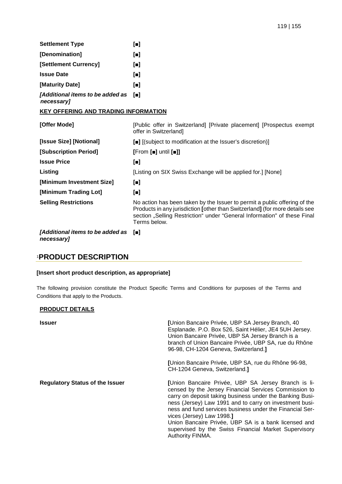| <b>Settlement Type</b>                         | $\blacksquare$ |
|------------------------------------------------|----------------|
| [Denomination]                                 | o              |
| [Settlement Currency]                          | $\blacksquare$ |
| <b>Issue Date</b>                              | o              |
| [Maturity Date]                                | o              |
| [Additional items to be added as<br>necessary] | m              |

#### **KEY OFFERING AND TRADING INFORMATION**

| [Offer Mode]                                                      | [Public offer in Switzerland] [Private placement] [Prospectus exempt<br>offer in Switzerland]                                                                                                                                                        |  |
|-------------------------------------------------------------------|------------------------------------------------------------------------------------------------------------------------------------------------------------------------------------------------------------------------------------------------------|--|
| [Issue Size] [Notional]                                           | [■] [(subject to modification at the Issuer's discretion)]                                                                                                                                                                                           |  |
| [Subscription Period]                                             | $[From [ = ] until [ = ]]$                                                                                                                                                                                                                           |  |
| <b>Issue Price</b>                                                | $\begin{bmatrix} \blacksquare \end{bmatrix}$                                                                                                                                                                                                         |  |
| Listing                                                           | [Listing on SIX Swiss Exchange will be applied for.] [None]                                                                                                                                                                                          |  |
| [Minimum Investment Size]                                         | $\blacksquare$                                                                                                                                                                                                                                       |  |
| [Minimum Trading Lot]                                             | $\blacksquare$                                                                                                                                                                                                                                       |  |
| <b>Selling Restrictions</b>                                       | No action has been taken by the Issuer to permit a public offering of the<br>Products in any jurisdiction [other than Switzerland] (for more details see<br>section "Selling Restriction" under "General Information" of these Final<br>Terms below. |  |
| [Additional items to be added as [ $\blacksquare$ ]<br>necessary] |                                                                                                                                                                                                                                                      |  |

## <sup>1</sup>**PRODUCT DESCRIPTION**

#### **[Insert short product description, as appropriate]**

The following provision constitute the Product Specific Terms and Conditions for purposes of the Terms and Conditions that apply to the Products.

#### **PRODUCT DETAILS**

| <b>Issuer</b>                          | [Union Bancaire Privée, UBP SA Jersey Branch, 40<br>Esplanade. P.O. Box 526, Saint Hélier, JE4 5UH Jersey.<br>Union Bancaire Privée, UBP SA Jersey Branch is a<br>branch of Union Bancaire Privée, UBP SA, rue du Rhône<br>96-98, CH-1204 Geneva, Switzerland.]                                                                                                                                                                                                  |
|----------------------------------------|------------------------------------------------------------------------------------------------------------------------------------------------------------------------------------------------------------------------------------------------------------------------------------------------------------------------------------------------------------------------------------------------------------------------------------------------------------------|
|                                        | [Union Bancaire Privée, UBP SA, rue du Rhône 96-98,<br>CH-1204 Geneva, Switzerland.]                                                                                                                                                                                                                                                                                                                                                                             |
| <b>Regulatory Status of the Issuer</b> | [Union Bancaire Privée, UBP SA Jersey Branch is li-<br>censed by the Jersey Financial Services Commission to<br>carry on deposit taking business under the Banking Busi-<br>ness (Jersey) Law 1991 and to carry on investment busi-<br>ness and fund services business under the Financial Ser-<br>vices (Jersey) Law 1998.]<br>Union Bancaire Privée, UBP SA is a bank licensed and<br>supervised by the Swiss Financial Market Supervisory<br>Authority FINMA. |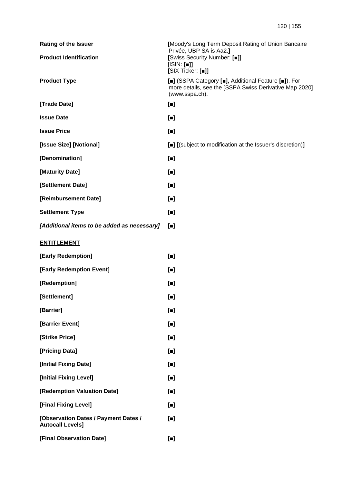| <b>Rating of the Issuer</b>                                     | [Moody's Long Term Deposit Rating of Union Bancaire<br>Privée, UBP SA is Aa2.]                                                                                                |
|-----------------------------------------------------------------|-------------------------------------------------------------------------------------------------------------------------------------------------------------------------------|
| <b>Product Identification</b>                                   | [Swiss Security Number: [.]]<br>[ISIN: []]<br>[SIX Ticker: [■]]                                                                                                               |
| <b>Product Type</b>                                             | [ $\blacksquare$ ] (SSPA Category [ $\blacksquare$ ], Additional Feature [ $\blacksquare$ ]). For<br>more details, see the [SSPA Swiss Derivative Map 2020]<br>(www.sspa.ch). |
| [Trade Date]                                                    | $\lbrack \bullet \rbrack$                                                                                                                                                     |
| <b>Issue Date</b>                                               | $\blacksquare$                                                                                                                                                                |
| <b>Issue Price</b>                                              | $[$                                                                                                                                                                           |
| [Issue Size] [Notional]                                         | [■] [(subject to modification at the Issuer's discretion)]                                                                                                                    |
| [Denomination]                                                  | $[$                                                                                                                                                                           |
| [Maturity Date]                                                 | $[$                                                                                                                                                                           |
| [Settlement Date]                                               | $\blacksquare$                                                                                                                                                                |
| [Reimbursement Date]                                            | $\blacksquare$                                                                                                                                                                |
| <b>Settlement Type</b>                                          | $\lbrack \bullet \rbrack$                                                                                                                                                     |
| [Additional items to be added as necessary]                     | $\lbrack \blacksquare \rbrack$                                                                                                                                                |
| <b>ENTITLEMENT</b>                                              |                                                                                                                                                                               |
| [Early Redemption]                                              | $\lbrack \bullet \rbrack$                                                                                                                                                     |
| [Early Redemption Event]                                        | $\lbrack \bullet \rbrack$                                                                                                                                                     |
| [Redemption]                                                    | $\blacksquare$                                                                                                                                                                |
| [Settlement]                                                    | $[ \blacksquare ]$                                                                                                                                                            |
| [Barrier]                                                       | $[$                                                                                                                                                                           |
| [Barrier Event]                                                 | $[$                                                                                                                                                                           |
| [Strike Price]                                                  | $[$                                                                                                                                                                           |
| [Pricing Data]                                                  | $[$                                                                                                                                                                           |
| [Initial Fixing Date]                                           | $\blacksquare$                                                                                                                                                                |
| [Initial Fixing Level]                                          | $[$                                                                                                                                                                           |
| [Redemption Valuation Date]                                     | $\blacksquare$                                                                                                                                                                |
| [Final Fixing Level]                                            | $[$                                                                                                                                                                           |
| [Observation Dates / Payment Dates /<br><b>Autocall Levels]</b> | $\lbrack \bullet \rbrack$                                                                                                                                                     |
| [Final Observation Date]                                        | $[$                                                                                                                                                                           |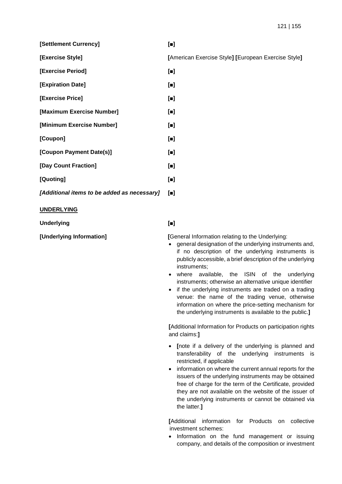**[Settlement Currency] [■]**

- **[Exercise Period] [■]**
- **[Expiration Date] [■]**
- **[Exercise Price] [■]**
- **[Maximum Exercise Number] [■]**
- **[Minimum Exercise Number] [■]**
- **[Coupon] [■] [Coupon Payment Date(s)] [■]**
- **[Day Count Fraction] [■]**
- **[Quoting] [■]**
- *[Additional items to be added as necessary]* **[■]**

### **UNDERLYING**

**Underlying [■]**

**[Underlying Information] [**General Information relating to the Underlying:

- general designation of the underlying instruments and, if no description of the underlying instruments is publicly accessible, a brief description of the underlying instruments;
- where available, the ISIN of the underlying instruments; otherwise an alternative unique identifier
- if the underlying instruments are traded on a trading venue: the name of the trading venue, otherwise information on where the price-setting mechanism for the underlying instruments is available to the public.**]**

**[**Additional Information for Products on participation rights and claims:**]**

- **[**note if a delivery of the underlying is planned and transferability of the underlying instruments is restricted, if applicable
- information on where the current annual reports for the issuers of the underlying instruments may be obtained free of charge for the term of the Certificate, provided they are not available on the website of the issuer of the underlying instruments or cannot be obtained via the latter.**]**

**[**Additional information for Products on collective investment schemes:

• Information on the fund management or issuing company, and details of the composition or investment

**[Exercise Style] [**American Exercise Style**] [**European Exercise Style**]**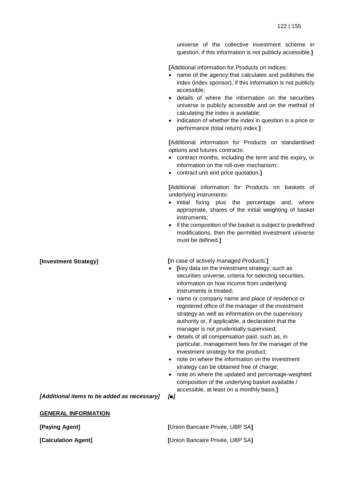universe of the collective investment scheme in question, if this information is not publicly accessible.**]**

**[**Additional information for Products on indices:

- name of the agency that calculates and publishes the index (index sponsor), if this information is not publicly accessible;
- details of where the information on the securities universe is publicly accessible and on the method of calculating the index is available;
- indication of whether the index in question is a price or performance (total return) index.**]**

**[**Additional information for Products on standardised options and futures contracts:

- contract months, including the term and the expiry, or information on the roll-over mechanism;
- contract unit and price quotation.**]**

**[**Additional information for Products on baskets of underlying instruments:

- initial fixing plus the percentage and, where appropriate, shares of the initial weighting of basket instruments;
- if the composition of the basket is subject to predefined modifications, then the permitted investment universe must be defined.**]**

**[Investment Strategy] [**in case of actively managed Products:**]**

- **[**key data on the investment strategy, such as securities universe, criteria for selecting securities, information on how income from underlying instruments is treated;
- name or company name and place of residence or registered office of the manager of the investment strategy as well as information on the supervisory authority or, if applicable, a declaration that the manager is not prudentially supervised;
- details of all compensation paid, such as, in particular, management fees for the manager of the investment strategy for the product;
- note on where the information on the investment strategy can be obtained free of charge;
- note on where the updated and percentage-weighted composition of the underlying basket available / accessible, at least on a monthly basis.**]**

*[Additional items to be added as necessary] [■]*

**GENERAL INFORMATION**

| [Paying Agent]      | [Union Bancaire Privée, UBP SA] |
|---------------------|---------------------------------|
| [Calculation Agent] | [Union Bancaire Privée, UBP SA] |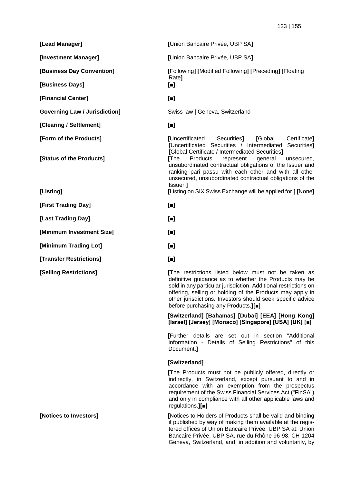**[Lead Manager] [**Union Bancaire Privée, UBP SA**] [Investment Manager] [**Union Bancaire Privée, UBP SA**] [Business Day Convention] [**Following**] [**Modified Following**] [**Preceding**] [**Floating Rate**] [Business Days] [■] [Financial Center] [■] Governing Law / Jurisdiction] Swiss law | Geneva, Switzerland [Clearing / Settlement] [■] [Form of the Products] [**Uncertificated Securities**] [**Global Certificate**] [**Uncertificated Securities / Intermediated Securities**] [**Global Certificate / Intermediated Securities**] [Status of the Products] [**The Products represent general unsecured, unsubordinated contractual obligations of the Issuer and ranking pari passu with each other and with all other unsecured, unsubordinated contractual obligations of the Issuer.**] [Listing] [**Listing on SIX Swiss Exchange will be applied for.**] [**None**] [First Trading Day] [■] [Last Trading Day] [■] [Minimum Investment Size] [■] [Minimum Trading Lot] [■] [Transfer Restrictions] [■] [Selling Restrictions] [**The restrictions listed below must not be taken as

definitive guidance as to whether the Products may be sold in any particular jurisdiction. Additional restrictions on offering, selling or holding of the Products may apply in other jurisdictions. Investors should seek specific advice before purchasing any Products.**][■]**

#### **[Switzerland] [Bahamas] [Dubai] [EEA] [Hong Kong] [Israel] [Jersey] [Monaco] [Singapore] [USA] [UK] [■]**

**[**Further details are set out in section "Additional Information - Details of Selling Restrictions" of this Document.**]**

## **[Switzerland]**

**[**The Products must not be publicly offered, directly or indirectly, in Switzerland, except pursuant to and in accordance with an exemption from the prospectus requirement of the Swiss Financial Services Act ("FinSA") and only in compliance with all other applicable laws and regulations.**][■]**

**[Notices to Investors] [**Notices to Holders of Products shall be valid and binding if published by way of making them available at the registered offices of Union Bancaire Privée, UBP SA at: Union Bancaire Privée, UBP SA, rue du Rhône 96-98, CH-1204 Geneva, Switzerland, and, in addition and voluntarily, by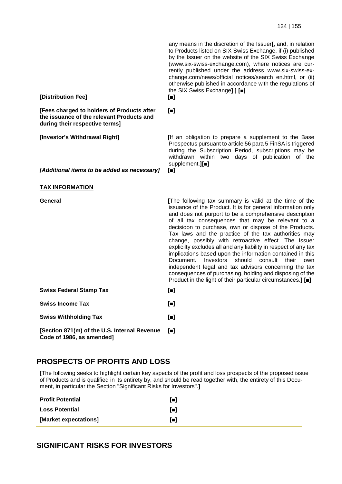| [Distribution Fee]                                                                                                        | any means in the discretion of the Issuer[, and, in relation<br>to Products listed on SIX Swiss Exchange, if (i) published<br>by the Issuer on the website of the SIX Swiss Exchange<br>(www.six-swiss-exchange.com), where notices are cur-<br>rently published under the address www.six-swiss-ex-<br>change.com/news/official_notices/search_en.html, or (ii)<br>otherwise published in accordance with the regulations of<br>the SIX Swiss Exchange].] [.]<br>$\blacksquare$                                                                                                                                                                                                                                                                                                                                  |
|---------------------------------------------------------------------------------------------------------------------------|-------------------------------------------------------------------------------------------------------------------------------------------------------------------------------------------------------------------------------------------------------------------------------------------------------------------------------------------------------------------------------------------------------------------------------------------------------------------------------------------------------------------------------------------------------------------------------------------------------------------------------------------------------------------------------------------------------------------------------------------------------------------------------------------------------------------|
| [Fees charged to holders of Products after<br>the issuance of the relevant Products and<br>during their respective terms] | $\blacksquare$                                                                                                                                                                                                                                                                                                                                                                                                                                                                                                                                                                                                                                                                                                                                                                                                    |
| [Investor's Withdrawal Right]                                                                                             | [If an obligation to prepare a supplement to the Base<br>Prospectus pursuant to article 56 para 5 FinSA is triggered<br>during the Subscription Period, subscriptions may be<br>withdrawn within two days of publication of the<br>supplement.][ $\blacksquare$ ]                                                                                                                                                                                                                                                                                                                                                                                                                                                                                                                                                 |
| [Additional items to be added as necessary]                                                                               | $\blacksquare$                                                                                                                                                                                                                                                                                                                                                                                                                                                                                                                                                                                                                                                                                                                                                                                                    |
| <b>TAX INFORMATION</b>                                                                                                    |                                                                                                                                                                                                                                                                                                                                                                                                                                                                                                                                                                                                                                                                                                                                                                                                                   |
| General                                                                                                                   | [The following tax summary is valid at the time of the<br>issuance of the Product. It is for general information only<br>and does not purport to be a comprehensive description<br>of all tax consequences that may be relevant to a<br>decisioon to purchase, own or dispose of the Products.<br>Tax laws and the practice of the tax authorities may<br>change, possibly with retroactive effect. The Issuer<br>explicilty excludes all and any liability in respect of any tax<br>implications based upon the information contained in this<br>should<br>their<br>Document.<br>Investors<br>consult<br>own<br>independent legal and tax advisors concerning the tax<br>consequences of purchasing, holding and disposing of the<br>Product in the light of their particular circumstances.] [ $\blacksquare$ ] |
| <b>Swiss Federal Stamp Tax</b>                                                                                            | $\blacksquare$                                                                                                                                                                                                                                                                                                                                                                                                                                                                                                                                                                                                                                                                                                                                                                                                    |
| <b>Swiss Income Tax</b>                                                                                                   | $\blacksquare$                                                                                                                                                                                                                                                                                                                                                                                                                                                                                                                                                                                                                                                                                                                                                                                                    |
| <b>Swiss Withholding Tax</b>                                                                                              | $\blacksquare$                                                                                                                                                                                                                                                                                                                                                                                                                                                                                                                                                                                                                                                                                                                                                                                                    |
| [Section 871(m) of the U.S. Internal Revenue<br>Code of 1986, as amended]                                                 | $\blacksquare$                                                                                                                                                                                                                                                                                                                                                                                                                                                                                                                                                                                                                                                                                                                                                                                                    |

## **PROSPECTS OF PROFITS AND LOSS**

**[**The following seeks to highlight certain key aspects of the profit and loss prospects of the proposed issue of Products and is qualified in its entirety by, and should be read together with, the entirety of this Document, in particular the Section "Significant Risks for Investors".**]** 

| <b>Profit Potential</b> | Гш       |
|-------------------------|----------|
| <b>Loss Potential</b>   | $\lceil$ |
| [Market expectations]   | $\lceil$ |

## **SIGNIFICANT RISKS FOR INVESTORS**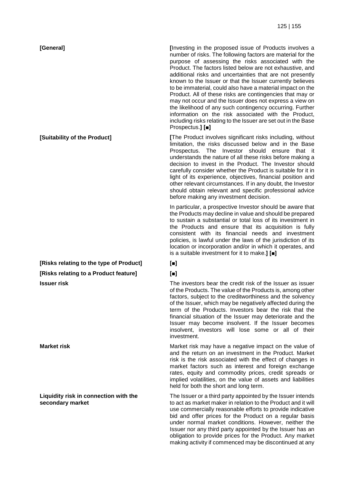**[Risks relating to the type of Product] [■] [Risks relating to a Product feature] [■]**

**Liquidity risk in connection with the secondary market** 

**[General]** *I Investing in the proposed issue of Products involves a* number of risks. The following factors are material for the purpose of assessing the risks associated with the Product. The factors listed below are not exhaustive, and additional risks and uncertainties that are not presently known to the Issuer or that the Issuer currently believes to be immaterial, could also have a material impact on the Product. All of these risks are contingencies that may or may not occur and the Issuer does not express a view on the likelihood of any such contingency occurring. Further information on the risk associated with the Product, including risks relating to the Issuer are set out in the Base Prospectus.**] [■]**

**[Suitability of the Product]** *IThe Product involves significant risks including, without* limitation, the risks discussed below and in the Base Prospectus. The Investor should ensure that it understands the nature of all these risks before making a decision to invest in the Product. The Investor should carefully consider whether the Product is suitable for it in light of its experience, objectives, financial position and other relevant circumstances. If in any doubt, the Investor should obtain relevant and specific professional advice before making any investment decision.

> In particular, a prospective Investor should be aware that the Products may decline in value and should be prepared to sustain a substantial or total loss of its investment in the Products and ensure that its acquisition is fully consistent with its financial needs and investment policies, is lawful under the laws of the jurisdiction of its location or incorporation and/or in which it operates, and is a suitable investment for it to make.**] [■]**

**Issuer risk The investors bear the credit risk of the Issuer as issuer The investors bear the credit risk of the Issuer as issuer** of the Products. The value of the Products is, among other factors, subject to the creditworthiness and the solvency of the Issuer, which may be negatively affected during the term of the Products. Investors bear the risk that the financial situation of the Issuer may deteriorate and the Issuer may become insolvent. If the Issuer becomes insolvent, investors will lose some or all of their investment.

**Market risk** Market risk may have a negative impact on the value of and the return on an investment in the Product. Market risk is the risk associated with the effect of changes in market factors such as interest and foreign exchange rates, equity and commodity prices, credit spreads or implied volatilities, on the value of assets and liabilities held for both the short and long term.

> The Issuer or a third party appointed by the Issuer intends to act as market maker in relation to the Product and it will use commercially reasonable efforts to provide indicative bid and offer prices for the Product on a regular basis under normal market conditions. However, neither the Issuer nor any third party appointed by the Issuer has an obligation to provide prices for the Product. Any market making activity if commenced may be discontinued at any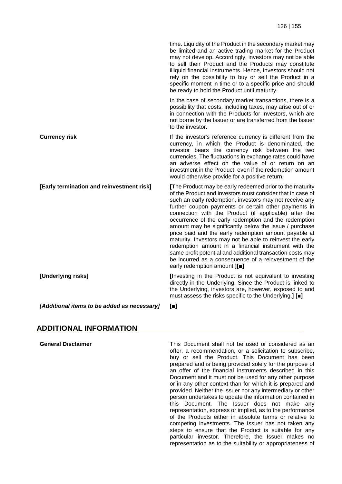|                                             | time. Liquidity of the Product in the secondary market may<br>be limited and an active trading market for the Product<br>may not develop. Accordingly, investors may not be able<br>to sell their Product and the Products may constitute<br>illiquid financial instruments. Hence, investors should not<br>rely on the possibility to buy or sell the Product in a<br>specific moment in time or to a specific price and should<br>be ready to hold the Product until maturity.                                                                                                                                                                                                                                                                           |
|---------------------------------------------|------------------------------------------------------------------------------------------------------------------------------------------------------------------------------------------------------------------------------------------------------------------------------------------------------------------------------------------------------------------------------------------------------------------------------------------------------------------------------------------------------------------------------------------------------------------------------------------------------------------------------------------------------------------------------------------------------------------------------------------------------------|
|                                             | In the case of secondary market transactions, there is a<br>possibility that costs, including taxes, may arise out of or<br>in connection with the Products for Investors, which are<br>not borne by the Issuer or are transferred from the Issuer<br>to the investor.                                                                                                                                                                                                                                                                                                                                                                                                                                                                                     |
| <b>Currency risk</b>                        | If the investor's reference currency is different from the<br>currency, in which the Product is denominated, the<br>investor bears the currency risk between the two<br>currencies. The fluctuations in exchange rates could have<br>an adverse effect on the value of or return on an<br>investment in the Product, even if the redemption amount<br>would otherwise provide for a positive return.                                                                                                                                                                                                                                                                                                                                                       |
| [Early termination and reinvestment risk]   | [The Product may be early redeemed prior to the maturity<br>of the Product and investors must consider that in case of<br>such an early redemption, investors may not receive any<br>further coupon payments or certain other payments in<br>connection with the Product (if applicable) after the<br>occurrence of the early redemption and the redemption<br>amount may be significantly below the issue / purchase<br>price paid and the early redemption amount payable at<br>maturity. Investors may not be able to reinvest the early<br>redemption amount in a financial instrument with the<br>same profit potential and additional transaction costs may<br>be incurred as a consequence of a reinvestment of the<br>early redemption amount.][.] |
| [Underlying risks]                          | [Investing in the Product is not equivalent to investing<br>directly in the Underlying. Since the Product is linked to<br>the Underlying, investors are, however, exposed to and<br>must assess the risks specific to the Underlying.] [.]                                                                                                                                                                                                                                                                                                                                                                                                                                                                                                                 |
| [Additional items to be added as necessary] | $\blacksquare$                                                                                                                                                                                                                                                                                                                                                                                                                                                                                                                                                                                                                                                                                                                                             |

## **ADDITIONAL INFORMATION**

**General Disclaimer** This Document shall not be used or considered as an offer, a recommendation, or a solicitation to subscribe, buy or sell the Product. This Document has been prepared and is being provided solely for the purpose of an offer of the financial instruments described in this Document and it must not be used for any other purpose or in any other context than for which it is prepared and provided. Neither the Issuer nor any intermediary or other person undertakes to update the information contained in this Document. The Issuer does not make any representation, express or implied, as to the performance of the Products either in absolute terms or relative to competing investments. The Issuer has not taken any steps to ensure that the Product is suitable for any particular investor. Therefore, the Issuer makes no representation as to the suitability or appropriateness of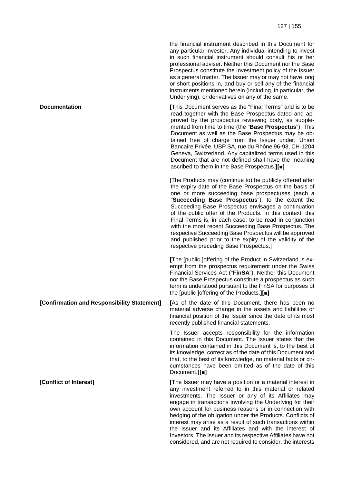the financial instrument described in this Document for any particular investor. Any individual intending to invest in such financial instrument should consult his or her professional adviser. Neither this Document nor the Base Prospectus constitute the investment policy of the Issuer as a general matter. The Issuer may or may not have long or short positions in, and buy or sell any of the financial instruments mentioned herein (including, in particular, the Underlying), or derivatives on any of the same.

**Documentation COLLEGE 1 COLLEGE 1 COLLEGE 1 COLLEGE 1 COLLEGE 1 COLLEGE 1 COLLEGE 1 COLLEGE 1 COLLEGE 1 COLLEGE 1 COLLEGE 1 COLLEGE 1 COLLEGE 1 COLLEGE 1 COLLEGE 1 COLLEGE 1 COLLEGE 1 C** read together with the Base Prospectus dated and approved by the prospectus reviewing body, as supplemented from time to time (the "**Base Prospectus**"). This Document as well as the Base Prospectus may be obtained free of charge from the Issuer under: Union Bancaire Privée, UBP SA, rue du Rhône 96-98, CH-1204 Geneva, Switzerland. Any capitalized terms used in this Document that are not defined shall have the meaning ascribed to them in the Base Prospectus.**][■]**

> [The Products may (continue to) be publicly offered after the expiry date of the Base Prospectus on the basis of one or more succeeding base prospectuses (each a "**Succeeding Base Prospectus**"), to the extent the Succeeding Base Prospectus envisages a continuation of the public offer of the Products. In this context, this Final Terms is, in each case, to be read in conjunction with the most recent Succeeding Base Prospectus. The respective Succeeding Base Prospectus will be approved and published prior to the expiry of the validity of the respective preceding Base Prospectus.]

> **[**The [public ]offering of the Product in Switzerland is exempt from the prospectus requirement under the Swiss Financial Services Act ("**FinSA**"). Neither this Document nor the Base Prospectus constitute a prospectus as such term is understood pursuant to the FinSA for purposes of the [public ]offering of the Products.**][■]**

**[Confirmation and Responsibility Statement] [**As of the date of this Document, there has been no material adverse change in the assets and liabilities or financial position of the Issuer since the date of its most recently published financial statements.

> The Issuer accepts responsibility for the information contained in this Document. The Issuer states that the information contained in this Document is, to the best of its knowledge, correct as of the date of this Document and that, to the best of its knowledge, no material facts or circumstances have been omitted as of the date of this Document.**][■]**

**[Conflict of Interest] [The Issuer may have a position or a material interest in** any investment referred to in this material or related investments. The Issuer or any of its Affiliates may engage in transactions involving the Underlying for their own account for business reasons or in connection with hedging of the obligation under the Products. Conflicts of interest may arise as a result of such transactions within the Issuer and its Affiliates and with the interest of Investors. The Issuer and its respective Affiliates have not considered, and are not required to consider, the interests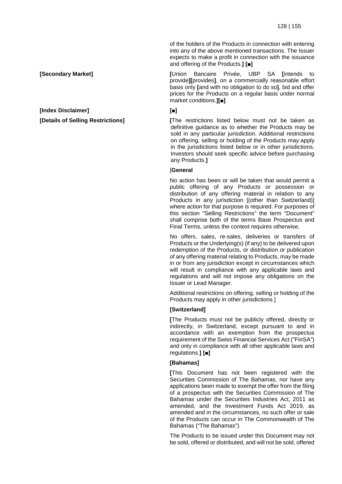of the holders of the Products in connection with entering into any of the above mentioned transactions. The Issuer expects to make a profit in connection with the issuance and offering of the Products.**] [■]**

**[Secondary Market] [**Union Bancaire Privée, UBP SA **[**intends to provide**][**provides**]**, on a commercially reasonable effort basis only **[**and with no obligation to do so**]**, bid and offer prices for the Products on a regular basis under normal market conditions.**][■]**

**[Details of Selling Restrictions] [**The restrictions listed below must not be taken as definitive guidance as to whether the Products may be sold in any particular jurisdiction. Additional restrictions on offering, selling or holding of the Products may apply in the jurisdictions listed below or in other jurisdictions. Investors should seek specific advice before purchasing any Products.**]**

### [**General**

No action has been or will be taken that would permit a public offering of any Products or possession or distribution of any offering material in relation to any Products in any jurisdiction [(other than Switzerland)] where action for that purpose is required. For purposes of this section "Selling Restrictions" the term "Document" shall comprise both of the terms Base Prospectus and Final Terms, unless the context requires otherwise.

No offers, sales, re-sales, deliveries or transfers of Products or the Underlying(s) (if any) to be delivered upon redemption of the Products, or distribution or publication of any offering material relating to Products, may be made in or from any jurisdiction except in circumstances which will result in compliance with any applicable laws and regulations and will not impose any obligations on the Issuer or Lead Manager.

Additional restrictions on offering, selling or holding of the Products may apply in other jurisdictions.]

### **[Switzerland]**

**[**The Products must not be publicly offered, directly or indirectly, in Switzerland, except pursuant to and in accordance with an exemption from the prospectus requirement of the Swiss Financial Services Act ("FinSA") and only in compliance with all other applicable laws and regulations.**] [■]**

### **[Bahamas]**

**[**This Document has not been registered with the Securities Commission of The Bahamas, nor have any applications been made to exempt the offer from the filing of a prospectus with the Securities Commission of The Bahamas under the Securities Industries Act, 2011 as amended, and the Investment Funds Act 2019, as amended and in the circumstances, no such offer or sale of the Products can occur in The Commonwealth of The Bahamas ("The Bahamas").

The Products to be issued under this Document may not be sold, offered or distributed, and will not be sold, offered

**[Index Disclaimer] [■]**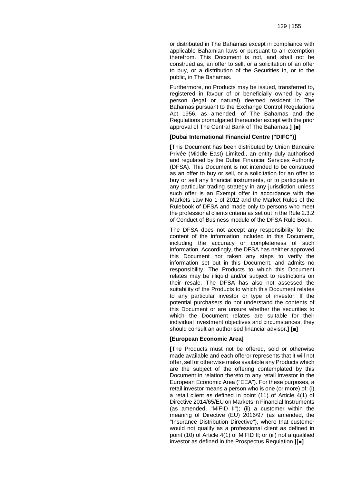or distributed in The Bahamas except in compliance with applicable Bahamian laws or pursuant to an exemption therefrom. This Document is not, and shall not be construed as, an offer to sell, or a solicitation of an offer to buy, or a distribution of the Securities in, or to the public, in The Bahamas.

Furthermore, no Products may be issued, transferred to, registered in favour of or beneficially owned by any person (legal or natural) deemed resident in The Bahamas pursuant to the Exchange Control Regulations Act 1956, as amended, of The Bahamas and the Regulations promulgated thereunder except with the prior approval of The Central Bank of The Bahamas.**] [■]**

#### **[Dubai International Financial Centre ("DIFC")]**

**[**This Document has been distributed by Union Bancaire Privée (Middle East) Limited., an entity duly authorised and regulated by the Dubai Financial Services Authority (DFSA). This Document is not intended to be construed as an offer to buy or sell, or a solicitation for an offer to buy or sell any financial instruments, or to participate in any particular trading strategy in any jurisdiction unless such offer is an Exempt offer in accordance with the Markets Law No 1 of 2012 and the Market Rules of the Rulebook of DFSA and made only to persons who meet the professional clients criteria as set out in the Rule 2.3.2 of Conduct of Business module of the DFSA Rule Book.

The DFSA does not accept any responsibility for the content of the information included in this Document, including the accuracy or completeness of such information. Accordingly, the DFSA has neither approved this Document nor taken any steps to verify the information set out in this Document, and admits no responsibility. The Products to which this Document relates may be illiquid and/or subject to restrictions on their resale. The DFSA has also not assessed the suitability of the Products to which this Document relates to any particular investor or type of investor. If the potential purchasers do not understand the contents of this Document or are unsure whether the securities to which the Document relates are suitable for their individual investment objectives and circumstances, they should consult an authorised financial advisor.**] [■]**

#### **[European Economic Area]**

**[**The Products must not be offered, sold or otherwise made available and each offeror represents that it will not offer, sell or otherwise make available any Products which are the subject of the offering contemplated by this Document in relation thereto to any retail investor in the European Economic Area ("EEA"). For these purposes, a retail investor means a person who is one (or more) of: (i) a retail client as defined in point (11) of Article 4(1) of Directive 2014/65/EU on Markets in Financial Instruments (as amended, "MiFID II"); (ii) a customer within the meaning of Directive (EU) 2016/97 (as amended, the "Insurance Distribution Directive"), where that customer would not qualify as a professional client as defined in point (10) of Article 4(1) of MiFID II; or (iii) not a qualified investor as defined in the Prospectus Regulation.**][■]**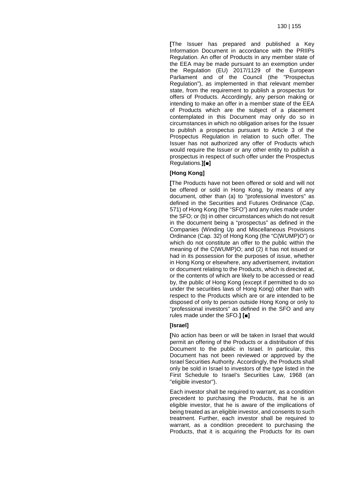**[**The Issuer has prepared and published a Key Information Document in accordance with the PRIIPs Regulation. An offer of Products in any member state of the EEA may be made pursuant to an exemption under the Regulation (EU) 2017/1129 of the European Parliament and of the Council (the "Prospectus Regulation"), as implemented in that relevant member state, from the requirement to publish a prospectus for offers of Products. Accordingly, any person making or intending to make an offer in a member state of the EEA of Products which are the subject of a placement contemplated in this Document may only do so in circumstances in which no obligation arises for the Issuer to publish a prospectus pursuant to Article 3 of the Prospectus Regulation in relation to such offer. The Issuer has not authorized any offer of Products which would require the Issuer or any other entity to publish a prospectus in respect of such offer under the Prospectus Regulations.**][■]**

### **[Hong Kong]**

**[**The Products have not been offered or sold and will not be offered or sold in Hong Kong, by means of any document, other than (a) to "professional investors" as defined in the Securities and Futures Ordinance (Cap. 571) of Hong Kong (the "SFO") and any rules made under the SFO; or (b) in other circumstances which do not result in the document being a "prospectus" as defined in the Companies (Winding Up and Miscellaneous Provisions Ordinance (Cap. 32) of Hong Kong (the "C(WUMP)O") or which do not constitute an offer to the public within the meaning of the C(WUMP)O; and (2) it has not issued or had in its possession for the purposes of issue, whether in Hong Kong or elsewhere, any advertisement, invitation or document relating to the Products, which is directed at, or the contents of which are likely to be accessed or read by, the public of Hong Kong (except if permitted to do so under the securities laws of Hong Kong) other than with respect to the Products which are or are intended to be disposed of only to person outside Hong Kong or only to "professional investors" as defined in the SFO and any rules made under the SFO.**] [■]**

### **[Israel]**

**[**No action has been or will be taken in Israel that would permit an offering of the Products or a distribution of this Document to the public in Israel. In particular, this Document has not been reviewed or approved by the Israel Securities Authority. Accordingly, the Products shall only be sold in Israel to investors of the type listed in the First Schedule to Israel's Securities Law, 1968 (an "eligible investor").

Each investor shall be required to warrant, as a condition precedent to purchasing the Products, that he is an eligible investor, that he is aware of the implications of being treated as an eligible investor, and consents to such treatment. Further, each investor shall be required to warrant, as a condition precedent to purchasing the Products, that it is acquiring the Products for its own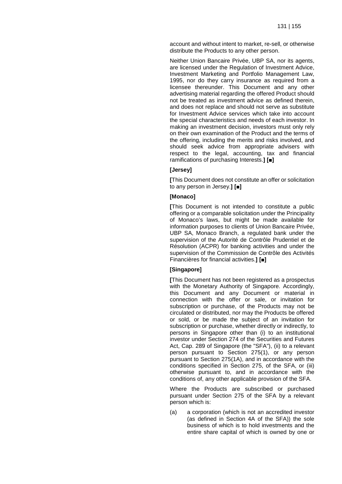account and without intent to market, re-sell, or otherwise distribute the Products to any other person.

Neither Union Bancaire Privée, UBP SA, nor its agents, are licensed under the Regulation of Investment Advice, Investment Marketing and Portfolio Management Law, 1995, nor do they carry insurance as required from a licensee thereunder. This Document and any other advertising material regarding the offered Product should not be treated as investment advice as defined therein, and does not replace and should not serve as substitute for Investment Advice services which take into account the special characteristics and needs of each investor. In making an investment decision, investors must only rely on their own examination of the Product and the terms of the offering, including the merits and risks involved, and should seek advice from appropriate advisers with respect to the legal, accounting, tax and financial ramifications of purchasing Interests.**] [■]**

#### **[Jersey]**

**[**This Document does not constitute an offer or solicitation to any person in Jersey.**] [■]**

#### **[Monaco]**

**[**This Document is not intended to constitute a public offering or a comparable solicitation under the Principality of Monaco's laws, but might be made available for information purposes to clients of Union Bancaire Privée, UBP SA, Monaco Branch, a regulated bank under the supervision of the Autorité de Contrôle Prudentiel et de Résolution (ACPR) for banking activities and under the supervision of the Commission de Contrôle des Activités Financières for financial activities.**] [■]**

#### **[Singapore]**

**[**This Document has not been registered as a prospectus with the Monetary Authority of Singapore. Accordingly, this Document and any Document or material in connection with the offer or sale, or invitation for subscription or purchase, of the Products may not be circulated or distributed, nor may the Products be offered or sold, or be made the subject of an invitation for subscription or purchase, whether directly or indirectly, to persons in Singapore other than (i) to an institutional investor under Section 274 of the Securities and Futures Act, Cap. 289 of Singapore (the "SFA"), (ii) to a relevant person pursuant to Section 275(1), or any person pursuant to Section 275(1A), and in accordance with the conditions specified in Section 275, of the SFA, or (iii) otherwise pursuant to, and in accordance with the conditions of, any other applicable provision of the SFA.

Where the Products are subscribed or purchased pursuant under Section 275 of the SFA by a relevant person which is:

(a) a corporation (which is not an accredited investor (as defined in Section 4A of the SFA)) the sole business of which is to hold investments and the entire share capital of which is owned by one or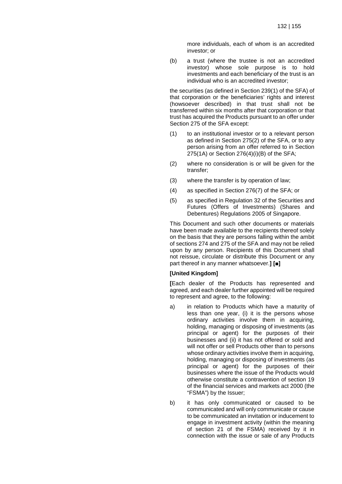more individuals, each of whom is an accredited investor; or

(b) a trust (where the trustee is not an accredited investor) whose sole purpose is to hold investments and each beneficiary of the trust is an individual who is an accredited investor;

the securities (as defined in Section 239(1) of the SFA) of that corporation or the beneficiaries' rights and interest (howsoever described) in that trust shall not be transferred within six months after that corporation or that trust has acquired the Products pursuant to an offer under Section 275 of the SFA except:

- (1) to an institutional investor or to a relevant person as defined in Section 275(2) of the SFA, or to any person arising from an offer referred to in Section 275(1A) or Section 276(4)(i)(B) of the SFA;
- (2) where no consideration is or will be given for the transfer;
- (3) where the transfer is by operation of law;
- (4) as specified in Section 276(7) of the SFA; or
- (5) as specified in Regulation 32 of the Securities and Futures (Offers of Investments) (Shares and Debentures) Regulations 2005 of Singapore.

This Document and such other documents or materials have been made available to the recipients thereof solely on the basis that they are persons falling within the ambit of sections 274 and 275 of the SFA and may not be relied upon by any person. Recipients of this Document shall not reissue, circulate or distribute this Document or any part thereof in any manner whatsoever.**] [■]**

#### **[United Kingdom]**

**[**Each dealer of the Products has represented and agreed, and each dealer further appointed will be required to represent and agree, to the following:

- a) in relation to Products which have a maturity of less than one year, (i) it is the persons whose ordinary activities involve them in acquiring, holding, managing or disposing of investments (as principal or agent) for the purposes of their businesses and (ii) it has not offered or sold and will not offer or sell Products other than to persons whose ordinary activities involve them in acquiring, holding, managing or disposing of investments (as principal or agent) for the purposes of their businesses where the issue of the Products would otherwise constitute a contravention of section 19 of the financial services and markets act 2000 (the "FSMA") by the Issuer;
- b) it has only communicated or caused to be communicated and will only communicate or cause to be communicated an invitation or inducement to engage in investment activity (within the meaning of section 21 of the FSMA) received by it in connection with the issue or sale of any Products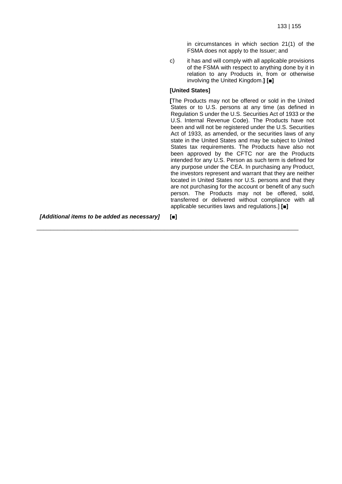in circumstances in which section 21(1) of the FSMA does not apply to the Issuer; and

c) it has and will comply with all applicable provisions of the FSMA with respect to anything done by it in relation to any Products in, from or otherwise involving the United Kingdom.**] [■]**

#### **[United States]**

\_\_\_\_\_\_\_\_\_\_\_\_\_\_\_\_\_\_\_\_\_\_\_\_\_\_\_\_\_\_\_\_\_\_\_\_\_\_\_\_\_\_\_\_\_\_\_\_\_\_\_\_\_\_\_\_\_\_\_\_\_\_\_\_\_\_\_\_\_\_\_\_\_\_\_\_

**[**The Products may not be offered or sold in the United States or to U.S. persons at any time (as defined in Regulation S under the U.S. Securities Act of 1933 or the U.S. Internal Revenue Code). The Products have not been and will not be registered under the U.S. Securities Act of 1933, as amended, or the securities laws of any state in the United States and may be subject to United States tax requirements. The Products have also not been approved by the CFTC nor are the Products intended for any U.S. Person as such term is defined for any purpose under the CEA. In purchasing any Product, the investors represent and warrant that they are neither located in United States nor U.S. persons and that they are not purchasing for the account or benefit of any such person. The Products may not be offered, sold, transferred or delivered without compliance with all applicable securities laws and regulations.] **[■]**

*[Additional items to be added as necessary]* **[■]**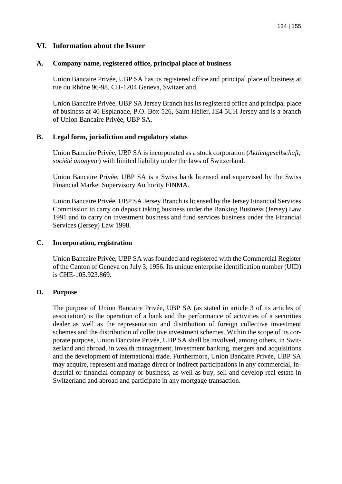## **VI. Information about the Issuer**

## **A. Company name, registered office, principal place of business**

Union Bancaire Privée, UBP SA has its registered office and principal place of business at rue du Rhône 96-98, CH-1204 Geneva, Switzerland.

Union Bancaire Privée, UBP SA Jersey Branch has its registered office and principal place of business at 40 Esplanade, P.O. Box 526, Saint Hélier, JE4 5UH Jersey and is a branch of Union Bancaire Privée, UBP SA.

## **B. Legal form, jurisdiction and regulatory status**

Union Bancaire Privée, UBP SA is incorporated as a stock corporation (*Aktiengesellschaft; société anonyme*) with limited liability under the laws of Switzerland.

Union Bancaire Privée, UBP SA is a Swiss bank licensed and supervised by the Swiss Financial Market Supervisory Authority FINMA.

Union Bancaire Privée, UBP SA Jersey Branch is licensed by the Jersey Financial Services Commission to carry on deposit taking business under the Banking Business (Jersey) Law 1991 and to carry on investment business and fund services business under the Financial Services (Jersey) Law 1998.

## **C. Incorporation, registration**

Union Bancaire Privée, UBP SA was founded and registered with the Commercial Register of the Canton of Geneva on July 3, 1956. Its unique enterprise identification number (UID) is CHE-105.923.869.

### **D. Purpose**

The purpose of Union Bancaire Privée, UBP SA (as stated in article 3 of its articles of association) is the operation of a bank and the performance of activities of a securities dealer as well as the representation and distribution of foreign collective investment schemes and the distribution of collective investment schemes. Within the scope of its corporate purpose, Union Bancaire Privée, UBP SA shall be involved, among others, in Switzerland and abroad, in wealth management, investment banking, mergers and acquisitions and the development of international trade. Furthermore, Union Bancaire Privée, UBP SA may acquire, represent and manage direct or indirect participations in any commercial, industrial or financial company or business, as well as buy, sell and develop real estate in Switzerland and abroad and participate in any mortgage transaction.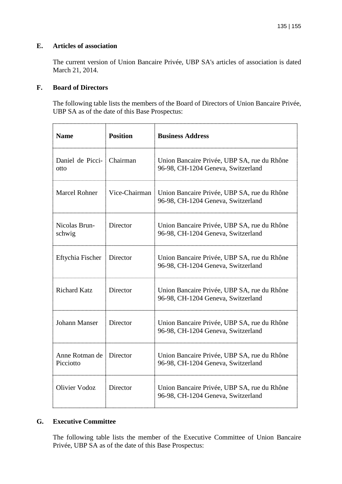## **E. Articles of association**

The current version of Union Bancaire Privée, UBP SA's articles of association is dated March 21, 2014.

## **F. Board of Directors**

The following table lists the members of the Board of Directors of Union Bancaire Privée, UBP SA as of the date of this Base Prospectus:

| <b>Name</b>                 | <b>Position</b> | <b>Business Address</b>                                                           |
|-----------------------------|-----------------|-----------------------------------------------------------------------------------|
| Daniel de Picci-<br>otto    | Chairman        | Union Bancaire Privée, UBP SA, rue du Rhône<br>96-98, CH-1204 Geneva, Switzerland |
| <b>Marcel Rohner</b>        | Vice-Chairman   | Union Bancaire Privée, UBP SA, rue du Rhône<br>96-98, CH-1204 Geneva, Switzerland |
| Nicolas Brun-<br>schwig     | Director        | Union Bancaire Privée, UBP SA, rue du Rhône<br>96-98, CH-1204 Geneva, Switzerland |
| Eftychia Fischer            | Director        | Union Bancaire Privée, UBP SA, rue du Rhône<br>96-98, CH-1204 Geneva, Switzerland |
| <b>Richard Katz</b>         | Director        | Union Bancaire Privée, UBP SA, rue du Rhône<br>96-98, CH-1204 Geneva, Switzerland |
| <b>Johann Manser</b>        | Director        | Union Bancaire Privée, UBP SA, rue du Rhône<br>96-98, CH-1204 Geneva, Switzerland |
| Anne Rotman de<br>Picciotto | Director        | Union Bancaire Privée, UBP SA, rue du Rhône<br>96-98, CH-1204 Geneva, Switzerland |
| <b>Olivier Vodoz</b>        | Director        | Union Bancaire Privée, UBP SA, rue du Rhône<br>96-98, CH-1204 Geneva, Switzerland |

## **G. Executive Committee**

The following table lists the member of the Executive Committee of Union Bancaire Privée, UBP SA as of the date of this Base Prospectus: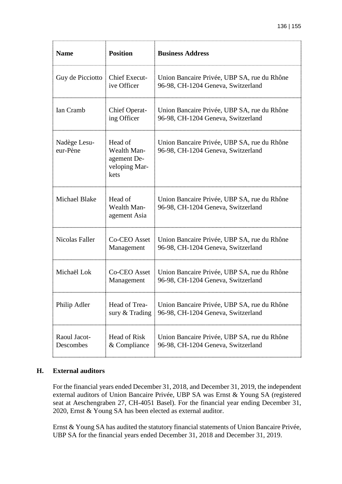| <b>Name</b>               | <b>Position</b>                                                | <b>Business Address</b>                                                           |
|---------------------------|----------------------------------------------------------------|-----------------------------------------------------------------------------------|
| Guy de Picciotto          | <b>Chief Execut-</b><br>ive Officer                            | Union Bancaire Privée, UBP SA, rue du Rhône<br>96-98, CH-1204 Geneva, Switzerland |
| Ian Cramb                 | <b>Chief Operat-</b><br>ing Officer                            | Union Bancaire Privée, UBP SA, rue du Rhône<br>96-98, CH-1204 Geneva, Switzerland |
| Nadège Lesu-<br>eur-Pène  | Head of<br>Wealth Man-<br>agement De-<br>veloping Mar-<br>kets | Union Bancaire Privée, UBP SA, rue du Rhône<br>96-98, CH-1204 Geneva, Switzerland |
| <b>Michael Blake</b>      | Head of<br><b>Wealth Man-</b><br>agement Asia                  | Union Bancaire Privée, UBP SA, rue du Rhône<br>96-98, CH-1204 Geneva, Switzerland |
| <b>Nicolas Faller</b>     | <b>Co-CEO</b> Asset<br>Management                              | Union Bancaire Privée, UBP SA, rue du Rhône<br>96-98, CH-1204 Geneva, Switzerland |
| Michaël Lok               | Co-CEO Asset<br>Management                                     | Union Bancaire Privée, UBP SA, rue du Rhône<br>96-98, CH-1204 Geneva, Switzerland |
| Philip Adler              | Head of Trea-<br>sury & Trading                                | Union Bancaire Privée, UBP SA, rue du Rhône<br>96-98, CH-1204 Geneva, Switzerland |
| Raoul Jacot-<br>Descombes | <b>Head of Risk</b><br>& Compliance                            | Union Bancaire Privée, UBP SA, rue du Rhône<br>96-98, CH-1204 Geneva, Switzerland |

## **H. External auditors**

For the financial years ended December 31, 2018, and December 31, 2019, the independent external auditors of Union Bancaire Privée, UBP SA was Ernst & Young SA (registered seat at Aeschengraben 27, CH-4051 Basel). For the financial year ending December 31, 2020, Ernst & Young SA has been elected as external auditor.

Ernst & Young SA has audited the statutory financial statements of Union Bancaire Privée, UBP SA for the financial years ended December 31, 2018 and December 31, 2019.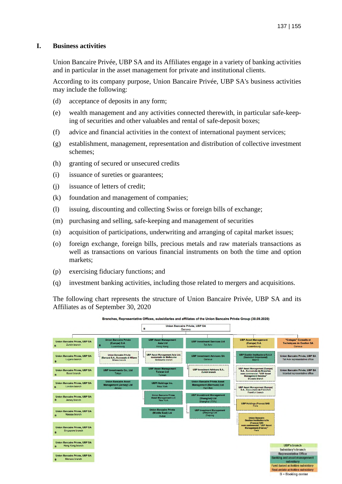## **I. Business activities**

Union Bancaire Privée, UBP SA and its Affiliates engage in a variety of banking activities and in particular in the asset management for private and institutional clients.

According to its company purpose, Union Bancaire Privée, UBP SA's business activities may include the following:

- (d) acceptance of deposits in any form;
- (e) wealth management and any activities connected therewith, in particular safe-keeping of securities and other valuables and rental of safe-deposit boxes;
- (f) advice and financial activities in the context of international payment services;
- (g) establishment, management, representation and distribution of collective investment schemes;
- (h) granting of secured or unsecured credits
- (i) issuance of sureties or guarantees;
- (j) issuance of letters of credit;
- (k) foundation and management of companies;
- (l) issuing, discounting and collecting Swiss or foreign bills of exchange;
- (m) purchasing and selling, safe-keeping and management of securities
- (n) acquisition of participations, underwriting and arranging of capital market issues;
- (o) foreign exchange, foreign bills, precious metals and raw materials transactions as well as transactions on various financial instruments on both the time and option markets;
- (p) exercising fiduciary functions; and
- (q) investment banking activities, including those related to mergers and acquisitions.

The following chart represents the structure of Union Bancaire Privée, UBP SA and its Affiliates as of September 30, 2020



Branches, Representative Offices, subsidiaries and affiliates of the Union Bancaire Privée Group (30.09.2020)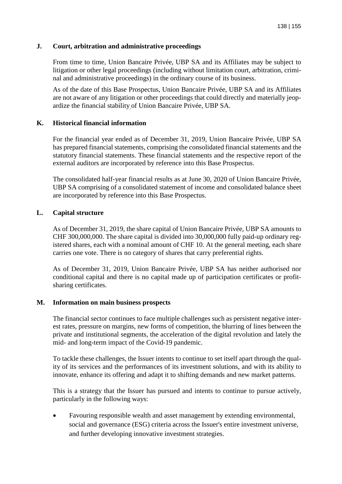## **J. Court, arbitration and administrative proceedings**

From time to time, Union Bancaire Privée, UBP SA and its Affiliates may be subject to litigation or other legal proceedings (including without limitation court, arbitration, criminal and administrative proceedings) in the ordinary course of its business.

As of the date of this Base Prospectus, Union Bancaire Privée, UBP SA and its Affiliates are not aware of any litigation or other proceedings that could directly and materially jeopardize the financial stability of Union Bancaire Privée, UBP SA.

## **K. Historical financial information**

For the financial year ended as of December 31, 2019, Union Bancaire Privée, UBP SA has prepared financial statements, comprising the consolidated financial statements and the statutory financial statements. These financial statements and the respective report of the external auditors are incorporated by reference into this Base Prospectus.

The consolidated half-year financial results as at June 30, 2020 of Union Bancaire Privée, UBP SA comprising of a consolidated statement of income and consolidated balance sheet are incorporated by reference into this Base Prospectus.

## **L. Capital structure**

As of December 31, 2019, the share capital of Union Bancaire Privée, UBP SA amounts to CHF 300,000,000. The share capital is divided into 30,000,000 fully paid-up ordinary registered shares, each with a nominal amount of CHF 10. At the general meeting, each share carries one vote. There is no category of shares that carry preferential rights.

As of December 31, 2019, Union Bancaire Privée, UBP SA has neither authorised nor conditional capital and there is no capital made up of participation certificates or profitsharing certificates.

## **M. Information on main business prospects**

The financial sector continues to face multiple challenges such as persistent negative interest rates, pressure on margins, new forms of competition, the blurring of lines between the private and institutional segments, the acceleration of the digital revolution and lately the mid- and long-term impact of the Covid-19 pandemic.

To tackle these challenges, the Issuer intents to continue to set itself apart through the quality of its services and the performances of its investment solutions, and with its ability to innovate, enhance its offering and adapt it to shifting demands and new market patterns.

This is a strategy that the Issuer has pursued and intents to continue to pursue actively, particularly in the following ways:

• Favouring responsible wealth and asset management by extending environmental, social and governance (ESG) criteria across the Issuer's entire investment universe, and further developing innovative investment strategies.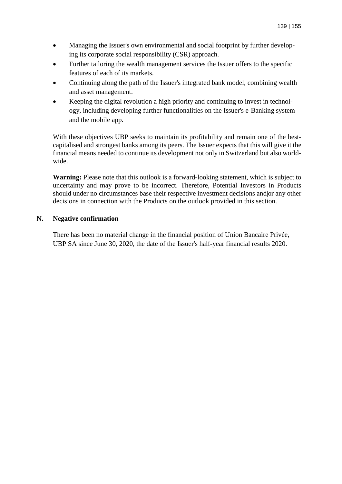- Managing the Issuer's own environmental and social footprint by further developing its corporate social responsibility (CSR) approach.
- Further tailoring the wealth management services the Issuer offers to the specific features of each of its markets.
- Continuing along the path of the Issuer's integrated bank model, combining wealth and asset management.
- Keeping the digital revolution a high priority and continuing to invest in technology, including developing further functionalities on the Issuer's e-Banking system and the mobile app.

With these objectives UBP seeks to maintain its profitability and remain one of the bestcapitalised and strongest banks among its peers. The Issuer expects that this will give it the financial means needed to continue its development not only in Switzerland but also worldwide.

**Warning:** Please note that this outlook is a forward-looking statement, which is subject to uncertainty and may prove to be incorrect. Therefore, Potential Investors in Products should under no circumstances base their respective investment decisions and|or any other decisions in connection with the Products on the outlook provided in this section.

## **N. Negative confirmation**

There has been no material change in the financial position of Union Bancaire Privée, UBP SA since June 30, 2020, the date of the Issuer's half-year financial results 2020.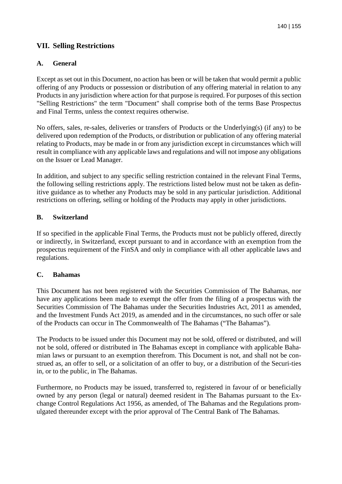## **VII. Selling Restrictions**

## **A. General**

Except as set out in this Document, no action has been or will be taken that would permit a public offering of any Products or possession or distribution of any offering material in relation to any Products in any jurisdiction where action for that purpose is required. For purposes of this section "Selling Restrictions" the term "Document" shall comprise both of the terms Base Prospectus and Final Terms, unless the context requires otherwise.

No offers, sales, re-sales, deliveries or transfers of Products or the Underlying(s) (if any) to be delivered upon redemption of the Products, or distribution or publication of any offering material relating to Products, may be made in or from any jurisdiction except in circumstances which will result in compliance with any applicable laws and regulations and will not impose any obligations on the Issuer or Lead Manager.

In addition, and subject to any specific selling restriction contained in the relevant Final Terms, the following selling restrictions apply. The restrictions listed below must not be taken as definitive guidance as to whether any Products may be sold in any particular jurisdiction. Additional restrictions on offering, selling or holding of the Products may apply in other jurisdictions.

## **B. Switzerland**

If so specified in the applicable Final Terms, the Products must not be publicly offered, directly or indirectly, in Switzerland, except pursuant to and in accordance with an exemption from the prospectus requirement of the FinSA and only in compliance with all other applicable laws and regulations.

## **C. Bahamas**

This Document has not been registered with the Securities Commission of The Bahamas, nor have any applications been made to exempt the offer from the filing of a prospectus with the Securities Commission of The Bahamas under the Securities Industries Act, 2011 as amended, and the Investment Funds Act 2019, as amended and in the circumstances, no such offer or sale of the Products can occur in The Commonwealth of The Bahamas ("The Bahamas").

The Products to be issued under this Document may not be sold, offered or distributed, and will not be sold, offered or distributed in The Bahamas except in compliance with applicable Bahamian laws or pursuant to an exemption therefrom. This Document is not, and shall not be construed as, an offer to sell, or a solicitation of an offer to buy, or a distribution of the Securi-ties in, or to the public, in The Bahamas.

Furthermore, no Products may be issued, transferred to, registered in favour of or beneficially owned by any person (legal or natural) deemed resident in The Bahamas pursuant to the Exchange Control Regulations Act 1956, as amended, of The Bahamas and the Regulations promulgated thereunder except with the prior approval of The Central Bank of The Bahamas.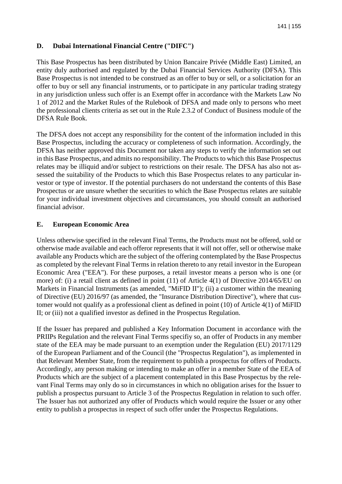## **D. Dubai International Financial Centre ("DIFC")**

This Base Prospectus has been distributed by Union Bancaire Privée (Middle East) Limited, an entity duly authorised and regulated by the Dubai Financial Services Authority (DFSA). This Base Prospectus is not intended to be construed as an offer to buy or sell, or a solicitation for an offer to buy or sell any financial instruments, or to participate in any particular trading strategy in any jurisdiction unless such offer is an Exempt offer in accordance with the Markets Law No 1 of 2012 and the Market Rules of the Rulebook of DFSA and made only to persons who meet the professional clients criteria as set out in the Rule 2.3.2 of Conduct of Business module of the DFSA Rule Book.

The DFSA does not accept any responsibility for the content of the information included in this Base Prospectus, including the accuracy or completeness of such information. Accordingly, the DFSA has neither approved this Document nor taken any steps to verify the information set out in this Base Prospectus, and admits no responsibility. The Products to which this Base Prospectus relates may be illiquid and/or subject to restrictions on their resale. The DFSA has also not assessed the suitability of the Products to which this Base Prospectus relates to any particular investor or type of investor. If the potential purchasers do not understand the contents of this Base Prospectus or are unsure whether the securities to which the Base Prospectus relates are suitable for your individual investment objectives and circumstances, you should consult an authorised financial advisor.

## **E. European Economic Area**

Unless otherwise specified in the relevant Final Terms, the Products must not be offered, sold or otherwise made available and each offeror represents that it will not offer, sell or otherwise make available any Products which are the subject of the offering contemplated by the Base Prospectus as completed by the relevant Final Terms in relation thereto to any retail investor in the European Economic Area ("EEA"). For these purposes, a retail investor means a person who is one (or more) of: (i) a retail client as defined in point (11) of Article 4(1) of Directive 2014/65/EU on Markets in Financial Instruments (as amended, "MiFID II"); (ii) a customer within the meaning of Directive (EU) 2016/97 (as amended, the "Insurance Distribution Directive"), where that customer would not qualify as a professional client as defined in point (10) of Article 4(1) of MiFID II; or (iii) not a qualified investor as defined in the Prospectus Regulation.

If the Issuer has prepared and published a Key Information Document in accordance with the PRIIPs Regulation and the relevant Final Terms specifiy so, an offer of Products in any member state of the EEA may be made pursuant to an exemption under the Regulation (EU) 2017/1129 of the European Parliament and of the Council (the "Prospectus Regulation"), as implemented in that Relevant Member State, from the requirement to publish a prospectus for offers of Products. Accordingly, any person making or intending to make an offer in a member State of the EEA of Products which are the subject of a placement contemplated in this Base Prospectus by the relevant Final Terms may only do so in circumstances in which no obligation arises for the Issuer to publish a prospectus pursuant to Article 3 of the Prospectus Regulation in relation to such offer. The Issuer has not authorized any offer of Products which would require the Issuer or any other entity to publish a prospectus in respect of such offer under the Prospectus Regulations.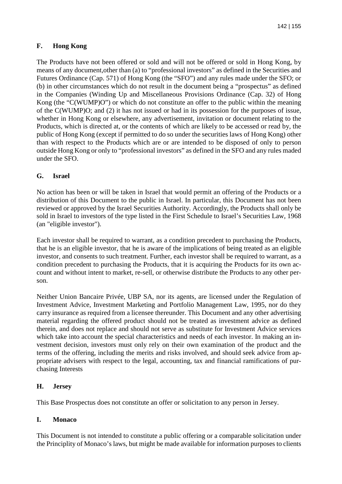## **F. Hong Kong**

The Products have not been offered or sold and will not be offered or sold in Hong Kong, by means of any document,other than (a) to "professional investors" as defined in the Securities and Futures Ordinance (Cap. 571) of Hong Kong (the "SFO") and any rules made under the SFO; or (b) in other circumstances which do not result in the document being a "prospectus" as defined in the Companies (Winding Up and Miscellaneous Provisions Ordinance (Cap. 32) of Hong Kong (the "C(WUMP)O") or which do not constitute an offer to the public within the meaning of the C(WUMP)O; and (2) it has not issued or had in its possession for the purposes of issue, whether in Hong Kong or elsewhere, any advertisement, invitation or document relating to the Products, which is directed at, or the contents of which are likely to be accessed or read by, the public of Hong Kong (except if permitted to do so under the securities laws of Hong Kong) other than with respect to the Products which are or are intended to be disposed of only to person outside Hong Kong or only to "professional investors" as defined in the SFO and any rules maded under the SFO.

## **G. Israel**

No action has been or will be taken in Israel that would permit an offering of the Products or a distribution of this Document to the public in Israel. In particular, this Document has not been reviewed or approved by the Israel Securities Authority. Accordingly, the Products shall only be sold in Israel to investors of the type listed in the First Schedule to Israel's Securities Law, 1968 (an "eligible investor").

Each investor shall be required to warrant, as a condition precedent to purchasing the Products, that he is an eligible investor, that he is aware of the implications of being treated as an eligible investor, and consents to such treatment. Further, each investor shall be required to warrant, as a condition precedent to purchasing the Products, that it is acquiring the Products for its own account and without intent to market, re-sell, or otherwise distribute the Products to any other person.

Neither Union Bancaire Privée, UBP SA, nor its agents, are licensed under the Regulation of Investment Advice, Investment Marketing and Portfolio Management Law, 1995, nor do they carry insurance as required from a licensee thereunder. This Document and any other advertising material regarding the offered product should not be treated as investment advice as defined therein, and does not replace and should not serve as substitute for Investment Advice services which take into account the special characteristics and needs of each investor. In making an investment decision, investors must only rely on their own examination of the product and the terms of the offering, including the merits and risks involved, and should seek advice from appropriate advisers with respect to the legal, accounting, tax and financial ramifications of purchasing Interests

## **H. Jersey**

This Base Prospectus does not constitute an offer or solicitation to any person in Jersey.

## **I. Monaco**

This Document is not intended to constitute a public offering or a comparable solicitation under the Principlity of Monaco's laws, but might be made available for information purposes to clients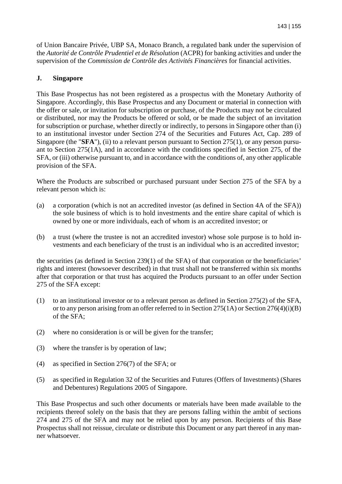of Union Bancaire Privée, UBP SA, Monaco Branch, a regulated bank under the supervision of the *Autorité de Contrôle Prudentiel et de Résolution* (ACPR) for banking activities and under the supervision of the *Commission de Contrôle des Activités Financières* for financial activities.

## **J. Singapore**

This Base Prospectus has not been registered as a prospectus with the Monetary Authority of Singapore. Accordingly, this Base Prospectus and any Document or material in connection with the offer or sale, or invitation for subscription or purchase, of the Products may not be circulated or distributed, nor may the Products be offered or sold, or be made the subject of an invitation for subscription or purchase, whether directly or indirectly, to persons in Singapore other than (i) to an institutional investor under Section 274 of the Securities and Futures Act, Cap. 289 of Singapore (the "**SFA**"), (ii) to a relevant person pursuant to Section 275(1), or any person pursuant to Section 275(1A), and in accordance with the conditions specified in Section 275, of the SFA, or (iii) otherwise pursuant to, and in accordance with the conditions of, any other applicable provision of the SFA.

Where the Products are subscribed or purchased pursuant under Section 275 of the SFA by a relevant person which is:

- (a) a corporation (which is not an accredited investor (as defined in Section 4A of the SFA)) the sole business of which is to hold investments and the entire share capital of which is owned by one or more individuals, each of whom is an accredited investor; or
- (b) a trust (where the trustee is not an accredited investor) whose sole purpose is to hold investments and each beneficiary of the trust is an individual who is an accredited investor;

the securities (as defined in Section 239(1) of the SFA) of that corporation or the beneficiaries' rights and interest (howsoever described) in that trust shall not be transferred within six months after that corporation or that trust has acquired the Products pursuant to an offer under Section 275 of the SFA except:

- (1) to an institutional investor or to a relevant person as defined in Section 275(2) of the SFA, or to any person arising from an offer referred to in Section 275(1A) or Section 276(4)(i)(B) of the SFA;
- (2) where no consideration is or will be given for the transfer;
- (3) where the transfer is by operation of law;
- (4) as specified in Section 276(7) of the SFA; or
- (5) as specified in Regulation 32 of the Securities and Futures (Offers of Investments) (Shares and Debentures) Regulations 2005 of Singapore.

This Base Prospectus and such other documents or materials have been made available to the recipients thereof solely on the basis that they are persons falling within the ambit of sections 274 and 275 of the SFA and may not be relied upon by any person. Recipients of this Base Prospectus shall not reissue, circulate or distribute this Document or any part thereof in any manner whatsoever.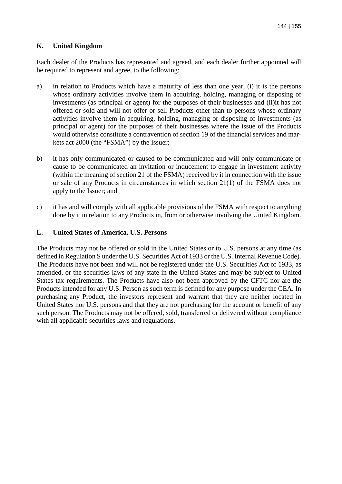## **K. United Kingdom**

Each dealer of the Products has represented and agreed, and each dealer further appointed will be required to represent and agree, to the following:

- a) in relation to Products which have a maturity of less than one year, (i) it is the persons whose ordinary activities involve them in acquiring, holding, managing or disposing of investments (as principal or agent) for the purposes of their businesses and (ii)it has not offered or sold and will not offer or sell Products other than to persons whose ordinary activities involve them in acquiring, holding, managing or disposing of investments (as principal or agent) for the purposes of their businesses where the issue of the Products would otherwise constitute a contravention of section 19 of the financial services and markets act 2000 (the "FSMA") by the Issuer;
- b) it has only communicated or caused to be communicated and will only communicate or cause to be communicated an invitation or inducement to engage in investment activity (within the meaning of section 21 of the FSMA) received by it in connection with the issue or sale of any Products in circumstances in which section 21(1) of the FSMA does not apply to the Issuer; and
- c) it has and will comply with all applicable provisions of the FSMA with respect to anything done by it in relation to any Products in, from or otherwise involving the United Kingdom.

## **L. United States of America, U.S. Persons**

The Products may not be offered or sold in the United States or to U.S. persons at any time (as defined in Regulation S under the U.S. Securities Act of 1933 or the U.S. Internal Revenue Code). The Products have not been and will not be registered under the U.S. Securities Act of 1933, as amended, or the securities laws of any state in the United States and may be subject to United States tax requirements. The Products have also not been approved by the CFTC nor are the Products intended for any U.S. Person as such term is defined for any purpose under the CEA. In purchasing any Product, the investors represent and warrant that they are neither located in United States nor U.S. persons and that they are not purchasing for the account or benefit of any such person. The Products may not be offered, sold, transferred or delivered without compliance with all applicable securities laws and regulations.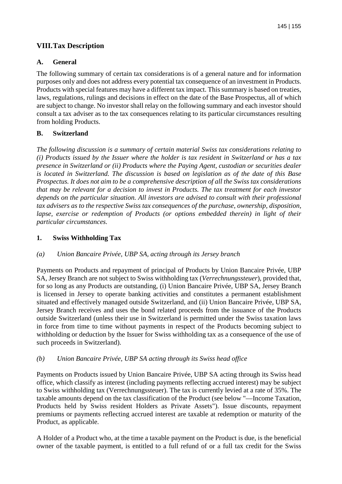# **VIII. Tax Description**

## **A. General**

The following summary of certain tax considerations is of a general nature and for information purposes only and does not address every potential tax consequence of an investment in Products. Products with special features may have a different tax impact. This summary is based on treaties, laws, regulations, rulings and decisions in effect on the date of the Base Prospectus, all of which are subject to change. No investor shall relay on the following summary and each investor should consult a tax adviser as to the tax consequences relating to its particular circumstances resulting from holding Products.

### **B. Switzerland**

*The following discussion is a summary of certain material Swiss tax considerations relating to (i) Products issued by the Issuer where the holder is tax resident in Switzerland or has a tax presence in Switzerland or (ii) Products where the Paying Agent, custodian or securities dealer is located in Switzerland. The discussion is based on legislation as of the date of this Base Prospectus. It does not aim to be a comprehensive description of all the Swiss tax considerations that may be relevant for a decision to invest in Products. The tax treatment for each investor depends on the particular situation. All investors are advised to consult with their professional tax advisers as to the respective Swiss tax consequences of the purchase, ownership, disposition, lapse, exercise or redemption of Products (or options embedded therein) in light of their particular circumstances.* 

### **1. Swiss Withholding Tax**

## *(a) Union Bancaire Privée, UBP SA, acting through its Jersey branch*

Payments on Products and repayment of principal of Products by Union Bancaire Privée, UBP SA, Jersey Branch are not subject to Swiss withholding tax (*Verrechnungssteuer*), provided that, for so long as any Products are outstanding, (i) Union Bancaire Privée, UBP SA, Jersey Branch is licensed in Jersey to operate banking activities and constitutes a permanent establishment situated and effectively managed outside Switzerland, and (ii) Union Bancaire Privée, UBP SA, Jersey Branch receives and uses the bond related proceeds from the issuance of the Products outside Switzerland (unless their use in Switzerland is permitted under the Swiss taxation laws in force from time to time without payments in respect of the Products becoming subject to withholding or deduction by the Issuer for Swiss withholding tax as a consequence of the use of such proceeds in Switzerland).

### *(b) Union Bancaire Privée, UBP SA acting through its Swiss head office*

Payments on Products issued by Union Bancaire Privée, UBP SA acting through its Swiss head office, which classify as interest (including payments reflecting accrued interest) may be subject to Swiss withholding tax (Verrechnungssteuer). The tax is currently levied at a rate of 35%. The taxable amounts depend on the tax classification of the Product (see below "—Income Taxation, Products held by Swiss resident Holders as Private Assets"). Issue discounts, repayment premiums or payments reflecting accrued interest are taxable at redemption or maturity of the Product, as applicable.

A Holder of a Product who, at the time a taxable payment on the Product is due, is the beneficial owner of the taxable payment, is entitled to a full refund of or a full tax credit for the Swiss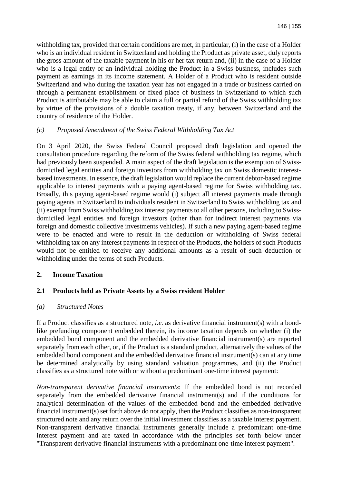withholding tax, provided that certain conditions are met, in particular, (i) in the case of a Holder who is an individual resident in Switzerland and holding the Product as private asset, duly reports the gross amount of the taxable payment in his or her tax return and, (ii) in the case of a Holder who is a legal entity or an individual holding the Product in a Swiss business, includes such payment as earnings in its income statement. A Holder of a Product who is resident outside Switzerland and who during the taxation year has not engaged in a trade or business carried on through a permanent establishment or fixed place of business in Switzerland to which such Product is attributable may be able to claim a full or partial refund of the Swiss withholding tax by virtue of the provisions of a double taxation treaty, if any, between Switzerland and the country of residence of the Holder.

#### *(c) Proposed Amendment of the Swiss Federal Withholding Tax Act*

On 3 April 2020, the Swiss Federal Council proposed draft legislation and opened the consultation procedure regarding the reform of the Swiss federal withholding tax regime, which had previously been suspended. A main aspect of the draft legislation is the exemption of Swissdomiciled legal entities and foreign investors from withholding tax on Swiss domestic interestbased investments. In essence, the draft legislation would replace the current debtor-based regime applicable to interest payments with a paying agent-based regime for Swiss withholding tax. Broadly, this paying agent-based regime would (i) subject all interest payments made through paying agents in Switzerland to individuals resident in Switzerland to Swiss withholding tax and (ii) exempt from Swiss withholding tax interest payments to all other persons, including to Swissdomiciled legal entities and foreign investors (other than for indirect interest payments via foreign and domestic collective investments vehicles). If such a new paying agent-based regime were to be enacted and were to result in the deduction or withholding of Swiss federal withholding tax on any interest payments in respect of the Products, the holders of such Products would not be entitled to receive any additional amounts as a result of such deduction or withholding under the terms of such Products.

### **2. Income Taxation**

### **2.1 Products held as Private Assets by a Swiss resident Holder**

#### *(a) Structured Notes*

If a Product classifies as a structured note, *i.e.* as derivative financial instrument(s) with a bondlike prefunding component embedded therein, its income taxation depends on whether (i) the embedded bond component and the embedded derivative financial instrument(s) are reported separately from each other, or, if the Product is a standard product, alternatively the values of the embedded bond component and the embedded derivative financial instrument(s) can at any time be determined analytically by using standard valuation programmes, and (ii) the Product classifies as a structured note with or without a predominant one-time interest payment:

*Non-transparent derivative financial instruments*: If the embedded bond is not recorded separately from the embedded derivative financial instrument(s) and if the conditions for analytical determination of the values of the embedded bond and the embedded derivative financial instrument(s) set forth above do not apply, then the Product classifies as non-transparent structured note and any return over the initial investment classifies as a taxable interest payment. Non-transparent derivative financial instruments generally include a predominant one-time interest payment and are taxed in accordance with the principles set forth below under "Transparent derivative financial instruments with a predominant one-time interest payment".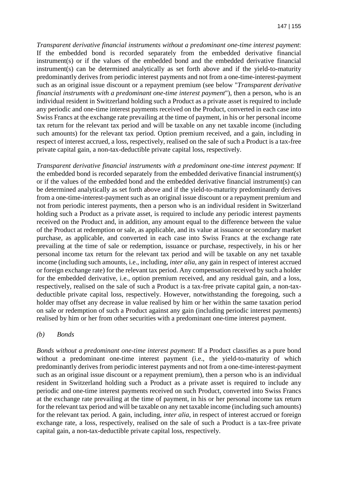*Transparent derivative financial instruments without a predominant one-time interest payment*: If the embedded bond is recorded separately from the embedded derivative financial instrument(s) or if the values of the embedded bond and the embedded derivative financial instrument(s) can be determined analytically as set forth above and if the yield-to-maturity predominantly derives from periodic interest payments and not from a one-time-interest-payment such as an original issue discount or a repayment premium (see below "*Transparent derivative financial instruments with a predominant one-time interest payment*"), then a person, who is an individual resident in Switzerland holding such a Product as a private asset is required to include any periodic and one-time interest payments received on the Product, converted in each case into Swiss Francs at the exchange rate prevailing at the time of payment, in his or her personal income tax return for the relevant tax period and will be taxable on any net taxable income (including such amounts) for the relevant tax period. Option premium received, and a gain, including in respect of interest accrued, a loss, respectively, realised on the sale of such a Product is a tax-free private capital gain, a non-tax-deductible private capital loss, respectively.

*Transparent derivative financial instruments with a predominant one-time interest payment*: If the embedded bond is recorded separately from the embedded derivative financial instrument(s) or if the values of the embedded bond and the embedded derivative financial instrument(s) can be determined analytically as set forth above and if the yield-to-maturity predominantly derives from a one-time-interest-payment such as an original issue discount or a repayment premium and not from periodic interest payments, then a person who is an individual resident in Switzerland holding such a Product as a private asset, is required to include any periodic interest payments received on the Product and, in addition, any amount equal to the difference between the value of the Product at redemption or sale, as applicable, and its value at issuance or secondary market purchase, as applicable, and converted in each case into Swiss Francs at the exchange rate prevailing at the time of sale or redemption, issuance or purchase, respectively, in his or her personal income tax return for the relevant tax period and will be taxable on any net taxable income (including such amounts, i.e., including, *inter alia*, any gain in respect of interest accrued or foreign exchange rate) for the relevant tax period. Any compensation received by such a holder for the embedded derivative, i.e., option premium received, and any residual gain, and a loss, respectively, realised on the sale of such a Product is a tax-free private capital gain, a non-taxdeductible private capital loss, respectively. However, notwithstanding the foregoing, such a holder may offset any decrease in value realised by him or her within the same taxation period on sale or redemption of such a Product against any gain (including periodic interest payments) realised by him or her from other securities with a predominant one-time interest payment.

#### *(b) Bonds*

*Bonds without a predominant one-time interest payment*: If a Product classifies as a pure bond without a predominant one-time interest payment (i.e., the yield-to-maturity of which predominantly derives from periodic interest payments and not from a one-time-interest-payment such as an original issue discount or a repayment premium), then a person who is an individual resident in Switzerland holding such a Product as a private asset is required to include any periodic and one-time interest payments received on such Product, converted into Swiss Francs at the exchange rate prevailing at the time of payment, in his or her personal income tax return for the relevant tax period and will be taxable on any net taxable income (including such amounts) for the relevant tax period. A gain, including, *inter alia*, in respect of interest accrued or foreign exchange rate, a loss, respectively, realised on the sale of such a Product is a tax-free private capital gain, a non-tax-deductible private capital loss, respectively.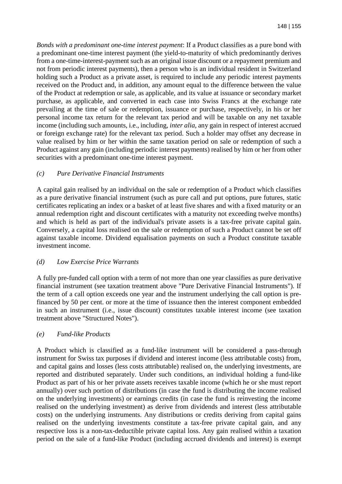*Bonds with a predominant one-time interest payment*: If a Product classifies as a pure bond with a predominant one-time interest payment (the yield-to-maturity of which predominantly derives from a one-time-interest-payment such as an original issue discount or a repayment premium and not from periodic interest payments), then a person who is an individual resident in Switzerland holding such a Product as a private asset, is required to include any periodic interest payments received on the Product and, in addition, any amount equal to the difference between the value of the Product at redemption or sale, as applicable, and its value at issuance or secondary market purchase, as applicable, and converted in each case into Swiss Francs at the exchange rate prevailing at the time of sale or redemption, issuance or purchase, respectively, in his or her personal income tax return for the relevant tax period and will be taxable on any net taxable income (including such amounts, i.e., including, *inter alia*, any gain in respect of interest accrued or foreign exchange rate) for the relevant tax period. Such a holder may offset any decrease in value realised by him or her within the same taxation period on sale or redemption of such a Product against any gain (including periodic interest payments) realised by him or her from other securities with a predominant one-time interest payment.

#### *(c) Pure Derivative Financial Instruments*

A capital gain realised by an individual on the sale or redemption of a Product which classifies as a pure derivative financial instrument (such as pure call and put options, pure futures, static certificates replicating an index or a basket of at least five shares and with a fixed maturity or an annual redemption right and discount certificates with a maturity not exceeding twelve months) and which is held as part of the individual's private assets is a tax-free private capital gain. Conversely, a capital loss realised on the sale or redemption of such a Product cannot be set off against taxable income. Dividend equalisation payments on such a Product constitute taxable investment income.

#### *(d) Low Exercise Price Warrants*

A fully pre-funded call option with a term of not more than one year classifies as pure derivative financial instrument (see taxation treatment above "Pure Derivative Financial Instruments"). If the term of a call option exceeds one year and the instrument underlying the call option is prefinanced by 50 per cent. or more at the time of issuance then the interest component embedded in such an instrument (i.e., issue discount) constitutes taxable interest income (see taxation treatment above "Structured Notes").

#### *(e) Fund-like Products*

A Product which is classified as a fund-like instrument will be considered a pass-through instrument for Swiss tax purposes if dividend and interest income (less attributable costs) from, and capital gains and losses (less costs attributable) realised on, the underlying investments, are reported and distributed separately. Under such conditions, an individual holding a fund-like Product as part of his or her private assets receives taxable income (which he or she must report annually) over such portion of distributions (in case the fund is distributing the income realised on the underlying investments) or earnings credits (in case the fund is reinvesting the income realised on the underlying investment) as derive from dividends and interest (less attributable costs) on the underlying instruments. Any distributions or credits deriving from capital gains realised on the underlying investments constitute a tax-free private capital gain, and any respective loss is a non-tax-deductible private capital loss. Any gain realised within a taxation period on the sale of a fund-like Product (including accrued dividends and interest) is exempt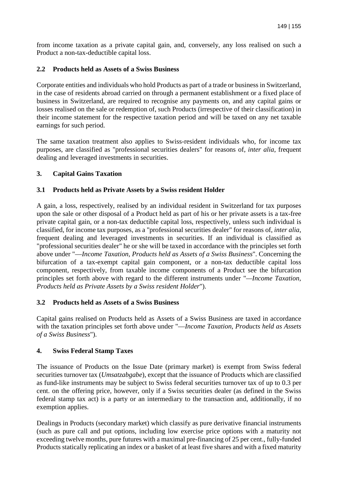from income taxation as a private capital gain, and, conversely, any loss realised on such a Product a non-tax-deductible capital loss.

## **2.2 Products held as Assets of a Swiss Business**

Corporate entities and individuals who hold Products as part of a trade or business in Switzerland, in the case of residents abroad carried on through a permanent establishment or a fixed place of business in Switzerland, are required to recognise any payments on, and any capital gains or losses realised on the sale or redemption of, such Products (irrespective of their classification) in their income statement for the respective taxation period and will be taxed on any net taxable earnings for such period.

The same taxation treatment also applies to Swiss-resident individuals who, for income tax purposes, are classified as "professional securities dealers" for reasons of, *inter alia*, frequent dealing and leveraged investments in securities.

## **3. Capital Gains Taxation**

## **3.1 Products held as Private Assets by a Swiss resident Holder**

A gain, a loss, respectively, realised by an individual resident in Switzerland for tax purposes upon the sale or other disposal of a Product held as part of his or her private assets is a tax-free private capital gain, or a non-tax deductible capital loss, respectively, unless such individual is classified, for income tax purposes, as a "professional securities dealer" for reasons of, *inter alia*, frequent dealing and leveraged investments in securities. If an individual is classified as "professional securities dealer" he or she will be taxed in accordance with the principles set forth above under "—*Income Taxation, Products held as Assets of a Swiss Business*". Concerning the bifurcation of a tax-exempt capital gain component, or a non-tax deductible capital loss component, respectively, from taxable income components of a Product see the bifurcation principles set forth above with regard to the different instruments under "*—Income Taxation, Products held as Private Assets by a Swiss resident Holder*").

### **3.2 Products held as Assets of a Swiss Business**

Capital gains realised on Products held as Assets of a Swiss Business are taxed in accordance with the taxation principles set forth above under "—*Income Taxation, Products held as Assets of a Swiss Business*").

### **4. Swiss Federal Stamp Taxes**

The issuance of Products on the Issue Date (primary market) is exempt from Swiss federal securities turnover tax (*Umsatzabgabe*), except that the issuance of Products which are classified as fund-like instruments may be subject to Swiss federal securities turnover tax of up to 0.3 per cent. on the offering price, however, only if a Swiss securities dealer (as defined in the Swiss federal stamp tax act) is a party or an intermediary to the transaction and, additionally, if no exemption applies.

Dealings in Products (secondary market) which classify as pure derivative financial instruments (such as pure call and put options, including low exercise price options with a maturity not exceeding twelve months, pure futures with a maximal pre-financing of 25 per cent., fully-funded Products statically replicating an index or a basket of at least five shares and with a fixed maturity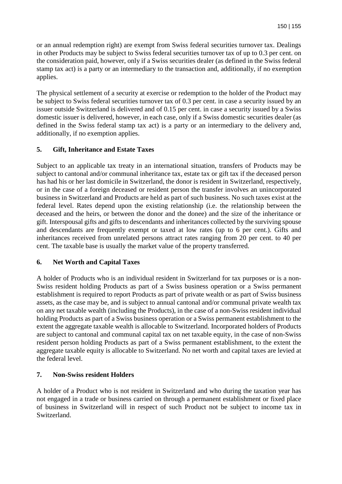or an annual redemption right) are exempt from Swiss federal securities turnover tax. Dealings in other Products may be subject to Swiss federal securities turnover tax of up to 0.3 per cent. on the consideration paid, however, only if a Swiss securities dealer (as defined in the Swiss federal stamp tax act) is a party or an intermediary to the transaction and, additionally, if no exemption applies.

The physical settlement of a security at exercise or redemption to the holder of the Product may be subject to Swiss federal securities turnover tax of 0.3 per cent. in case a security issued by an issuer outside Switzerland is delivered and of 0.15 per cent. in case a security issued by a Swiss domestic issuer is delivered, however, in each case, only if a Swiss domestic securities dealer (as defined in the Swiss federal stamp tax act) is a party or an intermediary to the delivery and, additionally, if no exemption applies.

## **5. Gift, Inheritance and Estate Taxes**

Subject to an applicable tax treaty in an international situation, transfers of Products may be subject to cantonal and/or communal inheritance tax, estate tax or gift tax if the deceased person has had his or her last domicile in Switzerland, the donor is resident in Switzerland, respectively, or in the case of a foreign deceased or resident person the transfer involves an unincorporated business in Switzerland and Products are held as part of such business. No such taxes exist at the federal level. Rates depend upon the existing relationship (i.e. the relationship between the deceased and the heirs, or between the donor and the donee) and the size of the inheritance or gift. Interspousal gifts and gifts to descendants and inheritances collected by the surviving spouse and descendants are frequently exempt or taxed at low rates (up to 6 per cent.). Gifts and inheritances received from unrelated persons attract rates ranging from 20 per cent. to 40 per cent. The taxable base is usually the market value of the property transferred.

## **6. Net Worth and Capital Taxes**

A holder of Products who is an individual resident in Switzerland for tax purposes or is a non-Swiss resident holding Products as part of a Swiss business operation or a Swiss permanent establishment is required to report Products as part of private wealth or as part of Swiss business assets, as the case may be, and is subject to annual cantonal and/or communal private wealth tax on any net taxable wealth (including the Products), in the case of a non-Swiss resident individual holding Products as part of a Swiss business operation or a Swiss permanent establishment to the extent the aggregate taxable wealth is allocable to Switzerland. Incorporated holders of Products are subject to cantonal and communal capital tax on net taxable equity, in the case of non-Swiss resident person holding Products as part of a Swiss permanent establishment, to the extent the aggregate taxable equity is allocable to Switzerland. No net worth and capital taxes are levied at the federal level.

### **7. Non-Swiss resident Holders**

A holder of a Product who is not resident in Switzerland and who during the taxation year has not engaged in a trade or business carried on through a permanent establishment or fixed place of business in Switzerland will in respect of such Product not be subject to income tax in Switzerland.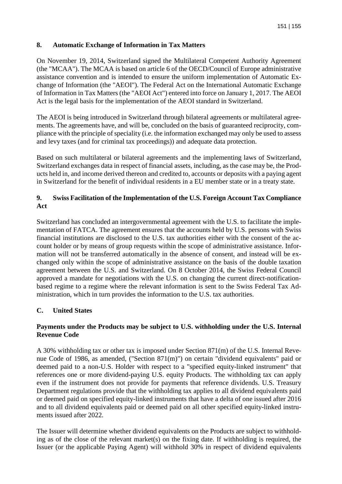### **8. Automatic Exchange of Information in Tax Matters**

On November 19, 2014, Switzerland signed the Multilateral Competent Authority Agreement (the "MCAA"). The MCAA is based on article 6 of the OECD/Council of Europe administrative assistance convention and is intended to ensure the uniform implementation of Automatic Exchange of Information (the "AEOI"). The Federal Act on the International Automatic Exchange of Information in Tax Matters (the "AEOI Act") entered into force on January 1, 2017. The AEOI Act is the legal basis for the implementation of the AEOI standard in Switzerland.

The AEOI is being introduced in Switzerland through bilateral agreements or multilateral agreements. The agreements have, and will be, concluded on the basis of guaranteed reciprocity, compliance with the principle of speciality (i.e. the information exchanged may only be used to assess and levy taxes (and for criminal tax proceedings)) and adequate data protection.

Based on such multilateral or bilateral agreements and the implementing laws of Switzerland, Switzerland exchanges data in respect of financial assets, including, as the case may be, the Products held in, and income derived thereon and credited to, accounts or deposits with a paying agent in Switzerland for the benefit of individual residents in a EU member state or in a treaty state.

### **9. Swiss Facilitation of the Implementation of the U.S. Foreign Account Tax Compliance Act**

Switzerland has concluded an intergovernmental agreement with the U.S. to facilitate the implementation of FATCA. The agreement ensures that the accounts held by U.S. persons with Swiss financial institutions are disclosed to the U.S. tax authorities either with the consent of the account holder or by means of group requests within the scope of administrative assistance. Information will not be transferred automatically in the absence of consent, and instead will be exchanged only within the scope of administrative assistance on the basis of the double taxation agreement between the U.S. and Switzerland. On 8 October 2014, the Swiss Federal Council approved a mandate for negotiations with the U.S. on changing the current direct-notificationbased regime to a regime where the relevant information is sent to the Swiss Federal Tax Administration, which in turn provides the information to the U.S. tax authorities.

### **C. United States**

### **Payments under the Products may be subject to U.S. withholding under the U.S. Internal Revenue Code**

A 30% withholding tax or other tax is imposed under Section 871(m) of the U.S. Internal Revenue Code of 1986, as amended, ("Section 871(m)") on certain "dividend equivalents" paid or deemed paid to a non-U.S. Holder with respect to a "specified equity-linked instrument" that references one or more dividend-paying U.S. equity Products. The withholding tax can apply even if the instrument does not provide for payments that reference dividends. U.S. Treasury Department regulations provide that the withholding tax applies to all dividend equivalents paid or deemed paid on specified equity-linked instruments that have a delta of one issued after 2016 and to all dividend equivalents paid or deemed paid on all other specified equity-linked instruments issued after 2022.

The Issuer will determine whether dividend equivalents on the Products are subject to withholding as of the close of the relevant market(s) on the fixing date. If withholding is required, the Issuer (or the applicable Paying Agent) will withhold 30% in respect of dividend equivalents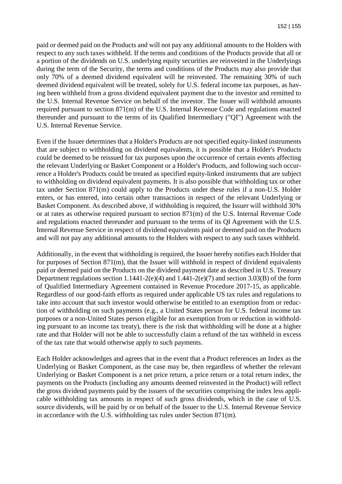paid or deemed paid on the Products and will not pay any additional amounts to the Holders with respect to any such taxes withheld. If the terms and conditions of the Products provide that all or a portion of the dividends on U.S. underlying equity securities are reinvested in the Underlyings during the term of the Security, the terms and conditions of the Products may also provide that only 70% of a deemed dividend equivalent will be reinvested. The remaining 30% of such deemed dividend equivalent will be treated, solely for U.S. federal income tax purposes, as having been withheld from a gross dividend equivalent payment due to the investor and remitted to the U.S. Internal Revenue Service on behalf of the investor. The Issuer will withhold amounts required pursuant to section 871(m) of the U.S. Internal Revenue Code and regulations enacted thereunder and pursuant to the terms of its Qualified Intermediary ("QI") Agreement with the U.S. Internal Revenue Service.

Even if the Issuer determines that a Holder's Products are not specified equity-linked instruments that are subject to withholding on dividend equivalents, it is possible that a Holder's Products could be deemed to be reissued for tax purposes upon the occurrence of certain events affecting the relevant Underlying or Basket Component or a Holder's Products, and following such occurrence a Holder's Products could be treated as specified equity-linked instruments that are subject to withholding on dividend equivalent payments. It is also possible that withholding tax or other tax under Section 871(m) could apply to the Products under these rules if a non-U.S. Holder enters, or has entered, into certain other transactions in respect of the relevant Underlying or Basket Component. As described above, if withholding is required, the Issuer will withhold 30% or at rates as otherwise required pursuant to section 871(m) of the U.S. Internal Revenue Code and regulations enacted thereunder and pursuant to the terms of its QI Agreement with the U.S. Internal Revenue Service in respect of dividend equivalents paid or deemed paid on the Products and will not pay any additional amounts to the Holders with respect to any such taxes withheld.

Additionally, in the event that withholding is required, the Issuer hereby notifies each Holder that for purposes of Section 871(m), that the Issuer will withhold in respect of dividend equivalents paid or deemed paid on the Products on the dividend payment date as described in U.S. Treasury Department regulations section 1.1441-2(e)(4) and 1.441-2(e)(7) and section 3.03(B) of the form of Qualified Intermediary Agreement contained in Revenue Procedure 2017-15, as applicable. Regardless of our good-faith efforts as required under applicable US tax rules and regulations to take into account that such investor would otherwise be entitled to an exemption from or reduction of withholding on such payments (e.g., a United States person for U.S. federal income tax purposes or a non-United States person eligible for an exemption from or reduction in withholding pursuant to an income tax treaty), there is the risk that withholding will be done at a higher rate and that Holder will not be able to successfully claim a refund of the tax withheld in excess of the tax rate that would otherwise apply to such payments.

Each Holder acknowledges and agrees that in the event that a Product references an Index as the Underlying or Basket Component, as the case may be, then regardless of whether the relevant Underlying or Basket Component is a net price return, a price return or a total return index, the payments on the Products (including any amounts deemed reinvested in the Product) will reflect the gross dividend payments paid by the issuers of the securities comprising the index less applicable withholding tax amounts in respect of such gross dividends, which in the case of U.S. source dividends, will be paid by or on behalf of the Issuer to the U.S. Internal Revenue Service in accordance with the U.S. withholding tax rules under Section 871(m).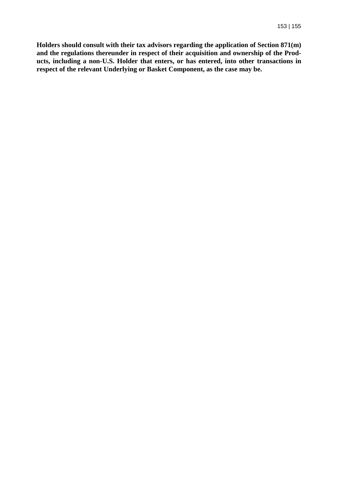**Holders should consult with their tax advisors regarding the application of Section 871(m) and the regulations thereunder in respect of their acquisition and ownership of the Products, including a non-U.S. Holder that enters, or has entered, into other transactions in respect of the relevant Underlying or Basket Component, as the case may be.**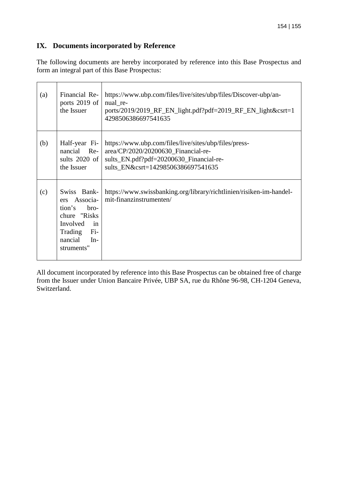# **IX. Documents incorporated by Reference**

The following documents are hereby incorporated by reference into this Base Prospectus and form an integral part of this Base Prospectus:

| (a) | Financial Re-<br>ports 2019 of<br>the Issuer                                                                                              | https://www.ubp.com/files/live/sites/ubp/files/Discover-ubp/an-<br>nual re-<br>ports/2019/2019_RF_EN_light.pdf?pdf=2019_RF_EN_light&csrt=1<br>4298506386697541635             |
|-----|-------------------------------------------------------------------------------------------------------------------------------------------|-------------------------------------------------------------------------------------------------------------------------------------------------------------------------------|
| (b) | Half-year Fi-<br>nancial Re-<br>sults 2020 of<br>the Issuer                                                                               | https://www.ubp.com/files/live/sites/ubp/files/press-<br>area/CP/2020/20200630_Financial-re-<br>sults_EN.pdf?pdf=20200630_Financial-re-<br>sults EN&csrt=14298506386697541635 |
| (c) | Swiss Bank-<br>Associa-<br>ers<br>tion's<br>bro-<br>chure "Risks"<br>Involved<br>in<br>$Fi-$<br>Trading<br>nancial<br>$In-$<br>struments" | https://www.swissbanking.org/library/richtlinien/risiken-im-handel-<br>mit-finanzinstrumenten/                                                                                |

All document incorporated by reference into this Base Prospectus can be obtained free of charge from the Issuer under Union Bancaire Privée, UBP SA, rue du Rhône 96-98, CH-1204 Geneva, Switzerland.